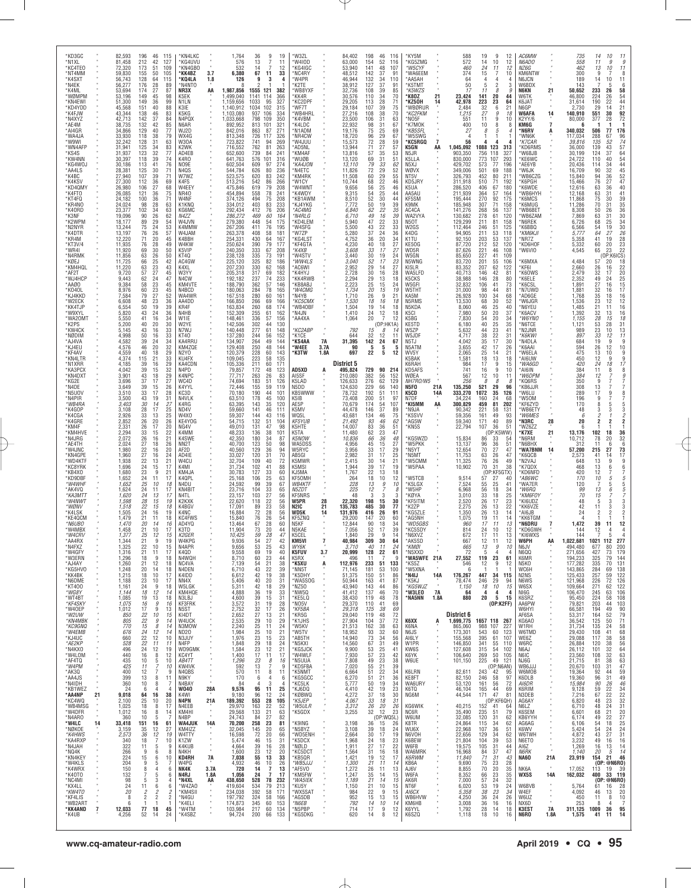| *KD3GC<br>*N1XL<br>*KC4TE0<br>*NT4MM<br>*K4SXT<br>*N4EK<br>*K4ML<br>*WØMPM<br>*KN4FWI<br>*KD4YDD<br>*K4FJW<br>*N4XYZ<br>*AE4M<br>*AI4GR<br>*WA4JA<br>*W9WI<br>*WN4AFP<br>*KS4S<br>*KW4NN<br>*KG4WOJ<br>*AA4LS<br>*K4BC<br>*K4KSV<br>*KD4QMY<br>*K4FT0<br>*KT4FQ<br>*KR4NO<br>*K40RD<br>*K3NF<br>*K2WPM<br>*N2NYR<br>*K4DTR<br>*KR4M<br>*KT3V/4<br>*WR4I<br>*N4RMK<br>*KØEJ<br>*KM4HQL<br>*AF2T<br>*WJ4HCP<br>*AAØO<br>*K040L<br>*KJ4KKD<br>*W2ECK<br>*KK4TJP<br>*W9XYL<br>*WA20MT<br>*K2PS<br>*KW4CK<br>*NØDIM<br>*AJ4VA<br>*KJ4EU<br>*KF4AV<br>*KN4LTR<br>*N1XRR<br>*КАЗРСХ<br>*KN4DXT<br>*KG2E<br>*N4DE<br>*N5UOV<br>*N4PIR<br>*WB4RA<br>*K4GOP<br>*K4CGA<br>*K4GRE<br>*KM4F<br>*KM4HVE<br>*N4JRG<br>*AE4TH<br>*W4JNC<br>*KN4GPE<br>*WD4KTF<br>*KC8YRK<br>*KB4XO<br>*KD9DBF<br>*W4WHF<br>*AK4VQ<br>*КАЗМТТ<br>*W4NWT<br>*WØNV<br>*K4LSK<br>*KE4QCM<br>*N6UBO<br>*W4MBX<br>*W4CRV<br>*AA4RX<br>*N4FXZ<br>*W4GFY<br>*W3ERN<br>*AJ4AY<br>*KG5HV0<br>*KK4BK<br>*N6DME<br>*KT400<br>*WG8Y<br>*WT4BT<br>*KF4SKY<br>*W40EP<br>*W2UW<br>*KN4MBK<br><i>*KC9GNQ</i><br>*W4EMB<br>*KJ4UC<br>*AE2KP<br>*N4KXO<br>*W4LOM<br>*AF4TQ<br>*W4PM<br>*AK3Q<br>*AA4JS<br>*N4IDH<br>*KB1WEZ<br>*AA4NP<br>*KC4WQ<br>*WB4MSG<br>*W4DFR<br>*N4ARO<br>*W4LC<br>*NØKOE<br>*K4HWS<br>*KA4RXP<br>*N4JAH<br>*NQ4K<br>*KN4KEY<br>*W4KLS<br>*K4WRX<br>*K40T0<br>*NC4MI<br>*KX4LL<br>*KW4T0<br>*KF4LIS<br>*WB2ART<br>*KK4AND<br>*K4UB                                                                                                                                                                                                                                                                                                                                                                                                                                                                                                                                                                                                                                                                                                                                                                                                                                                                                                                                                                                                                                                                                                                                                                                                                                                                                                                                                                                                                                                                                    |
|--------------------------------------------------------------------------------------------------------------------------------------------------------------------------------------------------------------------------------------------------------------------------------------------------------------------------------------------------------------------------------------------------------------------------------------------------------------------------------------------------------------------------------------------------------------------------------------------------------------------------------------------------------------------------------------------------------------------------------------------------------------------------------------------------------------------------------------------------------------------------------------------------------------------------------------------------------------------------------------------------------------------------------------------------------------------------------------------------------------------------------------------------------------------------------------------------------------------------------------------------------------------------------------------------------------------------------------------------------------------------------------------------------------------------------------------------------------------------------------------------------------------------------------------------------------------------------------------------------------------------------------------------------------------------------------------------------------------------------------------------------------------------------------------------------------------------------------------------------------------------------------------------------------------------------------------------------------------------------------------------------------------------------------------------------------------------------------------------------------------------------------------------------------------------------------------------------------------------------------------------------------------------------------------------------------------------------------------------------------------------------------------------------------------------------------------------------------------------------------------------------------------------------------------------------------------------------------------------------------------------------------------------------------------------------------------------------------------------------------------------------------------------------------------------------------------------------------------------------------------------------------------|
| 21<br>14<br>7                                                                                                                                                                                                                                                                                                                                                                                                                                                                                                                                                                                                                                                                                                                                                                                                                                                                                                                                                                                                                                                                                                                                                                                                                                                                                                                                                                                                                                                                                                                                                                                                                                                                                                                                                                                                                                                                                                                                                                                                                                                                                                                                                                                                                                                                                                                                                                                                                                                                                                                                                                                                                                                                                                                                                                                                                                                                              |
| 82,593<br>81,458<br>72,320<br>59,830<br>56,743<br>56,277<br>53,694<br>53,196<br>51,300<br>45,568<br>43,344<br>42,713<br>38,735<br>34,866<br>33,930<br>32,242<br>31,941<br>31,937<br>30,397<br>30,186<br>28,381<br>27,940<br>27,300<br>26,980<br>26,085<br>24,182<br>24,024<br>23,377<br>19,096<br>18,177<br>13,244<br>13,197<br>12,220<br>11,935<br>11,920<br>11,856<br>11,725<br>11,220<br>9,720<br>9,443<br>9.384<br>8,976<br>7,584<br>6,608<br>6,554<br>5,820<br>5,550<br>5,200<br>5,145<br>4,998<br>4,582<br>4,576<br>4,559<br>4,374<br>4,185<br>4,042<br>3,901<br>3,696<br>3,649<br>3,510<br>3,500<br>3,403<br>3,108<br>2,926<br>2,852<br>2,331<br>2,294<br>2,072<br>2,024<br>1,980<br>1,960<br>1,938<br>1,696<br>1,680<br>1,652<br>1,652<br>1,624<br>1,620<br>1,598<br>1,518<br>1,505<br>1,479<br>1,470<br>1,458<br>1,377<br>,344<br>1,325<br>1,316<br>1,296<br>1,260<br>1,248<br>1,215<br>1,188<br>1,161<br>1,144<br>1,085<br>1,075<br>1,012<br>850<br>805<br>770<br>676<br>660<br>528<br>496<br>440<br>435<br>425<br>400<br>399<br>360<br>24<br>9,018<br>2,100<br>1,025<br>1,012<br>360<br>33,418<br>3,159<br>2,573<br>340<br>322<br>266<br>224<br>204<br>150<br>132<br>98<br>24<br>20<br>8<br>6<br>12,033<br>4,256                                                                                                                                                                                                                                                                                                                                                                                                                                                                                                                                                                                                                                                                                                                                                                                                                                                                                                                                                                                                                                                                                                                                                                                                                                                                                                                                                                                                                                                                                                                                                                                                                                                                |
| 196<br>46<br>212<br>42<br>173<br>51<br>155<br>50<br>64<br>128<br>176<br>28<br>27<br>174<br>149<br>45<br>149<br>36<br>151<br>40<br>138<br>46<br>142<br>37<br>132<br>42<br>129<br>40<br>118<br>$\begin{array}{c} 38 \\ 31 \end{array}$<br>128<br>125<br>34<br>32<br>123<br>118<br>39<br>41<br>113<br>125<br>30<br>107<br>39<br>112<br>$\frac{36}{27}$<br>106<br>121<br>36<br>100<br>36<br>98<br>28<br>$\frac{34}{26}$<br>102<br>90<br>89<br>29<br>$^{24}_{26}$<br>75<br>76<br>71<br>20<br>76<br>28<br>69<br>30<br>63<br>26<br>66<br>25<br>63<br>57<br>62<br>23<br>27<br>24<br>23<br>58<br>60<br>23<br>79<br>$\frac{27}{23}$<br>48<br>50<br>19<br>43<br>24<br>$^{41}_{40}$<br>16<br>20<br>43<br>16<br>$50\,$<br>16<br>39<br>24<br>46<br>20<br>40<br>18<br>21<br>115<br>$\begin{array}{c} 39 \\ 39 \end{array}$<br>16<br>15<br>43<br>18<br>$\frac{37}{39}$<br>17<br>15<br>33<br>17<br>43<br>19<br>$\frac{30}{28}$<br>33<br>14<br>17<br>13<br>$\frac{26}{26}$<br>33<br>20<br>17<br>15<br>$\frac{26}{27}$<br>16<br>18<br>$\frac{22}{27}$<br>16<br>16<br>$\begin{array}{c} 22 \\ 24 \\ 23 \end{array}$<br>13<br>15<br>9<br>24<br>11<br>25<br>10<br>24<br>11<br>$\substack{24 \\ 28}$<br>13<br>15<br>$22\,$<br>15<br>24<br>16<br>21<br>11<br>20<br>14<br>21<br>10<br>25<br>12<br>$^{21}_{22}$<br>9<br>10<br>21<br>11<br>9<br>18<br>21<br>12<br>20<br>14<br>18<br>10<br>23<br>10<br>$^{24}_{18}$<br>9<br>12<br>19<br>13<br>16<br>9<br>17<br>9<br>$22\,$<br>10<br>$\begin{array}{c} 22 \\ 15 \end{array}$<br>9<br>8<br>$\frac{24}{22}$<br>12<br>12<br>11<br>12<br>24<br>16<br>8<br>10<br>$\frac{5}{7}$<br>11<br>12<br>7<br>13<br>8<br>10<br>8<br>6<br>$\mathcal{A}$<br>64<br>16<br>25<br>10<br>18<br>8<br>16<br>8<br>10<br>5<br>151<br>16<br>35<br>12<br>$\frac{12}{7}$<br>36<br>18<br>11<br>5<br>9<br>6<br>15<br>6<br>9<br>5<br>8<br>4<br>7<br>5<br>5<br>3<br>11<br>6<br>2<br>2<br>$\overline{\phantom{a}}$<br>$\mathcal{P}$<br>77<br>18<br>52<br>14                                                                                                                                                                                                                                                                                                                                                                                                                                                                                                                                                                                                                                                                                                                                                                                                                                                                                                                                                |
| 115<br>127<br>109<br>105<br>115<br>89<br>87<br>98<br>99<br>88<br>83<br>84<br>85<br>77<br>$^{79}_{63}$<br>83<br>77<br>74<br>76<br>71<br>71<br>69<br>68<br>75<br>71<br>63<br>63<br>62<br>54<br>53<br>57<br>45<br>49<br>50<br>50<br>42<br>43<br>45<br>47<br>45<br>45<br>52<br>36<br>39<br>36<br>34<br>$\overline{30}$<br>33<br>33<br>34<br>32<br>29<br>33<br>29<br>32<br>29<br>27<br>26<br>28<br>31<br>27<br>25<br>25<br>26<br>20<br>22<br>21<br>26<br>20<br>24<br>21<br>17<br>21<br>17<br>18<br>17<br>17<br>19<br>18<br>19<br>18<br>16<br>17<br>15<br>19<br>15<br>17<br>18<br>18<br>18<br>17<br>17<br>18<br>14<br>18<br>16<br>13<br>15<br>14<br>14<br>14<br>10<br>11<br>19<br>12<br>10<br>10<br>g<br>11<br>4<br>38<br>20<br>17<br>14<br>61<br>27<br>19<br>10<br>g<br>8<br>10<br>6<br>6<br>4<br>6<br>2<br>$\overline{\phantom{a}}$<br>45<br>24                                                                                                                                                                                                                                                                                                                                                                                                                                                                                                                                                                                                                                                                                                                                                                                                                                                                                                                                                                                                                                                                                                                                                                                                                                                                                                                                                                                                                                                                                                                                                                                                                                                                                                                                                                                                                                                                                                                                                                                                                                                |
| *KN4LKC<br>KG4UVU<br>*KN4GBO<br>*KK4BZ<br>*KQ4LA<br>M4NTO*<br>NR3X<br>K5EK<br>N <sub>1</sub> LN<br>K3IE<br>K5KG<br>N4PQX<br>N6AR<br>WJ2D<br>WX4G<br>W30A<br>K2WK<br>AD4EB<br>K4RO<br>NO9E<br>N4QS<br>W7WZ<br>K4FS<br>W4EEY<br>NR40<br>W4NF<br>K1KNQ<br>KG6MC<br>N4ZZ<br>W4JVN<br>K4MMW<br>W4JAM<br>K4BBH<br>W4KW<br>K5VIP<br>KT40<br>AC4GW<br>K4XL<br>W3YY<br>N4CW<br>KM4VTE<br>N4BCD<br>WA4WR<br>AA4DD<br>KR4F<br>N4HB<br>W1IE<br>W2YE<br>N7WJ<br>KT40<br>KA4RRU<br>KM4ZQE<br>N2YO<br>KU4FX<br>KA4CDN<br>N4PD<br>K4NPC<br>WC4D<br>K4YYL<br>KC3D<br>N4VLK<br>K4RG<br>ND4V<br>W4XO<br>KE4YOG<br>NG4V<br>K4MM<br>K4SWE<br>NN2T<br>AF2D<br>AD4IF<br>W4CU<br>K4MI<br>KM4JA<br>K4QPL<br>N4DU<br>KN4BIT<br>N4TL<br>K2KXK<br>K4BGV<br>K4NC<br>KC4FWS<br>AD4YQ<br>K3TD<br>K2GER<br>W4KPG<br>N4APR<br>K4QD<br>N4WQH<br>NC4VA<br>N4DEN<br>K4IDD<br>NN4X<br>W5LGK<br>KM4HQE<br>N3LBJ<br>KF3FRK<br>N5ST<br>KI4DT<br>W4UCK<br>N3MOW<br>ND20<br>N3JUY<br>N4FP<br><b>WD9GMK</b><br>KC4YT<br>AB4TT<br>KW4VK<br>N4QBS<br>N9KY<br>N4BAY<br><b>W040</b><br>K4WI<br>N4PN<br>N4EEB<br>KM4HI<br>N4BP<br><b>WA4JUK</b><br>KM4IZZ<br>W4TTY<br>K1ZW<br>K4KUB<br>N4KH<br>KD4RH<br>W4PG<br>NK4K<br>N4RJ<br>*N4XL<br>*W4ZAO<br>*KM4SII<br>*N4GU<br>*K4ELI<br>*W4TM<br>*K4SBZ                                                                                                                                                                                                                                                                                                                                                                                                                                                                                                                                                                                                                                                                                                                                                                                                                                                                                                                                                                                                                                                                                                                                                                                                                                                                                                                                                                                                                                                                                                                                                                                                                                           |
| à.<br>3.7<br>$1.8$<br>AA<br>28A<br>21A<br>$\alpha$<br>14A<br>$\alpha$<br>7A<br>3.7A<br>1.8A<br>AA                                                                                                                                                                                                                                                                                                                                                                                                                                                                                                                                                                                                                                                                                                                                                                                                                                                                                                                                                                                                                                                                                                                                                                                                                                                                                                                                                                                                                                                                                                                                                                                                                                                                                                                                                                                                                                                                                                                                                                                                                                                                                                                                                                                                                                                                                                                                                                                                                                                                                                                                                                                                                                                                                                                                                                                          |
| 1,764<br>576<br>532<br>6,380<br>126<br>1,987,856<br>1,499,040<br>1,159,656<br>1.140.912<br>1,103,080<br>1,033,668<br>892,952<br>842,016<br>813,348<br>723,822<br>716,552<br>652,600<br>641,763<br>602,504<br>544,784<br>523,575<br>513,216<br>475,846<br>454,894<br>374,126<br>334,012<br>292,434<br>286,272<br>279,380<br>267,206<br>263,378<br>254,331<br>250,624<br>240,350<br>238,128<br>225,120<br>207,230<br>205,318<br>192,182<br>188,790<br>180,063<br>167,518<br>166,850<br>163,834<br>152,309<br>148,461<br>142,506<br>140,448<br>137,280<br>134,907<br>129,408<br>120,379<br>109,045<br>105,336<br>79,857<br>77,717<br>74,694<br>72,446<br>70.180<br>63,510<br>63,395<br>59,660<br>59,307<br>54,715<br>49,010<br>48,233<br>42,350<br>40,700<br>40,560<br>33,027<br>32,704<br>31,734<br>30,783<br>25,168<br>24,592<br>23,716<br>23.157<br>22,620<br>17.091<br>16,884<br>15,840<br>13,464<br>11,904<br>10,425<br>9,936<br>9,656<br>9,558<br>8,710<br>7,139<br>6,710<br>6,612<br>5,406<br>5.311<br>4,888<br>4,600<br>3,572<br>2,752<br>2,652<br>2,535<br>2,240<br>1,984<br>1,976<br>1,848<br>1,584<br>1,400<br>1,296<br>592<br>570<br>170<br>84<br>9,576<br>9,180<br>189,392<br>29,970<br>29,568<br>24,743<br>70,200<br>32,045<br>16,598<br>5,474<br>4,664<br>1,600<br>7,038<br>4,932<br>1,056<br>438,650<br>419,604<br>234,038<br>197,792<br>174,873<br>103,984<br>94,724                                                                                                                                                                                                                                                                                                                                                                                                                                                                                                                                                                                                                                                                                                                                                                                                                                                                                                                                                                                                                                                                                                                                                                                                                                                                                                                                                                                                                                                                                                         |
| $\begin{array}{c} 36 \\ 13 \end{array}$<br>9<br>19<br>$\overline{7}$<br>11<br>$\overline{7}$<br>12<br>14<br>67<br>11<br>33<br>9<br>3<br>4<br>121<br>1555<br>382<br>1141<br>114<br>366<br>327<br>95<br>1033<br>1034<br>102<br>315<br>937<br>106<br>334<br>798<br>109<br>350<br>813<br>101<br>321<br>271<br>863<br>87<br>326<br>269<br>726<br>117<br>94<br>741<br>762<br>81<br>263<br>739<br>84<br>241<br>576<br>101<br>316<br>609<br>97<br>274<br>626<br>80<br>236<br>620<br>83<br>242<br>542<br>$\frac{86}{79}$<br>266<br>619<br>208<br>558<br>78<br>241<br>494<br>75<br>208<br>403<br>83<br>233<br>76<br>412<br>206<br>469<br>60<br>164<br>448<br>54<br>175<br>411<br>76<br>195<br>58<br>181<br>408<br>430<br>64<br>167<br>390<br>79<br>177<br>333<br>67<br>208<br>335<br>73<br>191<br>82<br>325<br>186<br>330<br>62<br>168<br>69<br>317<br>182<br>237<br>74<br>233<br>362<br>57<br>146<br>78<br>284<br>165<br>280<br>60<br>161<br>69<br>266<br>166<br>260<br>68<br>174<br>255<br>61<br>162<br>336<br>$\frac{57}{44}$<br>156<br>302<br>130<br>277<br>61<br>148<br>244<br>56<br>152<br>264<br>49<br>144<br>250<br>48<br>144<br>228<br>60<br>143<br>223<br>58<br>135<br>211<br>60<br>171<br>172<br>48<br>123<br>263<br>26<br>83<br>51<br>183<br>126<br>155<br>59<br>119<br>190<br>44<br>101<br>45<br>178<br>100<br>143<br>35<br>120<br>141<br>46<br>111<br>144<br>43<br>116<br>132<br>51<br>104<br>131<br>47<br>98<br>136<br>38<br>101<br>180<br>34<br>87<br>50<br>123<br>98<br>129<br>120<br>$\frac{36}{31}$<br>94<br>70<br>109<br>40<br>72<br>$\frac{102}{127}$<br>41<br>88<br>33<br>60<br>106<br>$\frac{25}{39}$<br>63<br>99<br>67<br>$\frac{33}{27}$<br>104<br>65<br>103<br>56<br>118<br>56<br>23<br>89<br>58<br>72<br>28<br>56<br>26<br>76<br>54<br>28<br>60<br>67<br>20<br>73<br>44<br>59<br>28<br>47<br>$\frac{27}{25}$<br>54<br>53<br>42<br>43<br>$\begin{array}{c} 19 \\ 23 \end{array}$<br>69<br>40<br>60<br>44<br>21<br>54<br>38<br>22<br>43<br>39<br>42<br>19<br>38<br>40<br>20<br>31<br>$\substack{42\\36}$<br>18<br>29<br>$\overline{33}$<br>19<br>$\begin{array}{c} 39 \\ 31 \end{array}$<br>15<br>31<br>19<br>28<br>$\frac{32}{27}$<br>17<br>26<br>13<br>21<br>$\frac{29}{25}$<br>10<br>29<br>24<br>11<br>$\frac{25}{23}$<br>10<br>21<br>15<br>23<br>18<br>24<br>23<br>12<br>21<br>17<br>11<br>17<br>23<br>8<br>16<br>13<br>7<br>9<br>11<br>8<br>11<br>6<br>6<br>4<br>3<br>$\overline{4}$<br>11<br>25<br>95<br>96<br>12<br>24<br>28<br>553<br>105<br>$\frac{22}{21}$<br>163<br>52<br>133<br>63<br>84<br>27<br>82<br>258<br>$\frac{23}{20}$<br>81<br>145<br>65<br>72<br>20<br>66<br>46<br>15<br>31<br>39<br>16<br>28<br>$\frac{23}{55}$<br>12<br>20<br>13<br>33<br>46<br>10<br>26<br>14<br>7<br>13<br>$\overline{7}$<br>24<br>17<br>528<br>78<br>232<br>213<br>534<br>79<br>392<br>58<br>171<br>58<br>324<br>166<br>345<br>60<br>153<br>60<br>217<br>134<br>200<br>66<br>133 |
| *W3ZL<br>W4IOD<br>KG4IGC*<br>*NC4RY<br>*W4PR<br>K2TE<br>'WB8YXF<br>*KK4R<br>*KC2DPF<br>*WF7T<br>WB4HRL<br>*K4VBM<br>K4LDC*<br>*N1ADM<br>*NR4CW<br>W4JUU*<br>AD5NL*<br><b>KM4AF</b><br>*WUØB<br>*KA4JON<br>N4ETC<br>'KM4RK<br>*W1CY<br>'W4WNT<br>'K4WDY<br>KB1AWM<br>*KJ4YKG<br>*AC4MG<br>*N4RLG<br>*KD4LEM<br>*W4SFG<br>'W7ZP<br>KG4LST<br><b>KF4GTA</b><br>*K4XB<br>'W4STV<br>*WW4LS<br>*AC6WI<br>'K4HYJ<br>'KK4RWB<br>KB8ABJ<br>*W4CMG<br>N4YB*<br>*КС5СМХ<br>*WB40BF<br>*N4JN<br>*AA4XA<br>*KC2ABP<br>*K1CE<br>'KS4AA<br>*W4EE<br>*K3TW<br>AD5XD<br>AI5SF<br>K5LAD<br>N5DD<br>KB5WWW<br>K5IB<br>AE5P<br>K5MV<br>WQ5L<br>KF5YUB<br>K5HTE<br>K5TA<br><b>K5NOW</b><br>WA5DSS<br>W5RYC<br>AB5GI<br>K5MWR<br>K5MSI<br>KJ5MA<br>KF50MH<br><b>WB4KTF</b><br>N5ZDT<br>KF5NRS<br>W5PR<br>N2IC<br>WD5K<br>KF5ZNQ<br>N5KF<br>N5KAE<br>K5CEL<br>KM5VI<br>WY6K<br>K5FUV<br>K5RX<br>*K5XU<br>*NN5T<br>*K5DHY<br>*WA5SOG<br>*NZ50<br>*NW5Q<br>KE5LQ*<br>*NO5V<br>*KF5BA<br>*KR5G<br>K1JHS<br>*W5KV<br>*W5TV<br>*AB5TH<br>*N5KXI<br>*KG5JCK<br>*W4WLF<br>*N5UUA<br>*KD5FBA<br>*K5NMT<br>*KG5GCC<br>'KC5LK<br>*KJ6DQ<br>*KØBWQ<br>*K5JEP<br>*W5ULR<br>*K5GDX<br>K9ING*<br>M5BYZ*<br>*WD5ENH<br>*K5DCX<br>*NØLD<br>*KC5DC1<br>*KB5QR<br>*WB5JJJ<br>AF5VO<br>KM5FW<br>*WA5IEK<br>*KU5Y<br>'WX5SAT<br>*AG5DB<br>*N6EB<br>N5PBP*<br>*KG5DKG                                                                                                                                                                                                                                                                                                                                                                                                                                                                                                                                                                                                                                                                                                                                                                                                                                                                                                                                                                                                                                                                                                                                                                                                                                                                                                                                                                                                                                                                                                                                                                  |
| 7A<br>3.7A<br>1.8A<br>Ŗ<br>28<br>21<br>14<br>7<br>3.7<br>Ą<br>$\epsilon$<br>$\blacksquare$                                                                                                                                                                                                                                                                                                                                                                                                                                                                                                                                                                                                                                                                                                                                                                                                                                                                                                                                                                                                                                                                                                                                                                                                                                                                                                                                                                                                                                                                                                                                                                                                                                                                                                                                                                                                                                                                                                                                                                                                                                                                                                                                                                                                                                                                                                                                                                                                                                                                                                                                                                                                                                                                                                                                                                                                 |
| 84,402<br>63,000<br>53,940<br>48,512<br>46.944<br>38,912<br>32,736<br>30,576<br>29,205<br>29,184<br>27,216<br>23,500<br>22,932<br>19,176<br>18,720<br>15,573<br>13,944<br>13,816<br>13,120<br>13,110<br>11,826<br>11,508<br>10,744<br>9,656<br>9,315<br>8,510<br>7,772<br>6,840<br>6,710<br>5.940<br>5,500<br>5,280<br>4,752<br>4,230<br>3,608<br>3,440<br>3,040<br>2,952<br>2,728<br>2,294<br>2,223<br>1,734<br>1,710<br>1,530<br>1,504<br>1,410<br>1,064<br>792<br>644<br>31,395<br>90<br>697<br>District 5<br>495,824<br>210,080<br>126,633<br>124,630<br>78,732<br>73,408<br>70,679<br>44,478<br>43,681<br>21,492<br>14,007<br>11,480<br>10,836<br>4,956<br>3,956<br>2,982<br>2,415<br>1,944<br>1,767<br>264<br>228<br>225<br>48<br>22,320<br>135,783<br>131,976<br>29,200<br>12,844<br>7,056<br>1,840<br>40,984<br>3,710<br>20,999<br>496<br>112,976<br>71,145<br>51,375<br>50,944<br>43,940<br>41,412<br>38,430<br>29,370<br>29,318<br>29,040<br>27,904<br>21,513<br>18,952<br>14,940<br>14,560<br>9,900<br>7,930<br>7,808<br>7,020<br>6,664<br>6,270<br>5,777<br>4,410<br>4,272<br>4,067<br>3,312<br>3,255<br>3,198<br>3,108<br>2,664<br>1,968<br>1,911<br>1,564<br>1,421<br>1,300<br>1,272<br>1,247<br>1,189<br>1,150<br>984<br>952<br>792<br>714<br>620                                                                                                                                                                                                                                                                                                                                                                                                                                                                                                                                                                                                                                                                                                                                                                                                                                                                                                                                                                                                                                                                                                                                                                                                                                                                                                                                                                                                                                                                                                                                                                                                                           |
| 198<br>154<br>141<br>142<br>132<br>127<br>108<br>110<br>113<br>107<br>108<br>106<br>98<br>75<br>$\frac{96}{72}$<br>71<br>57<br>69<br>79<br>$\begin{array}{c} 72 \\ 60 \end{array}$<br>68<br>56<br>54<br>52<br>50<br>$\substack{62\\49}$<br>47<br>$\frac{43}{37}$<br>36<br>$\frac{40}{33}$<br>$\frac{33}{52}$<br>29<br>30<br>29<br>25<br>20<br>26<br>18<br>19<br>24<br>20<br>15<br>32<br>142<br>-5<br>22<br>729<br>382<br>276<br>229<br>192<br>200<br>174<br>146<br>134<br>93<br>83<br>62<br>$\begin{array}{c} 66 \\ 45 \end{array}$<br>$\frac{33}{31}$<br>30<br>39<br>22<br>18<br>13<br>$12\,$<br>198<br>485<br>416<br>147<br>90<br>52<br>29<br>309<br>40<br>128<br>11<br>233<br>181<br>150<br>163<br>143<br>137<br>119<br>110<br>125<br>119<br>104<br>162<br>$\begin{array}{c} 93 \\ 73 \\ 67 \end{array}$<br>53<br>57<br>49<br>55<br>51<br>$\frac{51}{50}$<br>42<br>$\frac{37}{33}$<br>$\frac{26}{32}$<br>36<br>39<br>$30\,$<br>$\begin{array}{c} 24 \\ 27 \\ 31 \end{array}$<br>19<br>$^{21}_{26}$<br>35<br>21<br>21<br>$^{22}_{15}$<br>14<br>17<br>14                                                                                                                                                                                                                                                                                                                                                                                                                                                                                                                                                                                                                                                                                                                                                                                                                                                                                                                                                                                                                                                                                                                                                                                                                                                                                                                                                                                                                                                                                                                                                                                                                                                                                                                                                                                                                                  |
| 46<br>116<br>52<br>116<br>48<br>107<br>37<br>91<br>34<br>110<br>37<br>91<br>39<br>85<br>34<br>70<br>28<br>71<br>75<br>39<br>38<br>70<br>31<br>63<br>31<br>67<br>25<br>69<br>$\frac{29}{28}$<br>$\substack{67 \\ 59}$<br>27<br>57<br>35<br>53<br>31<br>51<br>33<br>62<br>29<br>52<br>29<br>55<br>$\frac{22}{25}$<br>46<br>46<br>44<br>30<br>44<br>19<br>39<br>22<br>35<br>16<br>39<br>22<br>33<br>$^{22}_{24}$<br>$\begin{array}{c} 33 \\ 36 \end{array}$<br>$20\,$<br>34<br>18<br>27<br>17<br>27<br>19<br>24<br>17<br>23<br>27<br>14<br>16<br>28<br>13<br>18<br>15<br>24<br>15<br>19<br>9<br>21<br>16<br>18<br>14<br>18<br>12<br>18<br>$\overline{7}$<br>12<br>(OP:HK1A)<br>8<br>14<br>12<br>11<br>24<br>67<br>5<br>5<br>5<br>12<br>90<br>214<br>56<br>152<br>62<br>129<br>66<br>140<br>51<br>111<br>51<br>97<br>54<br>107<br>37<br>89<br>46<br>75<br>46<br>62<br>36<br>51<br>23<br>47<br>36<br>48<br>27<br>15<br>17<br>29<br>17<br>25<br>14<br>21<br>17<br>19<br>13<br>18<br>10<br>12<br>9<br>10<br>8<br>3<br>15<br>30<br>77<br>30<br>26<br>91<br>20<br>60<br>18<br>34<br>39<br>17<br>14<br>9<br>30<br>64<br>11<br>24<br>61<br>22<br>S<br>51<br>133<br>53<br>100<br>51<br>86<br>41<br>87<br>44<br>86<br>46<br>70<br>48<br>78<br>41<br>69<br>38<br>69<br>72<br>48<br>37<br>72<br>38<br>63<br>$\begin{array}{c} 32 \\ 34 \\ 31 \end{array}$<br>60<br>56<br>49<br>25<br>41<br>23<br>42<br>$\frac{23}{21}$<br>38<br>39<br>22<br>34<br>$^{21}_{19}$<br>36<br>34<br>19<br>23<br>18<br>30<br>18<br>31<br>20<br>26<br>12<br>23<br>(OP:WQ5L)<br>26<br>15<br>18<br>24<br>17<br>19<br>18<br>23<br>17<br>22<br>16<br>18<br>12<br>17<br>11<br>14<br>11<br>13<br>14<br>15<br>15<br>14<br>10<br>15<br>9<br>15<br>13<br>15<br>10<br>14<br>12<br>9<br>12<br>8                                                                                                                                                                                                                                                                                                                                                                                                                                                                                                                                                                                                                                                                                                                                                                                                                                                                                                                                                                                                                                                                                                                                              |
| *KY5M<br>*KG5ZMG<br>*W5CYF<br>*WA6EEM<br>* AA5AH<br>*K5TMT<br>*K5WZS<br>* K8OZ<br>* KZ50H<br>*WBØRUR<br>*KC2FKM<br>*NO5F<br>*K7MOK<br>*KB5SFL<br>*W5SWG<br>*KC5RGQ<br>K5GN<br>N5JR<br>K5LLA<br>N5XJ<br>WØVX<br>NT5V<br>KD5JRY<br>K5UA<br>AA5AU<br>KF5SM<br>K9MK<br>AC4CA<br>WA2VYA<br><b>N50T</b><br>W <sub>2</sub> GS<br>K4DG<br>K1TU<br>KE50G<br>WD5R<br>W5GN<br>N5WNG<br>KI5LR<br>WA5LFD<br>K5CKS<br>W5GFI<br>W5THT<br>KA5M<br>N5RMS<br>N5KDA<br>K5CI<br>K5BG<br>KE5TD<br>W5ZP<br>W5JDF<br>N5TJ<br>N5ATM<br>WV5Y<br>K5BAK<br>K6RAH<br>KD5AFS<br>WØEA<br>N5FO<br>K5CD<br>N7DF<br>*KI5MM<br>* N9JA<br>*K5SVV<br>*AG5W<br>*KN5S<br>*KG5WZD<br>*W5PKK<br>*N5YT<br>*N5MT<br>*W5CMM<br>*W5PAA<br>*W5TCB<br>*K5LGX<br>*W5HP<br>* KØYA<br>*KF5ITM<br>*K2ZP<br>*KG5ZLE<br>*AG5NH<br>*WD5GBS<br>*KC5SDY<br>*N6XVZ<br>*AK5SD<br>*KMØI<br>*N5XXD<br>*KS5Z<br>*W5XNA<br>* N4IJ<br>*K5KJ<br>*KG5W.I7<br>* W3LEO<br>* NA5NN<br>K6XX<br>K6NA<br>N6JS<br>AI6LY<br>W1PR<br>KW6S<br>K6YK<br>W6UE<br>K6LRN<br>KE8FT<br>WA6URY<br>K6TQ<br>NG6M<br>KG6WIK<br>NC6R<br>W6UM<br>K8TR<br><b>WU6X</b><br>N6VOH<br>K6BEW<br>W6FB<br>WA6MRK<br><b>K6RWM</b><br>KB6A<br>AJ6V<br>W6FA<br>AK6R<br>NT6F<br>AI6CX<br>WB6HVW<br>KM6HB<br>K6YYL<br>K6SZQ                                                                                                                                                                                                                                                                                                                                                                                                                                                                                                                                                                                                                                                                                                                                                                                                                                                                                                                                                                                                                                                                                                                                                                                                                                                                                                                                                                                                                                                                                                                                                                                                                                                                    |
| 21<br>14<br>7<br>AA<br>NH7RO/W5<br>21A<br>14A<br>AA<br>*WA5WFE 21A<br>$\alpha$<br>14A<br>$\mathbf{r}$<br><b>7A</b><br>1.8A<br>A<br>$\alpha$                                                                                                                                                                                                                                                                                                                                                                                                                                                                                                                                                                                                                                                                                                                                                                                                                                                                                                                                                                                                                                                                                                                                                                                                                                                                                                                                                                                                                                                                                                                                                                                                                                                                                                                                                                                                                                                                                                                                                                                                                                                                                                                                                                                                                                                                                                                                                                                                                                                                                                                                                                                                                                                                                                                                                |
| 588<br>572<br>460<br>374<br>64<br>50<br>17<br>23,424<br>42,978<br>2,484<br>1,215<br>551<br>400<br>27<br>56<br>1,045,092<br>903,350<br>830,000<br>429,702<br>349,006<br>326,793<br>311,918<br>286,520<br>211,939<br>195,444<br>185,948<br>141,276<br>130,682<br>129,299<br>112,464<br>94,905<br>92,150<br>87,720<br>87,626<br>85,650<br>83,720<br>83,352<br>40.713<br>38,988<br>32,832<br>31,000<br>26,928<br>13,530<br>8,060<br>7,980<br>7,830<br>6,180<br>5,632<br>4,717<br>4,042<br>3,655<br>2,065<br>1,581<br>984<br>741<br>567<br>256<br>135,250<br>333,270<br>34,224<br>300,829<br>90,342<br>59,356<br>59,340<br>22,794<br>15,834<br>13,137<br>12,654<br>11,753<br>11,325<br>10,902<br>9,514<br>7,524<br>6,968<br>3,010<br>2,520<br>2,275<br>1,350<br>1,075<br>960<br>814<br>672<br>667<br>665<br>72<br>27,552<br>546<br>176,267<br>78,474<br>1,150<br>64<br>880<br>District 6<br>1.699.775<br>865,060<br>173,301<br>155,568<br>146,850<br>127,608<br>106,640<br>101,150<br>82,611<br>82,150<br>53,120<br>46,104<br>44,544<br>40,215<br>35,490<br>32,085<br>24,864<br>22,968<br>22,656<br>21,804<br>19,575<br>16,968<br>11,840<br>9,690<br>8,855<br>8,352<br>7,000<br>6,020<br>5,358<br>4,250<br>3,008<br>1.792<br>1,118                                                                                                                                                                                                                                                                                                                                                                                                                                                                                                                                                                                                                                                                                                                                                                                                                                                                                                                                                                                                                                                                                                                                                                                                                                                                                                                                                                                                                                                                                                                                                                                                                                                              |
| 9<br>12<br>19<br>12<br>14<br>10<br>24<br>$11$<br>12<br>15<br>7<br>10<br>$\overline{4}$<br>4<br>4<br>$\overline{c}$<br>5<br>3<br>11<br>8<br>9<br>141<br>20<br>44<br>23<br>64<br>223<br>32<br>6<br>21<br>27<br>9<br>18<br>9<br>11<br>10<br>10<br>8<br>8<br>5<br>8<br>1088<br>123<br>313<br>756<br>118<br>327<br>107<br>293<br>773<br>196<br>573<br>77<br>501<br>69<br>188<br>452<br>80<br>211<br>71<br>192<br>510<br>67<br>180<br>406<br>364<br>57<br>164<br>270<br>92<br>175<br>307<br>71<br>158<br>268<br>137<br>56<br>278<br>61<br>120<br>211<br>81<br>158<br>246<br>51<br>125<br>211<br>53<br>118<br>53<br>203<br>137<br>212<br>52<br>120<br>46<br>108<br>221<br>227<br>41<br>109<br>201<br>55<br>106<br>207<br>62<br>122<br>$^{42}_{28}$<br>81<br>146<br>80<br>146<br>106<br>41<br>73<br>98<br>44<br>81<br>100<br>34<br>68<br>30<br>68<br>52<br>46<br>25<br>40<br>20<br>50<br>37<br>$\frac{54}{40}$<br>$\frac{20}{25}$<br>$\frac{34}{35}$<br>44<br>23<br>41<br>22<br>38<br>31<br>35<br>17<br>30<br>42<br>17<br>26<br>25<br>14<br>21<br>18<br>13<br>18<br>17<br>9<br>15<br>16<br>9<br>10<br>12<br>10<br>11<br>8<br>8<br>8<br>29<br>521<br>96<br>1072<br>35<br>126<br>160<br>24<br>68<br>459<br>81<br>202<br>221<br>58<br>131<br>161<br>49<br>93<br>$40\,$<br>89<br>171<br>107<br>36<br>51<br>(0P:K5WW)<br>86<br>33<br>-54<br>36<br>96<br>51<br>70<br>27<br>47<br>63<br>26<br>47<br>76<br>26<br>49<br>$70\,$<br>31<br>38<br>(OP)<br>:KF5GTX)<br>57<br>$\frac{27}{25}$<br>40<br>55<br>41<br>$\begin{array}{l} 56 \\ 33 \\ 26 \end{array}$<br>$18$<br>34<br>18<br>$\frac{25}{23}$<br>17<br>22<br>26<br>13<br>26<br>13<br>14<br>19<br>11<br>-14<br>17<br>11<br>13<br>24<br>10<br>12<br>17<br>11<br>13<br>$^{12}_{13}$<br>12<br>11<br>9<br>10<br>5<br>$\overline{4}$<br>$\overline{4}$<br>23<br>119<br>61<br>9<br>12<br>12<br>34<br>447<br>115<br>29<br>246<br>94<br>10<br>15<br>18<br>4<br>4<br>4<br>5<br>20<br>15<br>(OP:K2FF)<br>1657 118<br>267<br>988 107<br>227<br>123<br>543<br>60<br>395<br>61<br>107<br>341<br>55<br>110<br>315<br>54<br>102<br>269<br>50<br>105<br>49<br>225<br>121<br>(OP:N6AN)<br>243<br>42<br>95<br>246<br>$\substack{58 \\ 56}$<br>$\frac{97}{72}$<br>161<br>44<br>165<br>69<br>171<br>47<br>81<br>(OP:KF6QH)<br>152<br>41<br>64<br>235<br>51<br>79<br>120<br>31<br>62<br>$\frac{34}{36}$<br>62<br>115<br>107<br>51<br>34<br>129<br>62<br>39<br>104<br>53<br>31<br>44<br>105<br>37<br>84<br>47<br>71<br>31<br>43<br>$^{75}_{70}$<br>$\substack{23 \\ 20 \\ 23}$<br>$\frac{28}{35}$<br>66<br>35<br>$\substack{57 \\ 53}$<br>24<br>32<br>19<br>24<br>38<br>$\substack{23 \\ 24}$<br>34<br>36<br>26<br>36<br>16<br>16<br>28<br>14<br>18<br>18<br>10<br>16                                                                                                                                                                                                          |
| AC6MW<br>N6ADO<br>NZ6G<br>KM6NTW<br>N6JCN<br>W6BDX<br>N6KN<br>W6TK<br>K6JAT<br>N6GP<br>W6AFA<br>K2YY/6<br>KM6G<br>'N6RV<br>*WN6K<br>*K7CAR<br><b>KD6RMS</b><br>*W6BJB<br>*KE6WC<br>*AE6YB<br>'W6JK<br>*WB6CZG<br>*K6PGH<br>K6WDE<br>*WB6HYH<br>*K6MCS<br>*K6MUG<br>'WB6BET<br>*WB6ZAM<br>*N6REK<br>*K6BBQ<br>*KM6KJI<br>*NR7Z<br>*KD6HOF<br>*W6VIO<br>*K6MXA<br>*KF6I<br>K60WS<br>*K6ELE<br>*K6CSL<br>*N7UWD<br>*AD6GE<br>*W6JGR<br>*N6YEU<br>*K6ACV<br>*W6YNO<br>*N6TCE<br>*N2JNR<br>*K6KWI<br>'N4DLA<br>*K6AAI<br>*W6ELA<br>*AI6UW<br>*WA6GD<br>*AI6IN<br>*W6DPM<br>KQ6RS<br>'KB6JJR<br>*W6LU<br>*W5OM<br>*KF6ZYD<br>*WB6ETY<br>*W6MES<br>*N3RC<br>'WZ6ZZ<br>*K7XE<br>*N6RM<br>*N6BHX<br><b>WA7BNM</b><br>*K6QCB<br>*N2VAJ<br>*K7QDX<br>*KD6NFD<br>*AB6WC<br>*WA7ER<br>*W6RQ<br>*КМ6FО`<br>*KI6UDZ<br>*KK6VZE<br>*AI6JB<br>*КК6ТGМ<br>*N6DRU<br>*KD6GWH<br>*KI6WXS<br>W6PH<br>N6JV<br><b>N600</b><br>K6MR<br>N5KO<br>WC6H<br>N <sub>2</sub> N <sub>S</sub><br>N6WS<br>W6SX<br>NI6G<br>K6SRZ<br>AA6PW<br>W6HYI<br>AF6SA<br>KG6A0<br>W1RH<br>W6TMD<br>WE6Z<br>W6RC<br>N6AJ<br>N6IC<br>N.J6G<br>WB6JJJ<br>W6MOB<br>K6DLB<br>AI6DR<br>K6RIM<br>N3DEB<br>AG6AY<br>N6LZ<br>K6SEM<br>KB6YYH<br>AG6AG<br>K6WV<br>W6TWH<br>N6ETO<br>AI6Z<br><b>N6RK</b><br><b>NA60</b><br>NK6A<br>WX5S<br>W6BVB<br>W4EF<br>W6UZ<br>NX6D<br>K3EST<br>N6RO                                                                                                                                                                                                                                                                                                                                                                                                                                                                                                                                                                                                                                                                                                                                                                                                                                                                                                                                                                                                                                                                                                                                                                                                                                                                                                                                                                                                                                                                                                                                                          |
| 21<br>14<br>$\overline{7}$<br>28<br>21<br>14<br>$\alpha$<br>$\alpha$<br>21A<br>$\bar{a}$<br>14A<br>$\alpha$<br>$\bar{a}$<br>7A<br>1.8A                                                                                                                                                                                                                                                                                                                                                                                                                                                                                                                                                                                                                                                                                                                                                                                                                                                                                                                                                                                                                                                                                                                                                                                                                                                                                                                                                                                                                                                                                                                                                                                                                                                                                                                                                                                                                                                                                                                                                                                                                                                                                                                                                                                                                                                                                                                                                                                                                                                                                                                                                                                                                                                                                                                                                     |
| 735<br>558<br>462<br>300<br>189<br>143<br>50,652<br>46,800<br>31,614<br>2,730<br>140,910<br>80,000<br>6<br>340,032<br>117,034<br>39,816<br>36,000<br>30,199<br>24,722<br>20,436<br>16,709<br>15,840<br>15,466<br>12,616<br>12,168<br>11,868<br>11,286<br>8,308<br>7,869<br>6,726<br>6,566<br>5,777<br>5,358<br>5,332<br>4,545<br>4,484<br>2,660<br>2,479<br>2,352<br>1,891<br>1,881<br>1,768<br>1,536<br>1,485<br>1,392<br>1,155<br>1,121<br>989<br>897<br>684<br>594<br>475<br>450<br>420<br>384<br>384<br>350<br>308<br>289<br>196<br>170<br>48<br>-6<br>20<br>6<br>13,176<br>10,712<br>312<br>57,200<br>2,5/3<br>648<br>468<br>420<br>170<br>120<br>99<br>70<br>48<br>42<br>24<br>1,472<br>144<br>144<br>1,022,681<br>494,480<br>271,656<br>194,233<br>177,282<br>143,865<br>125,433<br>121,968<br>109,664<br>106,470<br>95,450<br>79,821<br>66,581<br>53,317<br>36,542<br>31,734<br>29,430<br>29,088<br>26,884<br>26,112<br>23,560<br>21,715<br>20,670<br>19,364<br>19,360<br>15,984<br>9,128<br>7,216<br>6,820<br>6,710<br>6,601<br>6,174<br>6,106<br>5,424<br>4,872<br>3,232<br>1,269<br>1,140<br>23,919<br>17,052<br>162,032<br>5,764<br>4,092<br>450<br>253<br>311,125<br>1,575                                                                                                                                                                                                                                                                                                                                                                                                                                                                                                                                                                                                                                                                                                                                                                                                                                                                                                                                                                                                                                                                                                                                                                                                                                                                                                                                                                                                                                                                                                                                                                                                                                                                                                    |
| 10<br>14<br>11<br>11<br>9<br>9<br>13<br>10<br>11<br>9<br>14<br>10<br>11<br>6<br>233<br>58<br>26<br>224<br>26<br>54<br>44<br>21<br>22<br>190<br>29<br>14<br>$\begin{array}{c} {\bf 92}\\ 72 \end{array}$<br>551<br>30<br>377<br>28<br>506<br>77<br>176<br>$\frac{288}{135}$<br>$\frac{96}{74}$<br>57<br>67<br>52<br>139<br>43<br>64<br>124<br>37<br>54<br>110<br>40<br>44<br>114<br>-34<br>90<br>$\substack{45 \\ 52}$<br>32<br>94<br>36<br>76<br>$\substack{47 \\ 40}$<br>27<br>63<br>36<br>63<br>31<br>41<br>75<br>39<br>30<br>35<br>70<br>31<br>$\frac{36}{30}$<br>50<br>26<br>63<br>31<br>$\frac{34}{30}$<br>68<br>25<br>54<br>64<br>19<br>28<br>41<br>19<br>60<br>$\frac{23}{22}$<br>20<br>65<br>23<br>(OP:K6ICS)<br>20 18<br>57<br>26<br>$\begin{array}{c} 22 \\ 20 \\ 25 \end{array}$<br>16<br>$\frac{32}{49}$<br>17<br>24<br>27<br>15<br>16<br>32<br>17<br>16<br>$\frac{35}{23}$<br>16<br>18<br>12<br>12<br>21<br>16<br>11<br>32<br>13<br>16<br>$\frac{28}{53}$<br>$\frac{15}{28}$<br>$\frac{18}{31}$<br>23<br>13<br>10<br>33<br>12<br>11<br>19<br>9<br>9<br>26<br>$10$<br>12<br>13<br>10<br>9<br>12<br>$\overline{9}$<br>9<br>$^{24}_{11}$<br>17<br>18<br>8<br>8<br>12<br>$\boldsymbol{9}$<br>13<br>17<br>9<br>8<br>9<br>8<br>5<br>5<br>$\frac{3}{2}$<br>2<br>$\overline{c}$<br>36<br>102<br>18<br>78<br>32<br>20<br>6<br>11<br>6<br>73<br>17<br>215<br>41<br>14<br>13<br>9<br>9<br>13<br>6<br>$\begin{array}{c} 6 \\ 7 \end{array}$<br>12<br>10<br>$rac{5}{5}$<br>5<br>5<br>7<br>13<br>6<br>$\frac{15}{5}$<br>3<br>3<br>3<br>11<br>$\overline{2}$<br>$\overline{2}$<br>$\overline{2}$<br>12<br>39<br>11<br>12<br>$\overline{4}$<br>4<br>277<br>1021<br>112<br>677<br>80<br>200<br>73<br>427<br>179<br>325<br>79<br>144<br>335<br>70<br>131<br>284<br>69<br>138<br>257<br>122<br>59<br>126<br>226<br>72<br>271<br>122<br>106<br>62<br>245<br>63<br>224<br>108<br>58<br>103<br>203<br>44<br>90<br>194<br>49<br>79<br>164<br>52<br>125<br>71<br>50<br>58<br>135<br>24<br>68<br>58<br>56<br>108<br>117<br>38<br>120<br>38<br>101<br>32<br>$64$<br>$63$<br>108<br>32<br>63<br>38<br>81<br>47<br>103<br>31<br>59<br>92<br>44<br>$\frac{96}{90}$<br>31<br>$^{49}_{46}$<br>26<br>59<br>34<br>22<br>32<br>31<br>31<br>20<br>22<br>67<br>22<br>48<br>23<br>48<br>24<br>68<br>21<br>49<br>27<br>22<br>$\frac{25}{24}$<br>54<br>18<br>54<br>24<br>43<br>31<br>27<br>49<br>16<br>16<br>16<br>14<br>13<br>20<br>5<br>14<br>154<br>21<br>46<br>(0P: @N6R0)<br>113<br>39<br>19<br>119<br>400<br>33<br>(0P:@N6R0)<br>28<br>61<br>16<br>20<br>46<br>13<br>10<br>11<br>8<br>8<br>-7<br>1009<br>95<br>36<br>41<br>11<br>14                                                                                                                                                                                                                                                                            |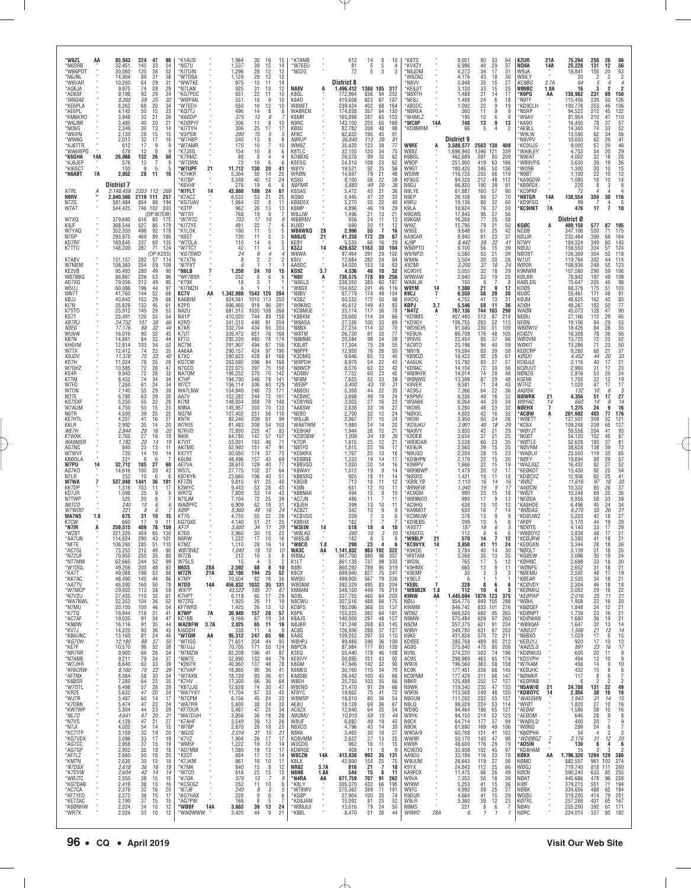| *W6ZL<br>*N6ORB<br>*WB6P0T                   | АΑ        | 85,943<br>32,451<br>30,060               | 224<br>145<br>120                  | 47<br>33<br>38              | 96<br>54<br>52                                      | *K1AUS<br>*NS7U<br>*KI7UIN                      |                      | $1,984$<br>$1,537$<br>1,296              | 30<br>16<br>39<br>15<br>28<br>12                                                                            | 15<br>14<br>12                                 | *K7AMB<br>*W7EEU<br>MG2G                   |                            | 612<br>81<br>72                          | 14<br>5<br>5                        | 8<br>5<br>3                                                      | 10<br>4<br>3                                        | *K8TS<br>*KV4ZY<br>*N8JDM                    |                       | 8,051<br>6,996<br>4,272                  | 90<br>40<br>34                                        | $\frac{33}{29}$<br>64<br>37<br>17<br>31                                                                 | K <sub>2</sub> UR<br>NQ9A<br>W9JA                     | 21A<br>14A               | 75,264<br>25,228<br>18,841               |                           | 250<br>26<br>12<br>131<br>105<br>20                                                            | 86<br>56<br>63                                       |
|----------------------------------------------|-----------|------------------------------------------|------------------------------------|-----------------------------|-----------------------------------------------------|-------------------------------------------------|----------------------|------------------------------------------|-------------------------------------------------------------------------------------------------------------|------------------------------------------------|--------------------------------------------|----------------------------|------------------------------------------|-------------------------------------|------------------------------------------------------------------|-----------------------------------------------------|----------------------------------------------|-----------------------|------------------------------------------|-------------------------------------------------------|---------------------------------------------------------------------------------------------------------|-------------------------------------------------------|--------------------------|------------------------------------------|---------------------------|------------------------------------------------------------------------------------------------|------------------------------------------------------|
| *N6JNL<br>*W6VAR<br>*AG6JA                   |           | 14,904<br>10,260<br>9,975                | 89<br>64<br>74                     | 31<br>29<br>28              | 38<br>31<br>29                                      | *W7DBA<br>*WW7KE<br>*N7LAN                      |                      | 1,128<br>975<br>925                      | 29<br>12<br>11<br>15<br>31<br>13                                                                            | 12<br>14<br>12                                 | NA8V                                       |                            | <b>District 8</b><br>1,496,412           | 1388                                | 105                                                              | 317                                                 | 'W8ZAC<br>*N8VV<br>*KE8JIT                   |                       | 4,176<br>3,948<br>3,120                  | 43<br>$\begin{array}{c} 35 \\ 33 \end{array}$         | 18<br>30<br>15<br>27<br>15<br>25                                                                        | W9ILY<br>KC9BG<br><b>N9NBC</b>                        | $\alpha$<br>3.7A<br>1.8A |                                          | 20<br>64<br>16            | 5                                                                                              | $\overline{2}$                                       |
| *AD6SF<br>*W6GAE<br>*KE6PLA<br>*AE6PL        |           | 9,198<br>8,265<br>8,262<br>4.142         | $\substack{93 \\ 59}$<br>68<br>50  | $\frac{29}{25}$<br>20<br>15 | $\frac{34}{32}$<br>34<br>23                         | *KG7PDC<br>*WØPAN<br>*W7EEH<br>*KQ7TJ           |                      | 651<br>551<br>550<br>496                 | 22<br>11<br>9<br>18<br>16<br>12<br>8<br>14                                                                  | 10<br>10<br>10<br>8                            | K8GI<br>K8AO<br>W8MET<br>WA8RCN            |                            | 772.964<br>419.608<br>239,424<br>174,838 | 836<br>623<br>402<br>357            | 94<br>67<br>68<br>64                                             | 252<br>187<br>164<br>150                            | *N8XTH<br>*NE8J<br>AB3DC*<br>*N8REA          |                       | 1.488<br>1.488<br>1,092<br>360           | $^{21}_{24}$<br>22<br>11                              | 17<br>14<br>6<br>18<br>9<br>19<br>9                                                                     | 'K9PG<br>'N9TF<br>KD9CLH<br>N5RP<br>-9                | AA                       | 130,962<br>115,456<br>100,776<br>94,522  |                           | $\frac{231}{239}$<br>69<br>50<br>253<br>46<br>215<br>45                                        | 150<br>126<br>106<br>122                             |
| *KM6KRO<br>*W6JBR<br>*NO6G                   |           | 3,948<br>3,485<br>2,349                  | 33<br>40<br>30                     | 21<br>20<br>13              | 26<br>21<br>14                                      | *K6GDP<br>*KDØPYF<br>*KI7TYH                    |                      | 375<br>306<br>306                        | 8<br>13<br>8<br>11<br>25<br>17                                                                              | 10<br>17                                       | K8MR<br>N9RC<br>KB8U                       |                            | 165,898<br>143,100<br>82,782             | 287<br>255<br>208                   | 65<br>65<br>48                                                   | 153<br>160<br>98                                    | 'W4MLZ<br>*WC8P<br>KD8MRM                    | 14A                   | 195<br>748<br>66                         | 10<br>13<br>5                                         | 6<br>9<br>13<br>$\overline{4}$                                                                          | 'W9AV<br>9<br><b>KA90</b><br>AE9LL<br>2               |                          | 81,954<br>16,450<br>14,365               |                           | 210<br>78<br>37<br>74<br>33                                                                    | 110<br>57<br>$\begin{array}{c} 52 \\ 56 \end{array}$ |
| *W6IFN<br>*WW6G<br>*KJ6TTR<br>*WA6WPG        |           | 2,130<br>2,013<br>612<br>578             | 28<br>32<br>17<br>12               | 15<br>17<br>9<br>8          | 15<br>16<br>9<br>9                                  | *K5PSN<br>*W7HBP<br>*W7AMR<br>*K7JSG            |                      | 290<br>240<br>170<br>154                 | $\overline{15}$<br>5<br>13<br>$\frac{8}{7}$<br>10<br>10<br>8                                                | 5<br>8<br>10<br>6                              | AF8C<br><b>N8RJP</b><br>WM8Z<br>K8TLC      |                            | 62,832<br>36,840<br>35,420<br>32,155     | 195<br>112<br>123<br>120            | 45<br>$\substack{39\\38}$<br>34                                  | 91<br>81<br>77<br>75                                | <b>W9RE</b><br>WB9Z                          | A                     | District 9<br>3,580,577<br>1,696,940     | 2583 130<br>1346                                      | 409<br>121<br>339                                                                                       | 'W9LW<br>N9VPV<br>KC9UJS<br>'WA9LEY                   |                          | 13,590<br>10,050                         | 9,000<br>4,753            | 62<br>34<br>$\frac{62}{57}$<br>26<br>29<br>54<br>20                                            | 41<br>46<br>29                                       |
| *K6GHA<br>*KJ6JEP<br>*KI6SCT                 | 14A       | 26,068<br>576<br>150                     | 132<br>13                          | 26<br>7<br>9<br>5           | 50<br>9<br>-5                                       | *K7RMZ<br>*W7DRN<br>*W7UPF                      | 21                   | 88<br>72<br>11,712                       | 8<br>4<br>10<br>6<br>130<br>20                                                                              | 6<br>41                                        | KD8BXE<br>K8ESQ<br>W8YV                    |                            | 26,578<br>24,310<br>19,521               | 99<br>108<br>92<br>79               | 35<br>23<br>25<br>21                                             | 62<br>62<br>56                                      | K9BGL<br>W90P<br>W9GT                        |                       | 462.689<br>251,900<br>180,420            | 591<br>419<br>345                                     | 80<br>209<br>63<br>166<br>50<br>136                                                                     | 'N9EAT<br>'WB9VPG<br>'WO9B                            |                          | 3,630                                    | 4,002<br>1,300            | 32<br>18<br>39<br>19<br>20<br>10                                                               | 28<br>36<br>15                                       |
| *N6ABT<br>K7RL                               | <b>7A</b> | 2,052<br><b>District 7</b><br>2,148,459  | 28                                 | 11<br>2353 112              | 16                                                  | *K7HKR<br>*KI7BP<br>*K6VHF<br>*N7FLT            |                      | 5,304<br>3,348<br>43,860                 | 50<br>14<br>40<br>$^{12}_{\hphantom{1}6}$<br>19<br>189                                                      | 25<br>24<br>-6                                 | WRØN<br>KS8U<br><i>N8PMR</i><br>K8SAS      |                            | 14,697<br>8,100<br>5,880                 | $\frac{56}{49}$                     | $\substack{22 \\ 20}$<br>21                                      | 48<br>$\frac{38}{36}$<br>36                         | WS9W<br>KF9US<br>N9DJ                        |                       | 116,725<br>84,320<br>66,820              | 255<br>212<br>190<br>160                              | 56<br>119<br>48<br>112<br>39<br>91<br>57<br>90                                                          | 'N9BT<br>KA9GDW<br>'KB9FDX<br><b>KC9PKF</b>           |                          | 1,080                                    | 1,100<br>220              | 22<br>10<br>$\begin{array}{c} 18 \\ 8 \end{array}$<br>$^{10}_{\phantom{1}3}$<br>$\overline{4}$ | 12<br>$\begin{array}{c} 14 \\ 8 \end{array}$         |
| N9RV<br>N7ZG<br>W7AT                         | A         | 2,040,560<br>581,484<br>544,425          | 854<br>746                         | 2119 111<br>88<br>102       | 269<br>257<br>194<br>203                            | *K7ACZ<br>*KG7UAV<br>*K3TP                      | 14                   | 6,532<br>1,064<br>962                    | 24<br>21<br>53<br>22<br>8<br>26<br>13                                                                       | 61<br>25<br>11<br>13                           | NQ80<br>KB8DEX<br>K8MP                     |                            | 5,472<br>5,445<br>5,270<br>4.896         | 43<br>47<br>55<br>46                | 22<br>22<br>19                                                   | 33<br>40<br>29                                      | N9LYE<br>N9EP<br>K9RU<br>K9LA                |                       | 61,887<br>26,108<br>19,136<br>18,624     | 99<br>80<br>76                                        | 37<br>70<br>32<br>60<br>37<br>59                                                                        | 'N9TGR<br>KD9FSQ<br><b>'КС9НКТ</b>                    | 14A<br><b>7A</b>         | 138,554                                  | 72<br>99<br>476           | 359<br>30<br>$\frac{4}{7}$<br>17                                                               | 116<br>10                                            |
| W7XQ<br>K9JF<br>W7YAQ                        |           | 379,695<br>368,544<br>352,350            | 616<br>527<br>496                  | (OP:W7EW)<br>80<br>85<br>92 | 175<br>179<br>178                                   | *W7SY<br>*W7RTC<br>*KI7ZYE<br>*K1LOK            |                      | 768<br>703<br>481<br>190                 | 19<br>9<br>17<br>10<br>$^{22}_{11}$<br>$\overline{7}$<br>5                                                  | 6<br>5                                         | W8JJW<br>WB8RNV<br>KUØD<br>WB8WKQ          | 28                         | 1,496<br>936<br>690<br>2.990             | $^{21}_{24}$<br>$\substack{20\\55}$ | 13<br>11<br>11<br>$\overline{7}$                                 | 21<br>13<br>12<br>16                                | K9GWS<br>K9KGM<br>WI9Z<br>W9SF               |                       | 17,845<br>16,268<br>15,795<br>9,648      | 95<br>77<br>79<br>61                                  | $\frac{27}{25}$<br>56<br>58<br>$\begin{array}{c} 31 \\ 25 \\ 23 \end{array}$<br>50<br>42                | KQØC<br>NCØB                                          |                          | District Ø<br>400,158<br>347,106         |                           | 577<br>530<br>71                                                                               | 195<br>175                                           |
| N7GP<br>KD7RF<br>K7TTU                       |           | 293,975<br>169,645<br>148,200            | 469<br>337<br>287                  | 89<br>60<br>71              | 186<br>125<br>124                                   | *K6ST<br>*W70LA<br>*W7TCT                       |                      | 130<br>110<br>42                         | 11<br>5<br>14<br>6<br>11<br>4                                                                               | 3                                              | N8BJQ<br>KE8Y<br>K3ZJ                      | 21<br>$\frac{14}{1}$       | 41,238<br>5.535<br>429,632               | 172<br>66<br>1163                   | 20<br>16<br>33                                                   | 67<br>29<br>104                                     | KA9CAR<br>KJ9P<br><b>WBØPTO</b>              |                       | 8,940<br>8,442<br>8,100                  | 61<br>59<br>56                                        | 37<br>22<br>41<br>15<br>39                                                                              | KØJJR<br>N7WY<br>NØUU                                 |                          | 232,464<br>184,324<br>158,550            |                           | 399<br>68<br>349<br>60<br>334<br>51                                                            | 164<br>143<br>124                                    |
| K7ABV<br>W7MEM<br>KE2VB                      |           | 131,157<br>108,360<br>95,493             | 282<br>254<br>280<br>226           | (OP:K2SS)<br>57<br>59       | 11 <sup>4</sup><br>109                              | *KG7SWD<br>*K7XTN<br>*N7FXT<br>* N6LB           |                      | 24<br>8                                  | $\overline{A}$<br>6<br>2<br>$\overline{2}$                                                                  |                                                | W8WA<br>K8IV<br>AA8DC<br>KG9Z              | 3.7                        | 97,464<br>72,684<br>34,020               | 291<br>282<br>153                   | 29<br>24<br>18<br>10                                             | 102<br>84<br>63                                     | W9/NP2I<br>W9AN<br>K9ZMI<br>KC90YE           |                       | 5,580<br>3,504<br>3,200                  | $\frac{53}{30}$<br>$\frac{37}{32}$<br>$\frac{32}{33}$ | 21<br>39<br>20<br>28<br>16<br>24                                                                        | NØOST<br>W7UT<br>WØOR<br>K9MWM                        |                          | 126,369<br>119,764<br>108,936            |                           | 304<br>53<br>302<br>44<br>248<br>55<br>59                                                      | 118<br>114<br>123                                    |
| WB7BBQ<br>AD7XG<br>W5UJ                      |           | 86,867<br>79,056<br>60,066               | 213<br>196                         | 49<br>53<br>49<br>44        | 90<br>96<br>95<br>97                                | *WF7BSR<br>*KT9X<br>*KI7MZH                     |                      | 1,250<br>252<br>18                       | 24<br>10<br>6<br>8<br>з                                                                                     | 15<br>6                                        | *N8II<br>*N8GLS<br>'W8GX                   | Ą                          | 4,536<br>736,575<br>238,350<br>104,652   | 46<br>778<br>385<br>241             | 89<br>60<br>46                                                   | 32<br>256<br>167<br>116                             | W9WAW<br>WA9LJK<br>W9YM                      | 14                    | 3,055<br>2,640<br>150<br>1,300           | 9<br>21                                               | 18<br>$\begin{array}{c} 29 \\ 25 \end{array}$<br>$\begin{array}{c} 19 \\ 7 \end{array}$<br>8<br>9<br>17 | KØLBR<br>KAØLDG<br>KDØS                               |                          | 107,580<br>78,842<br>75,647<br>68,376    |                           | 290<br>197<br>49<br>205<br>175<br>51                                                           | 106<br>109<br>98<br>103                              |
| WN7T<br>KØJJ<br>KI7N                         |           | 41,760<br>40,643<br>35,828<br>25,912     | 144<br>153<br>133                  | 52<br>29<br>45<br>29        | 68<br>68<br>61                                      | KC7V<br>KA6BIM<br>K2PO                          | AA                   | 1,342,088<br>924,561<br>696,465          | 1543 120<br>1010 113<br>96<br>918<br>1035 108                                                               | 284<br>250<br>201                              | *N8BV<br>KS8Z<br>'W8KNO<br>*KC8MUE         |                            | 67,779<br>60,532<br>45,612               | 174<br>172<br>149<br>117            | 49<br>50<br>43<br>36                                             | 104<br>98<br>83<br>78                               | K9CJ<br>K9IDQ<br>KØPJ<br>*N4TZ               | $\overline{1}$<br>3.7 | 6,550<br>4,752<br>5,546<br>767,136       | 56<br>41<br>58<br>744                                 | 20<br>30<br>13<br>31<br>11<br>-36<br>103                                                                | NUØC<br>KØJM<br>ADØH<br>WAØN                          |                          | 55,461<br>48,625<br>48,387<br>45,073     |                           | 171<br>48<br>162<br>42<br>182<br>50<br>128                                                     | 91<br>$\frac{83}{77}$                                |
| K7ST0<br>KS7T<br><b>KB7RJ</b><br><i>N3EG</i> |           | 25,491<br>24,752<br>17,176               | 145<br>120<br>107<br>88            | $\frac{33}{38}$<br>32       | 53<br>54<br>66<br>44                                | NA2U<br>NX1P<br>K2RD<br>K7AR                    |                      | 681,312<br>410,020<br>341,315<br>332,704 | 89<br>744<br>91<br>446<br>434<br>93                                                                         | 268<br>158<br>204<br>203                       | *K8BKM<br>'W8ASA<br>'N8NX                  |                            | 33,174<br>28,600<br>27,336<br>27,234     | 114<br>100<br>114                   | $\begin{array}{c} 34 \\ 33 \end{array}$<br>32                    | 66<br>69<br>70                                      | *KD9MS<br>*KD9GY<br>'WD9CIR                  | A                     | 407,480<br>106,755<br>91,040             | 513<br>283<br>230                                     | 290<br>218<br>87<br>52<br>113<br>51<br>109                                                              | NEØU<br>NFØN<br>WBØWIV                                |                          | 27,166<br>19,106<br>18,426               |                           | 112<br>29<br>84<br>29<br>84<br>28                                                              | 90                                                   |
| WU6W<br>KB7N<br>KH6VM<br>W7TX                |           | 16,016<br>14,861<br>12,814               | 90<br>84<br>103                    | 32<br>33<br>34              | 45<br>44<br>52                                      | K7UT<br>KF7U<br>NC7M                            |                      | 326,472<br>292,320<br>291,907            | 651<br>76<br>485<br>78<br>494<br>67                                                                         | 168<br>174<br>156                              | 'W8TM<br>N8MME*<br>'K8LBT                  |                            | 26,730<br>20,584<br>17,304               | 91<br>$\frac{99}{75}$               | 33<br>$^{24}_{29}$                                               | 77<br>59<br>55                                      | *KE9UA<br>'W9VQ<br>AC9TO*<br>*NN1N           |                       | 66,708<br>22,454<br>20,196<br>19.594     | 176<br>$\frac{85}{94}$                                | 48<br>105<br>37<br>66<br>40<br>59                                                                       | KDØZV<br>WØOVM<br>WØKIT                               |                          | 18,308<br>13,725<br>13,286               |                           | 78<br>36<br>72<br>71<br>23<br>23<br>21                                                         | 65<br>53<br>55<br>56<br>56<br>52<br>50               |
| K9JDV<br>KD7H<br>W7QHZ                       |           | 12,412<br>11,376<br>11,024<br>10,585     | $\frac{74}{75}$<br>$^{78}_{72}$    | 23<br>32<br>$\frac{25}{26}$ | 35<br>40<br>$\frac{28}{47}$                         | AA6AA<br>K7XC<br>KG7CW<br>N7GCO                 |                      | 290,157<br>280,623<br>263,592<br>222,075 | 424<br>97<br>428<br>81<br>396<br>397<br>$\frac{84}{75}$                                                     | 190<br>168<br>168<br>150                       | *N8PPF<br>*K3DMG<br>*W8PDH<br>*N8WCP       |                            | 12,920<br>9,646<br>8.970<br>8,576        | 76<br>65<br>54<br>62                | 26<br>13<br>$^{22}_{22}$                                         | 50<br>40<br>43<br>42                                | *KB90ZI<br>*AA5UK<br>'KD9AC                  |                       | 18,423<br>15,792<br>14,104               | $\frac{83}{92}$<br>83<br>72                           | 39<br>58<br>28<br>61<br>$\frac{27}{30}$<br>$\frac{57}{56}$                                              | KEØCRP<br>KØGXI<br>KDØJLE<br>KCØUUT                   |                          | 2.960                                    | 9,280<br>4,452<br>3.116   | 60<br>44<br>20<br>40<br>17<br>31<br>17                                                         | $37$<br>$33$<br>$21$<br>$23$                         |
| KS4R<br>K7TM<br>W7FD                         |           | 9,943<br>8,432<br>7,250                  | 72<br>74<br>61                     | 28<br>34<br>24              | 33<br>34<br>34                                      | NA70M<br>K7HP<br>W7CT                           |                      | 195,252<br>194,700<br>156,114            | 370<br>70<br>79<br>348<br>306<br>60                                                                         | 142<br>141<br>129                              | *AD8BV<br>'NF8M<br>*WE8P                   |                            | 7,752<br>7,625<br>5,400                  | $60$<br>$52$<br>$43$                | $\frac{23}{23}$<br>19                                            | 45<br>38<br>31                                      | 'WB9HFK<br>'W8NWG<br>'K9VER                  |                       | 14,014<br>13,398<br>9,581                | 74<br>87<br>71                                        | 29<br>48<br>29<br>48<br>24<br>43                                                                        | NØNZG<br>K5EMI<br>W7FIZ                               |                          | 1,020                                    | 2,816<br>1,705            | 53<br>20<br>22<br>12<br>47<br>17                                                               | 24<br>19<br>17                                       |
| W70N<br>NO7E<br>KG7SXF<br>W7AUM              |           | 7,140<br>6,785<br>5,250<br>4,750         | 55<br>63<br>55<br>50               | 29<br>29<br>22<br>15        | 39<br>30<br>28                                      | WA7LNW<br>AA7V<br>KI7M<br>N9NA                  |                      | 154,940<br>152,382<br>148,934<br>145,957 | 248<br>73<br>244<br>72<br>368<br>78<br>303<br>70                                                            | 171<br>161<br>148<br>133                       | *AB8OU<br>*AC8WC<br>*KD8YNG<br>AA8SW       |                            | 5,358<br>3,698<br>3,003<br>2,838         | 44<br>49                            | 22<br>19<br>16<br>16                                             | 35<br>24<br>23<br>27                                | *AC9SJ<br>*K9PMV<br>'W9ABK<br>WO9S           |                       | 7,366<br>6,336<br>6,264<br>5,280         | 64<br>49<br>44                                        | 22<br>36<br>16<br>32<br>$20\,$<br>34                                                                    | AKØSK<br>NØWRK<br>W9YAC<br>NØEHX                      | 21<br>14                 | 4,356<br>1,275                           | 132<br>660                | 10<br>51<br>17<br>14<br>24                                                                     | 5<br>6<br>27<br>14<br>8<br>16                        |
| N6TR<br>KE7HTL<br>K6I R                      |           | 4,500<br>4.257<br>2.992                  | 39<br>41<br>35                     | 25<br>16<br>14              | $\frac{23}{25}$<br>27<br>20                         | NG7M<br>KN7K<br>W7RIS                           |                      | 107,402<br>82,240<br>81,483              | 251<br>56<br>209<br>61<br>$\frac{54}{47}$<br>208                                                            | 110<br>99<br>103                               | NE80<br>*W8JJB<br>'WA8TWM                  |                            | 2,700<br>2,067<br>1.980                  | 27<br>33<br>32<br>27<br>24<br>26    | 12<br>15<br>14                                                   | 24<br>24<br>22                                      | *NØXXL<br>'WO9I<br>*KD9JKU                   |                       | 4,802<br>3,950<br>3,901                  | $^{48}_{42}$<br>50<br>40                              | $^{23}_{16}$<br>$\frac{32}{33}$<br>24<br>26<br>18<br>29                                                 | 'ACØW<br>'WØETT<br>KC6X                               |                          | 261,602<br>127,501<br>109,248            |                           | 403<br>77<br>308<br>52<br>239<br>65                                                            | 176<br>121<br>127                                    |
| WE7H<br>K7WXK<br><b>WA9MSR</b><br>AG7NC      |           | 2,844<br>2,765<br>1,782<br>840           | 28<br>27<br>20<br>23               | 16<br>16<br>14<br>13        | 20<br>19<br>19<br>11                                | N7RVD<br><b>NK91</b><br>K7VIT<br>AK7MG          |                      | 72,930<br>64,780<br>53,001<br>52,992     | 225<br>147<br>57<br>163<br>46<br>151<br>47                                                                  | 83<br>107<br>71<br>91                          | *KE8HAF<br>*KD80BW<br>*K7DR<br>*N8TFD      |                            | 1,944<br>1,936<br>1,815<br>1,815         | 34<br>25<br>22<br>25<br>19          | 15<br>18<br>12<br>16                                             | 21<br>26<br>21<br>17                                | *NA9VY<br>*K9DEB<br>'WB9DAR<br>*KE9UR        |                       | 3,850<br>3,634<br>3,538<br>2,560         | 42<br>37<br>60                                        | 21<br>29<br>21<br>25<br>23<br>35<br>15<br>25                                                            | 'WØYJT<br>'NGØT<br>'WØTLE<br>'NØVRM                   |                          | 58,558<br>54,120<br>52,628<br>38,628     |                           | 204<br>41<br>152<br>45<br>193<br>37<br>138<br>39                                               | 93<br>87<br>81                                       |
| W7WVF<br>KBØOLA<br>W7PU                      | 14        | 720<br>22 <sub>1</sub><br>32,712         | 14<br>185                          | 10<br>8<br>6<br>27          | 14<br>60                                            | KX7YT<br>K6UM<br>AE7VA                          |                      | 50,050<br>48,496<br>38,610               | 174<br>157<br>37<br>43<br>129<br>40                                                                         | 73<br>69<br>77                                 | *KE8KRX<br>*KE8BNE<br>*KB8VGD              |                            | 1,767<br>1,333<br>1,020                  | 20                                  | 13<br>14<br>14                                                   | 18<br>17<br>16                                      | M9UQD*<br>*KD9HPN<br>'K9WPV                  |                       | 2,204<br>2,170<br>1,666                  | 39<br>28<br>22<br>22                                  | $\frac{15}{15}$<br>23<br>20<br>15<br>19                                                                 | 'WAØLIF<br>NØFY<br>'WA2JQZ                            |                          | 23,500<br>19,694<br>16,432               |                           | 119<br>88<br>82<br>27                                                                          | 72<br>65<br>57<br>52                                 |
| AG7KO<br>N7LR<br>W7WA                        |           | 14,616<br>252<br>537,040                 | 100<br>10<br>1441<br>103           | 20<br>6<br>36<br>11         | 43<br>ĥ<br>101<br>17                                | WS7L<br>KB7KYK<br>KF7ZN<br>K3WYC                |                      | 27,775<br>23,660<br>9,815<br>9,443       | 37<br>102<br>106<br>40<br>61<br>25<br>28                                                                    | 64<br>51<br>40<br>43                           | <b>K8WAY</b><br>'KB8SRQ<br>*K8GIB<br>*KI8N |                            | 1,012<br>925<br>713                      | 19<br>18<br>16                      | 9<br>11<br>11<br>10                                              | 14<br>14<br>12<br>11                                | WB9BWF<br>N9SRS'<br>*KB9LYB                  |                       | 1,479<br>1,421<br>1,110<br>1,040         | 20<br>19<br>16<br>19                                  | 12<br>17<br>11<br>18<br>14<br>16<br>9<br>17                                                             | KEØKOT<br>'KDØCVZ<br>*WØIZ<br>AAØCW                   |                          | 13,430<br>12,936<br>11,616<br>10,332     |                           | 92<br>25<br>82<br>25<br>97<br>18<br>85<br>26                                                   | $\frac{54}{41}$<br>$\frac{30}{37}$                   |
| KK7DP<br>KD7JR<br>N7TWF<br><i>N6TCO</i>      |           | 1,316<br>1,098<br>525<br>240             | 25<br>20<br>10                     | 9<br>8<br>6                 | 9<br>6                                              | WR7Q<br>N7SJM<br>WAØPFC                         |                      | 7,809<br>7.104<br>6,909                  | 53<br>53<br>72<br>14<br>25<br>62<br>18                                                                      | 43<br>39<br>31                                 | <b>KB8NAK</b><br>AC7JN<br>*K8JEH           |                            | 651<br>494<br>486<br>399                 | 12<br>$\frac{15}{11}$<br>13         | 9<br>$\overline{7}$<br>10                                        | 10<br>11<br>11                                      | *N9WEW<br>AC9QM<br>WB9NO0<br>AC9HQ*          |                       | 990<br>990<br>638                        | $^{23}_{17}$<br>13                                    | $\frac{15}{9}$<br>18<br>13<br>10<br>12                                                                  | WØZF<br>NEØDA<br>KA8HDE                               |                          | 10,248<br>6,496                          | 8,856                     | $\substack{69\\58}$<br>33<br>45<br>24                                                          | $\frac{36}{39}$<br>34                                |
| W7W00<br><b>WA7NS</b><br>K7CW                | 1.8       | 221<br>675<br>660                        | 31<br>17                           | 8<br>6<br>10<br>9           | 15<br>11                                            | KØIP<br>KT7G<br>KG70XF                          |                      | 5,360<br>4,750<br>4.140                  | 49<br>16<br>55<br>22<br>21<br>51                                                                            | 24<br>28<br>25                                 | AC8ZT*<br>*KC8VGG<br>K8BHX                 |                            | 342<br>209<br>182                        | 10                                  | 9<br>5                                                           | 9<br>6                                              | KA9M01<br>'KC9NUW<br>KD9EBS                  |                       | 630<br>378<br>299                        | 16<br>13<br>10                                        | 7<br>14<br>9<br>5                                                                                       | 'WØDAS<br>KDØUWZ<br>9<br>'AFØY<br>8                   |                          |                                          | 6,270<br>5,220<br>5,170   | 55<br>26<br>42<br>18<br>44<br>19                                                               | $\frac{31}{27}$<br>28                                |
| *N7IR<br>*WZ8T<br>*AA7UN<br>*NF7E            |           | 259,515<br>221,325<br>114,624<br>106,260 | 409<br>459<br>290<br>285           | 78<br>65<br>43<br>51        | 159<br>130<br>101<br>110                            | KF7F<br>K7FG<br>N6RW<br><b>K7M7</b>             |                      | 3,600<br>2,960<br>1,222<br>1,110         | 34<br>11<br>30<br>15<br>17<br>10<br>28<br>16                                                                | 29<br>22<br>16<br>14                           | *W3EIN<br>*W8LKG<br>*W8SJB<br>'W8CO        | 14<br>1.8                  | 518<br>390<br>182<br>290                 | 18<br>10<br>23                      | 4<br>3                                                           | 10<br>10<br>8                                       | *K9STT<br>*KF6EFG<br>*W9BLP<br><b>KC9VYX</b> | $^{14}$               | 187<br>112<br>570<br>3.850               | 16<br>9<br>14<br>41                                   | 6<br>6<br>12<br>11<br>24                                                                                | 5<br>'NDØTS<br>'WBØDYZ<br>8<br>'KCØJRW<br>KEØGXN      |                          | 3.344                                    | 4,140<br>3,838<br>3,393   | 33<br>17<br>48<br>17<br>41<br>18<br>28<br>18                                                   | 29<br>21<br>21<br>26                                 |
| *AC7GL<br>*N7ZUF<br>*NT7MM                   |           | 73,253<br>70,955<br>62,665               | 212<br>250<br>244                  | 49<br>35<br>52              | 90<br>80<br>99                                      | WB7BWZ<br>W7ZB<br>W7SLS                         |                      | 1,040<br>312<br>15                       | $18\,$<br>10<br>10<br>5<br>3<br>$\mathcal{A}$                                                               | 10<br>8<br>$\overline{\phantom{a}}$            | <b>WA3C</b><br>W8MJ<br>K1LT                | AA                         | 1,141,832<br>947,700<br>861,138          | 983<br>880<br>737                   | 102<br>98<br>98                                                  | 322<br>307<br>333                                   | *K9KDE<br>*W9TAM<br>*WG9L                    |                       | 3,784<br>3,268<br>765                    | 40<br>35<br>17                                        | $\begin{array}{c}\n14 \\ 13 \\ 5\n\end{array}$<br>30<br>25<br>12                                        | NØQLT*<br>'KGØEW<br>*KØHNC                            |                          |                                          | 3,139<br>3,096<br>2,698   | 18<br>31<br>35<br>19<br>33<br>18                                                               | 25<br>24<br>20                                       |
| *W1DGL<br>*KA7T<br>*KK7AC<br>*AA7TV          |           | 49,256<br>49,068<br>48,490<br>46,592     | 200<br>198<br>145<br>160           | 48<br>53<br>44<br>50        | 83<br>88<br>86<br>78                                | <b>N6SS</b><br>W7ZR<br>K7MY<br>N7DD             | 28A<br>21A<br>14A    | 2,592<br>32,186<br>10,504<br>456,832     | 68<br>8<br>194<br>25<br>82<br>16<br>1032<br>35                                                              | 10<br>52<br>36<br>131                          | N8BI<br>K8CX<br>NW8U<br>W8GNM              |                            | 860,292<br>699,940<br>499,905<br>392,329 | 789<br>827<br>567<br>495            | 95<br>75<br>79<br>83                                             | 319<br>241<br>236<br>204                            | *K9HMX<br>*K9EMF<br>*K9ELF<br>*KEØL          | $\overline{7}$        | 665<br>30<br>6<br>228                    | 13<br>3<br>$\overline{1}$<br>-8                       | 8<br>11<br>3<br>-1<br>6                                                                                 | *WØNFS<br>*NØEMU<br>-3<br>*KØEAP<br>1<br>*KCØVDY<br>6 |                          | 2,652<br>2,304                           | 2,592<br>2,535            | 31<br>18<br>48<br>17<br>34<br>18<br>18                                                         | $^{21}_{19}$                                         |
| *W7MCP<br>*N7VZU<br>*WA7NWL                  |           | 29,003<br>27,435<br>22,352               | 113<br>110<br>104                  | 38<br>32<br>36              | 59<br>61<br>52<br>54                                | WX7P<br>K7HPT<br>W7ZFG                          | $\alpha$<br>$\alpha$ | 43,522<br>6,118<br>1,920                 | 27<br>185<br>17<br>$\frac{65}{26}$<br>11<br>13                                                              | 67<br>29<br>19                                 | KM8AM<br>ND8L<br>N8CWU                     | $\bar{a}$<br>à,            | 348,100<br>337,755<br>307,516            | 449<br>460<br>488                   | 76<br>64<br>66                                                   | 219<br>203<br>175                                   | *WB8BZK<br><b>K9NW</b><br>NØIJ<br>K9IMM      | 1.8<br>ĄÃ<br>×        | 112<br>1,445,694<br>854,775              | 10<br>1076 123<br>849                                 | 4<br>375<br>105<br>288<br>276                                                                           | 3<br>*KEØMHJ<br>*KEØPAP<br>*WØHL                      |                          |                                          | 2,052<br>2,016<br>1,908   | $^{46}_{29}$<br>16<br>$\frac{25}{22}$<br>11<br>16<br>24                                        | 21<br>18<br>22<br>27<br>20                           |
| *N7MU<br>*K7TQ<br>*AC7AF<br>*KNØW            |           | 20,100<br>19,944<br>19,035<br>16,116     | 100<br>118<br>$\frac{91}{91}$      | 46<br>31<br>34<br>35        | 41<br>47<br>44                                      | <b>KF7WRS</b><br>K7WP<br>KC1BB<br><b>WA2BFW</b> | 7A<br>3.7A           | 1,425<br>30,940<br>9,169<br>2,025        | 26<br>28<br>157<br>67<br>19<br>65<br>11                                                                     | 12<br>57<br>34<br>16                           | KD8FS<br>K8PK<br>K8AJS<br>N8JBR            | $\blacksquare$             | 180,096<br>153,225<br>140,000<br>131,248 | 368<br>262<br>297<br>268            | 55<br>64<br>48<br>63                                             | 137<br>161<br>127<br>145                            | W09Z<br>N9MW<br>N9ZM                         |                       | 846,742<br>668,520<br>575,484<br>557,375 | 833 101<br>683<br>629<br>621                          | 95<br>265<br>97<br>260<br>91<br>234                                                                     | *KBØQEF<br>*KDØNPT<br>*KDØWAN<br>*WB9QAF              |                          | 1,647                                    | 1,848<br>1,739<br>1,680   | 12<br>23<br>16<br>$\frac{36}{32}$<br>19<br>13                                                  | $\frac{21}{21}$<br>21<br>14                          |
| *KV7J<br>*KB6UNC<br>*KG70H                   |           | 14,220<br>13,160<br>12,180               | $\frac{93}{81}$<br>88              | 36<br>24<br>37              | $\substack{43 \\ 46}$<br>50                         | KI6QDH<br>*W70M<br>*W7ISG                       | AA                   | 338<br>95,312<br>71,651                  | 11<br>-4<br>247<br>65<br>204<br>44                                                                          | -9<br>96<br>93                                 | AC8G<br>KA8G<br>W8HPJ                      | $\alpha$<br>×<br>$\bar{a}$ | 126,936<br>109,252<br>89,488             | 288<br>297<br>246                   | $\frac{37}{33}$<br>36                                            | 127<br>110<br>100                                   | W9NY<br>K9KE<br>KDØEE                        |                       | 549,780<br>431,858<br>380,768            | 631<br>570<br>489                                     | $\frac{87}{72}$<br>253<br>211<br>80<br>212                                                              | *KBØJIT<br>N6BXO*<br>*KEØJYJ                          |                          |                                          | 1,566<br>1,029<br>920     | $\frac{21}{17}$<br>13<br>6<br>17<br>10                                                         | $^{14}_{15}$<br>13                                   |
| *KE7F<br>*NR7RR<br>*N7AME<br>*W7JHR          |           | 10,570<br>9,900<br>9,211<br>8,640        | 96<br>66<br>79                     | 32<br>26<br>24<br>33        | 38<br>34<br>37<br>39                                | *N7UJJ<br>*N7MZW<br>*NW7E<br>*KD6TR             |                      | 70,705<br>62,208<br>52,890<br>40,950     | 171<br>55<br>196<br>41<br>152<br>44<br>137<br>48                                                            | 124<br>87<br>79<br>78                          | N8PCN<br>K3EQ<br>KE8IVY<br>K8GM            | $\alpha$                   | 87,984<br>55,440<br>50,895<br>47,946     | 177<br>178<br>151<br>142            | 60<br>46<br>43                                                   | 128<br>108<br>92<br>90                              | AG9S<br>NV9L<br>AC9S<br>W9IIX                |                       | 375,840<br>374,220<br>298,989<br>196,560 | 475<br>503<br>463<br>383                              | 80<br>208<br>74<br>196<br>65<br>174<br>58<br>158                                                        | *KAØZLG<br>*KDØWUQ<br>*KD5YPH<br>*W7KAM               |                          |                                          | 891<br>600<br>494<br>456  | 23<br>16<br>20<br>11<br>12<br>10<br>14                                                         | 17<br>9<br>9<br>9<br>10                              |
| *KF6CRW<br>*AF7NX<br>*K6BSR                  |           | 8,160<br>8,064<br>7,380                  | $\frac{62}{70}$<br>$\frac{58}{64}$ | 22<br>30<br>$\frac{25}{28}$ | 29<br>$\begin{array}{c} 34 \\ 35 \\ 29 \end{array}$ | *K7VAP<br>*W7AXN<br>*K7HV                       |                      | 18,865<br>18,139<br>17,300               | 95<br>36<br>$\frac{93}{66}$<br>74<br>$\begin{array}{c} 36 \\ 36 \\ 30 \end{array}$                          | 41<br>61<br>64                                 | K8MEG<br>KA8SBI<br>W8EH                    |                            | 30,160<br>26,442<br>25,755               | 115<br>100<br>103                   | $\frac{32}{34}$<br>$\begin{array}{c} 45 \\ 35 \\ 29 \end{array}$ | 70<br>68<br>66                                      | KC <sub>9</sub> K<br>KC9FNM<br>N8KR          |                       | 177,451<br>177,429<br>125,488            | 336<br>311<br>252                                     | 66<br>145<br>66<br>57<br>147<br>127                                                                     | *KEØJHC<br>*NØWKR<br><b>KEØRNB</b>                    |                          |                                          | 432<br>117<br>8           | 15<br>$\frac{8}{2}$<br>6<br>$\overline{\phantom{a}}$                                           | 8<br>8<br>$\overline{\phantom{a}}$                   |
| *W70TL<br>*KR2E<br>*WJ7R<br>*K7DBN           |           | 6,498<br>5,632<br>5,487<br>5,474         | 47<br>60<br>47                     | 20<br>14                    | 24<br>17                                            | *KB7JJG<br>*WA7YXY<br>*N7CPM<br>*WA7RR          |                      | 12,628<br>11,704<br>6,156<br>5,600       | 67<br>33<br>24<br>24<br>25<br>45                                                                            | 47<br>43<br>33<br>32                           | W8ENO<br>KF8YC<br>W8MSP<br>AE8U            | à,<br>$\blacksquare$       | 21,470<br>19,662<br>18,810<br>18,128     | 91<br>75<br>80<br>69                | 41<br>36                                                         | 66<br>72<br>54<br>67                                | N9WK<br>W9RN<br>N9GUN<br>N9LQ                |                       | 119,340<br>113,568<br>111,202<br>98,029  | 235<br>249<br>232<br>224                              | 47<br>133<br>48<br>120<br>55<br>127<br>53<br>114                                                        | *N5AW/Ø<br>*KDØOYC<br>*WA5SWN<br>*WFØT                | 21<br>$\frac{14}{x}$     | 24,708                                   | 2,856<br>1,943<br>1,820   | 131<br>22<br>38<br>16<br>31<br>14<br>12                                                        | 49<br>18<br>15<br>16                                 |
| *KW7WP<br>*NL7D<br>*N7VS                     |           | 5,304<br>4,641<br>4,128                  | 44<br>67<br>47                     | $\frac{22}{23}$<br>20<br>21 | $\substack{24 \\ 29}$<br>31<br>27                   | *KF7DUR<br>*WA7DUH<br>*K7AHF                    |                      | 5,487<br>3,956<br>3,549                  | $\frac{38}{47}$<br>36<br>18                                                                                 | 34<br>28                                       | AC8ZX<br>N8QMU<br>W8UF                     | $\bar{a}$                  | 12,640<br>10,915<br>6,882                | 64<br>68<br>49                      | $\frac{36}{25}$<br>15<br>19                                      | 54<br>44<br>43                                      | WD9Q<br>W9YK<br>N <sub>9</sub> CK            |                       | 94,464<br>94,150<br>64,714               | 186<br>214<br>177                                     | 65<br>127<br>52<br>123<br>37<br>94                                                                      | *AEØAF<br>*AEØDM<br>*WAØILD                           |                          |                                          | 1,586<br>646<br>400       | $\frac{27}{38}$<br>10<br>28<br>9<br>20                                                         | 16<br>8<br>$\frac{9}{7}$                             |
| *N7JI<br>*KC7ITP<br>*KG7VDX<br>*AG7CC        |           | 4,002<br>3,159<br>3,096<br>2,958         | 54<br>32<br>33<br>37               | 14<br>19<br>17<br>15        | 15<br>20<br>19<br>19                                | *W7BP<br>*NG2Q<br>*K7VZ<br>*WM5F                |                      | 2,870<br>2,016<br>1,904<br>1,222         | $\begin{array}{c} 39 \\ 28 \\ 31 \end{array}$<br>$\frac{13}{18}$<br>$\frac{15}{15}$<br>26<br>17<br>12<br>19 | $\frac{26}{23}$<br>$\frac{27}{21}$<br>17<br>14 | N8XCO<br>N8KK<br>KD8VMM<br>W3CDG           | $\epsilon$                 | 4,796<br>3,465<br>2,622<br>962           | 43<br>30<br>27<br>16                | 14<br>18<br>13<br>11                                             | 30<br>27<br>$\begin{array}{c} 25 \\ 15 \end{array}$ | N9OK<br>W90A/9<br>WW9R<br>KW9R               |                       | 61,690<br>60,768<br>50,170<br>48,600     | 169<br>151<br>143<br>176                              | 49<br>106<br>103<br>41<br>47<br>98<br>79<br>29                                                          | *WØND<br>*KBØPHK<br>*WDØBGZ<br>*AD5IN                 | $\overline{7}$           |                                          | 299<br>54<br>2.176<br>130 | 24<br>4<br>3<br>31<br>12<br>8                                                                  | 6<br>3<br>20<br>6<br>4                               |
| *AG7GP<br>*AF7LZ<br>*KM7N                    |           | 2,952<br>2,660<br>2,635                  | 35<br>50<br>30                     | 18<br>18<br>13              | 18<br>20<br>18                                      | *AD7MM<br>*K2DT<br>*K7JKM                       |                      | 1,080<br>884<br>861                      | 18<br>13<br>12<br>17<br>10<br>16                                                                            | 17<br>14<br>11                                 | KD8RQE<br><b>W8CZN</b><br>K8LX             | 14A                        | 408<br>413,838<br>42,800                 | 11<br>992<br>154                    | 8<br>35<br>$\frac{25}{7}$                                        | 9<br>131<br>75                                      | KC9E0Q<br>AA9DU<br>W9UUM                     |                       | 33,938<br>33,189<br>26,643               | 102<br>116<br>119                                     | 45<br>97<br>33<br>78<br>27<br>56                                                                        | KD8HAM*<br>KØKX<br>KØMD                               | AA                       | 1,796,320<br>882,557                     | 15                        | 1264<br>129<br>961<br>103                                                                      | 386<br>274                                           |
| *N7DSX<br>*K70VW<br>*WØJTC                   |           | 2,618<br>2,604<br>2,550                  | $\frac{36}{42}$<br>38              | 16<br>14<br>15              | 18<br>14<br>15                                      | *K7MK<br>*W7CO<br>*K7QA                         |                      | 840<br>616<br>576                        | $1\frac{8}{7}$<br>$\frac{15}{23}$<br>13                                                                     | 12<br>13<br>-9                                 | NR8Z<br>N8NB<br>*N4RA                      | 3.7A<br>1.8A<br>AA         | 816<br>544<br>671,759                    | 21<br>15<br>707                     | 6<br>91                                                          | 10<br>11<br>262                                     | K9YX<br>KA9FOX<br>W9VA                       |                       | 24,843<br>11,475<br>7,353                | 112<br>66<br>50                                       | $\frac{25}{26}$<br>66<br>49<br>18<br>39                                                                 | WØGJ<br>KØCN<br><b>NØAT</b>                           |                          | 719,740<br>590,240<br>445,686            |                           | 818 111<br>633<br>85<br>478<br>96                                                              | $^{260}_{255}$<br>258                                |
| *KG7DAB<br>*AC7CA<br>*KF7YED<br>*KE7ZAC      |           | 2,418<br>2,376<br>2,272<br>2,190         | 38<br>32<br>38<br>37               | 15<br>16<br>15<br>15        | 16<br>20<br>17<br>15                                | *KC5EGZ<br>*N7JB<br>*KG7HAX<br>*AG7PW           |                      | 252<br>240<br>228<br>168                 | 11<br>10<br>5<br>-8<br>9<br>6<br>5<br>8                                                                     | 8<br>-5<br>-6<br>-7                            | *K8LY<br>*WT8WV<br>*KG8P<br>*KD8JAM        |                            | 305,370<br>275,362<br>27,904<br>15,092   | 432<br>399<br>100<br>81             | 66<br>71<br>35<br>25                                             | 195<br>191<br>74<br>52                              | WI9WI<br>W9TC<br>K9DUR<br>W9LR               |                       | 5,253<br>4.992<br>4,664<br>3,360         | 41<br>39<br>41<br>39                                  | 15<br>36<br>$\frac{25}{15}$<br>27<br>29<br>23                                                           | KIØF<br><b>NØBK</b><br>WGØU<br>KØTRL                  |                          | 379,215<br>334,656<br>319,200<br>257,288 |                           | 551<br>71<br>488<br>65<br>414<br>79<br>431<br>65                                               | 194<br>184<br>201<br>167                             |
| *KBØNHW<br>*WR7X                             |           | 2,024<br>2,024                           | 34<br>33                           | 10<br>10                    | 12<br>12                                            | *WØBF<br>*WAØWWW                                | 14A                  | 3,663<br>3,420                           | 39<br>13<br>44<br>9                                                                                         | 24<br>21                                       | *WB8JUI<br>*K8BL                           |                            | 13,616<br>8,470                          | 79<br>51                            | $^{24}_{26}$                                                     | 50<br>44                                            | N9MS<br>W9WO                                 | 28A                   | 221<br>6                                 | 8<br>$\mathcal{I}$                                    | $\frac{12}{6}$<br>$\mathcal I$                                                                          | 7<br>NØAV<br>$\mathcal I$<br>KØRC                     |                          | 255,200<br>224,013                       |                           | 392<br>327<br>61                                                                               | 171<br>85 182                                        |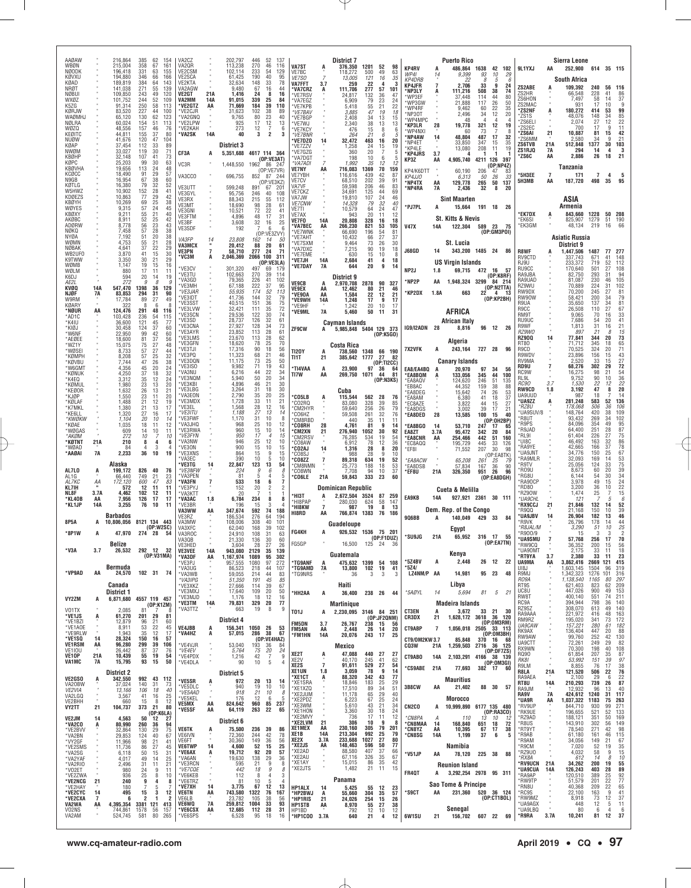| AAØAW<br>WBØN                            |                      | 216,864<br>215,004            | 385<br>358                         | 62<br>154<br>67<br>161              |                                               | VA2CZ<br>VA2QR                    |                      | 202,797<br>113,238           | 446<br>270         | 52<br>137<br>46<br>116                                | <b>VA7ST</b>                             | A                    | <b>District 7</b><br>376,350    | 1201                   | 52                          | 98               |                                       |            | <b>Puerto Rico</b>                     |                  |                                                      |                                   |                      | <b>Sierra Leone</b>                 |                       |                           |                                              |
|------------------------------------------|----------------------|-------------------------------|------------------------------------|-------------------------------------|-----------------------------------------------|-----------------------------------|----------------------|------------------------------|--------------------|-------------------------------------------------------|------------------------------------------|----------------------|---------------------------------|------------------------|-----------------------------|------------------|---------------------------------------|------------|----------------------------------------|------------------|------------------------------------------------------|-----------------------------------|----------------------|-------------------------------------|-----------------------|---------------------------|----------------------------------------------|
| <b>NØODK</b><br>KØVXU<br>KØAD            |                      | 196,418<br>194,880<br>189,819 | 331<br>346<br>384                  | 63<br>155<br>66<br>166<br>143<br>64 |                                               | VE2CSM<br>VE2SCA<br>VE2KTA        |                      | 102,114<br>61,425<br>32,634  | 233<br>190<br>148  | 54<br>129<br>40<br>95<br>33<br>78                     | VE7BC<br><b>VE7SO</b>                    |                      | 118,272<br>13,005               | 500<br>121             | 49<br>16                    | 63<br>35         | <b>KP4RV</b><br>WP41<br><b>KP4DRB</b> | A<br>14    | 486,864<br>9,399<br>22                 | 1638<br>93<br>8  | 42<br>102<br>10<br>29<br>.5<br>6                     | 9L1YXJ                            | AA                   | 252,900 614 35 115<br>South Africa  |                       |                           |                                              |
| NRØT<br><b>NØBUI</b>                     |                      | 141,038<br>109,850            | 271<br>243                         | 55<br>139<br>49<br>120              |                                               | VA2AGW<br>VE2GT                   | 21A                  | 9,480<br>1,416               | 67<br>24           | 16<br>44<br>8<br>16                                   | VA7FFT<br>*VA7CRZ<br>*VE7RSV             | 3.7<br>A             | 259<br>111,706<br>24,817        | 22<br>277<br>132       | $\overline{4}$<br>57        | -3<br>101<br>47  | KP4JFR<br>'NP3LY<br>'WP3EF            | A          | 2,706<br>111,216<br>37,448             | 33<br>508<br>114 | 9<br>24<br>38<br>74<br>44<br>80                      | ZS2ABE<br>ZS2HR                   |                      | 109,392<br>66,548                   | 240<br>228            | 56<br>41                  | 116<br>86                                    |
| WXØZ<br>K5ZG<br>KØRJW                    |                      | 101.752<br>91,314<br>83,520   | 244<br>250<br>227                  | 52<br>109<br>58<br>113<br>44<br>100 |                                               | VA2MM<br>*VE2GTZ<br>*VE2CJR       | 14A<br>AA            | 91,015<br>71,669<br>31,623   | 339<br>184<br>102  | 25<br>84<br>39<br>110<br>38<br>89                     | *VA7EGZ<br><b>VE7KPB</b>                 |                      | 6,909<br>5.418                  | 79<br>55               | $\frac{36}{23}$<br>21       | 24<br>22         | *WP3GW<br>'WP4RF                      |            | 21,888<br>9,462                        | 117<br>60        | 26<br>50<br>22<br>35                                 | ZS6HON<br>ZS2MAC<br>*ZS2NF        |                      | 7,497<br>931<br>180,272             | 58<br>17<br>414       | 14<br>10<br>53            | 37<br>-9<br>99                               |
| WAØMHJ<br>NØLRA                          |                      | 65,120<br>60,024              | 130<br>154                         | 62<br>123<br>113<br>51              |                                               | *VA2GNQ<br>*VE2LPW                |                      | 9,765<br>925                 | 80<br>17           | 23<br>40<br>12<br>13                                  | *VE7BAV<br>*VE7BGP<br>*VE7WJ             |                      | 3,885<br>2.408<br>2,340         | 47<br>34<br>38         | 19<br>13<br>13              | 18<br>15<br>13   | *NP3OT<br>'WP4MPC<br>*KP3LR           |            | 2,496<br>48<br>19,778                  | 34<br>4<br>321   | 12<br>20<br>-4<br>4<br>19                            | 'ZS1S<br>ZS6EL                    |                      | 48.076<br>2,074                     | 148<br>$^{27}_{17}$   | 34<br>12                  | $\frac{85}{22}$                              |
| WØZQ<br>KEØITC                           |                      | 48,556<br>44,811              | 157<br>155                         | 46<br>37                            | 76<br>80                                      | *VE2KAH<br>*VA2SK                 | <b>14A</b>           | 273<br>40                    | 12<br>3            | 7<br>6<br>$\overline{\mathbf{2}}$<br>3                | 'VE7KCY<br>*VE7BNR                       |                      | 476<br>264                      | 15<br>21               | 8<br>6                      | 6                | 'WP4NX<br>*NP4AW                      | 28<br>14   | 60<br>48,804                           | 73<br>487        | 12<br>17<br>32                                       | ZS2EC<br>'ZS6AI<br>ZS6MM          | 21                   | 700<br>10,887<br>2,580              | 81<br>34              | 15<br>9                   | 11<br>42<br>21                               |
| NUØW<br>KØAP<br>NWØM                     |                      | 41,676<br>37,454<br>33,027    | 120<br>112<br>119                  | 47<br>104<br>33<br>30               | 89<br>71                                      | CF3A                              |                      | District 3<br>5,351,688      |                    | 4617 114 364                                          | 'VE7DZ0<br>*VE7ZZV<br>'VE7GZG            | 14                   | 32,472<br>1,258<br>360          | $\frac{463}{24}$<br>20 | 16<br>15<br>7               | 20<br>19<br>5    | *NP4ET<br>*KP4LE<br><b>*KP4JRS</b>    | 3.7        | 33,850<br>13,080                       | 347<br>208       | 35<br>15<br>11<br>19<br>-1                           | <b>ZS6TVB</b><br>ZS1RJQ           | 21A<br>7A            | 512,848<br>294                      | 1377<br>14            | 30<br>4                   | 103<br>- 3                                   |
| KBØHP<br>KØPC                            |                      | 32,148<br>25,203              | 107<br>99                          | 41<br>30                            | 73<br>63                                      | VC3R                              |                      | 1,448,550                    |                    | (OP:VE3AT)<br>1962 86 24                              | 'VA7DGT<br>*VA7ADI                       |                      | 198<br>1,992                    | 10<br>35               | 6<br>12                     | 12               | KP3Z                                  | AA         | 4,905,740                              | 4211 126         | 397<br>(OP:NP4Z)                                     | ZS6C                              | AA                   | 2,886<br>Tanzania                   | 26                    | 18                        | 21                                           |
| <b>KBØVHA</b><br>KCQCC<br>N9GB           |                      | 19,656<br>18,490<br>16,954    | 113<br>91<br>67                    | 24<br>29<br>38                      | 48<br>57<br>60                                | VA3CCO                            |                      | 696,755                      |                    | (OP:VE7VR)<br>852 87 244<br>(OP:VE3KZ)                | VE7NY<br>VE7YBH<br>VE7CV                 | AA                   | 716,083<br>116,616<br>68,510    | 1369<br>439<br>202     | 70<br>42<br>39              | 159<br>87<br>91  | KP4/K6DTT<br>KP4JJ0                   |            | 60,190<br>6.313                        | 206<br>50        | 47<br>83<br>26<br>33<br>50                           | '5H3EE<br>5H3MB                   | $\overline{7}$<br>AA | 171<br>187,720                      | $\overline{7}$<br>498 | 4<br>35                   | 5<br>95                                      |
| KØTI G<br>W5HWZ<br>KDØEZS                |                      | 16,380<br>10,902              | 79<br>152<br>77                    | 32<br>28<br>29                      | 52<br>41<br>42                                | VE3UTT<br>VE3GYL                  |                      | 599,248<br>95,756            | 891<br>246         | 67<br>201<br>40<br>108                                | VA7VF<br>VE7CKZ                          |                      | 59,598<br>34.691                | 206<br>125             | 46<br>44                    | 83<br>69         | *NP4TX<br>*NP4RA                      | AA<br>7A   | 129,778<br>2,436                       | 265<br>32        | 137<br>8<br>20                                       |                                   |                      |                                     |                       |                           |                                              |
| KBØYH<br>WØYES                           |                      | 10,863<br>10,269<br>9,315     | 69<br>57                           | 25<br>24                            | 38<br>45                                      | VE3RX<br>VE3MT<br>VE3GNI          |                      | 88,343<br>18,690<br>10,521   | 215<br>98<br>72    | 55<br>112<br>28<br>61<br>22<br>41                     | VA7JW<br><b>VE7CNW</b><br>VE7TI          |                      | 19,810<br>14,328<br>10,579      | 107<br>79<br>64        | 24<br>32<br>24              | 46<br>40<br>47   | *PJ7PL                                | Α          | <b>Sint Maarten</b><br>15,664          | 191 18           | - 26                                                 |                                   |                      | ASIA<br>Armenia                     |                       |                           |                                              |
| KBØXY<br>AKØBC                           |                      | 9,211<br>8,911                | 55<br>52                           | 21<br>25                            | 40<br>42                                      | VE3FTM<br>VE3BF                   |                      | 4,896<br>3,608               | 48<br>32           | 17<br>31<br>16<br>25                                  | VE7AX<br>VE7F0                           | 14A                  | 943<br>20,808                   | 20<br>328              | 11<br>16                    | 12<br>18         |                                       |            | St. Kitts & Nevis                      |                  |                                                      | 'EK7DX<br>*EK6SI                  |                      | 843,660<br>825,907                  | 1228<br>1279          | 50<br>51                  | 208<br>190<br>-66                            |
| ADØRW<br>NØKQ<br>NYØA                    |                      | 8,778<br>7,458<br>7,192       | 56<br>57<br>51                     | 23<br>28<br>20                      | $\begin{array}{c} 43 \\ 38 \end{array}$<br>38 | VE3SDF<br>VA3FP                   |                      | 192                          | 7                  | 6<br>6<br>(OP:VE3ZVY)                                 | <b>VA7BEC</b><br>'VE7WNK<br>'VE7AHT      | AA                   | 266,230<br>66,690<br>10,432     | 821<br>196<br>66       | $\frac{53}{54}$<br>27       | 105<br>81<br>37  | <b>V47X</b>                           | 14A        | 122,304                                | 589 23           | - 75<br>(OP:GM3POI)                                  | *EK3GM                            |                      | 48,134<br><b>Asiatic Russia</b>     | 219                   | 16                        |                                              |
| WØMN<br>NØBAK<br>WB2UF0                  |                      | 4,753<br>4,641<br>3,870       | 55<br>37                           | 21<br>22<br>15                      | 28<br>29<br>30                                | VA3MCX<br>VE3PN                   | 14<br>$\overline{7}$ | 23,808<br>20,412<br>58,710   | 162<br>88<br>277   | 14<br>50<br>20<br>61<br>24<br>71                      | VE7SXM<br>'VA7DXC                        |                      | 9,464<br>7,215                  | 73<br>90               | 26<br>19                    | 30<br>18         | <b>J68GD</b>                          | 14         | St. Lucia<br>343,200 1485 24 86        |                  |                                                      | <b>R8WF</b>                       |                      | District 9<br>1,447,506             | 1487                  | 77                        | 277                                          |
| K9TWW<br>WØMB                            |                      | 3.350<br>1,147                | 41<br>30<br>19                     | 21<br>15                            | 29<br>16                                      | 'VC3M                             | A                    | 2,046,369                    | 2066 100           | 311<br>(OP:VE3LA)                                     | 'VE7EME<br>'VE7JH<br>'VE7DAY             | 14A<br><b>7A</b>     | 630<br>2,684<br>644             | 15<br>41<br>20         | 10<br>4<br>9                | - 8<br>18<br>14  |                                       |            | <b>US Virgin Islands</b>               |                  |                                                      | RV9CTD<br>RJ9U                    |                      | 337,743<br>233,372                  | 671<br>719            | 41<br>52                  | 148<br>112                                   |
| WØLM<br>K6DJ<br>AE2L                     |                      | 880<br>594<br>272             | 17<br>20<br>9                      | 11<br>14<br>8                       | 11<br>19<br>.G                                | *VE3CV<br>*VE3TU<br>*VA3GD        |                      | 301,320<br>102,663<br>79,365 | 497<br>270<br>226  | 69<br>179<br>39<br>114<br>41<br>102                   |                                          |                      | District 9                      |                        |                             |                  | NP2J<br>*NP2P                         | 1.8<br>AA  | 69,715 472 16<br>1,948,324 3299        |                  | - 57<br>(OP:K8RF)<br>84 214                          | RU9CC<br>RA9JBA<br>RA9UAD         |                      | 170,640<br>82,750<br>81,087         | 501<br>293<br>230     | 27<br>-31<br>46           | 108<br>94<br>105                             |
| KVØQ<br><b>NJØF</b>                      | 14A<br>7A            | 547,470<br>83,853             | 1398<br>294                        | 36<br>129<br>-31                    | 90                                            | *VE3MH<br>*VE3JAR                 |                      | 67,188<br>55,935             | 222<br>174         | 37<br>95<br>52<br>113                                 | <b>VE9CB</b><br><b>VE9EX</b><br>'VE90A   | A<br>AA<br>AA        | 2,970,708<br>12,462<br>1,584    | 2878<br>80<br>22       | 90<br>21<br>12              | 327<br>46<br>21  | 'KP2DX                                | 1.8A       | 663                                    | $22^{2}$         | (OP: N2TTA)<br>4<br>13                               | RZ9WU<br>RW9DX                    |                      | 70,889<br>70,200                    | 224<br>245            | 31<br>27                  | 102<br>81                                    |
| W9RM<br>KØARY<br>*NØUR                   |                      | 17,784<br>322                 | 89<br>8                            | 27<br>6<br>48<br>116                | 49<br>8                                       | *VE3IDT<br>*VE3SST<br>*VE3LVW     |                      | 41,736<br>40,515<br>32,421   | 144<br>151<br>111  | 32<br>79<br>36<br>75<br>72<br>35                      | 'VE9WH<br>'VE9HF                         | 14A                  | 1,248<br>1,242                  | 17<br>20               | 9<br>10                     | 17<br>17         |                                       |            |                                        |                  | (OP:KP2BH)                                           | RW90W<br>R9UA<br>R9CC             |                      | 58,421<br>35,650<br>26,508          | 200<br>137<br>110     | -34<br>34<br>27           | 79<br>81<br>67                               |
| *AD1C<br>'K4IU                           | AA                   | 124,476<br>103.428<br>36,600  | 291<br>236<br>121                  | $\frac{54}{45}$<br>115              | 77                                            | *VE3SCN<br>*VE3SD                 |                      | 29,536<br>28,737             | 122<br>126         | 74<br>30<br>61<br>32                                  | *VE9ML                                   | 7A                   | 5,460<br>Cayman Islands         | 50                     | 11                          | 31               |                                       |            | AFRICA<br>African Italv                |                  |                                                      | RM9T<br>RU9UC                     |                      | 9,065<br>7,686                      | 70<br>54              | 16<br>20                  | 33<br>41                                     |
| *KIØJ<br>*W6NF<br>*AEØEE                 |                      | 30,458<br>22.950<br>18,600    | 124<br>99<br>81                    | 37<br>42<br>37                      | 60<br>60<br>56                                | *VE3CNA<br>*VE3AYR<br>*VE3LMS     |                      | 27,927<br>23,852<br>23,670   | 128<br>113<br>113  | 34<br>73<br>28<br>61<br>28<br>62                      | ZF9CW                                    | A                    | 5,985,848 5404 129 373          |                        | (OP:K5GO)                   |                  | IG9/I2ADN 28                          |            | 8,816                                  | 96 12            | -26                                                  | R9WF<br>RZ9WO<br><b>RZ900</b>     | 14                   | 1,813<br>897<br>77,841              | 31<br>21<br>344       | 16<br>8<br>20             | 21<br>15<br>73                               |
| *WZ1Y<br>*WØSEI                          |                      | 15,075<br>8,733               | 75<br>57                           | 27<br>27                            | 48<br>44                                      | *VE3GFN<br>*VE3TJI                |                      | 18,620<br>17,316             | 78<br>90           | 70<br>25<br>18<br>56                                  | <b>TI20Y</b>                             |                      | Costa Rica<br>738,560           |                        | 1348 66 190                 |                  | 7X2VFK                                | А          | Algeria<br>243,164                     | 727 28           | 96                                                   | RT80<br>R9CD                      |                      | 71,712<br>70,525                    | 345<br>324            | 18<br>20                  | 65<br>71                                     |
| *KØMPH<br>*KØVBU<br>*W6GMT               |                      | 8,208<br>7,744<br>4.356       | 57<br>47<br>45                     | 25<br>26<br>20                      | 32<br>38<br>24                                | *VE3PQ<br>*VE3DQN<br>*VE3ISO      |                      | 11,323<br>11,175<br>9,982    | 68<br>73<br>71     | 21<br>46<br>25<br>50<br>19<br>43                      | TI1T<br>'TI4VAA                          | 21<br>A              | 385,642<br>23,900               | 1777                   | 27<br>(0P:TI2CC)<br>$97$ 36 | 82<br>64         | EA8/EA4BQ                             | A          | <b>Canary Islands</b><br>20.970        | 97               | 34<br>56                                             | R9WDV<br>RV9MA<br>RD9U            |                      | 23,896<br>2,520<br>68,276           | 156<br>33<br>302      | 15<br>15<br>29            | 43<br>$\frac{27}{72}$                        |
| *KØNUK<br>*K4FO                          |                      | 4,250<br>3,312                | 37<br>35                           | 18<br>12                            | 32<br>$\frac{24}{20}$                         | *VA3NU<br>*VE3NQM<br>*VE3KBI      |                      | 6,216<br>5,940<br>4,896      | 44<br>50<br>46     | 22<br>34<br>20<br>34<br>21<br>30                      | TI7W                                     | AA                   | 269,750                         | 1071 44                | (OP:NSKS)                   | 81               | *EA8BQM<br>*EA8AQV                    |            | 133,056<br>124,620                     | 345<br>246       | 44<br>100<br>51<br>135                               | RC9W<br>RL9L<br><i>RC90</i>       | 3.7                  | 16,275<br>9.752<br>1,530            | 98<br>$90\,$<br>22    | 21<br>10<br>12            | 54<br>36                                     |
| *KØMUL<br>*KEØOR<br>*KJØP                |                      | 1,980<br>1,632<br>1,550       | 23<br>26<br>23                     | 13<br>13<br>11                      | 21<br>20                                      | *VE3LBG<br>*VA3EON                |                      | 3,264<br>2,790               | 31<br>35           | 30<br>18<br>20<br>25                                  | *CO5LB                                   | A                    | Cuba<br>115,544                 | 562 28                 |                             | -76              | *EB8AC<br><b>EA8DEG</b><br>*EA8AM     |            | 44,352<br>15,642<br>6,380              | 159<br>74<br>41  | 38<br>88<br>$^{26}_{18}$<br>$\frac{53}{37}$          | <b>RW9CD</b><br>UA9UUD            | $1.8$                | 3,192<br>987                        | 47<br>18              | 8                         | $\frac{22}{20}$<br>14                        |
| *KØLAF<br>*K7MKL<br>*KE6LL               |                      | 1,488<br>1,380<br>1,320       | 21<br>21<br>27                     | 12<br>13<br>16                      | 19<br>17<br>17                                | *VE3MDX<br>*VE3EL<br>*VE3ITU      |                      | 1,728<br>1,568<br>1,188      | 33<br>28<br>27     | 21<br>11<br>12<br>16<br>13<br>14                      | *CO2RQ<br>°CM2HYR                        |                      | 83,080<br>59.640                | 328<br>256<br>261      | 39<br>$\frac{26}{32}$       | 85<br>79<br>76   | *EC8AZE<br>*EA8DGS                    |            | 3,822<br>3,002                         | 44<br>39         | 15<br>27<br>17<br>21                                 | <b>UA9ZZ</b><br>*RZ8U<br>UA9SUV/8 | A                    | 281,248<br>178,068<br>148,764       | 583<br>506<br>420     | 52<br>36<br>38            | 136<br>106<br>109                            |
| *KWØKW<br>*KØAE                          |                      | 1,104<br>1,035                | 20<br>18                           | 10<br>11                            | 14<br>12                                      | *VE3FWF<br>*VA3JHQ                |                      | 1,170<br>968                 | 31<br>25           | 10<br>8<br>10<br>12                                   | °CO6HZ<br><b>CM8RBD</b><br><b>'CO8RH</b> | 28                   | 59,508<br>440<br>4,761          | 35<br>81               | 11<br>9                     | 11<br>14         | *EA8DED<br>*EA8BGO                    | 28<br>14   | 13,585<br>53,710                       | 100<br>247       | 15<br>40<br>(OP:0H2BP)<br>17<br>65                   | R8UT<br>R9PS                      |                      | 93,432<br>84,096                    | 269<br>354            | 34<br>49                  | 102<br>95                                    |
| *WØGAS<br>*AKØM<br>*KØTNT                | 21A                  | 609<br>272<br>210             | 14<br>10<br>8                      | 10<br>7<br>4                        | 11<br>10<br>6                                 | *VE3RWA<br>*VE3FYN<br>*VA3NW      |                      | 960<br>950<br>946            | 15<br>17<br>25     | 10<br>14<br>$\overline{4}$<br>15<br>10<br>12          | <b>'CM2XN</b><br>*CM2RSV                 | 21                   | 276,940<br>76,285               | 1052<br>534            | 30<br>19                    | 92<br>54         | EA8ZT<br>*EA8CNR                      | 3.7A<br>AA | 95,472<br>254,466                      | 342<br>442       | $\begin{array}{c} 20 \\ 51 \end{array}$<br>84<br>160 | R9JAD<br>RL9I<br>UI8C             |                      | 64,400<br>61,404<br>46,492          | 251<br>226<br>163     | 28<br>27<br>32            | $\frac{87}{75}$<br>86                        |
| *WØAD<br>*AAØAI                          | <b>7A</b>            | 84<br>2,233                   | $\overline{4}$<br>36               | 3<br>10                             | $\overline{4}$<br>19                          | *VE3ON<br>*VE3XNS                 |                      | 900<br>864                   | 15<br>15           | 10<br>15<br>9<br>15                                   | *CO8AW<br>'CO2AJ<br>CO8SJ                | 14                   | 6,912<br>1,316<br>988           | 78<br>28<br>28         | 12<br>8<br>9                | 36<br>20<br>10   | *EC8AQQ<br>*EF8I                      |            | 195,729<br>71,552                      | 445<br>207       | 33<br>126<br>30<br>98<br>(OP:EA8TK)                  | RA9YE<br>UA9JNT                   |                      | 42,665<br>34,776                    | 166<br>150            | 37<br>25                  | 78<br>67                                     |
| AL7LO                                    | A                    | Alaska<br>199,172             | 826                                | 40                                  | 76                                            | *VA3EC<br>*VE3TG<br>*VE3NFW       | 14                   | 390<br>22,847<br>224         | 10<br>123<br>9     | 5<br>10<br>13<br>54<br>6<br>8                         | <b>CO8ZZ</b><br>™CM8NMN<br><b>CO8WN</b>  | 7                    | 89,318<br>25,773<br>7,708       | 634<br>188<br>94       | 19<br>18<br>10              | 52<br>53<br>37   | <b>EA8ACW</b><br><b>EA8DSB</b>        |            | 65,208<br>57,834                       | 261<br>167       | 25<br>79<br>36<br>90                                 | RA9MLR<br>R9TV<br>'RO9U           |                      | 32,093<br>25,056<br>8,673           | 169<br>124<br>60      | 14<br>33<br>20            | 53<br>75<br>39                               |
| AL1G<br>AL7KC                            | АA                   | 66,440<br>172,120             | 749<br>600                         | 21<br>47                            | 23<br>83                                      | *VA3PEN<br>*VA3FN                 |                      | -81<br>533                   | 5<br>18            | 4<br>5<br>6<br>7                                      | *CO6LE                                   | 21A                  | 59,843                          | 333                    | 23                          | 60               | 'EF8U                                 | 21A        | 326,350                                | 951              | 26<br>96<br>(OP:EA8DGH)                              | RG8U<br>RA90CP                    |                      | 6,144<br>3,978                      | 54<br>49              | 30<br>15                  | 34<br>24                                     |
| KL7IH<br>NL8F<br>*KL4OB                  | 3.7A<br>AA           | 572<br>4,462<br>7,956         | 12<br>102<br>126                   | 11<br>$\frac{12}{17}$               | 11<br>11<br>17                                | *VE3PYJ<br>*VA3KTT<br>*VA3AC      | 1.8                  | 152<br>20<br>6,784           | 20<br>234          | $\overline{2}$<br>2<br>8<br>8                         | *нізт                                    |                      | Dominican Republic<br>2,672,504 | 3524                   | 87                          | 259              | <b>EA9KB</b>                          | <b>14A</b> | Cueta & Melilla<br>927,921 2361 30 111 |                  |                                                      | RD80<br>RZ90W<br>*UA9CHL          |                      | 3,200<br>1.474<br>121               | 36<br>25              | 10<br>f                   | $\begin{array}{c} 22 \\ 15 \end{array}$<br>6 |
| *KL1JP                                   | 14A                  | 3,255                         | 76                                 | 10                                  | 11                                            | *VE3BR<br>VA3WW                   | ΑA                   | 196<br>347,674               | 15<br>592          | 3<br>74<br>188                                        | *HI8PAP<br>*HI8KW<br>HI8RD               | $\overline{7}$<br>AA | 280,030<br>987<br>766,874       | 624<br>19<br>1383      | 58<br>8<br>76               | 147<br>13<br>186 |                                       |            | Dem. Rep. of the Congo                 |                  |                                                      | <b>RX9CCJ</b><br>R9QQ             | 21                   | 21,846<br>21,168                    | 132<br>150            | -14<br>10                 | 52<br>39                                     |
| 8P5A                                     | A                    | <b>Barbados</b><br>10,806,056 |                                    | 8121 134 443<br>(0P:W2SC)           |                                               | VE3RZ<br>VA3MW<br>VA3XFC          |                      | 186,534<br>108,006<br>62,040 | 276<br>308<br>168  | 64<br>194<br>40<br>101<br>39<br>102                   |                                          |                      | Guadeloupe                      |                        |                             |                  | 9Q6BB                                 | A          | 140,049 429 33<br>Egypt                |                  | 84                                                   | <b>UA9JBV</b><br>R9VK<br>*R8JAL/M | 14                   | 26,904<br>26,796<br>3,290           | 182<br>178<br>51      | 13<br>14<br>10            | 46<br>44<br>25                               |
| *8P1W                                    |                      | 47,970<br>Belize              |                                    | 274 28 54                           |                                               | VA3ROC<br>VA3QB<br>VE3HED         |                      | 24,910<br>21,330<br>3.604    | 108<br>136<br>28   | 31<br>63<br>30<br>60<br>27<br>26                      | FG4KH<br>FG5GP                           | A                    | 926,532 1536 75 201<br>16,500   | 125                    | (OP: F1DUZ)<br>- 24         | 36               | *SU9JG                                | 21A        |                                        |                  | 65,952 316 17 55<br>(OP:EA7TN)                       | R900/9<br>'UA9SMU<br>RW9CQ        | $\overline{7}$       | 15<br>57,768<br>36,352              | 3<br>256<br>200       | 3<br>17<br>15             | $\overline{\mathbf{2}}$<br>70<br>56          |
| *V3A                                     | 3.7                  | 26,532                        | 292 12                             | 32<br>(0P:V31MA)                    |                                               | <b>VE3VEE</b><br>*VA3DF           | 14A<br>AA            | 943,080<br>1,167,974         | 2129<br>1089       | 35<br>139<br>95<br>302                                |                                          |                      | Guatemala                       |                        |                             |                  | *5Z4BV                                | А          | Kenya<br>2,448                         | 26 12            | - 22                                                 | *UA90MT<br>'RT9YA                 | 3.7                  | 2,175<br>2,380                      | 33<br>33              | -11<br>11                 | 18<br>23                                     |
| *VP9AD                                   | AA                   | Bermuda<br>24,570             |                                    | 102 31 74                           |                                               | *VE3PJ<br>*VA3UG<br>*VA3WB        |                      | 957,555<br>86,523<br>59,055  | 1080<br>218<br>214 | 97<br>272<br>44<br>107<br>44<br>83                    | *TG9ANF<br>*TG9AMD<br>*TG9NRS            | A<br>7A              | 475,632 1399<br>13,800<br>36    | 102<br>3               | 54<br>19<br>3               | 108<br>41<br>3   | *5Z4/<br>LZ4NM/P AA                   |            | 14,981                                 | 95               | 23<br>48                                             | <b>UA9MA</b><br>UI8J<br>R9MJ      | AA                   | 3,862,416<br>1.603.145<br>1,342,323 | 2669<br>1504<br>1276  | 121<br>96<br>101          | 415<br>319<br>316                            |
|                                          |                      | Canada                        |                                    |                                     |                                               | *VA3IPG<br>*VE3XKZ<br>*VE3MXJ     |                      | 51,350<br>27,666<br>17,640   | 191<br>114<br>109  | 45<br>85<br>39<br>67<br>20<br>50                      |                                          |                      | Haiti                           |                        |                             |                  |                                       |            | Libya                                  |                  |                                                      | RO9A<br>RT9S<br>UC8U              |                      | 1,138,540<br>621,403<br>447,026     | 1165<br>823<br>900    | 80<br>62<br>49            | 297<br>209<br>153                            |
| VY2ZM                                    | A                    | District 1<br>6,871,680       |                                    | 4557 119 457<br>(OP:K1ZM)           |                                               | *VE3MJD<br>'VE3TM                 | 14A                  | 1,176<br>79,831              | 18<br>329          | 12<br>16<br>20<br>77                                  | *HH2AA                                   | A                    | 36,400<br><b>Martinique</b>     | 238 26                 |                             | 44               | *5AØYL                                | 14         | 5.694<br><b>Madeira Islands</b>        | 81               | 5<br>- 21                                            | RW8T<br>RC9A                      |                      | 400,140<br>394,944                  | 551<br>798            | 74<br>36                  | 211<br>140                                   |
| V01TX<br>*VE1JS<br>*VE1BZI               | A                    | 2.085<br>61,270<br>12,879     | 81<br>201<br>96                    | 29<br>21                            | 81<br>60                                      | *VA3TTZ                           |                      | 663<br>District 4            | 19                 | 8<br>9                                                | T01J                                     | A                    | 2,230,095 3146 84 251           |                        | (OP:JF2QNM)                 |                  | <b>CT3EN</b><br>CR3DX                 | A<br>21    | 3,672<br>1,628,172 3618 36             | 33 21            | 30<br>120                                            | RZ9SZ<br>RA9AAA<br>RM9RZ          |                      | 308,070<br>221,972<br>195,020       | 613<br>416<br>341     | 49<br>48<br>73            | 140<br>163<br>172                            |
| *VE1AOE<br>*VE9RLW                       |                      | 8,911<br>1,943                | 53<br>35                           | 22<br>12                            | 45<br>17                                      | <b>VE4JBB</b><br>*VA4HZ           | A<br>A               | 156,341<br>57,015            | 1050 26<br>286     | 53<br>38<br>67                                        | <b>FM5DN</b><br>FM5AN<br>*FM1HN          | 3.7<br>AA<br>14A     | 26,767<br>2,448<br>20,076       | 238<br>243             | 15<br>26 14<br>17           | 56<br>20<br>- 25 | CT9ABP                                | 7          | 1,056,018                              |                  | (OP:OM3RM)<br>2505 33 113<br>(OP:OM3BH)              | <b>UA9CAW</b><br>RK9AX            |                      | 157,221<br>136,404                  | 280<br>447            | 61<br>20                  | 182<br>88                                    |
| *VE1SQ<br><b>VE1RSM</b><br><b>VE1IOU</b> | 14<br>AA             | 28,324<br>96,280<br>26,442    | 150<br>299<br>87                   | 16<br>39<br>106<br>37               | 57<br>76                                      | *VE4VJR<br>*VE4EV                 |                      | 53,040<br>5,764              | 193<br>75          | (OP:VE4HAZ)<br>36<br>-84<br>20<br>24                  |                                          |                      | Mexico                          |                        |                             |                  | CT9/0M2KW3.7<br>CQ3W                  | 21A        | 85,848<br>1,259,503                    | 370              | 16<br>- 68<br>2716 36 125<br>(OP:DF7ZS)              | RW9AW<br>UA9CTT<br>RX9WN          |                      | 99,760<br>72,261<br>70,300          | 252<br>249<br>198     | 42<br>29<br>40            | 130<br>82<br>108                             |
| VE10P<br>VA1MC                           | 21A<br>7A            | 10,439<br>15,795              | 55<br>93                           | 19<br>15                            | 54<br>50                                      | *VE4PDX<br>*VE4DLA                |                      | 1,216<br>90                  | 42<br>10           | 7<br>9<br>5<br>$\overline{4}$                         | XE2T<br>XE <sub>2</sub> V<br>XE2S        | A<br>$\overline{7}$  | 47,088<br>40,170<br>91,611      | 440<br>245<br>529      | 27<br>41<br>27              | -27<br>62<br>54  | CT9ABO                                | 14A        | 2,103,291                              |                  | 4166 38 139<br>(OP:OM3GI)                            | RQ90<br>RK81<br>R9LM              |                      | 61,854<br>53,992<br>8,855           | 207<br>151<br>76      | 35<br>39<br>-17           | 87<br>97<br>38                               |
| <b>VE2GSO</b>                            | A                    | <b>District 2</b><br>342,550  |                                    | 992 43 112                          |                                               | *VE5SR                            |                      | District 5<br>972            |                    |                                                       | XE1UN<br>*XE1CT                          | 1.8<br>Ą             | 3,059<br>88,320                 | 78<br>342              | 9<br>43                     | 14<br>77         | <b>CS9ABE</b>                         | 21A        | 77,693<br><b>Mauritius</b>             | 382 17           | - 60                                                 | R8LA<br>RA9AEA                    | 21A                  | 121,520<br>2,100                    | 506<br>29             | 22<br>6                   | 76<br>22                                     |
| VA20BW<br>VE2VIA                         |                      | 37,024<br>13,166              | 140<br>106                         | 31<br>18                            | 73<br>40                                      | *VE5DLC<br>*VE5AAD                | A                    | 940<br>918                   | 20<br>19<br>21     | 13<br>14<br>10<br>10<br>10<br>8                       | *XE1SRA<br>*XE1XZQ<br>*XE2JUM            |                      | 18,846<br>17,510<br>11,178      | 183<br>89<br>65        | 25<br>34<br>29              | 29<br>51<br>40   | 3B8CW                                 | AA         | 21,402                                 | 88               | 30<br>57                                             | RT8U<br>RA9JM<br>RA9V             | 14A<br>7A            | 210,293<br>12,932<br>424,612        | 739<br>96<br>1240     | 26<br>13<br>31            | 87<br>40<br>117                              |
| VA2LGQ<br>VE2BHH<br>VY2TT                | 21                   | 3,567<br>660<br>104,737       | 41<br>15<br>373                    | 16<br>8<br>21                       | 25<br>12<br>80                                | *VE5KEL<br>VE5MX                  | AA<br>AA             | 176<br>824,642               | 12<br>960<br>263   | -6<br>$\overline{5}$<br>85<br>237<br>22<br>65         | *XE2PDZ<br>*XE3WM                        |                      | 6,223<br>5,610                  | 67<br>43               | 25<br>21                    | 24<br>34         | CN2CO                                 | A          | Morocco<br>10,999,890                  |                  | 6177 135 480                                         | *UA9R<br>'RV9UP                   | AA                   | 1,037,322<br>844,710                | 1183<br>930           | 75<br>99                  | 263<br>271                                   |
| <b>VE2JM</b>                             | 14                   | 4,563                         | 50                                 | (OP:K6LA)<br>12                     | -27                                           | *VE5SF                            |                      | 64,119<br>District 6         |                    |                                                       | *XE1HON<br>*XE2MVY<br>*XE2LVM            | 21                   | 3,360<br>736<br>306             | 30<br>17<br>10         | 18<br>11<br>-9              | 24<br>12<br>-8   | *CN8PA<br>*CN8MAA                     | А<br>14    | 110<br>168,840                         | 651              | $(OP:RA3CO)$<br>$13$ $10$ $12$<br>10<br>18<br>72     | 'RK9UE<br>RZ9AD<br>R8US'          |                      | 196,655<br>188,121<br>143,910       | 521<br>351<br>302     | 52<br>50<br>56            | 133<br>169<br>149                            |
| *VA2CO<br>*VE2BVV<br>*VA2BN              | A                    | 80,990<br>32,864<br>29,853    | 260<br>130<br>124                  | 36<br>29<br>40                      | 94<br>75<br>67                                | <b>VE6TK</b><br>VE6IVN            | A                    | 75,500<br>72,360             | 236<br>244         | -39<br>86<br>42<br>78                                 | <b>XE1MEX</b><br>XE1B                    | AA<br>14A            | 230,160<br>213,304              | 305<br>992             | 79<br>25                    | 201<br>79        | <b>CN8YZ</b><br>*CN8SG                | AA<br>14A  | 10,395<br>1,199                        | 67<br>37         | 17<br>38<br>6<br>5                                   | 'RT9YT<br>*R9AB                   |                      | 78,540<br>61,180                    | 271<br>161            | 42<br>46                  | 98<br>115                                    |
| *VY2GF<br>*VE2SMS<br>*VA2SG              |                      | 11,966<br>11,736<br>6,118     | 98<br>86<br>50                     | 21<br>27<br>15                      | 41<br>45<br>31                                | VE6FT<br><b>VE6TWP</b><br>*VE6AX  | 14<br>A              | 30,360<br>4,600<br>19,712    | 149<br>52<br>92    | 36<br>56<br>25<br>15<br>20<br>57                      | XE2X<br>*XE2JS<br>*XE2AD                 | 3.7A<br>AA           | 233,688<br>148,463<br>88,580    | 1027<br>596<br>407     | 27<br>50<br>37              | 80<br>77<br>66   |                                       |            | Namibia                                |                  |                                                      | R9AM<br>'R9CM<br>RZ9U0            |                      | 34,056<br>7,020<br>4,032            | 149<br>52<br>58       | 21<br>19<br>9             | 67<br>35<br>15                               |
| *VA2YAF<br>*VA2RIO                       |                      | 4,017<br>2,496                | 49<br>31                           | 14<br>-11                           | 25<br>21                                      | *VA6AN<br>*VE3RCN                 |                      | 19,630<br>595                | 138<br>21          | 29<br>36<br>9<br>8                                    | *XE2AU<br>*XE1AY                         |                      | 67,116<br>15,015                | 326<br>86<br>21        | 35<br>35<br>11              | 67<br>42<br>15   | *V51JP                                | AA         | 78,120<br><b>Reunion Island</b>        | 225 38           | 88                                                   | *RX8A<br><b>RV9UCN</b>            | 21A                  | 612<br>34,262                       | 14<br>200             | 8<br>19                   | 10<br>55                                     |
| *V02ET<br>*VE2ZWA<br>*VE2NCG             | 21                   | 980<br>936<br>240             | 24<br>25<br>9                      | 9<br>8<br>4                         | 11<br>10<br>8                                 | *VE7CQE<br>*VE6KEB<br>*VE6TRZ     |                      | 442<br>112<br>81             | 18<br>8<br>10      | 9<br>8<br>4<br>3<br>-5<br>$\boldsymbol{\vartriangle}$ | *XE2JTS                                  |                      | 1,482<br>Panama                 |                        |                             |                  | FR4QT                                 | А          | 3,292,254 2978 95 311                  |                  |                                                      | 'UA9CUA<br><b>RASAP</b><br>'RW9TP | 14A                  | 126,243<br>120,510<br>51,579        | 403<br>389<br>201     | 28<br>25<br>22            | 89<br>92<br>77                               |
| *VE2HAY<br>*VE2CYC                       | 14                   | 180<br>495                    | 15                                 | -5<br>3                             | 12                                            | *VE7XH<br><b>VE6TN</b>            | 14<br>AA             | 3,775<br>743,580             | 67<br>1322         | 12<br>13<br>76<br>167                                 | <b>HP1ALX</b><br>*HP2BWJ                 | 14<br>А              | 5,425<br>55,660                 | 55<br>304              | -12<br>35                   | 23<br>57         | *S9CT                                 | AA         | Sao Tome & Principe<br>231,360         | 520              | 36 124<br>(OP:CT1BOL)                                | RN8U<br>*RC9S                     |                      | 40,368<br>22,100                    | 209<br>163            | 22<br>9                   | 65<br>41                                     |
| *VE2CXA<br>VA2WA<br>V02NS                | $\overline{7}$<br>AA | 6<br>4,395,354<br>744,861     | $\overline{2}$<br>3381 121<br>1578 | -1<br>413<br>56<br>157              | $\overline{2}$                                | VF6I B<br><b>VE6WQ</b><br>*VE6CSX | <b>7A</b><br>AA      | 23,782<br>259,812<br>12,685  | 105<br>1004<br>112 | -38<br>-56<br>33<br>93<br>28<br>31                    | *HP1RIS<br><b>HP1STB</b><br>HP1BD        | 21<br>AA             | 24,026<br>8,970<br>792          | 254<br>55<br>12        | 15<br>27<br>10              | 26<br>38<br>12   |                                       |            | Senegal                                |                  |                                                      | *RW9MZ<br>'UA9AGX<br>UA9LBQ       |                      | 8,918<br>448<br>80                  | 73<br>12<br>6         | 12<br>5<br>$\overline{4}$ | 37<br>11<br>- 6                              |
| VA2AM                                    |                      | 524,745                       | 581                                | 80<br>265                           |                                               | *VE6SPS                           |                      | 6,528                        | 95                 | 18<br>16                                              | *HP1C00 3.7A                             |                      | 640                             | 21                     | 4                           | 12               | 6W1SU                                 | 21         | 156,702                                |                  | 607 22 69                                            | *R9RA                             | 3.7A                 | 10,241                              | 81                    | 12                        | 37                                           |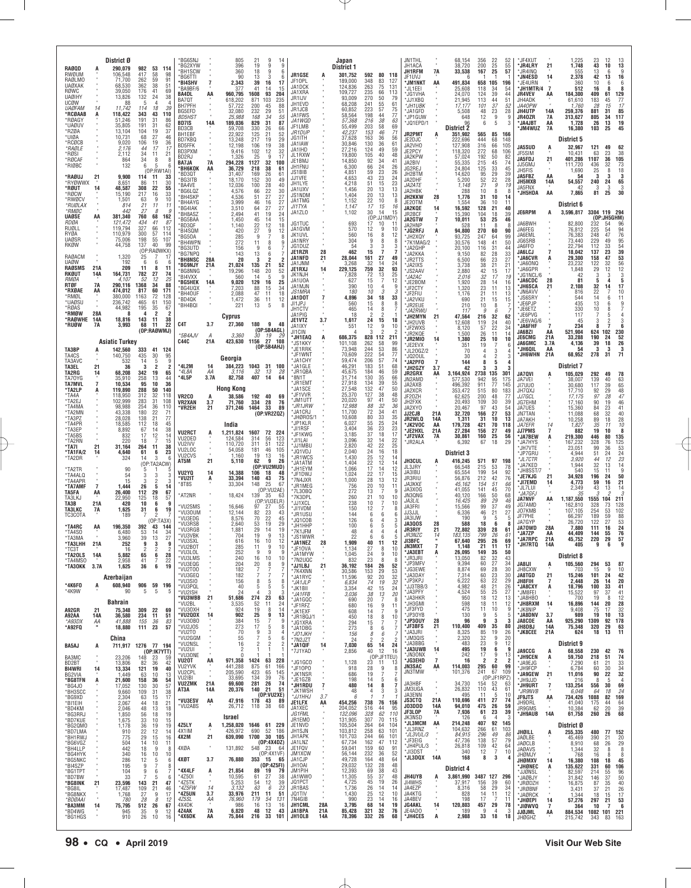|                                        |                      | District Ø                       |                       |                                                             | 'BG6SNJ<br>'BG2XYW                        |            | 805<br>396                 | 21<br>9<br>14<br>9<br>9<br>19                                         |                               |                | Japan<br>District 1        |                                           |                                               | <b>JN1THL</b><br>JH1ACA               |                      | 68,154<br>38,720             | 356<br>200                | $\frac{22}{25}$<br>$\frac{52}{55}$             | *JF4XUT<br><b>'JR4LRY</b>                        | 21                   | 1,225<br>1,748            | $^{23}_{43}$              | 12<br>$10\,$          | $\begin{array}{c} 13 \\ 13 \end{array}$                    |
|----------------------------------------|----------------------|----------------------------------|-----------------------|-------------------------------------------------------------|-------------------------------------------|------------|----------------------------|-----------------------------------------------------------------------|-------------------------------|----------------|----------------------------|-------------------------------------------|-----------------------------------------------|---------------------------------------|----------------------|------------------------------|---------------------------|------------------------------------------------|--------------------------------------------------|----------------------|---------------------------|---------------------------|-----------------------|------------------------------------------------------------|
| <b>RAØQD</b><br>RWØUM                  |                      | 290.079<br>106,548               | 982<br>417            | 53<br>114<br>58<br>98                                       | *BH1SCW<br>*BG6TTI                        |            | 360<br>90                  | 18<br>9<br>6<br>3<br>13<br>6                                          | JR1GSE                        |                | 301,752                    | 592<br>80                                 | 118                                           | JH1RFM<br>JF1UVJ                      | <b>7A</b>            | 33,538                       | 167                       | 57<br>25                                       | <b>JR4INQ</b><br><b>'JN4ESD</b>                  | 14                   | 555<br>2,378              | 13<br>42                  | 6<br>13               | 9<br>16                                                    |
| <b>RAØLMO</b><br><b>UAØXAK</b><br>RØWC |                      | 71.700<br>68,530<br>39.050       | 262<br>362<br>176     | 59<br>91<br>38<br>51<br>41<br>69                            | *BI4SHV<br>*BA9BF/6                       |            | 2,343<br>377               | 39<br>16<br>17<br>41<br>14<br>15                                      | JF10PL<br>JA1DCK              |                | 189,000<br>124,836         | 348<br>83<br>75<br>263                    | 127<br>131                                    | *JM1NKT<br>*JL1EEI                    | AA                   | 491,834<br>25,608            | 658<br>118                | 105<br>196<br>34<br>54                         | 'JE4URN<br>*JH1MTR/4                             | 7                    | 360<br>512                | 10<br>16                  | 6<br>8                | $\begin{smallmatrix} 6 \ 8 \end{smallmatrix}$              |
| <b>UAØIHY</b><br>UCØW                  |                      | 13,826<br>88                     | 132<br>-5             | 38<br>24                                                    | BA4DL<br>BA70T                            | AA         | 960,795<br>618,202         | 93<br>1608<br>204<br>871<br>103<br>235                                | JA1XRA<br>JR1IJV              |                | 109,727<br>93,009          | 235<br>66<br>270<br>50                    | 113<br>79                                     | *JG1VHA<br>*JJ1XBQ                    |                      | 24,070<br>21,945             | 124<br>113                | 39<br>44<br>44<br>51                           | <b>JR4VEV</b><br>JH4ADK                          | AA                   | 184,300<br>61,610         | 409<br>183                | 61<br>45              | $\begin{array}{c}\n 129 \\  77 \\  17\n \end{array}$       |
| <b>UAØFAM</b><br>*RCØAAB               | 14<br>A              | 11,742<br>118,422                | 114<br>343            | 18<br>39<br>43<br>110                                       | BH7PFH<br>BG5EFD                          |            | 57,722<br>32,080           | 200<br>45<br>88<br>232<br>29<br>51                                    | JH1EVD<br>JR1JCB              |                | 68,208<br>60,852           | 241<br>55<br>57<br>223                    | 61<br>75                                      | *JH1UBK<br>*JA1GFD                    |                      | 17,177<br>5,508              | 101<br>48                 | 37<br>52<br>28<br>23                           | JA40PW<br>JH4UTP                                 | <b>14A</b>           | 1,760<br>259,376          | 28<br>881                 | 15<br>31              | 85                                                         |
| *RØAGY<br>*UAØUV                       |                      | 51,246<br>35,805                 | 191<br>191            | 86<br>31<br>31<br>62                                        | <b>BD5HST</b><br><b>BD7IS</b>             | 14A        | 25,988<br>189,036          | 168<br>34<br>55<br>829<br>31<br>87                                    | JA1FWS<br>JA1WQD<br>JF1LMB    |                | 58,564<br>57,368<br>55,499 | 198<br>44<br>216<br>38<br>58<br>203       | $\begin{array}{c} 77 \\ 63 \end{array}$<br>69 | *JP1GUW<br>*JQ1EPD/1                  |                      | 648<br>96                    | 12<br>6                   | 9<br>5                                         | 9<br>JR40ZR<br><b>JA4JBT</b><br>3                | 7A<br>AA             | 313,627<br>1,728          | 805<br>26                 | 34<br>13              | 117<br>19<br>45                                            |
| *RZØA<br>*UIØA                         |                      | 13,104<br>10,731                 | 104<br>68             | 37<br>19<br>27<br>46                                        | BD3CB<br>BH1EBF                           |            | 59,708<br>22,922           | 330<br>26<br>66<br>125<br>21<br>52                                    | JR1DUP<br>JG1ITH              |                | 42,237<br>37,628           | 153<br>46<br>163<br>36                    | 71<br>56                                      | <b>JR2PMT</b>                         | A                    | <b>District 2</b><br>351,902 | 565                       | 85<br>166                                      | <b>JM4WUZ</b>                                    | 7A                   | 16,380                    | 103                       | 25                    |                                                            |
| *RCØCB<br>*RAØLE                       |                      | 9,020<br>2.176                   | 106<br>44             | 19<br>36<br>17<br>17                                        | BD7KBQ<br><b>BD5FFK</b>                   |            | 13,248<br>12,198           | $^{217}_{106}$<br>$\begin{array}{c} 29 \\ 38 \end{array}$<br>19<br>19 | JA1IAW<br>JA1IHD              |                | 30,846<br>27,216           | 130<br>36<br>124<br>49                    | 61<br>59                                      | JE2DJC<br>JA2VH0                      |                      | 222,696<br>127,908           | 444<br>316                | 68<br>148<br>66<br>105                         | <b>JA5SUD</b>                                    | Ą                    | District 5<br>32,967      | 121                       | 49                    | 62                                                         |
| *RØSI<br>*RØCAF                        |                      | 2.112<br>864                     | 34<br>34              | 11<br>21<br>8<br>8                                          | BD3PXM<br>BD2RJ                           |            | 9.416<br>1,326             | 102<br>12<br>32<br>25<br>9<br>17                                      | JL1RXW<br>JE1BMJ              |                | 19,800<br>14,850           | 105<br>40<br>92                           | 48<br>41                                      | JE2PCY<br>JA2KPW                      |                      | 118,320<br>57,024            | 272<br>192                | 68<br>106<br>50<br>82                          | JF5SIM<br>JA5FDJ                                 | $^{21}$              | 10,431<br>401,286         | 63<br>1107                | 23<br>36              | 38<br>105                                                  |
| *RIØBC                                 |                      | 132                              | 6                     | -5<br>6<br>(OP:RW1Al)                                       | <b>BA7JA</b><br>*ВН6КОК                   | 7A<br>AA   | 294,228<br>36,729          | 1127<br>32<br>100<br>218<br>38<br>61                                  | JH1FNU<br>JS1BIB              |                | 6,300<br>4.851             | $\frac{34}{24}$<br>66<br>23<br>59         | 26<br>26                                      | JA2BIV<br>JG2REJ                      |                      | 55,335<br>24,804             | 215<br>125                | 45<br>74<br>33<br>45                           | JJ5GMJ<br>JH5FIS                                 |                      | 111,720<br>1,690          | 436<br>25                 | 32<br>8               | 73<br>18                                                   |
| *RAØUJ<br>*RYØWWX                      | 21                   | 9,900<br>8,651                   | 114<br>86             | $\frac{33}{30}$<br>11<br>11                                 | *BD3QT<br>*BG3ITB<br>*BA4VE               |            | 31,407<br>18,170<br>12,036 | 169<br>26<br>61<br>152<br>30<br>49<br>100<br>28<br>40                 | JJ1VFE<br>JH1LYE              |                | 4,653<br>4.218             | 43<br>23<br>51<br>15                      | 24<br>23                                      | JH2BTM<br>JA2DHF<br><i>JA2ATE</i>     |                      | 14,620<br>5,200<br>1,148     | 95<br>$\frac{52}{21}$     | 29<br>39<br>$\frac{22}{9}$<br>28<br>19         | JA5FBZ<br>JH5MXB                                 | AA<br>14A            | 54<br>54,557              | 240                       | 3<br>24               | $\begin{array}{c} 3 \\ 65 \\ 3 \\ 30 \end{array}$          |
| *RØUT<br>*RØCW                         | 14                   | 48,587<br>15,190                 | 308<br>217            | 55<br>22<br>33<br>16                                        | *BG6LQZ<br>*BH4SKP                        |            | 4,576<br>4,536             | 22<br>66<br>30<br>27<br>27<br>51                                      | JA1UXV<br>JS1NDM              |                | 1,456<br>1.404             | 20<br>13<br>20<br>13                      | 13<br>13                                      | JA2HBK<br><b>JH2KKW</b>               | 28                   | 288<br>1,776                 | 10<br>31                  | 8<br>10<br>14                                  | JA5FNX<br>8<br>'JH5HDA                           | AA                   | 42<br>7,865               | 3<br>81                   | 3<br>25               |                                                            |
| *RWØCV<br>*RUØLAX                      |                      | 1,501<br>814                     | 63<br>21              | 9<br>10<br>11<br>11                                         | *BH4AYG<br>*BG4IAK                        |            | 3,999<br>3,510             | 16<br>27<br>46<br>27<br>27<br>64                                      | JA1TMG<br>JI1TYA              |                | 1,152<br>1.147             | 22<br>10<br>17<br>15                      | 8<br>16                                       | JE20TM<br>JA2KQE                      | 14                   | 1,554<br>16,592              | 36<br>128                 | 10<br>11<br>21<br>40                           |                                                  |                      | District 6                |                           |                       |                                                            |
| *RMØC<br>UAØSE                         | AA                   | 442<br>381,340                   | 27<br>760             | 8<br>9<br>68<br>162                                         | *BH8ASZ<br>*BG5BAA                        |            | 2,494<br>1,450             | 41<br>19<br>24<br>45<br>14<br>15                                      | JA1ZLO                        |                | 1,102                      | 30<br>14<br>(OP:JJ1MDY)                   | 15                                            | JR2BCF<br><b>JA2GTW</b>               | 7                    | 15,390<br>10,011             | 104<br>53                 | 18<br>39<br>25<br>46                           | JE6RPM                                           | А                    | 3,596,817                 | 3304 119                  | (OP:JH5GHM)           | 294                                                        |
| <b>RDØA</b><br>RUØLL                   |                      | 121,472<br>119,794               | 434<br>327            | 41<br>87<br>66<br>112                                       | *BD3QF<br>*BI4SQM                         |            | 1,140<br>420               | $\frac{12}{9}$<br>22<br>18<br>27<br>12                                | JG1TUC<br>JA1GVM              |                | 693<br>570                 | 17<br>10<br>12                            | -11<br>9<br>10                                | JA2HNP<br>*JG2RFJ                     | Ą                    | 94,800                       | 11<br>270                 | 60<br>90                                       | JA6BWH<br>8<br>JA6FEG                            |                      | 82,800<br>76,812          | 232<br>225                | -54<br>54             | 96<br>94                                                   |
| RYØA<br><b>UAØSR</b>                   |                      | 110,979<br>75,006                | 300<br>198            | 57<br>114<br>55<br>107                                      | *BG50A<br>*BH4WPN                         |            | 285<br>272                 | 7<br>9<br>8<br>11<br>8<br>9                                           | JK1UVL<br>JA1NRY              |                | 560<br>304                 | 16<br>9                                   | 12<br>8<br>8<br>8                             | *JH2XQY<br>*7K1MAG/2                  |                      | 93,725<br>30,576             | 247<br>148                | 99<br>64<br>41<br>50                           | JA6EML<br>JG6SRB                                 |                      | 76,383<br>73,440          | 248<br>229                | 47<br>49              | 76                                                         |
| RKØW<br>RAØACM                         |                      | 44,758                           | 137                   | 99<br>40<br>(OP:RAØWKX)<br>17                               | *BG3UTD<br>'BG7NPQ                        |            | 156<br>143                 | <b>q</b><br>6<br>13<br>6                                              | JG1DUZ<br>JE1RZR              | 28             | 54<br>462                  | 3<br>15                                   | 3<br>3                                        | *JA2GHP<br>*JA2KKA                    |                      | 20,100<br>9,150              | 116<br>82                 | 31<br>44<br>28<br>33                           | JA6FFO<br><b>JA6LCJ</b>                          | $\overline{7}$       | 22,794<br>18,042          | 112<br>137                | 33<br>23              | 95<br>54<br><b>39<br/>53</b>                               |
| <b>UAØW</b><br><b>RAØSMS</b>           | 21A                  | 1,320<br>192<br>209              | 25<br>6<br>11         | 6<br>-6<br>8<br>11                                          | *BH8NSC<br>*BG9NJY                        | 28A<br>21A | 20<br>21,024               | 2<br>3<br>-2<br>21<br>52<br>135                                       | JA1NFD<br>JA1JNM              | 21             | 28,044<br>3,268            | 161<br>27<br>32<br>14<br>32               | 49<br>24                                      | *JR2TTS<br>*JA2IXS                    |                      | 6,500<br>3,738               | 66<br>38                  | 23<br>27<br>21<br>21                           | 'JA6CVR<br>'JA6ONQ                               | Ą                    | 29,300<br>23,232          | 158<br>122                | 47<br>32              |                                                            |
| RKØUT<br><i>RM0A</i>                   | 14A                  | 164,731<br>4,107                 | 782<br>52             | 27<br>74<br>25<br>12                                        | *BG8NNG<br>*BI4VXX                        |            | 19,296<br>560              | 20<br>52<br>148<br>14<br>5<br>9                                       | JE1RXJ<br>JK1NJH<br>JA1UOA    | 14             | 229,125<br>7,828<br>627    | 759<br>72<br>13<br>15<br>7                | 93<br>25<br>12                                | *JS2AAV<br>*JA2AC                     |                      | 2,880<br>2,016               | 42<br>32                  | 15<br>17<br>17<br>19                           | JA6GPR<br>JG1NCL/6<br>JA6CDC <sup>.</sup>        | 28                   | 1,848<br>42<br>81         | 29<br>3<br>5              | 12<br>3               | $\begin{array}{c} 56 \\ 12 \\ 3 \end{array}$<br>5          |
| RTØF<br>*RXØAE                         | 7A<br>AA             | 290,116<br>474,012               | 1368<br>817           | 34<br>88<br>60<br>171                                       | *BG5HEK<br>*BG4UQX                        | 14A        | 9,020<br>7,203             | 129<br>25<br>16<br>88<br>15<br>34                                     | JA1MJN<br><b>JS1MRA</b>       |                | 390<br>180                 | 10<br>4<br>10                             | 9<br>3<br>3                                   | *JE2BOM<br>*JF2CTY                    |                      | 1,920<br>1,320               | 28<br>23                  | 14<br>16<br>11<br>13                           | 'JH6SCA<br>'JN6AVV                               | 21                   | 2,108<br>816              | 32<br>22                  | 14<br>$\overline{7}$  | 17<br>10                                                   |
| *RMØL<br>*UAØSU                        |                      | 380,000<br>236,742               | 1163<br>465           | 72<br>128<br>150<br>61                                      | *BH4OUF<br>*BD4QK                         |            | 2,088<br>1,472             | 47<br>11<br>18<br>36<br>11<br>12<br>8<br>-5                           | JA1DOT<br>JI1JPJ              |                | 4,896<br>560               | 18<br>34<br>15<br>8                       | 33<br>8                                       | *JF2FIU<br>*JA2VKU<br>*JR2EUE         |                      | 1,176<br>690<br>210          | 21<br>21                  | 13<br>11<br>15<br>15<br>8                      | 'JS6SRY<br>'JE6PJP                               |                      | 544<br>435                | 14<br>13                  | 6<br>6                | 11                                                         |
| *RØAS<br>*RMØW                         | 28A                  | 44,982<br>8                      | 195<br>4              | 67<br>35<br>$\overline{\phantom{a}}$<br>$\overline{2}$      | *BH4BQI                                   |            | 221<br>Cyprus              | 13                                                                    | JH1CTV<br>JA1PIG              |                | 465<br>18                  | 14<br>$\mathfrak{p}$                      | 8<br>$\mathfrak{p}$                           | *JA2RWU<br>*JH2MYN                    |                      | 117<br>47,564                | 10<br>9<br>216            | 6                                              | *JE6ETZ<br>JE6PVG                                |                      | 330<br>117                | 10                        | 8<br>5                | $\frac{9}{7}$<br>4                                         |
| *RAØWHE<br>*RUØW                       | 14A<br><b>7A</b>     | 18,816<br>3,993                  | 143<br>68             | 11<br>38<br>22<br>11                                        | C4T                                       | 3.7        | 27,360                     | 180<br>9<br>48                                                        | JE1VTZ<br>JA1IXY              | 3.7            | 1,617<br>551               | 24<br>15<br>12<br>9                       | 18<br>10                                      | *JH2UVB<br>*JF2WXS                    | 21                   | 12,608<br>8,120              | 119<br>57                 | $\frac{62}{40}$<br>$\frac{32}{24}$<br>22<br>34 | 'JE6VAG/6<br><b>SJA6FHF</b>                      | $\overline{7}$       | 45<br>234                 | 3<br>8                    | 2                     | 3<br>6                                                     |
|                                        |                      |                                  |                       | (OP:RAØWMJ)                                                 | $*5B4AU$                                  | А          | 3,360                      | (0P:5B4AGL)<br>30<br>19<br>29                                         | JI1CIN<br>*JH1EAQ             | A              | 686,375                    | 2<br>3<br>112<br>828                      | 2<br>211                                      | *JR2KQE<br>*JR2MIO                    | 14                   | 1,500<br>1,380               | 26<br>25                  | 11<br>14<br>10<br>10                           | JA6BZI<br>JE6CMG                                 | AA<br>21A            | 521,904<br>33,288         | 624<br>190                | 102<br>24             | 230<br>52                                                  |
| TA3BP                                  |                      | <b>Asiatic Turkey</b><br>142,560 | 333                   | 41<br>124                                                   | <b>C44C</b>                               | 21A        |                            | 423,630 1156 27 108<br>(0P:5B4AHJ)                                    | *JS1KKY<br>*JE1RRK            |                | 101,108<br>73,948          | 262<br>58<br>244<br>53                    | 99<br>86                                      | *JE2EVX<br>*JL20GZ/2                  |                      | 351<br>70                    | 19<br>4                   | 7<br>3                                         | JA6GMC<br>6<br>'JH6QIL<br>4                      | 3.7A<br>AA           | 4,136<br>54               | 39<br>3                   | 18<br>3               | 26<br>$\frac{3}{71}$                                       |
| TA4CS<br>TA3AVC                        |                      | 140,750<br>532                   | 435<br>14             | 30<br>95<br>5<br>9                                          |                                           |            | Georgia                    |                                                                       | *JF1WNT<br>*JA1CHY            |                | 70,609<br>59,474           | 54<br>57<br>222<br>206                    | 77<br>74                                      | *JQ20UL<br>*JA2PF0                    | $\overline{7}$       | 30<br>144                    | 4<br>8                    | $\overline{2}$<br>5                            | <b>JH6WHN</b><br>3                               | 21A                  | 68,952                    | 278                       | 31                    |                                                            |
| TA3EL<br>TA2RG                         | 21<br>14             | 36<br>68,208                     | 3<br>342              | $\overline{2}$<br>$\overline{2}$<br>19<br>65                | *4L2M<br>*4L8A                            | 14<br>ΑA   | 384,223<br>3,116           | 1043<br>31 100<br>32<br>13<br>28                                      | *.JA1GI F<br>*JR1QBA          |                | 46.291<br>45,675           | 183<br>51<br>184<br>46                    | 68<br>59                                      | *JH2GZY<br>JR2GRX                     | 3.7<br>AA            | 42<br>3,164,924              | 2738                      | 3<br>135<br>301                                | -3<br><b>JA7QVI</b>                              | A                    | District 7<br>105,029     | 292                       | 49                    | 78                                                         |
| TA70YG<br><b>TA7MVL</b>                | 7                    | 35,910<br>10,534                 | 258<br>95             | 13<br>44<br>10<br>36                                        | *4L5P                                     | 3.7A       | 82,758                     | 407<br>14<br>64                                                       | *8N1T<br>*JR1EM1              |                | 31,714<br>27,918           | 130<br>35<br>134<br>39                    | 66<br>55                                      | JN2AMD<br>JA2AXB                      |                      | 577,530<br>496,392           | 942<br>911                | 95<br>175<br>77<br>145                         | JA7VEI<br>JI7UU0                                 |                      | 38.007<br>30,680          | 139<br>117                | 40<br>39              | 63                                                         |
| *TA2LP<br>*TA4A                        |                      | 119,890<br>118.950               | 288<br>312<br>283     | 50<br>140<br>$\begin{array}{c} 32 \\ 31 \end{array}$<br>118 | VR <sub>2</sub> C <sub>0</sub>            |            | Hong Kong<br>38,586        | 192<br>40<br>69                                                       | *JA1SCE<br>*JF1VVR<br>*JM1UTT |                | 27,548<br>25,370<br>20,020 | 132<br>127<br>$\frac{47}{38}$<br>97<br>41 | $\frac{50}{48}$<br>50                         | JA2XCR<br>JF20ZH                      |                      | 353,472<br>62,625            | 515<br>200                | 80<br>183<br>48<br>77                          | JH7QXJ<br><i>JJ7GCL</i>                          |                      | 17,710<br>17,175          | 92<br>97                  | 29<br>28              | 65<br>48<br>47                                             |
| *TA2EJ<br>*TA4MA                       |                      | 102,999<br>98,988                | 254<br>180            | 108<br>36<br>110<br>22<br>71                                | <b>VR2XAN</b><br>*VR2EH                   | 3.7<br>21  | 71,760<br>371,246          | 334<br>28<br>76<br>1464<br>33<br>89                                   | *JR1JRW<br>'JA1CRJ            |                | 12,988<br>11,700           | 88<br>32<br>72<br>34                      | 36<br>41                                      | JH2FXK<br>JA2XYO                      |                      | 20,493<br>20,467             | 109<br>97                 | 30<br>39<br>$^{43}_{27}$<br>54                 | JG7EHM<br>JA7UES                                 |                      | 17,160<br>15,360          | $90\,$<br>84              | 19<br>23              | $\frac{46}{41}$                                            |
| *TA2MN<br>*TA3PZ<br>*TA4PR             |                      | 43,338<br>28,028<br>18,585       | 138<br>112            | 77<br>21<br>18<br>45                                        |                                           |            |                            | (0P:VR2ZQZ)                                                           | *JHØROS/1<br>*JP1KLR          |                | 10,608<br>6,027            | 33<br>80<br>55<br>25                      | 35<br>24                                      | JJ2CJB<br>JR2WLQ<br>*JK2VOC           | 21A<br>14A<br>AA     | 32,720<br>1,311<br>179,728   | 166<br>31<br>421          | 53<br>10<br>13                                 | JN7TAN<br>JA7AKH                                 |                      | 11,088<br>10,258          | 68<br>89                  | 32<br>18<br>11        | $\substack{40\\28}$                                        |
| *TA3EP<br>*TA5BS                       |                      | 8,892<br>832                     | 67<br>17              | 38<br>14<br>14                                              | <b>VU2RCT</b>                             |            | India<br>1,211,824         | 1607<br>72<br>224                                                     | *JI1RSF<br>*JF1 KWG           |                | 3,404<br>3,185             | 23<br>36<br>37<br>18                      | $\frac{23}{17}$                               | *JE2HXL<br>*JF2VAX                    | 21A<br>7A            | 27,284<br>30,861             | 156<br>160                | 70<br>118<br>27<br>49<br>25<br>56              | <b>JA7EFR</b><br><b>JJ7PMS</b><br><b>SJA7BEW</b> | 14                   | 1,827<br>882<br>219,300   | 35<br>19<br>446           | 10<br>80              | 10<br>$\begin{array}{c}\n 8 \\  135 \\  125\n \end{array}$ |
| *TA2RN<br>*TA7I                        | 21                   | 220<br>31,164                    | 18<br>264             | $\frac{12}{7}$<br>15<br>38<br>11                            | VU2DED<br>VU2IVV                          |            | 124,584<br>110,720         | 314<br>123<br>56<br>311<br>51<br>122                                  | *JI1LAI<br>*JJ1MBU            |                | 3,096<br>2,820             | 32<br>14<br>42<br>22                      | $\frac{22}{25}$                               | *JR2ALA                               |                      | 6,392                        | 67                        | 18<br>29                                       | *JA7HYS<br>*JH7VTE                               | Ą                    | 167,232<br>23,051         | 328<br>99                 | 76<br>36              |                                                            |
| *TA1FA/2<br>*TA2DR                     | 14                   | 4,640<br>324                     | 61<br>14              | 6<br>23<br>3<br>-6                                          | VU2LOC<br>VU <sub>2</sub> CV <sub>S</sub> |            | 54,058<br>1,160            | 105<br>181<br>46<br>19<br>13<br>16                                    | *JQ1VDJ<br>*JR1WCS            |                | 2,040<br>1,430             | 24<br>16<br>25<br>12                      | 18<br>14                                      | <b>JH3CUL</b>                         |                      | District 3<br>416,245        |                           |                                                | 'JP7GRU<br>*JL7CTR                               |                      | 4,944<br>3,920            | 51<br>44                  | 24<br>12              |                                                            |
| *TA2TR                                 |                      | 90                               | 5                     | (OP:TA2ACW)<br>.5                                           | AT5M<br>VU2YQ                             | 21<br>14   | 5,110<br>14,388            | 9<br>62<br>26<br>(OP:VU2MUD)<br>106<br>18<br>48                       | *JA1ATM<br>*JH1EYM            |                | 1.404<br>1,066             | 22<br>12<br>17<br>14                      | 14<br>12                                      | JL3JRY<br>JA3IBU                      | A                    | 66,548<br>65,554             | 571<br>215<br>199         | 97<br>198<br>53<br>78<br>54<br>92              | 'JA7KED<br>JH8SST/7                              |                      | 1,944<br>540              | 32<br>15                  | 13<br>11              | 53<br>24<br>23<br>14<br>14<br>9                            |
| *TA4ALQ<br>*TA4APR                     |                      | 54<br>15                         | 3<br>-3               | 3<br>3<br>3                                                 | *VU2IT<br>*8T8S                           | A          | 33,394<br>33,304           | 140<br>43<br>75<br>148<br>25<br>67                                    | *JF1DWJ<br>*7N4JXR            |                | 1.024<br>1.000             | 22<br>17<br>$\overline{28}$<br>13         | $\frac{15}{12}$                               | JR3RIU<br>ЈАЗККЕ                      |                      | 56,876<br>45,162             | 212<br>154                | 42<br>76<br>51<br>66                           | 'JE7KJG<br>'JI7EMD                               | 21<br>14             | 34,928<br>4,773           | 196<br>59                 | 24<br>16              | $\frac{50}{21}$                                            |
| *TA7AMF<br>TA5FA                       | $\overline{7}$<br>AA | 1.444<br>26,400                  | 26<br>112             | -5<br>14<br>29<br>67                                        | *AT2NR                                    |            | 18,424                     | (OP:VU2AE)<br>139<br>35<br>63                                         | *JR1MEG<br>*7L30BQ<br>*7K3DPL |                | 756<br>272<br>260          | 20<br>10<br>7<br>13<br>10<br>21           | 11<br><b>c</b><br>10                          | JA3XOG<br>JN3QNG                      |                      | 41.055<br>40,120             | 141<br>166                | 45<br>70<br>50<br>68                           | *JL7LUI<br>*JA7GFJ                               |                      | 2,349<br>35               | 43                        | 13                    | $\begin{array}{c} 14 \\ 3 \end{array}$                     |
| TA3LKJ<br>TA3B<br><b>TA3LKC</b>        | 21A                  | 22,950<br>420                    | 125<br>10             | 18<br>57<br>6<br>9<br>6                                     | *VU2SMS                                   |            | 16,646                     | (OP:VU3ELR)<br>97<br>27<br>-55                                        | *JJ1XCL<br>*JI1VDM            |                | 238<br>150                 | 7<br>10<br>12                             | 10<br>8                                       | JA3LIL<br>JA3FRI                      |                      | 16,425<br>15,566             | 89<br>99                  | 29<br>46<br>37<br>49                           | <b>JA7NVF</b><br>JG7AMD                          | AA                   | 1,187,550<br>162,810      | 1555<br>328               | 104<br>73             | 211<br>128                                                 |
| TC3COTA                                | 7A                   | 1,625<br>189                     | 31<br>$\overline{7}$  | 19<br>(OP:TA3X)                                             | *VU3OUM<br>*VU3EDG                        |            | 12,144<br>8,576            | 82<br>$^{23}_{22}$<br>43<br>70<br>45                                  | *JR1USU<br>*.IO1COF           |                | 144<br>126                 | 6<br>6<br>4                               | 6<br>6<br>з                                   | .I.I3.I.II<br>JA3IJW                  |                      | 6,336<br>190                 | 46<br>q                   | 21<br>27<br>5                                  | J07KMB<br>JF7PHE                                 |                      | 107.105<br>66,297         | 254<br>189                | 53<br>59              | 102<br>88                                                  |
| *TA4RC<br>*TA4SO                       | AA                   | 196,350<br>6.480                 | 392<br>53             | 43<br>144<br>34<br>14                                       | *VU3RSB<br>*VU3RGB                        |            | 2.640<br>1,881             | 19<br>29<br>53<br>29<br>14<br>19                                      | *.JH1HHF<br>*7K1JFM           |                | 100<br>48                  | 6<br>4<br>4                               | 5<br>5<br>4                                   | <b>JA300S</b><br><b>JR3RIY</b>        | 28<br>21             | 588<br>72,802                | 18<br>339                 | 6<br>28<br>61                                  | JA7GYP<br>8<br>JA70WD<br>*JA7ZP                  | 28A<br>AA            | 26,720<br>7.880<br>44,409 | 122<br>111<br>144         | $\frac{27}{16}$<br>55 | $\frac{53}{24}$<br>76                                      |
| *TA3MA<br>*TA3LHH                      | 21A                  | 3,960<br>252                     | 39<br>9               | 27<br>13<br>3<br>9                                          | *VU3VBK<br>'VU3SXI                        |            | 704<br>616                 | 19<br>9<br>13<br>16<br>10                                             | *.IS1WWR<br><b>SJA1NEZ</b>    | 28             | 22<br>1.909                | 6<br>6<br>40<br>11                        | 5<br>12                                       | <b>JR3N7C</b><br><b>II3RF</b>         | $14\,$               | 183,135<br>67,640            | 799<br>295                | $\frac{26}{26}$<br>$61$<br>69                  | *JA7RPC<br>"JH7RTQ 14A                           | 21A                  | 45,752<br>405             | 220<br>9                  | 29<br>6               | 57<br>9                                                    |
| *TC3T<br>*TA2OLS                       | 14A                  | 16<br>5,882                      | $\overline{2}$<br>65  | $\overline{\mathbf{c}}$<br>$\overline{2}$<br>6<br>28        | *VU2BOT<br>*VU3LOL<br>*VU3LMS             |            | 285<br>252<br>240          | 9<br>11<br>10<br>9<br>9<br>9<br>10                                    | *JF10VA<br>*JA1MYW            |                | 1,134<br>1,045             | 27<br>24                                  | 8<br>10<br>9<br>10                            | JN3MXT<br>*JA3EBT<br>*JR3JRI          | 7<br>Ą               | 1,148<br>26,095<br>13,050    | 21<br>149<br>82           | 11<br>17<br>50<br>35<br>32<br>43               |                                                  |                      | District 8                |                           |                       |                                                            |
| *TA4MSO<br>*TA30KK 3.7A                |                      | 2,958<br>1,625                   | 41<br>36              | 22<br>6<br>19                                               | *VU3EQG<br>*VU2T00                        |            | 204<br>182                 | 16<br>10<br>20<br>8<br>9<br>7                                         | *7N2UQC<br>*JJ1LBJ            | 21             | 832<br>36,192              | 23<br>184<br>26                           | 8<br>-8<br>52                                 | *JP3MFV<br>*JG3EWE                    |                      | 9.394<br>8,874               | 60<br>69                  | 27<br>34<br>28<br>30                           | JA8IJI<br>JH8CXW                                 | A                    | 105,560<br>703            | 294<br>15                 | 53<br>9               | 87<br>10                                                   |
|                                        |                      | Azerbaijan                       |                       |                                                             | *VU3GEQ<br>*VU3SIO                        |            | 182<br>156                 | 7<br>7<br>7<br>8<br>5<br>8                                            | *7K4XNN<br>*JA1RYC<br>*JA1JLP |                | 30,586<br>11,596<br>6,834  | 153<br>29<br>92<br>20<br>74<br>19         | 53<br>32<br>32                                | *JA3DAY<br>*JP3KPJ                    |                      | 7,314<br>6,222               | 60<br>63                  | 30<br>23<br>29                                 | <b>JA8TGD</b><br>JH8FIH                          | 21<br>7              | 15,246<br>2,448           | 101<br>26                 | 24<br>14              | 42<br>20                                                   |
| *4K6F0<br>*4K9W                        | A                    | 608,940<br>90                    | 906 59<br>5           | 196<br>5<br>5                                               | *VU3PQL<br>*VU2ISH                        |            | 40<br>24                   | -5<br>5<br>5<br>3<br>3                                                | *JK1BII<br>*JA1FFB            |                | 3,354<br>3,036             | 42<br>15<br>38<br>13                      | 24<br>20                                      | "JJ3TBB/3<br>*JA3PFY                  |                      | 4,982<br>4,524               | 48<br>55                  | $^{22}_{21}$<br>26<br>25<br>27                 | *JA8CXY<br>*JM8FEI                               | A                    | 18,796<br>15,522          | 100<br>97                 | 33<br>37              | 41<br>41                                                   |
|                                        |                      | Bahrain                          |                       |                                                             | *VU3WBB<br>*VU2BL                         | 21         | 51,686<br>3,535            | 274<br>23<br>63<br>52<br>11<br>24                                     | *JA1GQC<br>*JF1RFZ            |                | 690<br>680                 | 20<br>7<br>16                             | -8<br>9<br>11                                 | *JA3HKR<br>*JH3GMI                    |                      | 950<br>598                   | 18<br>18                  | 12<br>13<br>11<br>12                           | JA8HBO<br><b>JH8RXM</b>                          | 14                   | 700<br>16,896             | 19<br>144                 | 8<br>20               | 12<br>$\frac{28}{32}$                                      |
| A92GR<br>A92AA                         | 21<br>14A            | 75,348<br>36,580                 | 309<br>234            | 22<br>69<br>11<br>51                                        | *VU30XH<br>*VU2QDX                        | 14         | 924<br>902                 | 19<br>8<br>14<br>25<br>9<br>13                                        | *JK1EXF<br>*JR1BQJ/1          |                | 608<br>450                 | 14<br>7<br>18                             | 9<br>8<br>10                                  | *JF3FYD<br>*JP30YB                    |                      | 475<br>130                   | 11<br>-9                  | 10<br>5                                        | 9<br>".JK8NIP<br>5<br>*JA8DNV                    | 3.7                  | 9,408<br>989              | 75<br>19                  | 17<br>10              | 13                                                         |
| *A93DX<br>*A92FQ                       | ΑA                   | 41.888<br>18,880                 | 155<br>111 23         | 36<br>83<br>57                                              | *VU30B0<br>*VU2JOS                        |            | 384<br>273                 | 9<br>7<br>15<br>17<br>5<br>8                                          | *JG1XRA<br>*JA1DBG            |                | 294<br>273                 | 15<br>7<br>8                              | 6                                             | *JP30UY<br>*JF3BFS                    | $^{28}_{21}$         | 96<br>110,400                | q<br>409                  | -3<br>80<br>35                                 | JA8COE<br>3<br>JH8DBJ                            | AA<br>14A            | 925.290<br>75,348         | 1309<br>320               | 92<br>29              | 178<br>63                                                  |
|                                        |                      | China                            |                       |                                                             | *VU2TO<br>*VU2GGM<br>*VU2NSL              |            | 70<br>55<br>16             | 9<br>3<br>4<br>7<br>5<br>6<br>$\overline{2}$<br>$\overline{2}$<br>2   | *JO1JKH<br>*7N2JZT            |                | 156<br>24                  | 8<br>2                                    | 6<br>2<br>$\overline{2}$                      | *JA3JRI<br>*JM3QIS<br>*JA3BBG         | $\cdot$              | 8,325<br>2,320<br>483        | 85<br>32<br>23            | 19<br>26<br>-9<br>20<br>9<br>12                | *JK8CEE                                          | 21A                  | 624<br>District 9         | 18                        | 13                    | 11                                                         |
| <b>BA5AJ</b>                           | A                    | 711,917 1276 77 194              |                       | (OP:IK7YTT)                                                 | *VU2UI<br>*VU3ONE                         |            | $\theta$                   |                                                                       | *JA1QIF<br>*7J1YAD            | 14             | 7,030<br>2,856             | 14<br>65<br>40<br>12                      | 24<br>16                                      | *JA3UWB<br>*JN3ONX                    | 14                   | 495<br>242                   | 19<br>17                  | 6<br>9<br>13                                   | 9<br><b>JA9CCG</b>                               | A                    | 68,558                    | 230                       | 42                    | 76                                                         |
| BA3MC<br>BD2BT                         |                      | 23,206<br>13,806                 | 148<br>82             | -23<br>59<br>36<br>42                                       | VU20T<br>VU2YVK                           | AA         | 971,358<br>441,288         | 1424<br>63<br>228<br>875<br>61<br>166                                 | *JG1GCO                       |                | 1,128                      | $(OP:\overline{JF1TEU})$<br>23 11 13      |                                               | *JG3EHD<br>JN3SAC                     | $\overline{7}$<br>AA | 16<br>114,003                | 2<br>295                  | -2<br>99<br>60                                 | <b>'JH9CEN</b><br>-2<br>*JA9EJG                  | Ą<br>×               | 59,750<br>7,290           | 218<br>61                 | 51<br>21              | 74<br>33                                                   |
| BI4WRI<br>BG2VIA                       | 14                   | 13,334<br>1,449                  | 121<br>63             | 19<br>40<br>10<br>13                                        | VU2CPL<br>VU2IBI                          |            | 205,590<br>33,695          | 423<br>65<br>145<br>134<br>39<br>76                                   | *JF10P0<br>*JK1NSR            |                | 918<br>686                 | 28<br>9<br>19<br>7                        | 8                                             | JN3TMW                                |                      | 101,376                      | 241                       | 67<br>109<br>(OP:JF1RPZ)                       | 'JH9FCP<br>'JA9GEW                               | 21                   | 6.784<br>11,016           | 60<br>90                  | 30<br>22              | 34<br>32                                                   |
| *BG8TFN<br>*BG4J0<br>*BH3SCC           | A                    | 21,600<br>17,052                 | 158<br>130<br>109     | 36<br>54<br>30<br>57<br>31<br>38                            | <b>VU2ZMK</b><br>AT3A                     | 21A<br>14A | 69,600<br>20,376           | 281<br>26<br>74<br>140<br>21<br>51                                    | *JE1GZB<br>*JH1RDU<br>*JK1WSH | $\overline{1}$ | 198<br>480<br>48           | 14<br>14<br>$\overline{4}$                | 5<br>6<br>8<br>-7<br>3<br>з                   | JA3HBF<br>JM3UGA                      |                      | 34,730<br>26,832             | 154<br>110                | -52<br>-63<br>43<br>61                         | '.IH9.I.ID<br>*JH9URT<br>*JR9NVB                 | $\vec{r}$            | 216<br>133,254<br>6.048   | 8<br>556<br>64            | -5<br>30<br>18        | $\overline{4}$<br>69<br>24                                 |
| *BG9XD<br>*BI1EIH                      |                      | 9,660<br>2,304<br>2,067          | 63<br>44              | 15<br>17<br>18<br>21                                        | *VU3ESV                                   | AA         | 47,916                     | (OP:VU2XE)<br>178 43<br>89                                            | *JJ1HHJ<br>JE1LFX             | 3.7<br>AA      | 6<br>454,256               | 738<br>76                                 | 156                                           | JA3FNN<br>JS3CTQ                      | ٠<br>21A             | 495<br>110,696               | 11<br>411                 | -5<br>10<br>27<br>74                           | <b>JF9JTS</b><br>JH9DRL                          | AA                   | 734,426<br>41,040         | 1088<br>175               | 82<br>44              | 169<br>64                                                  |
| *BD4KM<br>*BG3RRJ                      |                      | 2,046<br>1,850                   | 48<br>56              | 13<br>18<br>18<br>19                                        | *VU2ABS                                   |            | 26,712                     | 118 38<br>68                                                          | JA1XEC<br><b>JG1FML</b>       |                | 204,052<br>132,096         | 44<br>516<br>328<br>62                    | 95<br>110                                     | J03DDD<br>JF3LOP                      | 14A<br>7A            | 94,010<br>7,936              | 475<br>61                 | 26<br>59<br>23<br>39                           | JR9GMS<br><b>JH9AUB</b>                          | 14A                  | 10,384<br>61,758          | 62<br>260                 | 20<br>26              | 39<br>68                                                   |
| *BD7KUE<br>*BG2QMO                     |                      | 1,675<br>1,178                   | 33                    | 10<br>15<br>19<br>19                                        | 4Z5LY                                     | Ą          | Israel<br>1,258,020        | 1646 61 229                                                           | JR1EMO<br>JE1NVD              |                | 131,905<br>105,504         | 307<br>70<br>264<br>64                    | 115<br>104                                    | JK3NSD<br>*JL3MCM                     | AA                   | 126<br>214,248               | -6<br>407                 | $\overline{4}$<br>92<br>145                    |                                                  |                      | District Ø                |                           |                       |                                                            |
| *BD7LMA<br>*BH1RWJ                     |                      | 910<br>775                       | $\frac{36}{22}$<br>29 | 12<br>14<br>15<br>16                                        | 4X1IM<br>4X2M                             | 21         | 426.972<br>639,090         | 690<br>52 186<br>1700 30 105                                          | JH1SJN<br>JH1APK              |                | 103,812<br>101,703         | 258<br>63<br>244<br>66                    | 101<br>101                                    | *JL3RNZ<br>*JL3VUL/3                  |                      | 104,632<br>84,915            | 266<br>296                | 61<br>103<br>49<br>86                          | JHØILL<br>JAØLBE                                 | A                    | 255,335<br>45,469         | 480<br>390                | 77<br>21              | 152<br>20                                                  |
| *BG6VGZ<br>*BH4LLP                     |                      | 504<br>442                       | 14<br>18              | 10<br>11<br>9<br>8                                          | 4XØA                                      |            | 131,892                    | (OP:4X4DZ)<br>548 23<br>- 64                                          | JA1LNZ<br>JE1FQV              |                | 67,734<br>59,041           | 47<br>162<br>159<br>60                    | 112<br>91                                     | *JF3EIG<br>*JH4PUL/3<br><b>JI3DST</b> |                      | 47,736<br>26,818<br>340      | 138<br>109<br>12          | 79<br>57<br>42<br>64<br>$\overline{7}$<br>10   | JAØCLB<br><b>JAØAVS</b>                          | ×                    | 8,910<br>1,344            | 68<br>32                  | 26<br>8               | 29<br>8                                                    |
| *BG4HYK<br>*BG5NKC                     |                      | 340<br>286                       | 16<br>12              | 10<br>10<br>5<br>-6                                         | 4XØT                                      | 3.7        | 76,880                     | (OP:4X1VF)<br>$353$ 15<br>-65                                         | JM1XCW<br>JA1CJP              |                | 56,144<br>49,728           | 232<br>36<br>164<br>48                    | 52<br>64                                      | *JL3DQX                               | 14A                  | 168                          | 8                         | 3                                              | JHØMJY<br>4<br><b>JHØMXV</b>                     | 14                   | 768<br>16,380             | 16<br>108                 | 8<br>18               | 8<br>45                                                    |
| *BI4SZP<br>*BG1TPT                     |                      | 195<br>104                       | 9<br>9                | 7<br>8<br>6                                                 | *4X4LF                                    | A          | 21,854                     | (OP:4Z5FI)<br>89<br>19<br>79                                          | JH10AI<br>JM1PIH              |                | 29,032<br>12,393           | 132<br>28<br>38<br>69                     | 48<br>43                                      |                                       |                      | District 4                   |                           |                                                | *JHØNEC<br><b>JJØNSL</b>                         | A                    | 135,622<br>82,597         | 331<br>214                | 60<br>-55             | 106<br>96                                                  |
| *BD7BW<br>*BG8INK<br>*BG8II            | 21                   | 33<br>23,596                     | 143 21                | -5<br>-6<br>47                                              | *4Z50I<br>*4Z5TK<br>*4Z5FW                | 14         | 10,595<br>5,253<br>3.132   | 27<br>61<br>38<br>-54<br>12<br>39<br>23<br>63<br>6                    | JA1WW0<br>JQ1PCT<br>JR1BAS    |                | 11,305<br>4,725<br>1,736   | 55<br>37<br>45<br>19<br>26<br>14          | 48<br>26<br>14                                | JH4UYB<br>JI4WHS<br>JA4EZP            | Ą                    | 3,861,990<br>37,917<br>8,316 | 3487 127 296<br>156<br>58 | -39<br>-60<br>29<br>34                         | *JAØBJY<br>*JRØDZH                               |                      | 31,842<br>16,875          | 146<br>$\frac{87}{1}$     | 37<br>35              | 50<br>$^{40}_{26}$                                         |
| *BG8NKX<br>*BDØAAI                     |                      | 17,487<br>1,768<br>780           | 109<br>27<br>28       | 46<br>-21<br>9<br>17<br>12<br>8                             | *4Z5UN<br>4Z5SL                           | 3.7<br>ΑA  | 33,976<br>76,960           | 211<br>11<br>-51<br>179<br>54<br>131                                  | JQ1TIV<br>7N4GIB              |                | 1,430<br>990               | 25<br>12<br>23<br>14                      | 10<br>16                                      | JA4KTG<br>JA4BEV                      |                      | 828<br>198                   | -14<br>17                 | 11<br>12<br>11                                 | *JRØBNF<br><b>JAØRCK</b>                         |                      | 3,431<br>1,344            | 37<br>18                  | 21<br>15              | 17                                                         |
| *BA3MM<br>*BD4WG                       | 14                   | 75,795<br>945                    | 512<br>35             | 26<br>67<br>9<br>12                                         | 4X4DK<br>4Z4AK                            | 7A         | 986<br>6,820               | 13<br>16<br>-16<br>48<br>12<br>43                                     | <b>JH1CML</b><br>JA1BPA       | 28A<br>21A     | 3,795<br>85,428            | 68<br>14<br>321<br>32                     | 19<br>76                                      | JG4AKL<br>JE4ADO                      | 14                   | 120,803<br>189               | 457<br>-9                 | 29<br>78<br>$\overline{4}$                     | 'JHØEPI<br>*JIØWVQ<br>3                          | 14<br>$\overline{7}$ | 57,276<br>364             | 297<br>10<br>1082 101 221 | 21<br>$\overline{7}$  | 53<br>6                                                    |
| *BG1HGS                                |                      | 910                              | 26                    | 10<br>16                                                    | *4X6DK                                    | AA         | 75,844                     | 216<br>33<br>101                                                      | JH10LB                        | 14A            | 78,396                     | 332<br>26                                 | 68                                            | *JH4CES                               | A                    | 2,988                        | 33                        | 18<br>18                                       | JJØJML<br><b>JHØGHZ</b>                          | ĄĄ                   | 884,534<br>215,742        | 343                       | 83                    | 163                                                        |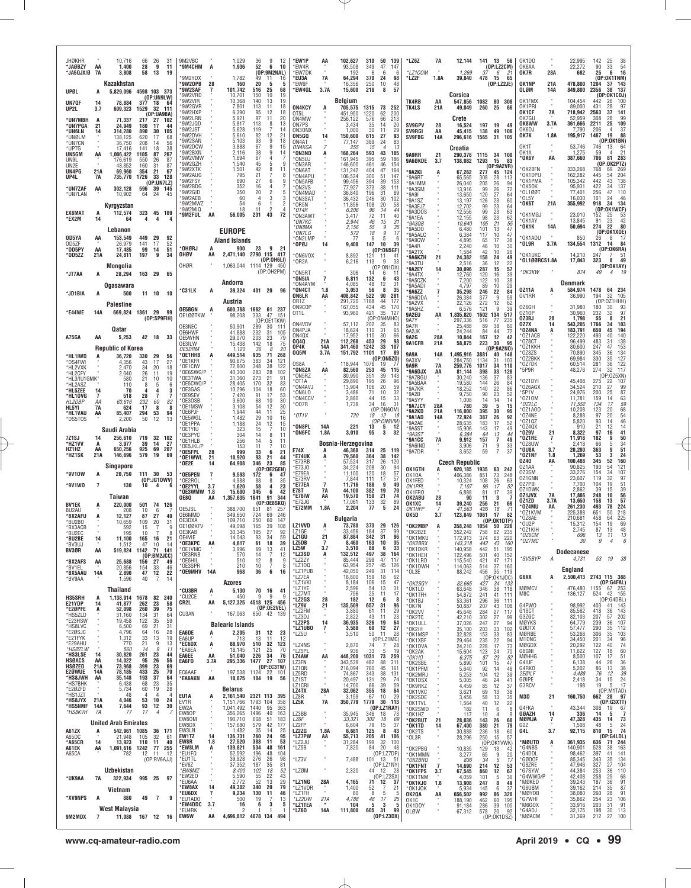| <b>JHØKHR</b><br>*JAØBZY<br>*JA5QJX/Ø 7A  | AA              | 10,716<br>1,400<br>3,808                  | 66<br>28<br>58                          | 26<br>31<br>-9<br>11<br>13<br>19                                            | 9M2VBC<br>'9M4CHM                            | A                    | 1,029<br>1,936                                        | 36<br>9<br>52<br>ĥ.<br>(OP:9M2NAL)                  | 12<br>10                      | *EW1P<br>*EW4R<br>*EW7DK                    | AA                                | 102,627<br>93.508<br>192             | 310<br>50<br>139<br>349<br>47<br>147<br>6<br>6<br>- 6                             | *LZ6Z<br>*LZ1COM                       | 7A                    | 12,144<br>1,269                          | 141 13<br>37                | 56<br>(0P:LZ2CM)<br>6<br>21                                   | OK <sub>1</sub> DC<br>OK6AA<br>OK7R  | 28A              | 22,995<br>22,272<br>682                 | 142<br>25<br>54<br>33<br>90<br>25<br>16<br>6                                                         |
|-------------------------------------------|-----------------|-------------------------------------------|-----------------------------------------|-----------------------------------------------------------------------------|----------------------------------------------|----------------------|-------------------------------------------------------|-----------------------------------------------------|-------------------------------|---------------------------------------------|-----------------------------------|--------------------------------------|-----------------------------------------------------------------------------------|----------------------------------------|-----------------------|------------------------------------------|-----------------------------|---------------------------------------------------------------|--------------------------------------|------------------|-----------------------------------------|------------------------------------------------------------------------------------------------------|
| <b>UPØL</b>                               | A               | Kazakhstan<br>5,829,096                   |                                         | 4598 103 373                                                                | 9M2YDX<br>'9W20PB<br><b>'9W2SAF</b>          | 28<br>7              | 1,782<br>160<br>101,742                               | 49<br>11<br>20<br>5<br>516<br>25                    | 16<br>5<br>68                 | *EU3A<br>*EW6F<br>*EW4GL                    | 7A<br>3.7A                        | 64,294<br>16,356<br>15,600           | 370<br>98<br>24<br>250<br>10<br>48<br>218<br>8<br>57                              | *LZ2F                                  | 1.8A                  | 39,840                                   | 478                         | - 15<br>65<br>(OP: LZ2JE)                                     | OK1NP<br>OLØM                        | 21A<br>14A       | 478,800<br>849,800                      | (OP:OK1TNM)<br>1204<br>143<br>37<br>38 137<br>2356                                                   |
| UN7QF<br>UP2L                             | 14<br>3.7       | 78,884<br>609,323                         | 377<br>1529                             | (OP:UNGLW)<br>18<br>-64<br>32<br>- 111                                      | 9W2VRD<br>9W2VIR<br>9W2GVR<br>9W2HXP         |                      | 10,701<br>10,368<br>7,801<br>6.390                    | 150<br>10<br>140<br>13<br>113<br>11<br>95<br>12     | 19<br>19<br>18<br>18          | ON4KCY<br>OT5L                              | A                                 | Belgium<br>705,575<br>451,950        | 1315<br>73<br>252<br>1220<br>62<br>200                                            | TK4RB<br><b>TK4LS</b>                  | AA<br>21A             | Corsica<br>547,856<br>49,049             | 1082 80<br>260              | 308<br>25<br>66                                               | OK1FMX<br>OK1PRI<br>OK1CF            | <b>7A</b>        | 104.454<br>89,000<br>718,942            | (OP:OK1CDJ)<br>100<br>442<br>26<br>431<br>28<br>97<br>2563<br>37<br>141                              |
| *UN7MBH<br>*UN7PGA<br>*UN6LN              | A<br>21         | 71,337<br>24,949<br>314,280               | 217<br>180<br>890                       | (DP:UABBA)<br>27<br>102<br>17<br>44<br>30<br>105                            | 9W2LRN<br>9W2JQD<br>'9W2JST                  |                      | 5,921<br>5.817<br>5,628                               | 97<br>11<br>113<br>$\frac{8}{5}$<br>119             | 20<br>13<br>14                | ON4MW<br>ON7PS<br>ON3ONX                    |                                   | 256,122<br>3.434<br>1.000            | 576<br>66<br>213<br>35<br>14<br>20<br>30<br>11                                    | <b>SV9GPV</b><br>SV9RGI                | 28<br>AA              | Crete<br>16,524<br>45,415                | 197 19<br>138               | 49<br>49<br>106                                               | OK7GU<br>OK8WW<br>OK6DJ              | 3.7A             | 52,959<br>361,666<br>7.790              | 308<br>28<br>99<br>$\frac{109}{37}$<br>2211<br>25<br>206<br>4                                        |
| *UNØLM<br>*UN7CN<br>*UP7G                 | 14              | 138,125<br>36,750<br>17.416               | 620<br>208<br>141                       | 17<br>68<br>14<br>56<br>18<br>38                                            | 9W2DVH<br>'9W2SAN<br>9W2DCW                  |                      | 5,610<br>5.103<br>3,888                               | 82<br>12<br>93<br>9<br>67<br>9                      | 21<br>18<br>15                | ON5GQ<br>ON4AT<br><i>ON4KGA</i>             | 14                                | 150,600<br>77,147<br>255             | $\frac{29}{93}$<br>615<br>27<br>389<br>24<br>83<br>15<br>4<br>13                  | <b>SV9FBG</b>                          | 14A                   | 296,616<br>Croatia                       | 1565                        | 31<br>105                                                     | OK7K<br>OK1T                         | 1.8A             | 195,917<br>53,746                       | 19<br>88<br>1467<br>(OP:OK1BN)<br>746<br>13<br>64                                                    |
| UN5GM<br>UN9L<br>UN2E                     | AA              | 1,006,422<br>176.619<br>48.852            | 1105<br>550<br>160                      | 87<br>267<br>26<br>87<br>31<br>87                                           | 9W2BXN<br>9W2VMW<br>9W2GZH                   |                      | 2,116<br>1,694<br>1,540                               | 38<br>9<br>67<br>45<br>5                            | 14<br>9                       | *ON3ND<br>'ON5UJ<br>*ON3AR                  | A                                 | 168,264<br>161.945<br>146,600        | 593<br>43<br>185<br>395<br>59<br>186<br>461<br>46<br>154                          | 9A9RR<br>9A6ØKDE                       | 21<br>3.7             | 290,378<br>138,082                       | 1115 34<br>1293             | 100<br>15<br>83<br>(0P:9A2VR)                                 | OK1A<br>°0К6Y                        | AA               | 1,275<br>387,660                        | 21<br>59<br>$\mathbf{A}$<br>706<br>81<br>283<br>(OP:0K2PTZ)                                          |
| UN4PG<br>UP4L                             | 21A<br>7A       | 69,960<br>735,770                         | 354<br>1726                             | 21<br>67<br>33<br>128<br>(OP:UN7LZ)                                         | 9W2XTK<br>9W2AUG<br>'9W2FSY                  |                      | 1,501<br>795<br>690                                   | 42<br>8<br>21<br>27<br>6                            | 11<br>8<br>9                  | *ON6AT<br>*ON4APL<br>*ON5AFB                |                                   | 131,242<br>106,524<br>99,456         | 164<br>404<br>47<br>300<br>147<br>51<br>39<br>394<br>153                          | *9A2KI<br>*9A6RT<br>*9A1MM             |                       | 67,262<br>65,565<br>26,040               | 277<br>308<br>205           | 45<br>124<br>28<br>113<br>26<br>94                            | *OK2BFN<br>*OK1DPU<br>*OK1PMA        |                  | 333,268<br>162,282<br>105,342           | 269<br>768<br>69<br>204<br>445<br>54<br>442<br>43<br>138                                             |
| *UN7ZAF<br>*UN7LAN                        | AA              | 302,128<br>10,902                         | 596<br>64                               | 39<br>145<br>24<br>45                                                       | '9W2BDG<br>'9W2GID<br>9W2AFB<br>9W2MWZ       |                      | 352<br>350<br>60<br>54                                | 16<br>4<br>20<br>2<br>3<br>4<br>6                   | 7<br>5<br>3<br>$\overline{2}$ | *ON3VS<br>*ON4MAD<br>*ON3SAT                |                                   | 77,927<br>36,840<br>36,432           | 38<br>373<br>111<br>196<br>31<br>89<br>246<br>30<br>102                           | *9A3SM<br>*9A91<br>*9A1SZ              |                       | 13,916<br>13,650<br>13,197               | 99<br>120<br>126            | 72<br>$\frac{26}{27}$<br>64<br>23<br>60                       | *OK5OK<br>*OL1ØØT<br>*OL5Y<br>*ОК6Т  | 21A              | 95,931<br>77,401<br>16.030              | 422<br>34<br>137<br>256<br>47<br>110<br>101<br>46<br>24<br>134<br>918<br>34                          |
| EX8MAT<br>*EX2M                           | A<br>14         | Kyrgyzstan<br>112,574<br>64               | 323<br>4                                | 45 109<br>4<br>4                                                            | 9W2MIQ<br>'9M2FUL                            | AA                   | 18<br>56,005                                          | 11<br>$\overline{\phantom{a}}$<br>43<br>231         | $\overline{4}$<br>72          | *OR5N<br>*0T4R<br>*ON3AWT<br>*ON7KC         |                                   | 11,856<br>6,206<br>3,417<br>2,944    | 108<br>20<br>58<br>96<br>14<br>44<br>72<br>11<br>40<br>46<br>15<br>31             | *9A3EJZ<br>*9A3DOS<br>*9A1EA           |                       | 12,702<br>12,556<br>12,155               | 99<br>99<br>98              | 23<br>64<br>23<br>63<br>23<br>62                              | *OK1MGJ<br>*OK1AY                    |                  | 355,992<br>23,010<br>13,845             | (OP:OK1WCF)<br>152<br>$\frac{53}{42}$<br>25<br>23<br>91                                              |
| OD5YA                                     | AA              | Lebanon<br>153,549                        | 449                                     | -29<br>92                                                                   |                                              |                      | <b>EUROPE</b><br><b>Aland Islands</b>                 |                                                     |                               | *ON8MA<br>*ON7LG<br>*ON2LMP                 |                                   | 2,156<br>572<br>77                   | 55<br>9<br>35<br>18<br>9<br>17<br>6<br>5<br>6                                     | *9A3QB<br>*9A5D0<br>*9A5ALC<br>*9A9CW  |                       | 10,640<br>6,480<br>6,384<br>4,895        | 105<br>101<br>117<br>65     | 21<br>55<br>47<br>13<br>10<br>47<br>17<br>38                  | * OK1K<br>*OK1AOU                    | 14A              | 50,694<br>850                           | 80<br>274<br>22<br>(OP:OK1XOE)<br>26<br>8<br>- 17                                                    |
| OD5ZF<br>*OD5PY<br>*OD5ZZ                 | AA<br>21A       | 26,979<br>17,485<br>24,811                | 141<br>99<br>197                        | 52<br>17<br>14<br>51<br>9<br>34                                             | 'OHØRJ<br>OHØV                               | A<br>АΑ              | 900<br>2,471,140                                      | 23<br>9<br>2790 115 417                             | 21                            | *OPØJ<br>*ON6VOX                            | 14                                | 9,408<br>8,892                       | 10<br>147<br>39<br>(OP:ON5GF)<br>121<br>11<br>-41                                 | *9A4R<br>*9A2TX<br>*9A6KZH             | 21                    | 2,240<br>1,584<br>24,382                 | 46<br>42<br>158             | 30<br>10<br>26<br>10<br>24<br>49                              | *OL9R<br>*OK1UKC                     | 3.7A             | 134,554<br>14,210                       | - 84<br>1312<br>-14<br>(OP:OK6RA)<br>247<br>- 51<br>7                                                |
| *JT7AA                                    | A               | Mongolia<br>28,294                        | 163                                     | 29<br>65                                                                    | OHØR                                         |                      |                                                       | (OP:OH6LI)<br>1,063,044 1114 129 450<br>(OP:0H2PM)  |                               | *OR2A<br>*ON5RT                             |                                   | 6,216<br>306                         | 9<br>113<br>33<br>(OP:ON1DX)<br>14<br>6                                           | *9A3TU<br>*9A2EY<br>*9A4TX             | 14                    | 2,516<br>30,096<br>12,760                | 36<br>287<br>120            | 12<br>22<br>57<br>15<br>39<br>16                              | *OL100RCS1.8A<br>*OK3KW              |                  | 17,043<br>874                           | 49<br>323<br>-8<br>(0P:OK1AY)<br>49<br>$\overline{4}$                                                |
| *JD1BIA                                   | А               | <b>Ogasawara</b><br>500                   | 11 10                                   | 10                                                                          | <b>C31LK</b>                                 | A                    | Andorra<br>39,324                                     | 401 20                                              | 96                            | *ON5IA<br>*ON4AYM<br>*ON4CT<br><b>ON6LR</b> | 1.8<br>AA                         | 6,811<br>4,085<br>3.053<br>408,842   | 132<br>6<br>43<br>48<br>12<br>31<br>56<br>- 8<br>35<br>522<br>90<br>281           | *9A5CZK<br>*9A5ADI<br>*9A6ZZ           |                       | 7,200<br>4,797<br>35,298                 | 122<br>89<br>246            | 38<br>10<br>29<br>10<br>22<br>84                              | 0Z11A<br>0V1RR                       | A                | Denmark<br>584,974<br>36,990            | 1478 64 234<br>194<br>32<br>105                                                                      |
| *E44WE                                    | 14A             | Palestine<br>669,824 1861 29              |                                         | 99                                                                          | OE5BGN                                       |                      | Austria<br>600,768                                    | 1662 61 237                                         |                               | 0R17<br>ON9COP<br>OT1L                      |                                   | 291,720<br>167,055<br>93,960         | 1168<br>44<br>177<br>45<br>434<br>170<br>421<br>35<br>127                         | *9A6DDA<br>*9A2VX<br>*9A5HZ<br>9A2EU   | AA                    | 26,384<br>22,126<br>6,576                | 377<br>272<br>121           | 9<br>59<br>12<br>62<br>9<br>39<br>517                         | OZ6GH<br>0Z10P                       |                  | 31,980<br>30,960                        | (OP:0Z1HHH)<br>180<br>$\frac{93}{97}$<br>232<br>32                                                   |
|                                           |                 | Qatar                                     |                                         | (OP:SP9FIH)                                                                 | OE1ØØTKW<br>OE3NEC<br>OE6HWF                 |                      | 98,208<br>50,901<br>41,888                            | 47<br>333<br>(OP:OE1TKW)<br>289<br>30<br>232<br>31  | 151<br>111<br>105             | ON4VDV<br>ON4PJA                            |                                   | 57,112<br>18,624                     | (OP:ON4MHO)<br>202<br>35<br>83<br>110<br>31<br>65                                 | 9A7Y<br>9A7R<br>9A2JK                  |                       | 1,835,820<br>297,336<br>25.488<br>24,244 | 1602 134<br>516<br>89<br>84 | 77<br>235<br>38<br>80<br>44<br>72                             | OZ3BJ<br>OZ7X<br>*OZ4NA              | 28<br>14         | 1,798<br>543,205<br>183,791             | 21<br>55<br>8<br>1766<br>34<br>103<br>194<br>650<br>45                                               |
| A75GA                                     | AA              | 5,253<br><b>Republic of Korea</b>         | 42                                      | 18                                                                          | OE5WHN<br>OE3ILW<br><i>OF5DRM</i>            |                      | 29,070<br>15,438<br>1,120                             | 203<br>23<br>142<br>18<br>36                        | 79<br>75<br>20                | ON4QX<br>0040<br>OP4K                       | 21A<br>14A                        | 17,952<br>112,268<br>341,460         | 110<br>30<br>66<br>29<br>98<br>453<br>1242<br>33<br>107                           | 9A2G<br>9A1CFR                         | 28A<br>21A            | 10,044<br>58,875                         | 167<br>223                  | 12<br>42<br>30<br>95<br>(OP:9A2NO)                            | *OZ1ACB<br>*OZ8CT<br>*OZ1KKH         |                  | 122,220<br>96,499<br>80,600             | 140<br>493<br>40<br>138<br>483<br>31<br>247<br>47<br>153                                             |
| *HL1IWD<br>*DS4FWI<br>*HL2VXK             |                 | 36,720<br>4,356<br>2,470                  | 330<br>43<br>34                         | 29<br>56<br>17<br>27<br>20<br>18                                            | OE1HHB'<br>OF1KFR<br>OE1CIW                  |                      | 449,514<br>90,675<br>72,800                           | 935<br>71<br>383<br>34<br>38<br>348                 | 268<br>121<br>122             | 005M<br>OS8A<br>*ON8ZA                      | 3.7A<br>AA                        | 151,792<br>118.944                   | 17<br>1101<br>89<br>(OP:0N5Z0)<br>1076<br>19<br>77                                | 9A9A<br>9A3XV<br>9A9R                  | 14A<br>7A             | 1,495,916<br>284,750<br>259,776          | 3881<br>1134<br>1017        | 40<br>148<br>31<br>103<br>34<br>110                           | '0Z8ZS<br>*OZ2BKK<br>'0Z7DK          |                  | 70,890<br>69,984<br>60,514              | $\frac{134}{127}$<br>345<br>36<br>330<br>35<br>122<br>281<br>36<br>117                               |
| *HL2CFY<br>*HL3/IU1GMK'<br>*HL2ASZ        |                 | 2,040<br>580<br>110                       | 26<br>21<br>8                           | 19<br>11<br>10<br>10<br>6<br>-5                                             | OE6SWG/P<br>OE3TWA<br>OE5CWO/P               |                      | 40,300<br>31,360<br>28,405                            | 283<br>28<br>273<br>21<br>170<br>32                 | 102<br>91<br>83               | *ON5RZ<br>*0T1A<br>*ON4AVJ                  |                                   | 82,560<br>80.990<br>29,890<br>13,904 | 253<br>45<br>115<br>351<br>39<br>143<br>195<br>26<br>96<br>106<br>20<br>59        | *9A6DJX<br>*9A7BGU<br>*9A5BAA          | AA                    | 81,144<br>30,240<br>19,580               | 398<br>136<br>144           | 33<br>128<br>37<br>83<br>26<br>84                             | *5P9R<br>*OZ1DYI<br>*OZ6AGX          |                  | 48,276<br>45,408<br>34,524              | 274<br>32<br>(OP:0Z5XN)<br>275<br>107<br>22<br>27<br>210                                             |
| *HL5ZEE<br>*HL10VG<br>HL2DBP              | 14<br>7<br>AA   | 70<br>518<br>63,616                       | 4<br>28<br>232                          | 3<br>7<br>82<br>60                                                          | OE3GAS<br>OE9SEV<br>OE3OSB<br>OE1MSW         |                      | 10,296<br>7,420<br>3,600<br>3,108                     | 104<br>18<br>91<br>17<br>68<br>10<br>54<br>12       | 60<br>$\frac{53}{30}$<br>30   | *ON6LO<br>*ON4CCV<br>*007R                  |                                   | 3,486<br>2,880<br>1,739              | 32<br>71<br>10<br>44<br>15<br>$\begin{array}{c} 33 \\ 31 \end{array}$<br>34<br>16 | *9A7KR<br>*9A2B<br>*9A5YY<br>*9A7JCY   | 28A                   | 18,252<br>9,750<br>1,008<br>780          | 140<br>90<br>14<br>39       | 22<br>86<br>23<br>52<br>14<br>14<br>5<br>15                   | *5P1V<br>*0Z10M<br>*OZ2LC            |                  | 24,976<br>11,781<br>11,552              | $\frac{99}{87}$<br>200<br>25<br>159<br>$\begin{array}{c} 63 \\ 59 \end{array}$<br>14<br>134<br>17    |
| HL5YI<br>*HL1VAU<br>*DS5TOS               | 7A<br>AA        | 624<br>85,407<br>2,200                    | 17<br>294<br>50                         | 8<br>8<br>53<br>94<br>12<br>13                                              | OE6PJF<br>OE5WGL<br>*OE1PPA                  |                      | 1,944<br>1,482<br>1,188                               | 44<br>11<br>29<br>10<br>24<br>12                    | 25<br>16<br>15                | $*$ OT1V                                    |                                   | 720                                  | (OP:ON6OM)<br>18<br>12<br>-18<br>(OP:ON8VM)                                       | *9A2KD<br>'9A1AD<br>*9A2AE             | 21A<br>14A            | 116,000<br>72,924<br>28,635              | 395<br>387<br>183           | 30<br>95<br>$\overline{92}$<br>26<br>17<br>52                 | *0Z1A00<br>*OZ4NE<br>*0Z10Z          |                  | 10,208<br>8,288<br>5,820                | 68<br>123<br>20<br>54<br>20<br>97<br>46<br>93<br>14                                                  |
| 7Z1SJ<br>*HZ1VV                           | 14<br>А         | Saudi Arabia<br>256,610<br>3,977          | 719<br>39                               | 32 102<br>14<br>27                                                          | OE1YIU<br>OE3PYC<br>OE1HLB                   |                      | 323<br>304<br>256                                     | 15<br>$\overline{7}$<br>8<br>14<br>14<br>5          | 10<br>11<br>11                | *ON8PL<br>*ON6FC                            | 14A<br>1.8A                       | 221<br>3,010<br>Bosnia-Herzegovina   | 13<br>5<br>12<br>95<br>3<br>32                                                    | *9A5ST<br>$*943S$<br><b>*9A1CC</b>     | 7A                    | 15,906<br>6,384<br>9,912                 | 143<br>64<br>157            | 17<br>49<br>13<br>44<br>7<br>49                               | *0Z4QX<br>°0Z9V<br>*OZ1RE<br>*0Z8UW  | 21<br>7          | 910<br>8,322<br>11,918<br>2,418         | 14<br>21<br>12<br>97<br>16<br>41<br>9<br>50<br>182<br>66<br>5                                        |
| HZ1HZ<br>*HZ1SK                           | AA<br>21A       | 650.256<br>146,696                        | 925<br>579                              | 69<br>207<br>19<br>69                                                       | OE5JKL/P<br>'OE5FPL<br>OE1WWL*               | 28<br>21             | 153<br>999<br>10,920                                  | 11<br>33<br>6<br>93<br>21                           | 10<br>21<br>44                | E74X<br>*E74UK<br>*E73RB                    | A<br>А                            | 46,368<br>79,560<br>57,524           | 314<br>25<br>119<br>38<br>364<br>142<br>317<br>26<br>120                          | *9A6IND<br>*9A7DR                      |                       | 3,906<br>3,652<br><b>Czech Republic</b>  | 71<br>59                    | 9<br>33<br>$\overline{7}$<br>37                               | *OU8A<br>*OZ1NF<br>0Z40              | 3.7<br>1.8<br>AA | 20,280<br>1,269<br>100,488              | $\frac{34}{51}$<br>9<br>363<br>53<br>3<br>24<br>160<br>345<br>52                                     |
| *9V10W                                    | A               | Singapore<br>20,750                       | 111 30                                  | -53<br>(0P:JG10WV)                                                          | <b>OE2E</b><br>OE5PEN<br>OE2ROL              | 14<br>7              | 64,908<br>9,593<br>4.988                              | 346<br>23<br>(OP:OE2GEN)<br>172<br>6<br>88<br>8     | 85<br>47<br>35                | *E73J0<br>*E79EA<br>*E73RV                  |                                   | 34.224<br>11,100<br>7,844            | 208<br>30<br>94<br>57<br>120<br>18<br>57<br>111<br>17                             | OK1GTH<br>0K10A<br>OK1FED              |                       | 920.185<br>406,386<br>10,324             | 1935<br>851<br>108          | 63<br>242<br>73<br>248<br>26<br>63                            | OZ1AA<br>0Z3SM<br>OZ1GNN             |                  | 90,825<br>33,276<br>23,607              | 193<br>54<br>121<br>107<br>34<br>154<br>97<br>119<br>32                                              |
| *9V1W0                                    | $\overline{7}$  | 130<br>Taiwan                             | 10                                      | 4<br>-6                                                                     | 'OE2YYL<br>0E3WMW<br><b>OE8Q</b>             | 3.7<br>1.8<br>AA     | 1,620<br>15,600<br>1,357,635                          | 58<br>4<br>345<br>6<br>91<br>1641                   | 23<br>42<br>344               | *E77EA<br><b>E78T</b><br>*E78IW             | $\overline{7}$<br><b>7A</b><br>AA | 11,716<br>44.100<br>19,570           | 188<br>9<br>49<br>382<br>19<br>79<br>150<br>21<br>74                              | OK1PPL<br>OK1FRO<br>OK2ABU             | 28                    | 7.107<br>6,888<br>90                     | 96<br>81<br>11              | 17<br>52<br>17<br>39<br>3<br>7                                | 0Z7PBI<br>0Z1DWK<br>OZ1JVX           | 7A               | 7.700<br>2,862<br>17,886                | 104<br>19<br>51<br>$\begin{array}{c} 39 \\ 56 \end{array}$<br>39<br>15<br>248<br>10<br>57            |
| <b>BV1EK</b><br>BU2AU<br>*BX2AFU          | A<br>A          | 220,000<br>208<br>12,127                  | 501<br>10<br>87                         | 74<br>126<br>-6<br>27<br>40                                                 | OE5JSL<br>OE6MMD                             |                      | 388,700<br>349,650                                    | (OP:OE8SKQ)<br>651<br>-81<br>724<br>69              | 257<br>246                    | *E72JG<br>*E72MM                            | 1.8A                              | 17,061<br>2,204<br><b>Bulgaria</b>   | 133<br>32<br>89<br>5<br>77<br>24                                                  | OK1XC<br>OK1HFP<br>OK5D                | 14<br>3.7             | 39,240<br>41,563<br>123,849              | 256<br>426<br>1061          | 21<br>69<br>18<br>71<br>17<br>82                              | OZ1ZD<br>*OZ4MU<br>*OZ1KVM<br>*OZ8AE | 3.7A<br>AA       | 13,650<br>261,230<br>225,388<br>210,681 | 158<br>13<br>78<br>224<br>493<br>218<br>651<br>50<br>225<br>458<br>64                                |
| *BU2BO<br>*ВХЗАСВ<br>*BU2EC               |                 | 10.659<br>592<br>195                      | 109<br>15<br>10                         | 20<br>31<br>9<br>8                                                          | OE3DXA<br>0E1ØØKFV<br>OF3KAB<br>OE4VIE       |                      | 109,710<br>49,098<br>30,345<br>14,043                 | 250<br>60<br>165<br>39<br>195<br>27<br>93<br>34     | 147<br>108<br>92<br>59        | LZ1VVD<br>LZ1GE<br>LZ1GU                    | 21                                | 73,780<br>33,456<br>87,884           | 373<br>29<br>126<br>184<br>37<br>99<br>342<br>31<br>96                            | *OK2MBP<br>*OK2BZE<br>*OK1MKU          | A                     | 358,248<br>352,242<br>172,913            | 1054<br>758<br>374          | (OP:OK1DTP)<br>50<br>226<br>62<br>235<br>63<br>220            | OU2P<br>*OZ1KIH<br>*OZ6CM            |                  | 15,312<br>2,745<br>696                  | 69<br>154<br>19<br>13<br>48<br>87<br>13<br>13<br>11                                                  |
| *BU2BE<br><b>BV3UJ</b><br>BV3ØR           | 14<br>AA        | 11,100<br>519,824 1142                    | 165<br>47                               | 16<br>21<br>1U<br>71 141<br>(OP:BM2JCC)                                     | <b>OF3KPC</b><br>OE1VMC<br>OE3RNB            |                      | 4 617<br>3,996<br>570                                 | 61<br>18<br>69<br>$\frac{13}{7}$<br>14              | 39<br>41<br>12                | LZ5W<br>*LZ3SD                              | 3.7<br>A                          | 8.460<br>3,510<br>132,512            | 163<br>10<br>35<br>88<br>6<br>33<br>497<br>38<br>164                              | *OK2RDY<br>*OK1DKR<br>*OK1HEH          |                       | 143.318<br>140,958<br>122,496            | 442<br>442                  | $\Delta$<br>160<br>51<br>195<br>40<br>152                     | *OZ7MC                               |                  | 30<br><b>Dodecanese</b>                 | 9                                                                                                    |
| *BX2AFS<br>*BV1EL<br>*BX5AAU              | AA<br>14A       | 25,688<br>20,856<br>2,890                 | 156 27<br>154<br>47                     | 49<br>46<br>33<br>12<br>22                                                  | OE5HIL*<br>OE3SPR<br>*OE9MHV 14A             | $\alpha$             | 510<br>210<br>968                                     | 12<br>8<br>10<br>7<br>36<br>6                       | 9<br>8<br>16                  | *LZ2ZY<br>*LZ1DQ<br>*LZ1PUB                 |                                   | 85,444<br>63,954<br>42,050           | 299<br>47<br>117<br>257<br>45<br>126<br>249<br>31<br>114                          | *OK1LRD<br>*OK1DWH<br>*OL3E            |                       | 115,540<br>114,063<br>88,242             | 501<br>421<br>514<br>456    | 47<br>171<br>37<br>160<br>35<br>119                           | *SV5BYP                              | A                | 4,731<br>England                        | 53<br>19 38                                                                                          |
| *BV9AA                                    |                 | 1,596<br>Thailand                         | 40                                      | 7<br>14                                                                     | <b>CU3BR</b>                                 | A                    | Azores<br>5,130                                       | 70 16                                               | 41                            | *LZ7EA<br>*LZ1VKI<br>*LZ1YE<br>*LZ7MT       |                                   | 16,800<br>8,184<br>2,596<br>756      | 159<br>18<br>62<br>106<br>15<br>47<br>54<br>13<br>31<br>11<br>17                  | *OK2SGY<br>*OK1LO                      |                       | 82,665<br>63,648                         | 427<br>346                  | (0P:0K1J0C)<br>34<br>133<br>38<br>118                         | G6XX<br>MØMCV<br>M8C                 | A                | 476,480<br>136,127                      | 2,500,413 2743 115 388<br>(OP:G4FAL)<br>1155 67 253<br>524 42 155                                    |
| <b>HS5SRH</b><br>E21YDP<br>*E2ØPFE        | A<br>14<br>A    | 1,138,914 1678 82 240<br>41,877<br>52,098 | 262<br>260                              | 23<br>58<br>75<br>39                                                        | °CU2CE<br>CR2L                               | AA                   | 450<br>5,127,325                                      | 9<br>9<br>4518 125 456<br>(0P:0E2VEL)<br>650 42 139 | 9                             | *LZ2GS<br>*LZ9V<br>*LZ2FM                   | 28<br>21                          | 182<br>135,509<br>3,880              | $\frac{25}{12}$<br>6<br>8<br>657<br>31<br>96<br>29<br>61<br>11                    | *OK1TFH<br>*OK1BJ<br>*OK7N<br>*OK2VV   |                       | 54,872<br>53,361<br>50,887<br>45,648     | 241<br>296<br>207<br>284    | 41<br>111<br>$\frac{36}{43}$<br>111<br>108<br>27<br>117       | G4PW0<br>G1SCT                       |                  | 98,992<br>85,562                        | (OP:G4DBL<br>403<br>41 143<br>143<br>418<br>36                                                       |
| *HS5ZLD<br>*E23HSW<br>*HS8LVC<br>*E2ØSJC  |                 | 31,160<br>19,458<br>6,500<br>4,796        | 134<br>122<br>69<br>64                  | 31<br>64<br>59<br>$\begin{array}{c} 35 \\ 21 \end{array}$<br>31<br>28<br>16 | CU3AN                                        |                      | 167,063<br><b>Balearic Islands</b>                    |                                                     |                               | *LZ3DJ<br>*LZ2PS<br>*LZ1UBO                 | 14<br>7                           | 2,822<br>36,935<br>3,588             | 43<br>23<br>11<br>64<br>326<br>19<br>60<br>12<br>27                               | *OK2TC<br>*OK1ULL<br>*OK2IH            |                       | 42,210<br>37,026<br>35,100               | 302<br>247<br>203           | 27<br>-99<br>27<br>94<br>33<br>102                            | G3ZGC<br>MØYKS<br>GØDTX              |                  | 82,103<br>64,779<br>57,477              | 207<br>57<br>202<br>239<br>107<br>36<br>290<br>35<br>112                                             |
| *E21FYK<br>*E29AHU<br>*HSØZLW             |                 | 1,312<br>770<br>560                       | 33<br>21<br>14                          | 13<br>19<br>9<br>13<br>11<br>9                                              | EA6DE<br>EA6UP<br>*EC6DX<br>*FA6FA           | A<br>A               | 2,205<br>713<br>88,970<br>18.145                      | 31<br>12<br>13<br>11<br>510<br>32<br>121            | 23<br>12<br>123<br>70         | *LZ5U<br>*LZ4NS<br>*LZ5PL                   |                                   | 3,510<br>2,870<br>936                | 50 11<br>28<br>(OP:LZ1MC)<br>4728<br>74<br>33<br>5<br>19                          | *OK1MSP<br>*OK1XBF<br>*OK1DVA          |                       | 32,828<br>29,464<br>24,210               | 153<br>235<br>228<br>123    | 33<br>83<br>$rac{22}{17}$<br>94<br>73                         | MØRBE<br>M1DNC<br>MØGDX<br>G8GNI     |                  | 53,268<br>34,450<br>20,292              | 103<br>35<br>306<br>201<br>$\frac{96}{74}$<br>34<br>122<br>40<br>60                                  |
| *HS3LSE<br><b>HSØACS</b><br><b>HSØZED</b> | 14<br>AA<br>21A | 30,820<br>14,022<br>73,968                | 261<br>95<br>399                        | 23<br>44<br>26<br>56<br>$^{23}_{25}$<br>69<br>70                            | EA6EE<br>EA6FO                               | AA<br>3.7A           | 51,040<br>295,336                                     | $\frac{25}{34}$<br>226<br>1477 27 107<br>(0P:EC3TW) | 76                            | LZ4AW<br>LZ3FN<br>LZ1QN                     | AA                                | 448,200<br>343,539<br>216,094        | 1031<br>73<br>259<br>482<br>88<br>311<br>760<br>45<br>161                         | *OK2AK<br>*0K1I0<br>*OK2SBE<br>*OK1PFM |                       | 15,604<br>6,375<br>5,890<br>5,640        | 87<br>101<br>92             | 24<br>70<br>23<br>52<br>$\frac{15}{14}$<br>47<br>46           | MØHHG<br>G4IUF<br>G4RKO              |                  | 11,622<br>8,500<br>6,138<br>5,202       | 127<br>18<br>107<br>17<br>51<br>26<br>36<br>44<br>38<br>86<br>13                                     |
| <b>E2ØWUE</b><br>*HS8JWH<br>*HS7BHK       | 14A<br>AA       | 78,185<br>35,148<br>6,438                 | 433<br>193<br>68                        | 37<br>64<br>35<br>23                                                        | EC6AAE<br>*EA6AKN                            | AA                   | 10,875                                                | 197,538 1124 22 101<br>19<br>104                    | 56                            | LZ5RD<br>LZ1ST<br>LZ1CRI                    |                                   | 74,867<br>20,497<br>14,700           | 343<br>38<br>131<br>131<br>$\substack{29 \\ 39}$<br>74<br>59<br>-66               | *OK2MRJ<br>*OK1DSX<br>*OK9RKZ          |                       | 5,253<br>5,005<br>4,459                  | 104<br>46<br>85             | 12<br>39<br>24<br>41<br>12<br>37                              | 2EØILF<br>GØIPE<br>G3RCV             |                  | 4,488<br>2,418<br>198                   | 76<br>12<br>39<br>$\frac{24}{17}$<br>34<br>$\begin{array}{c} 15 \\ 5 \end{array}$<br>19              |
| *E20ZFD<br>*HS1JZT<br>*HS8JYX<br>*HS5NMF  | 21A<br>14A      | 5,734<br>48<br>4,046<br>7,644             | 60<br>$\boldsymbol{\Delta}$<br>53<br>93 | 19<br>28<br>$\overline{4}$<br>-4<br>10<br>24<br>12<br>30                    | EU1A<br>EV1R                                 | A                    | <b>Belarus</b><br>2,161,540 2321 113 395<br>1,151,766 | 1793 104                                            | 358                           | LZ4TX<br>LZ8R<br>LZ5K                       | 28A<br>7A                         | 32,062<br>3,159<br>350,779 1779      | 355<br>18<br>64<br>29<br>67<br>10<br>30<br>113                                    | *OK1VKC<br>*OK2SDE<br>*OK1TVL          |                       | 3,621<br>3,456<br>1,564                  | 69<br>58<br>40              | $\frac{13}{13}$<br>38<br>35<br>12<br>22                       | M3D                                  | 21               | 160,750                                 | (OP: M1TAD)<br>97<br>662 28<br>(OP:G3XTT)                                                            |
| *HS8KVH                                   | 7A              | 77<br><b>United Arab Emirates</b>         | 17                                      | $\overline{4}$                                                              | FW <sub>2</sub> A<br>EW80P<br>EW80M<br>EW8DX |                      | 1,041,492<br>356,265<br>190,710<br>157,680            | 1440<br>95<br>1496<br>40<br>608<br>51<br>42<br>579  | 363<br>163<br>183<br>177      | LZ3BB<br>LZ6F<br>LZ2FP                      |                                   | 35,945<br>33,321<br>6,604            | (OP: LZ1RAY)<br>346<br>18<br>73<br>302<br>18<br>69<br>79<br>15<br>37              | *OK2SWD<br>*OK1HZ<br>*OK2BUT           | 21                    | 182<br>117<br>28,036                     | 11<br>10<br>143             | 6<br>8<br>9<br>-4<br>26<br>60                                 | G4FKA<br>GØAZH<br>MØMJA<br>G2Z       | 14<br>7          | 43,344<br>336<br>47,328<br>1,508        | 308<br>67<br>19<br>14<br>-5<br>- 7<br>435 14<br>- 73                                                 |
| <b>A61ZX</b><br>A65DC<br>*A65CR           | A<br>14         | 542,961 1085 36 171<br>21,948<br>13,923   | 105<br>110                              | 32<br>61<br>40<br>11                                                        | FW3I N<br>EW1TZ<br><b>EW8R</b>               | 14<br>1.8            | 1,482<br>136,731<br>27,520                            | 35<br>14<br>760<br>24<br>388<br>11                  | 25<br>95<br>53                | <b>LZ2ZG</b><br>*LZ7PW<br>*172.111          | 1.8A<br>AA                        | 6,681<br>55,713<br>31,284            | 125<br>43<br>8<br>106<br>205<br>41<br>199<br>32<br>100                            | *OK1TD<br>*OK2TS<br>$*$ OL3R           | 14                    | 67,400<br>30,888<br>28,296               | 380<br>236<br>250           | 21<br>79<br>$\frac{18}{15}$<br>60<br>57<br>(OP:OK1VWK)        | G4L<br>*MØUTD                        | 3.7<br>A         | 92,115<br>361,935                       | $\frac{24}{74}$<br>$\begin{array}{cc} 48 & 5 \\ 810 & 15 \end{array}$<br>(OP:G4LDL)<br>71 244<br>636 |
| A61EK<br>A65CA                            | AA              | 1,091,616 1242<br>782                     | 12                                      | 77<br>255<br>11<br>12<br>(OP:RV6AJJ)                                        | *EW8LM<br>*EU1FQ<br>*EU1TL                   | А                    | 139,821<br>52,592<br>39,928                           | 534<br>48<br>196<br>48<br>276<br>26                 | 161<br>104<br>98              | *LZ5B<br>*LZ3V                              |                                   | 7,820<br>7,488                       | 20<br>84<br>48<br>(OP: LZ7DP)<br>101 13 51                                        | *OK2PBG<br>*OK1MMN<br>*OK2BRQ          |                       | 10,835<br>3,277<br>836                   | 129<br>65<br>34             | 42<br>$\begin{array}{c} 13 \\ 9 \end{array}$<br>20<br>5<br>17 | *G4NBS<br>*G4DDL<br>*GØOOF           |                  | 140,901<br>98,462<br>85,345             | 163<br>528<br>38<br>141<br>397<br>41<br>134<br>343<br>35                                             |
| *UK9AA                                    | 7A              | Uzbekistan<br>322,934                     | 995 25                                  | 97                                                                          | EV6Z<br>*EW8MZ<br>'EW2E0                     |                      | 37,352<br>8,400<br>5,590                              | 187<br>35<br>102<br>18<br>22<br>55                  | 81<br>52<br>43                | *LZØM                                       |                                   | 2,320                                | (OP:LZ1NY)<br>44<br>12<br>28<br>(OP: LZ2SX)                                       | *OK1FNT<br>*OK1FPS<br>*OK1TNM          | $\overline{7}$<br>3.7 | 14,690<br>67,545<br>4,059                | 214<br>860<br>101           | 12<br>53<br>12<br>67<br>$\frac{5}{8}$<br>36                   | *G8ZRE<br>*G7SYW<br>*G4WWG/P         |                  | 47,946<br>44,384<br>42,408              | $\frac{104}{110}$<br>327<br>27<br>253<br>36<br>258<br>25<br>68                                       |
| *XV9NPS                                   | A               | Vietnam<br>880                            | 49                                      | $\overline{7}$<br>9                                                         | 'EU6AA<br>'EW8AX<br>*EU6DX<br>*EU1ADO        | 14<br>$\overline{I}$ | 2,772<br>49,302<br>9,234<br>500                       | 52<br>13<br>340<br>20<br>130<br>11<br>19<br>7       | 29<br>79<br>46<br>13          | *LZ1NG<br>*LZ1VDR<br>*LZ1FH                 | 28A                               | 4,165<br>1,400<br>-80                | 37<br>71 12<br>7<br>21<br>52<br>8<br>5<br>-5<br>17                                | *OK1KJO<br>*OK1JOK<br>OK2QA            | 1.8<br>AA             | 13,908<br>5,934<br>656,502               | 247<br>145<br>992           | 49<br>6<br>37<br>86<br>320                                    | *MØKED<br>*G6UBM<br>*MØYDB<br>*G7WHI |                  | 39,243<br>39,162<br>38,080              | 91<br>187<br>36<br>214<br>35<br>87<br>260<br>28<br>91<br>254<br>23                                   |
| 9M2MDX                                    | 7               | West Malaysia                             |                                         | 11,088 167 12 16                                                            | <b>EW4DDC</b><br>*EU4RK<br>EW6W              | 3.7<br>AA            | 16<br>2<br>4,696,812 4078 134 494                     | - 6<br>-3<br>-1                                     | -5                            | *LZ2UW<br>*LZ1TEA<br>*LZ60                  | $21A$<br>14A                      | 4,788<br>104<br>111,800              | 48<br>25<br>3<br>5<br>5<br>605<br>31<br>99<br>(OP: LZ3DX)                         | OK1C<br>OK1DOY<br>OLØW                 |                       | 188,190<br>91,184<br>67,312              | 462<br>286<br>578 20        | 60<br>195<br>39<br>100<br>92<br>(OP:OK1DSZ)                   | *M6GOX<br>*G4ADJ<br>*MØACM           |                  | 35,862<br>33,916<br>32,175<br>31,369    | 106<br>91<br>203<br>-31<br>198<br>30<br>113<br>27 100<br>212                                         |
|                                           |                 |                                           |                                         |                                                                             |                                              |                      |                                                       |                                                     |                               |                                             |                                   |                                      |                                                                                   |                                        |                       |                                          |                             |                                                               |                                      |                  |                                         |                                                                                                      |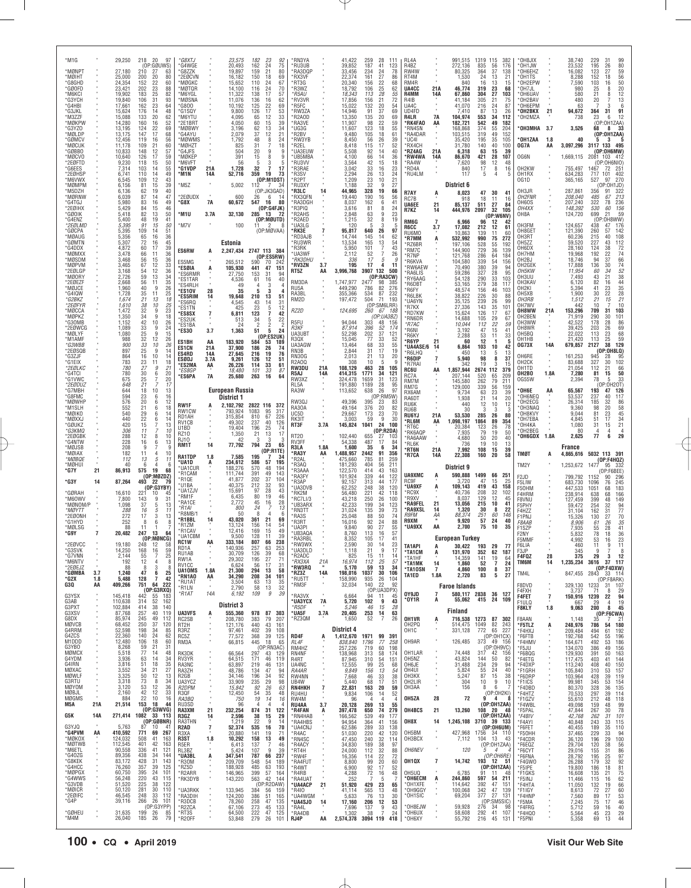| *M1G                           |           | 29,250                      | 218<br>20<br>97                                                                  | *G8XTJ                               |                   | 23,575                               | 182                                                                          | *RN3YA                             |                   | 41,422                                | 259                                            | 28<br>111                                                            | <b>RI 4A</b>                             |                       | 991,515                          | 1319 115<br>382                                                      | *OH8JIX                               |                            | 38,740                           | 229<br>31                                                                       |
|--------------------------------|-----------|-----------------------------|----------------------------------------------------------------------------------|--------------------------------------|-------------------|--------------------------------------|------------------------------------------------------------------------------|------------------------------------|-------------------|---------------------------------------|------------------------------------------------|----------------------------------------------------------------------|------------------------------------------|-----------------------|----------------------------------|----------------------------------------------------------------------|---------------------------------------|----------------------------|----------------------------------|---------------------------------------------------------------------------------|
| *MØNPT                         |           | 27.180                      | (OP:GØUWS)<br>210<br>27<br>63                                                    | 'G4WGE<br>'G8ZZK                     |                   | 20,493<br>19,897                     | $23$<br>$24$<br>$21$<br>$\frac{92}{75}$<br>162<br>159<br>80                  | *RU3UB<br>*RA3DQF                  |                   | 39,852<br>33.456                      | 187<br>234                                     | 41<br>123<br>78                                                      | R4BZ<br>RW4W                             |                       | 272,136<br>80,325                | 835<br>56<br>176<br>37<br>364<br>138                                 | *OH1JW<br>*OH6EHZ                     |                            | 23,532<br>16.082                 | $\begin{array}{c} 99 \\ 80 \end{array}$<br>195<br>26<br>123<br>27               |
| *MØIHT<br>*G8GHD               |           | 25,000<br>24.354            | 200<br>20<br>80<br>152<br>22<br>60                                               | *2EØCVN<br><b>MØGKC</b>              |                   | 16,182<br>15.652                     | 18<br>69<br>150<br>110<br>24<br>67                                           | *RX3VF<br>*RT3G                    |                   | 22,374<br>20.340                      | 161<br>156                                     | $\frac{24}{27}$<br>86<br>22<br>68                                    | RT4M<br>RM4R                             |                       | 1,530<br>840                     | 24<br>21<br>13<br>13<br>16<br>15                                     | *OH1TS<br>*OH2EPW                     |                            | 8,288<br>7,590                   | 59<br>56<br>152<br>18<br>50<br>103<br>16                                        |
| *GØOFD<br>*M6KCI               |           | 23,421<br>19.902            | 23<br>202<br>88<br>183<br>$\frac{25}{31}$<br>$\frac{82}{93}$                     | MØTQR<br>'M6YGL                      |                   | 14,100<br>11,322                     | 116<br>24<br>70<br>17<br>138<br>136<br>57                                    | *R3WZ<br><i><b>R5AU</b></i>        |                   | 18,792<br>18,343                      | 106<br>113                                     | 25<br>62<br>$\frac{28}{21}$<br>$\frac{55}{72}$                       | UA4CC<br>R4MM                            | 21A<br>14A            | 46,774<br>67,860                 | 319<br>23<br>68<br>304<br>$\frac{27}{21}$<br>103                     | *OH7JL<br>OH6UAV                      |                            | 980<br>580                       | 20<br>25<br>$\frac{12}{13}$<br>21<br>8                                          |
| *G3YCH<br>*G4HBI               |           | 19,840<br>17,661            | 106<br>23<br>64<br>162                                                           | *MØSNA<br>*G800                      |                   | 11,076<br>10,192                     | 16<br>62<br>125<br>$\frac{22}{17}$<br>69                                     | *RV3VR<br>*R5FC                    |                   | 17,856<br>15,022                      | 156<br>132                                     | 20<br>54                                                             | R4IB<br>UA4C                             |                       | 41.184<br>41,070                 | 305<br>75<br>24<br>216<br>87                                         | *OH2BAV<br>*OH6EPM                    |                            | 480<br>63                        | 20<br>$\overline{7}$<br>3<br>6                                                  |
| *G3JKL<br>*M3ZZF               |           | 15,624<br>15,088            | 48<br>176<br>14<br>133<br>20<br>62                                               | *G1SQY<br>M6YTU'                     |                   | 9,800<br>4,095                       | 126<br>53<br>65<br>12<br>33                                                  | *RW3ZA<br>R2A0D                    |                   | 14,946<br>13,350                      | 91<br>135                                      | 37<br>69<br>20<br>69                                                 | UD4FD<br>R4LR                            | 7A                    | 7,410<br>104,974                 | 87<br>13<br>26<br>553<br>34<br>112                                   | *OH2BKX<br>*OH2MZA                    | 21                         | 94,672<br>738                    | 91<br>364<br>31<br>23<br>12<br>6                                                |
| *MØKPW<br>*G3YZO               |           | 14.280<br>13,195            | 52<br>160<br>16<br>124<br>22<br>69                                               | *2E1BRT<br>'MØBWY                    |                   | 4,050<br>3,196                       | 15<br>60<br>39<br>62<br>13<br>34                                             | RA3VE*<br>UG3G                     |                   | 11,907<br>11,607                      | 98<br>123                                      | 22<br>59<br>18<br>55                                                 | *RK4FA0<br>*RN4SN                        | AA                    | 182,721<br>168,868               | 542<br>49<br>182<br>374<br>55<br>204                                 | *OH3MHA                               | 3.7                        | 3,526                            | (OP:OH1ZAA)<br>33<br>68<br>8                                                    |
| *MØLDF<br>*GØMC\               |           | 13,175<br>12,456            | 68<br>147<br>17<br>119<br>56<br>16                                               | 'G4AYU<br><b>MØWMS</b>               |                   | 2,079<br>1,792                       | 37<br>12<br>21<br>48<br>$\frac{8}{7}$<br>24                                  | ®R2BV<br>RW3YB                     |                   | 9,480<br>8,450                        | 105<br>56                                      | 18<br>61<br>26<br>39                                                 | *RA4DAR<br>*UC4I                         |                       | 103,515<br>35,420                | 49<br>152<br>319<br>195<br>$\frac{35}{40}$<br>105                    | *OH1ZAA                               | 1.8                        | 40                               | (OP:OH1ZAA)<br>з                                                                |
| *MØCUK<br>*GØBBO<br>*MØCVO     |           | 11.178<br>10,833<br>10,640  | 60<br>109<br>21<br>148<br>12<br>57<br>59<br>126<br>17                            | *MØHZT<br>*G4JFS<br>'MØKEP           |                   | 825<br>504<br>391                    | 31<br>18<br>20<br>9<br>9<br>15<br>8<br>9                                     | R2EL*<br>*UA3EUW<br>*UB5MBA        |                   | 8.418<br>5,508<br>4.100               | 115<br>92                                      | 17<br>52<br>14<br>40<br>14<br>36                                     | *RX4CH<br>*RZ4AG<br>'RW4WA               | 21A<br>14A            | 31,780<br>6,318                  | 140<br>100<br>39<br>63<br>15<br>421<br>28<br>107                     | OG7A<br>OG6N                          | AA                         | 3,097,296                        | 3117 133<br>495<br>(OP:OH6MW)<br>1,669,115 2081 103 412                         |
| *2EØFTD<br>*G6FFS              |           | 9,230<br>7,314              | 50<br>118<br>15<br>103<br>55<br>14                                               | M6VFT<br>*G1VDP                      | 21A               | 56<br>1,728                          | 5<br>3<br>$\overline{7}$<br>32<br>17                                         | *RU3VV<br>R3RAE                    |                   | 3,564<br>3.042                        | 66<br>42                                       | 15<br>18<br>16<br>23                                                 | *RA4W<br><b>RD4A</b>                     |                       | 86,670<br>7,620<br>840           | 98<br>12<br>48<br>8<br>17<br>16                                      | OH2KW                                 |                            | 755,497                          | (OP:OH6NIO)<br>1467<br>72<br>251                                                |
| *2EØHSP<br>*M6VWX              |           | 6,741<br>6.545              | 110<br>14<br>49<br>43                                                            | *M1N                                 | 14A               | 52,716                               | 359<br>19<br>73<br>(OP: M1DST)                                               | ®R3SV<br>R2PT                      |                   | 2,294<br>1,209                        | 33<br>26<br>23<br>32                           | 13<br>24<br>10                                                       | *RU4LM                                   |                       | 117                              | $\overline{4}$<br>5<br>5                                             | OH1RX<br>OG1D                         | $\alpha$                   | 634,283<br>365,165               | 717<br>101<br>402<br>527<br>97<br>270                                           |
| *MØMPM<br>*M5DZH               |           | 6,156<br>6,136              | $^{12}_{15}$<br>$\begin{array}{c} 109 \\ 81 \end{array}$<br>39<br>40<br>62<br>19 | M5Z                                  |                   | 5,002                                | 112<br>(OP:JK3GAD)                                                           | *RU3XY<br>*R3LC                    | 14                | 1.188<br>44,965                       | 328                                            | $\frac{21}{27}$<br>q<br>19<br>66                                     | R7AY                                     |                       | District 6<br>8,023              | 47<br>30<br>41                                                       | OH3JR                                 |                            | 287,861                          | (OP:OH1JD)<br>356<br>91<br>322                                                  |
| *MØRNW<br>*G4TGJ               |           | 6,039<br>5,980              | 87<br>47<br>14<br>83<br>49<br>16                                                 | *2EØUDX<br>*G8X                      | 7A                | 600<br>60,672                        | 6<br>26<br>-14<br>547<br>16<br>80                                            | *RX3QFN<br><b>RA3DGH</b>           |                   | 19,440<br>8,037                       | 190<br>162                                     | 56<br>16<br>6<br>41                                                  | RC7B<br><b>UA6EE</b>                     | A<br>21               | 918<br>85.137                    | 11<br>18<br>16<br>27<br>511<br>84                                    | OH2FNR<br>OH6OS                       |                            | 208,040<br>207,240               | 485<br>67<br>213<br>322<br>78<br>236                                            |
| *2EØIHX<br>*GØOIK              |           | 5,429<br>5,418              | 46<br>84<br>15<br>82<br>50<br>13                                                 | *M1U                                 | 3.7A              | 32,130                               | (OP:G4FJK)<br>285<br>- 13<br>-72                                             | R3PIQ*<br><b>R2AHS</b>             |                   | 3,616<br>2,848                        | 81<br>63                                       | 24<br>8<br>9<br>23                                                   | R7KZ                                     | 14                    | 444,976                          | 32<br>2097<br>105<br>(OP:W6NV)                                       | ОН4ХХ<br>OH8A                         |                            | 148,392<br>124,720               | 530<br>60<br>156<br>699<br>59<br>21                                             |
| *G4ENZ<br>*2EØLMD              |           | 5,400<br>5.395              | 48<br>41<br>19<br>91<br>$\frac{50}{51}$<br>15                                    | *M7V                                 |                   | 100                                  | (OP:MØUTD)<br>11                                                             | R2AED*<br>UA3LG                    |                   | 1,215<br>120                          | 32<br>5                                        | 8<br>19<br>3<br>5                                                    | RM6G<br>R6CC                             | $\overline{7}$<br>3.7 | 6,966<br>17,082                  | 96<br>12<br>212<br>12<br>61                                          | OH3FM                                 |                            | 124,657                          | (OP:0H8WW)<br>438<br>47<br>176                                                  |
| *GØCPA<br>*MØAUG<br>*GØMTN     |           | 5,395<br>5,356<br>5,307     | 109<br>14<br>36<br>65<br>16<br>45<br>72                                          |                                      |                   |                                      | (OP:MØVAA)                                                                   | *RK3E<br>*RD3AJB<br><b>RU3WR</b>   | 7                 | 95,817<br>14,744<br>13,534            | 640<br>145<br>165                              | 26<br>97<br>14<br>62<br>54                                           | RU6MO<br>*R7MM                           | A                     | 10.863<br>532,992                | 139<br>60<br>11<br>990<br>75<br>272                                  | OH8GET<br>OH3RT<br>OH <sub>5</sub> ZZ |                            | 121,390<br>60,236<br>59,520      | 260<br>142<br>57<br>215<br>40<br>108<br>227<br>43                               |
| *G4DDX<br>*MØMXX               |           | 4,872<br>3,478              | 16<br>39<br>60<br>17<br>66<br>36<br>11                                           | ES6RW                                | А                 | Estonia<br>2,247,434                 | 2747 113 384                                                                 | R3RK<br><b>UA3WF</b>               |                   | 5,950<br>2,112                        | 101<br>52                                      | $\begin{array}{c} 13 \\ 7 \end{array}$<br>43<br>$\overline{7}$<br>26 | *RZ6BR<br>*RM7C                          |                       | 197,106<br>144,900               | 55<br>528<br>192<br>729<br>36<br>139                                 | OH6DX<br>OH7HM                        |                            | 28,160<br>19,968                 | 112<br>$\frac{72}{74}$<br>124<br>38<br>192<br>22                                |
| *MØSDM<br>*MØPVM               |           | 3,468<br>3,465              | 56<br>15<br>36<br>67<br>12                                                       | ES5MG                                |                   | 265,512                              | (OP:ES5RW)<br>590<br>70<br>242                                               | *RK3DHU<br><b>RV3ZN</b>            | 3.7               | 336<br>195                            | 17<br>17                                       | 5<br>g<br>4<br>11                                                    | *R7NP<br>*R6KVA<br>*RW6AEW               |                       | 121,768<br>104,580<br>70,490     | 64<br>286<br>184<br>339<br>54<br>156<br>39<br>380<br>94              | OH2BJ<br>OH2GEK                       |                            | 18,746<br>17,888                 | 66<br>94<br>37<br>136<br>30                                                     |
| *2EØLGP<br>*MØORY              |           | 3,168<br>2,726              | $\begin{array}{c} 33 \\ 36 \end{array}$<br>12<br>$\frac{54}{59}$<br>13<br>34     | *ESØIA<br>*ES6RMR<br>*ES1TAR         | A                 | 105,930<br>27,750<br>4,536           | 441<br>47<br>151<br>153<br>31<br>94<br>61<br>16<br>40                        | RT5Z                               | AA                | 3,996,768                             | 132<br>3907                                    | 500<br>(OP:RA3CW)                                                    | 'RA6LIS<br><b>RY6AAG</b>                 |                       | 59,286<br>54.128                 | 327<br>28<br>95<br>33<br>290<br>103                                  | 0H5KW<br>OH3UU                        |                            | 11,954<br>7,493                  | $74$<br>$52$<br>$38$<br>60<br>34<br>43<br>21                                    |
| *2EØEZF<br>*MØJCE              |           | 2,668<br>1,960              | 35<br>56<br>11<br>40<br>9<br>26                                                  | *ES4RLH<br>*ES1OV                    | 28                | 49<br>35                             | 3<br>4<br>3<br>5                                                             | RM3DA<br>RU5A                      |                   | 1,747,977<br>449,290                  | 2477<br>786                                    | 98<br>385<br>82<br>276                                               | *R6DBT<br>*R6FY                          |                       | 53,165<br>48,574                 | 279<br>38<br>117<br>156<br>46<br>103                                 | OH3KAV<br>OH <sub>2KI</sub>           |                            | 6,120<br>5,394                   | $\frac{44}{35}$<br>28<br>82<br>16<br>41<br>23                                   |
| *G4IQW<br>*G2BKZ               |           | 1,728<br>1.674              | 25<br>35<br>11<br>21<br>18<br>13                                                 | *ES5RIM<br>*ES6RQ                    | 14                | 19,648<br>4,545                      | 210<br>13<br>51<br>43<br>14<br>31                                            | RA3BL<br>RM2D                      |                   | 355,366<br>197,472                    | 534<br>504                                     | 232<br>87<br>71<br>193                                               | *R6LBK<br><b>UA6YN</b>                   |                       | 38,822<br>35,125                 | 30<br>226<br>88<br>239<br>26<br>99                                   | OH5XB<br>OH3RB                        |                            | 1,900<br>1,512                   | 30<br>22<br>21<br>15<br>$^{21}_{10}$                                            |
| *2EØFYR<br>*MØCCA<br>*MØPKZ    |           | 1,610<br>1,472              | 10<br>38<br>25<br>23<br>32<br>9<br>18<br>q                                       | *ES1TN<br>*ES8SX                     | $\overline{7}$    | 425<br>6,811                         | 23<br>$\frac{5}{7}$<br>$\frac{12}{42}$<br>123                                | RZ2D                               |                   | 124,695                               | 260                                            | (OP:SM6LRR)<br>67<br>188<br>(OP:UA3BZ)                               | *R7KX<br>*RD7KW                          |                       | 27,336<br>15,624                 | 143<br>$\frac{35}{17}$<br>101<br>126<br>67                           | OH7WV<br>OH8WW                        | 21A                        | 442<br>153,296                   | 10<br>709<br>103<br>31<br>30                                                    |
| *G30MB<br>*2EØWCG              |           | 1,350<br>1,152<br>1,089     | 34<br>42<br>10<br>26<br>33<br>24<br>9                                            | *ES2UK<br>*ES1BA                     |                   | 513<br>24                            | 34<br>$\frac{5}{2}$<br>$\frac{22}{2}$<br>2                                   | R5FU<br><b>R3KF</b>                |                   | 94,044<br>87.914                      | 303<br>396                                     | 48<br>156<br>52<br>174                                               | *RN6DR<br>*R7AC                          |                       | 14,688<br>10,044                 | 29<br>67<br>105<br>22<br>$\frac{112}{47}$<br>59                      | OH2BEN<br>OH3WW<br>OH8WR              |                            | 71,919<br>42,522<br>39,425       | 101<br>290<br>86<br>178<br>28<br>203<br>26                                      |
| *MØLYF<br>*M1AMF               |           | 1,080<br>988                | 25<br>15<br>9<br>32<br>12<br>26                                                  | *ES30                                | 3.7               | 1,363                                | 5<br>51<br>24<br>(OP:ES2UK)                                                  | UA3UB <sub>1</sub><br>R3QX         |                   | 52,298<br>15,045                      | 202<br>77                                      | 37<br>121<br>33<br>52                                                | *R6NI<br>*R6KY                           |                       | 3,192<br>2,288                   | 15<br>41<br>53<br>11<br>33                                           | OH5BQ<br>OH1HB                        | $\alpha$                   | 22,022<br>21,420                 | $\begin{array}{c} 69 \\ 68 \end{array}$<br>113<br>23<br>59<br>113<br>25         |
| *G3WBB<br>*2EØSQB              |           | 900<br>897                  | 33<br>10<br>26<br>25<br>9<br>14                                                  | ES1BH<br><b>ES1CN</b>                | AA<br>21A         | 183,920<br>37,900                    | 53<br>584<br>189<br>26<br>186<br>74                                          | UA3AGW<br>RN3B                     |                   | 13,464<br>2.844                       | 68                                             | 33<br>55<br>17<br>19                                                 | *R6YP<br><b>UA4ASE/6</b><br>R6LHQ        | 21<br>14              | 60<br>6,864<br>450               | 12<br>$\mathbf{1}$<br>5<br>103<br>10<br>42<br>13<br>13               | <b>0G73X</b>                          | 14A                        | 679,857                          | 129<br>2127<br>38<br>(OP:0H8LQ)                                                 |
| *G3ZJF<br>*G1EIX               |           | 864<br>783                  | 10<br>16<br>14<br>$\frac{23}{27}$<br>11<br>$^{18}_{21}$                          | ES4RD<br>ESØDJ<br>*ES2MA             | 14A<br>3.7A<br>AA | 27,645<br>9,261<br>26,226            | 216<br>19<br>76<br>12<br>126<br>51<br>114<br>33<br>61                        | RN30G<br>R2A00                     |                   | 2,013<br>308                          | $\frac{31}{21}$<br>10                          | 20<br>13<br>5<br>9                                                   | *R6DIP<br>*R7RAI                         | 7                     | 5,940<br>342                     | 5<br>98<br>8<br>37<br>19<br>3<br>15                                  | OH6RE<br>OH <sub>2</sub> CK           | $\alpha$                   | 161,253<br>83,688                | 945<br>95<br>28<br>327<br>30<br>102                                             |
| *2EØLKC<br>*G4TCI              |           | 780<br>780                  | $\boldsymbol{g}$<br>30<br>6<br>20                                                | *FS8GF<br>*ES6PA                     | 7A                | 18,480<br>25,680                     | 101<br>33<br>87<br>263<br>16<br>64                                           | RW3DU<br>R5AJ                      | 21A<br>14A        | 108,129<br>414,315                    | 463<br>1771                                    | 28<br>105<br>34<br>121                                               | RC6U<br>RC7A                             | AA                    | 1,857,944<br>207,144             | 2674 112<br>379<br>520<br>65<br>209                                  | OH1TD<br>OH2BO                        | $\sim$<br>1.8A             | 21,054<br>7,280                  | 112<br>66<br>21<br>81<br>15<br>50                                               |
| *G1VWC<br>*2EØDUZ              |           | 675<br>648                  | 20<br>25<br>$\overline{7}$<br>21<br>17                                           |                                      |                   |                                      |                                                                              | RW3XZ<br>RL5A                      | $\alpha$          | 324,478<br>191,880                    | 1659<br>1189                                   | 31<br>123<br>28<br>95                                                | RM7M<br>RM7G                             |                       | 145,580<br>129,000               | 79<br>211<br>262<br>339<br>$\frac{56}{23}$<br>159                    | 0G55W                                 |                            | 2,394                            | 33<br>78<br>(OP:0H20T)                                                          |
| *G7MBH<br>*G8FMC<br>*MØWHP     |           | 644<br>594<br>576           | $10$<br>13<br>18<br>23<br>6<br>16<br>$20\,$<br>12<br>6                           |                                      |                   | <b>European Russia</b><br>District 1 |                                                                              | RA3W<br>RW3QJ                      |                   | 113,652<br>49,396                     | 638<br>395                                     | 26<br>97<br>(OP:RM5W)<br>23<br>83                                    | RX6AM<br>RA6DT                           |                       | 9,734<br>1.938                   | 63<br>39<br>$^{21}_{12}$<br>14<br>20                                 | *OH6E<br>*OH6NEQ<br>*OH2ECG           | AA                         | 65,567<br>53,537<br>26,314       | 193<br>126<br>47<br>237<br>117<br>40<br>185<br>86<br>32                         |
| *M1SLH<br>*MØIKO               |           | 552<br>540                  | 21<br>6<br>18<br>6<br>14                                                         | RW1F<br>RW1CW                        | A                 | 2,102,792<br>793,924                 | 2822 116 372<br>1083<br>95<br>317                                            | RA30A<br>UC5D                      |                   | 49,164<br>29,667                      | 376<br>173                                     | $\substack{20\\23}$<br>82<br>70                                      | RU6K<br>RU6B                             |                       | 440<br>30                        | 10<br>12<br>3<br>3<br>3<br>80                                        | *OH3NAQ<br>*OH8KVY                    |                            | 9,360<br>9.044                   | 98<br>$\substack{58 \\ 45}$<br>20<br>81<br>23                                   |
| *MØXX.<br>*GØUKZ               |           | 440<br>420                  | $\frac{29}{22}$<br>6<br>14<br>15<br>7<br>13                                      | RD1AH<br>RV <sub>1</sub> CB          |                   | 315,854<br>49,302                    | 67<br>226<br>810<br>237<br>40<br>126                                         | RK3IT<br>RT3F                      | 3.7A              | 3,003<br>145,824                      | 59<br>1041                                     | 9<br>30<br>24<br>100                                                 | <b>RU6YJ</b><br>*RL6M<br>*RT6C           | 21A<br>AA             | 53,530<br>1,098,197<br>20,384    | 285<br>26<br>1864<br>89<br>354<br>78<br>123<br>26                    | *OH7EBA<br>*OH4KA                     |                            | 4,845<br>1,080                   | 51<br>17<br>34<br>21<br>31<br>15                                                |
| *G3КМQ<br>*2EØGBK              |           | 306<br>288                  | 11<br>10<br>12<br>8<br>10                                                        | U1BD<br>RZ10                         |                   | 19,404<br>1,350                      | 25<br>196<br>74<br>21<br>13<br>17                                            | RT20                               |                   | 102,440                               | 655                                            | (OP:R2DA)<br>27<br>103                                               | *RK6AQF<br>*RA6AAW                       |                       | 7,935<br>4,680                   | 79<br>19<br>50<br>20<br>50<br>40                                     | *OH2BEG<br><b>OH6GDX</b>              | 1.8A                       | 80<br>2,625                      | 4<br>$\overline{4}$<br>6<br>77<br>29                                            |
|                                |           |                             |                                                                                  |                                      |                   |                                      |                                                                              |                                    |                   |                                       |                                                |                                                                      |                                          |                       |                                  |                                                                      |                                       |                            |                                  |                                                                                 |
| *G4NTW<br>*MØJSB               |           | 228<br>208                  | 16<br>6<br>13<br>9<br>$\overline{7}$<br>q                                        | <b>RJ10</b><br>RM1T                  | 14                | 42<br>77,792                         | 3<br>3<br>-3<br>794<br>23<br>65                                              | RV3FF<br>R3LA                      | 1.8A              | 54,338<br>1,600                       | 487<br>35                                      | 17<br>84<br>6<br>34                                                  | *RL6K<br>*RT6N                           | 21A                   | 736<br>7.992                     | 19<br>10<br>13<br>39<br>108<br>15                                    |                                       |                            | France                           |                                                                                 |
| *MØIAX<br>*MØBQE               |           | 182<br>112                  | 11<br>$\overline{4}$<br>10<br>5<br>13<br>11                                      | <b>RA1TDP</b><br>*UA1D               | 1.8<br>A          | 7,585<br>234,612                     | (OP:R1TE)<br>195<br>7<br>586<br>57<br>195                                    | *RA3Y<br>R2AL                      | AA                | 1,488,957<br>475,660                  | 2442<br>785                                    | 91<br>356<br>81<br>259                                               | *R7CA                                    | 14A                   | 22,308                           | 58<br>160<br>20                                                      | <b>TMØT</b>                           | A                          |                                  | 4,865,616 5032 113 391<br>(OP:F4HQZ)                                            |
| *MØHUI<br>*G7Y                 | 21        | 40<br>86,913                | 6<br>4<br>-6<br>19<br>575<br>68                                                  | *UA1CUR<br>*R1CAM                    |                   | 188,276<br>111,744                   | 570<br>48<br>194<br>391<br>49<br>143                                         | R3AQ*<br><b>R3AAA</b>              |                   | 181,293<br>122,570                    | 404<br>414                                     | 211<br>56<br>43<br>163                                               |                                          |                       | District 9                       |                                                                      | TM2Y                                  |                            | 1,253,672 1477                   | - 95<br>-332<br>(OP:F6BEE)                                                      |
| *G3Y                           | 14        | 87,264                      | (OP:MØZDZ)<br>493<br>22<br>79                                                    | *R1QE<br>*U1BA                       |                   | 41,877<br>40,375                     | 202<br>37<br>104<br>212<br>32<br>93                                          | 'RA3FY<br>R3AP                     |                   | 101,924<br>92,157                     | 339<br>313                                     | 44<br>122<br>44<br>177                                               | <b>UA9XMC</b><br>RC9F<br>*UA9XF          | A                     | 590,888<br>3,720<br>109,143      | 1499<br>66<br>251<br>15<br>47<br>25<br>419<br>43<br>158              | F <sub>2JD</sub><br>F5LIW             |                            | 799,792<br>683,730               | 1152<br>90<br>296<br>245<br>1096<br>76                                          |
| *GØRAH<br>*M60WV               |           | 16,610<br>7,800             | (OP:G3YBY)<br>221<br>10<br>45<br>9<br>31                                         | *UA1ZJV<br>'RM1F                     |                   | 15,691<br>6,435                      | 28<br>97<br>43<br>80<br>19<br>46                                             | <b>UA3DVB</b><br>RK2M<br>RC7LI/3   |                   | 62,252<br>56,480<br>43,218            | 248<br>221<br>250                              | 38<br>120<br>42<br>118<br>26<br>100                                  | *RC9X<br>*R9XV                           | Ą                     | 40.736<br>8,037                  | 32<br>102<br>208<br>129<br>12<br>45                                  | F50HM<br>F4HRM                        |                            | 447,533<br>238,914               | 1051<br>68<br>183<br>638<br>166<br>68                                           |
| *MØNOM/P<br>*MØYTT             |           | 1,098<br>288                | 143<br>37<br>5<br>13<br>16<br>5<br>11                                            | 'RA1CF<br>*R1AI                      |                   | 2.772<br>800                         | 45<br>16<br>28<br>24<br>13                                                   | ™UB3ARX<br><b>RN3TT</b>            |                   | 42,233<br>31,024                      | 199<br>135                                     | 34<br>123<br>39<br>73                                                | 'RA9FEL<br>'RA9XSL                       | 21<br>14              | 13,056<br>1,320                  | 215<br>10<br>41<br>30<br>8<br>22                                     | F8VNU<br>F5PHY<br>F4HZZ               |                            | 127,459<br>59,472<br>31,104      | 399<br>48<br>149<br>254<br>32<br>162<br>31                                      |
| *2EØONH<br>*G1HYD              |           | 272<br>252                  | 17<br>3<br>13<br>6<br>8<br>8                                                     | R8MB/1<br>*R1BBL<br>*R17M            | 14                | 50<br>43,020                         | 8<br>$\overline{4}$<br>-6<br>361<br>21<br>69                                 | RA3S*<br>R3RT                      |                   | 25,048<br>16.016                      | 88                                             | 50<br>74<br>88                                                       | R9FM<br>R9XM                             | ĄA                    | 88.374<br>9,920                  | 251<br>60<br>146<br>57<br>24<br>40                                   | F1PNJ<br><i>F8AAB</i>                 |                            | 15,326<br>8,906                  | 94<br>77<br>70<br>130<br>27<br>61<br>26                                         |
| *MØLSG<br>*G9Y                 | 7         | 88<br>20,482                | 11<br>247<br>13<br>64                                                            | *R1CAV<br>*UA1CBM                    |                   | 13,124<br>12,416<br>9.500            | 14<br>156<br>54<br>169<br>15<br>49<br>128<br>11<br>39                        | 'UA3PI<br>*UB3AQA                  |                   | 9,840<br>8,760                        | $\begin{array}{c} 92 \\ 90 \end{array}$<br>113 | $\frac{24}{27}$<br>55<br>16<br>57                                    | 'UA9XX                                   | AA                    | 2,700                            | 75<br>10<br>35                                                       | F1SZP<br>F2NY                         |                            | 7,935<br>5,832                   | $\frac{35}{41}$<br>55<br>28<br>78<br>36<br>18                                   |
| *2EØVCC                        |           | 19,180                      | (OP:MØ<br>248<br>12<br>58                                                        | <b>RC1W</b><br>RD1A                  | ĄĄ                | 333.184<br>140,936                   | 807<br>66<br>238<br>253<br>257<br>63                                         | 'RA3RBI<br>'RW3WX                  |                   | 8.352<br>2,590                        | 105<br>30                                      | 41<br>17<br>14<br>23                                                 | <b>TA1API</b>                            | A                     | <b>European Turkey</b><br>30,422 | 193<br>29<br>77                                                      | F5MMF<br>F6LIA                        |                            | 460                              | 53<br>16<br>23<br>9<br>11<br>11                                                 |
| *G3SVK<br>*G7VNN<br>*M6NTV     |           | 14,250<br>2,144<br>192      | 168<br>16<br>59<br>55<br>7<br>25<br>4<br>8                                       | RU1AB<br>RW1A                        |                   | 30,709<br>29,302                     | 39<br>126<br>68<br>195<br>27<br>71                                           | 'UA3DLD<br>*R2ADC<br>*RX3XA        |                   | 1,118<br>825                          | 21<br>15                                       | 9<br>17<br>11<br>14                                                  | *TA1CM<br>*TA1HF                         | Ą                     | 131,970<br>14.359                | 62<br>352<br>187<br>141<br>64                                        | F3JP<br>F4FQZ                         | 28                         | 345<br>375                       | 9<br>8<br>29<br>3<br>12                                                         |
| *2EØEJZ<br>*GØMBA              | 3.7       | 88<br>1,240                 | 12<br>8<br>3<br>8<br>47<br>6<br>25                                               | RV <sub>1</sub> CC<br>UA10MS         | 1.8A              | 6,624<br>21,300                      | 17<br>56<br>-31<br>294<br>13<br>58                                           | *RW3RQ<br>*RZ3Z                    | 21A<br>14A        | 16,974<br>5,170<br>198,016            | 112<br>59<br>1037                              | 57<br>25<br>13<br>34<br>30<br>106                                    | *TA1MK<br>*TA10SN                        | 14<br>$\overline{7}$  | 1,860<br>4.860                   | $\begin{array}{c} 19 \\ 7 \end{array}$<br>52<br>24<br>100<br>8<br>37 | TM6M<br>TM4L                          | 14                         | 1,235,234<br>847,455 2843        | 3616<br>37 117<br>(OP:FADXW)<br>114<br>- 33                                     |
| *G2X<br>G3Q                    | 1.8<br>AA | 5,488<br>409,266            | 42<br>128<br>7<br>751<br>64<br>222                                               | *RN1AO<br>*RU1AT                     | AA                | 34,290<br>3,504                      | 208<br>34<br>101<br>13<br>63<br>35                                           | *RU5TT<br>*RM3F                    | $\sim$            | 158,990<br>32,034                     | 935<br>140                                     | 26<br>104<br>22<br>-92                                               | TA1ED                                    | 1.8A                  | 2,720<br><b>Faroe Islands</b>    | 83<br>5<br>27                                                        | F8DVD                                 |                            | 329,130                          | (OP:FBARK)<br>1233 31<br>107                                                    |
| G3YSX                          |           | 145,418                     | (OP:G3RXQ)<br>442<br>-55<br>- 183                                                | *R1LN<br>*R1AT                       | 14A               | 2,790<br>6,192                       | 32<br>58<br>13<br>39<br>109<br>9                                             | <b>RA3VX</b>                       |                   | 6,664                                 | 94                                             | (OP:UA3DPX)<br>11<br>45                                              | OY9JD<br>*0Y1R                           | $\overline{7}$<br>A   | 55,062                           | 580,117 2838 36 127<br>415 24<br>109                                 | F4FXH<br><b>F4FET</b>                 | $\alpha$<br>$\overline{7}$ | 3.737<br>150,916                 | 71<br>29<br>8<br>1239<br>22<br>94                                               |
| G3AB<br>G3PXT                  |           | 110,638<br>102,884          | 314<br>52<br>162<br>140<br>414<br>38                                             |                                      |                   | District 3                           |                                                                              | *UA3YCX<br>*R5DF                   | 7A                | 5,720<br>5.246                        | 102<br>46                                      | 9<br>43<br>15<br>28                                                  |                                          |                       | Finland                          |                                                                      | F1ULO<br><b>F8KLY</b>                 | 1.8                        | 667<br>9,063                     | 19<br>29<br>$\overline{a}$<br>200<br>- 8<br>45                                  |
| G3XSV<br>G8DX<br>MØVCB         |           | 87,768<br>85,974<br>68,452  | 257<br>40<br>119<br>245<br>49<br>112<br>250<br>37<br>120                         | UA3VFS<br>RC2SB<br>RT2H              | A                 | 555,360<br>208,780<br>121,176        | 978<br>87<br>303<br>383<br>79<br>207<br>440<br>43<br>161                     | *UA5F<br>*RZ3QM                    | 3.7A              | 20,405<br>1,650                       | 253<br>52                                      | 14<br>63<br>$\overline{7}$<br>26                                     | OH <sub>1</sub> VR<br>OH <sub>2</sub> PQ | A                     | 716,538<br>514,475               | 1273 87 302<br>1049<br>82<br>243                                     | F8AAN<br>*F5TLZ                       |                            | 1.148<br>248,976                 | (OP:FGCWA)<br>35<br>$2^{\circ}$<br>180<br>786<br>54                             |
| G4RRM<br>G4ZCS                 |           | 52,598<br>22,360            | 198<br>85<br>-34<br>24<br>140<br>62                                              | R3RZ<br>RC5Z                         |                   | 97,461<br>77,572                     | 402<br>-39<br>108<br>39<br>368<br>125                                        | RD4F                               |                   | <b>District 4</b><br>1,412,670        | 1971                                           | 99<br>391                                                            | OH <sub>1</sub> C                        |                       | 331,128                          | 772 65<br>-227<br>(OP:OH1CX)                                         | *F4HXJ<br>*F6FTB                      | Ą                          | 209,484<br>192,768               | 192<br>494<br>61<br>542<br>55<br>196                                            |
| M1DDD<br>G3YBO                 |           | 12,480<br>8,268             | 106<br>18<br>60<br>59<br>21<br>31                                                | RM3A                                 |                   | 66,815                               | 445<br>18<br>65<br>(OP:RN3AC)                                                | RL4F<br>RM4HZ                      | Ą                 | 838,840<br>257,226                    | 1796<br>719                                    | 77<br>258<br>198<br>60                                               | OH9AR                                    |                       | 126,485                          | 373 49 156<br>(OP:OH9VC)                                             | *F4HMV<br>*F5JU                       |                            | 164,671<br>134,070               | 492<br>186<br>53<br>156<br>386<br>49                                            |
| MØMCX<br>G4YDM                 |           | 5,518<br>3,936              | 77<br>14<br>48<br>63<br>-14<br>34                                                | RK3DK<br>RV3YR                       |                   | 66,564<br>64,515                     | 297<br>43<br>-129<br>171<br>46<br>119                                        | RN4NF<br>R4RT                      |                   | 138,968<br>87,945                     | 313<br>310                                     | 58<br>174<br>54<br>151                                               | OH1LAR<br>OH5NZ                          |                       | 74.448<br>43,824                 | 317<br>$\frac{42}{1}$<br>156<br>144<br>50<br>82                      | *F6BQG<br>*F4ETG                      |                            | 129,930<br>117,475               | 391<br>163<br>50<br>144<br>403<br>41                                            |
| G4IRN<br>MØXAC<br><b>MØWLF</b> |           | 3,816<br>3,552<br>3,325     | 51<br>18<br>35<br>34<br>21<br>27<br>50<br>12<br>13                               | RA3NC<br>RA3ZH                       |                   | 63,897<br>48,786<br>34.146           | 219<br>46<br>131<br>134<br>47<br>-94<br>92                                   | UA4NC<br>RA4AR<br>RW4NN            |                   | 12,555<br>9,849                       | -99<br>156                                     | 25<br>68<br>13<br>54                                                 | OH6JE<br>OH4UI<br>OH3KX                  |                       | 31,488<br>5,824<br>5,247         | 234<br>29<br>94<br>24<br>55<br>40<br>87<br>15<br>38                  | *F4DXP<br>*F1GRH                      |                            | 113,240<br>105,840               | 408<br>150<br>40<br>310<br>53<br>157<br>39                                      |
| G3RTU<br><b>MØYOM</b>          |           | 3,318<br>3,120              | 73<br>34<br>8<br>53<br>12<br>36                                                  | R2GB<br>UA3YCZ<br>R <sub>2</sub> DPM |                   | 33.909<br>15,842                     | 196<br>235<br>34<br>$\overline{29}$<br>98<br>92<br>26<br>63                  | UB4W<br><b>RN4HKH</b>              |                   | 7,668<br>5,440<br>22,831              | 46<br>68<br>163                                | 33<br>38<br>17<br>51<br>20<br>59                                     | OH2LIR<br>OH3AA                          |                       | 304<br>156                       | 9<br>10<br>10<br>8<br>6                                              | *F6DRP<br>*F1ICS<br>*F4DBD            |                            | 103,964<br>99,981<br>80,370      | 119<br>428<br>345<br>53<br>154<br>328<br>135<br>36                              |
| MØBJL<br>MØGMS                 |           | 2,160<br>884                | 42<br>33<br>12<br>22<br>10<br>16                                                 | R3QF<br>RA3BQ                        |                   | 12,450<br>750                        | 54<br>35<br>48<br>19<br>14<br>16                                             | RU4HU<br>RW4M                      | $\vec{l}$         | 9,834<br>96                           | 106<br>4                                       | 14<br>52<br>$\overline{4}$<br>-4                                     | OH5ZA                                    | 28                    | 72                               | (OP:OH2KI)<br>9                                                      | *F4HTZ<br>*F1GZV                      |                            | 70,533<br>55,610                 | 297<br>39<br>114<br>212<br>48 118                                               |
| M5A                            | 21A       | 21,514                      | 153<br>18<br>44<br>(OP:G3WVG)                                                    | RU3SD<br>RA3XM                       | 21                | -96<br>232,254                       | -4<br>4<br>31<br>874<br>122                                                  | RU4AA<br>*R4FAN                    | 3.7<br>$\ddot{A}$ | 20,128<br>397,478                     | 269<br>650                                     | 13<br>55<br>74<br>279                                                | OH4BCS                                   | 21                    | 13,260                           | (OP:OH1ZAA)<br>108 20<br>- 48                                        | *F4WBL<br>*F5PAL                      |                            | 49,098<br>47,844                 | 159<br>$\frac{99}{78}$<br>48<br>267<br>30                                       |
| G5K                            | 14A       | 271,414                     | 1082 33 113<br>$(OP:G\emptyset BNR)$<br>-41                                      | R3GZ<br>RA3THN                       | $\frac{14}{1}$    | 2,596<br>1.219                       | 15<br>29<br>38<br>22<br>9<br>14                                              | *RN4HAB<br><b>RA4HBS</b>           |                   | 166,562<br>94,954                     | 539<br>364                                     | 49<br>177<br>41<br>156                                               | OH8X                                     | 14                    | 1,245,108                        | (OP:OH1ZAA)<br>3710 39 133                                           | *F4BIV<br>*F4AYI                      |                            | 42,768<br>40,848                 | 101<br>262<br>-31<br>243<br>115<br>33                                           |
| G3YJQ<br>*G4PVM<br>*MØKOX      | AA        | 5,763<br>410,592<br>124,032 | 87<br>10<br>771<br>69 267<br>508<br>41<br>163                                    | R <sub>2</sub> AD<br>R3XA            | 7                 | 52,374<br>20,880                     | 535<br>16<br>70<br>141<br>19<br>71                                           | *UA4CNJ<br>*R4AC                   |                   | 62,586<br>51,030                      | 289<br>220                                     | 33<br>138<br>42<br>120                                               | OH5BM                                    | ٠                     | 427,968                          | (OP:0H6UM)<br>1756 34 110<br>104 13<br>-43                           | *F6FET<br>*F50HH                      |                            | 40,455<br>37,465                 | 189<br>110<br>-35<br>229<br>94<br>33<br>29                                      |
| *MØTWB<br>*M6ETL               |           | 112,545<br>90,558           | 401<br>42<br>163<br>336<br>41<br>121                                             | R3ST<br>R5ER<br>RL3BZ                | 1.8               | 10,292<br>6,413<br>5.424             | 158<br>13<br>49<br>137<br>7<br>46<br>107<br>9<br>39                          | *RN4SC<br><b>R4ACY</b><br>*RT4H    |                   | 47,450<br>34,830<br>24,000            | 240<br>189<br>112                              | 32<br>114<br>38<br>97<br>32<br>88                                    | OH3BCX<br>OH6NEV                         | $\alpha$              | 7,112<br>120                     | (OP:OH1ZAA)<br>5<br>$\overline{4}$                                   | *F4CDR<br>*F6EQZ<br>*F6CYT            |                            | 36,120<br>29,704<br>29,016       | 100<br>196<br>120<br>$\begin{array}{c} 56 \\ 86 \end{array}$<br>38<br>155<br>31 |
| $*G40ZG$<br>*G8KEK             |           | 89,356<br>83,172            | 438<br>34<br>144<br>428<br>31<br>143                                             | *UA3BL<br>*R30M                      | A                 | 347,541<br>209,709                   | 787<br>66<br>237<br>548<br>-54<br>189                                        | *RW4F<br><b>RA4FUT</b>             |                   | 16,356<br>8,800                       | 114<br>99                                      | 22<br>72<br>20<br>60                                                 | OH1QX                                    | $\overline{7}$        | 14,742                           | (OP:OH6RE)<br>193 12 51                                              | *F6FNA<br>*F4GWO                      |                            | 28,792<br>26,288                 | 195<br>25<br>97<br>92<br>179<br>-32                                             |
| *G4HCC<br>*MØPGX               |           | 76,260<br>60,750            | 357<br>39<br>125<br>395<br>24<br>101                                             | *RZ5D<br>*R2ARR                      |                   | 188,928<br>146,965                   | 485<br>63<br>193<br>399<br>57<br>164                                         | 'R4WT<br>*R4RB                     |                   | 6,900<br>4,288                        | 92<br>72                                       | 17<br>52<br>16<br>48                                                 | OH5UQ                                    |                       | 6,785                            | (OP:OH1ZAA)<br>91 11<br>-48                                          | *F5IPE<br>*F1GKS                      |                            | 19,800<br>16,608                 | 81<br>186<br>18<br>75<br>135<br>21                                              |
| *G4WWS<br>*G3VDB               |           | 56,248<br>51,520            | 220<br>43<br>115<br>225<br>38<br>122                                             | *RK3DYB                              |                   | 143,220                              | 42<br>563<br>-144<br>(OP:R2DAW)                                              | *RA4UAT<br><b>UA4ACP</b>           | 21                | 252<br>51,920                         | 429                                            | 5<br>23<br>65                                                        | *OH6ECM<br>*OH1XFE                       | A                     | 244,860<br>114,642               | 211<br>597 54<br>47<br>392<br>151                                    | *F5INJ<br>*F4HTA                      |                            | 11,466<br>11,050                 | 115<br>62<br>16<br>66<br>132<br>-19                                             |
| *MØICR<br>*2EØIFC<br>$*G4P$    |           | 50,120<br>46,545            | 281<br>30<br>110<br>248<br>33<br>112<br>266<br>26 101                            | *UA3RKK<br>*RA3DIH                   |                   | 133,945<br>124,200                   | 384<br>56<br>159<br>386<br>51<br>165                                         | R4IO<br>*UA4WGM                    |                   | 41,114<br>5,633                       | 565<br>76<br>206                               | 13<br>48<br>13<br>30                                                 | *OH9GGY<br>*OH1SIC                       |                       | 100,068<br>69,204                | 342<br>47<br>139<br>377<br>27<br>131                                 | *F1IGY<br>*F4HNP                      |                            | 8,613<br>7,560                   | $\substack{60 \\ 53}$<br>72<br>27<br>89<br>17<br>-17                            |
| *GØHEU<br>*M4M                 |           | 39,116<br>31,635<br>26,040  | (OP:G3YPP)<br>199 26<br>85<br>79<br>185<br>-26                                   | *R3DCB<br>*R2ZCA<br>*RT3S<br>*R20FF  |                   | 78,260<br>67,106<br>64,500<br>53,848 | 258<br>47<br>135<br>273<br>45<br>133<br>222<br>47<br>125<br>279<br>26<br>101 | *UA4SJO<br>RA4L*<br>*RA4DB<br>RJ4P | 14<br>AA          | 17,160<br>7,696<br>1,302<br>2,574,378 | 137<br>38<br>3094 119                          | 12<br>53<br>9<br>43<br>7<br>-24<br>418                               | *OH8EJW<br>*OH6UX<br>*OH6XY              |                       | 59,928<br>58,608<br>55,792       | (OP:SM5SIC)<br>276 34<br>-98<br>292 41 107<br>216<br>45<br>131       | *F5MA<br>*F4FRG<br>*F4HQO<br>*F5PNI   |                            | 7,245<br>5,712<br>5,564<br>5,358 | 46<br>75<br>59<br>40<br>16<br>29<br>45<br>23<br>69<br>13<br>44                  |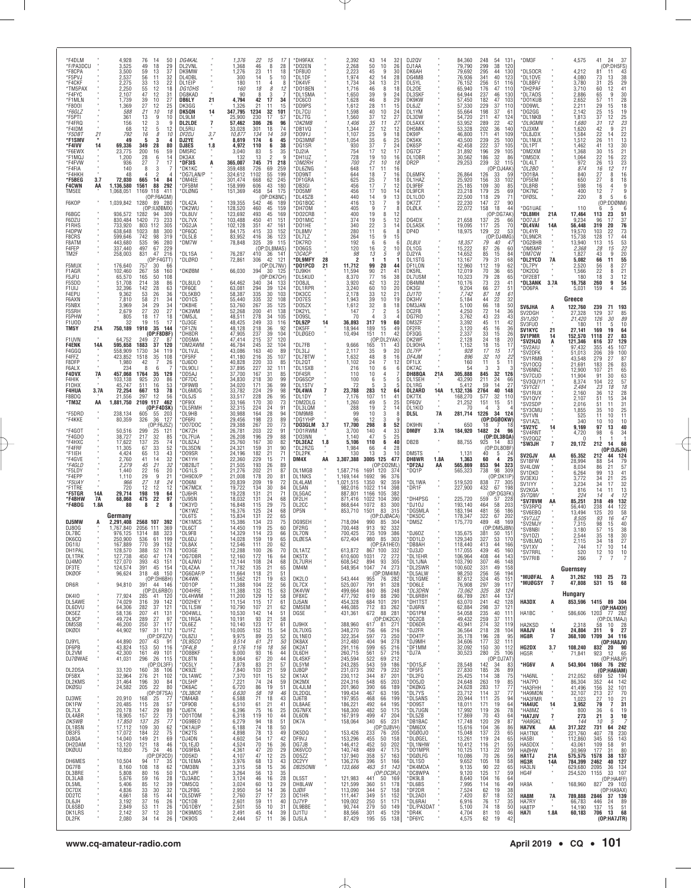| *F4DLM<br>*F/PA3DCU              |                    | 4,928<br>3.525                   | 76<br>14<br>50<br>49<br>18                                                                      | DG4KAL<br>DL2VNL                  |          | 1,376<br>1,368                | 22<br>15<br>17<br>46<br>8<br>28                                                          | *DH9FAX<br>*DO2EN                 |     | 2,392<br>2.268                      | 43<br>14<br>50<br>10                         | 32<br>26                                      | DJ2QV<br>DJ1AA                       |            | 84,360<br>79,790              | 248<br>54<br>131<br>299<br>38<br>120                                     | *DM3F                                                  |                | 4,575                         | 24<br>41<br>-37                                                                                               |
|----------------------------------|--------------------|----------------------------------|-------------------------------------------------------------------------------------------------|-----------------------------------|----------|-------------------------------|------------------------------------------------------------------------------------------|-----------------------------------|-----|-------------------------------------|----------------------------------------------|-----------------------------------------------|--------------------------------------|------------|-------------------------------|--------------------------------------------------------------------------|--------------------------------------------------------|----------------|-------------------------------|---------------------------------------------------------------------------------------------------------------|
| *F8CPA<br>*F5PVJ                 |                    | 3,500<br>2,537                   | $\frac{29}{37}$<br>59<br>13<br>56<br>11<br>32                                                   | DK9MW<br>DL4DBL                   |          | 1,276<br>300                  | 23<br>11<br>18<br>14<br>10<br>5                                                          | *DF8U0<br>*DL1DF                  |     | 2,223<br>1,974                      | 45<br>9<br>42<br>14                          | 30<br>28                                      | DK6AH<br>DG4MB                       |            | 79,692<br>76,936              | 295<br>130<br>44<br>341<br>40<br>123                                     | DL50CR<br>*DL1DVE                                      |                | 4,212<br>4,080                | $(OP:DH5FS)$<br>$1 \t11 \t43$<br>$3 \t125 \t29$<br>$1 \t25 \t41$<br>$5 \t9 \t30$<br>$7 \t11 \t28$<br>81<br>73 |
| *F4CKF<br>*TM5PAX<br>*F4FYC      |                    | 2,275<br>2,250<br>2,107          | 22<br>33<br>13<br>55<br>12<br>18<br>12<br>47<br>31                                              | DL1EIP<br><b>DG1DHS</b><br>DG8KAD |          | 180<br>160<br>90              | 11<br>4<br>8<br>8<br>18<br>12<br>8<br>з                                                  | *DK4VF<br>*DO1BEN<br>*DL1SMA      |     | 1,734<br>1,716<br>1,650             | 13<br>34<br>46<br>8<br>39<br>9               | 21<br>18<br>24                                | DL5YL<br>DL20E<br>DL3SKF             |            | 76,152<br>65,940<br>64,944    | 256<br>51<br>116<br>176<br>47<br>110<br>237<br>46<br>130                 | *DL8BFV<br>*DH2PAF<br>*DL7AOS                          |                | 3,780<br>3,710<br>2,886       | 31<br>60<br>65                                                                                                |
| *F1MLN<br>*F800I                 |                    | 1,739<br>1,369                   | 39<br>10<br>27<br>25<br>27<br>12                                                                | DB6LY<br>DK3GG                    | 21       | 4,794<br>1,326                | 42<br>17<br>34<br>21<br>15<br>11                                                         | $*$ DC6CO<br>*DD9PS               |     | 1,628<br>1,612                      | 46<br>8<br>28<br>-11                         | 29<br>15                                      | DK9KW<br>DL6JZ                       |            | 57,450<br>57,330              | 182<br>47<br>103<br>229<br>37<br>110                                     | *DO1KUB<br>*DD9WL                                      |                | 2,652<br>2,211                | 11<br>28<br>18<br>19<br>57<br>29<br>15                                                                        |
| *F6GLZ<br>*F5PTI<br>*F4FRQ       |                    | 588<br>361                       | 21<br>10<br>18<br>13<br>12<br>10<br>9<br>3<br>9                                                 | DK5QN<br>DI 91 M<br><b>DL2LDE</b> | 14       | 347,795<br>25,900<br>57,462   | 1234<br>32<br>101<br>230<br>17<br>57<br>306<br>26<br>96                                  | *DL7CU<br>*DL7TG<br>*DK2MB        |     | 1,598<br>1,560<br>1,406             | 40<br>10<br>37<br>12<br>11                   | 24<br>27<br>27                                | DL1YM<br>DL3DW<br>DL5AXX             |            | 55,664<br>54,720<br>53,952    | 198<br>37<br>61<br>47<br>211<br>124<br>42                                | *DG2GG<br>*DL1NKB<br>*DL9GMN                           |                | 2,142<br>1,813<br>1.680       | 25<br>15<br>37<br>$\frac{12}{12}$<br>31                                                                       |
| *F4IDM<br>*F5DBT                 | 21                 | 156<br>68<br>792                 | 12<br>5<br>12<br>16<br>8<br>10                                                                  | DL5RU<br>DF2DJ                    | 7<br>3.7 | 33,028<br>10,877              | 301<br>18<br>74<br>134<br>14<br>59                                                       | *DB1VQ<br>*DO9YJ                  |     | 1,344<br>1,107                      | 35<br>27<br>12<br>25<br>9                    | 12<br>18                                      | DH5MK<br>DK9IP                       |            | 53,328<br>46,800              | 289<br>22<br>202<br>$36\,$<br>140<br>171<br>41<br>109                    | *DJ3XM<br>*DL8JDX                                      |                | 1,620<br>1,584                | 252321223222377<br>$\boldsymbol{9}$<br>$^{42}_{22}$<br>14                                                     |
| *F1SMV<br>*F4IVV                 | $\mathbf{u}$<br>14 | 49<br>69,336                     | 3<br>-5<br>$\mathbf{A}$<br>349<br>28<br>80                                                      | DJ2YE<br>DJ8ES                    | 1.8      | 8,619<br>4,972                | 174<br>6<br>45<br>38<br>110<br>6                                                         | *DG3MNF<br>*DG1SR                 |     | 1,054<br>930                        | 35<br>6<br>37<br>7                           | $\frac{25}{24}$                               | DK5KK<br>DK6SP                       |            | 43,500<br>42,458              | 239<br>25<br>100<br>222<br>37<br>105                                     | *DL1NUX<br>*DL1PT                                      |                | 1,512<br>1,462                | 26<br>11<br>13<br>41                                                                                          |
| *F6EWX<br>*F1MQJ<br>*F4FVW       |                    | 23,775<br>1,200<br>936           | 200<br>59<br>16<br>28<br>6<br>14<br>27<br>17                                                    | DM5RC<br>DK3AX<br>*DF3IS          |          | 3,040<br>132<br>365,007       | 83<br>35<br>5<br>$\mathfrak{p}$<br>13<br>q<br>218                                        | *DJ2IA<br>*DH1UZ<br>*DM2RH        |     | 754<br>728<br>700                   | 17<br>12<br>19<br>10<br>10                   | 17<br>16<br>18                                | DG7CF<br>DL1DBR<br>DR <sub>2</sub> P |            | 31,892<br>30,562<br>29,253    | 196<br>29<br>105<br>32<br>186<br>86<br>239<br>32<br>115                  | *DM2XM<br>*DM5DX<br>*DL4LT                             |                | 1,368<br>1,064<br>972         | 30<br>15<br>22<br>16<br>26                                                                                    |
| *F4FIA<br>*F4HKH                 |                    | 140<br>48                        | 8<br>3<br>$\overline{2}$                                                                        | *DK1KC<br>*DG7LAN/P               | Ą        | 359,488<br>324,612            | <b>745</b><br>726<br>$\begin{array}{c} 71 \\ 69 \end{array}$<br>259<br>1102<br>55<br>199 | *DL6ZNG<br>*DD9NT                 |     | 648<br>644                          | $^{21}_{17}$<br>11<br>18<br>7                | 16<br>16                                      | <b>DL6MFK</b>                        |            | 26,864                        | (OP:DJ4AK)<br>126<br>59<br>33                                            | *DL2BO<br>*DO1BA                                       |                | 874<br>840                    | $^{13}_{12}$<br>16<br>27<br>8<br>16                                                                           |
| *F5BEG<br><b>F4CWN</b><br>TM5EE  | 3.7<br>AA          | 72,030<br>1.136.580<br>1,068,051 | 14<br>665<br>84<br>1561<br>88<br>292<br>1169 118<br>411                                         | *DM4EE<br>*DF5BM<br>*DLØNG        |          | 301,474<br>158,999<br>151,369 | 62<br>245<br>668<br>606<br>43<br>180<br>458<br>54<br>175                                 | *DF1GRA<br>*DB3GI<br>*DO5MF       |     | 625<br>456<br>456                   | 25<br>7<br>17<br>$\overline{7}$<br>17<br>10  | 18<br>12<br>14                                | DL1HAZ<br>DL9FBF<br>DL9FCR           |            | 25,920<br>25,185<br>23,218    | 33<br>156<br>102<br>109<br>30<br>85<br>25<br>179<br>69                   | *DF5EM<br>*DL8RB<br>*DK7NC                             |                | 650<br>598<br>400             | 27<br>18<br>8<br>16<br>4<br>9<br>$\overline{7}$<br>9<br>12                                                    |
| F6KOP                            |                    |                                  | (OP:F6AGM)<br>1,039,842 1280 89 280                                                             | *DL4ZA                            |          | 139,355                       | (OP:DK8NC)<br>542<br>46<br>189                                                           | *DL4SZB<br>*DG1BQC                |     | 440<br>416                          | 9<br>14<br>13<br>7                           | 13                                            | DL1LOD<br>DK7ZT                      |            | 22,500<br>22,230              | 118<br>29<br>71<br>27<br>90<br>147                                       | *DFØSL                                                 |                | 220                           | 8<br>5<br>(OP:DDØNM)                                                                                          |
| F6BGC<br>F6DZU                   |                    | 936,572<br>830,484               | (OP:IUØBMX)<br>1282 94 309<br>73<br>1420<br>233                                                 | *DK2WU<br>*DL8UV<br>*DL7VX        |          | 128,520<br>123,692<br>103,488 | 460<br>45<br>159<br>493<br>45<br>169<br>450<br>41<br>151                                 | *DH70M<br>*D02CRB<br>*D01MIC      |     | 405<br>400<br>374                   | 9<br>19<br>8<br>5<br>19                      | 12<br>12                                      | DLØLK<br>DG4DX                       |            | 22,072<br>21,658              | 158<br>18<br>44<br>(OP:DG7AK)<br>137<br>25<br>66                         | *DG1UAE<br>*DL8MH<br>*DO7JLF                           | 21A            | 110<br>17,464<br>9,234        | 5<br>$\frac{51}{37}$<br>$\frac{76}{76}$<br>113<br>23<br>17<br>96                                              |
| <b>F1RHS</b><br>F4DPW            |                    | 733,920<br>638,648               | 803<br>112<br>305<br>1023<br>88<br>300                                                          | *DG2JA<br>*DF6QC                  |          | 102,128<br>84,175             | 351<br>47<br>161<br>415<br>33<br>152                                                     | *DO1HE<br>*DL8MV                  |     | 340<br>280                          | 3<br>22<br>11<br>6                           | 14                                            | DL5ASK<br>DP4D                       |            | 19,095<br>18,975              | 25<br>117<br>70<br>129<br>22<br>53                                       | *DL4VAI<br>*DL4YR                                      | 14A            | 56,448<br>19,570              | 319<br>20<br>103<br>22                                                                                        |
| F8CRS<br>F8ATM<br>F4FEP          |                    | 599,646<br>443,680<br>337.440    | 742<br>98<br>319<br>96<br>280<br>535<br>497<br>67                                               | *DL5LB<br>*DM7W                   |          | 83.952<br>78,848              | 416<br>36<br>123<br>325<br>39<br>115<br>(OP:DL8MAS)                                      | *DL7LZ<br>*DK7RD<br>*DO6GS        |     | 264<br>192<br>120                   | 9<br>15<br>6<br>6<br>$\overline{c}$          | 15<br>10                                      | DL8UI<br>DL1CG                       |            | 18,357<br>15,222              | (OP:DJ4MG)<br>79<br>40<br>4<br>87<br>60<br>26                            | *DL9NCR<br>*DG2BHB<br>*DM5MR                           |                | 15,738<br>13,940<br>2,368     | 17<br>128<br>113<br>15<br>15<br>28                                                                            |
| TM2F                             |                    | 258,003                          | 229<br>216<br>831<br>47<br>(OP:FAGTT)                                                           | *DL1SA<br>*DLØRD                  |          | 76,287<br>72,861              | 410<br>36<br>$14^{\circ}$<br>42<br>121<br>306                                            | *DC4CF<br>*DL9MFY                 | 28  | 98<br>2                             | $^{16}_{\ 13}$<br>5<br>1<br>1                |                                               | DJ2YA<br>DL1STG                      |            | 14,652<br>13,167              | 85<br>84<br>15<br>79<br>31<br>68                                         | *DM7CW<br>*DL2YCD                                      | 7A             | 1,827<br>5,082                | 73 44 53 22 20 55 27 21 21 54 35<br>9<br>43<br>66<br>11                                                       |
| F5MUX<br>F1AGR<br>F5JFU          |                    | 176,640<br>102,460<br>65,570     | 757<br>66<br>30<br>267<br>58<br>160<br>165<br>108<br>50                                         | *DKØBM                            |          | 66,030                        | (OP:DL7NV)<br>394<br>30 125<br>(OP:DK7CH)                                                | *D01PCD<br>*DJ9KH<br>*DL5KUD      | 21  | 11,712<br>11,594<br>8,370           | 20<br>99<br>90<br>21<br>77<br>16             | 44<br>41<br>38                                | DF1LON<br>DK5RL<br>DL7USM            |            | 12,960<br>12,019<br>10,323    | 112<br>19<br>62<br>70<br>36<br>65<br>79<br>28<br>65                      | *DL7PY<br>*DK2DQ<br>*DF2EBT                            |                | 2,520<br>1,566<br>180         | 56<br>8<br>22<br>8<br>18<br>3                                                                                 |
| F5SDD<br>F1UIJ                   |                    | 51,708<br>32,396                 | 214<br>38<br>86<br>63<br>142<br>28                                                              | *DL8ULO<br>*DF6QE                 |          | 64,462<br>63,081              | 340<br>133<br>-34<br>294<br>39<br>124                                                    | *DO8JL<br>*DL1RPR                 |     | 3,920<br>3,240                      | 42<br>13<br>10<br>60                         | 22<br>20                                      | DB4MM<br>DK3GI                       |            | 10,176<br>9,204               | $\frac{23}{27}$<br>73<br>41<br>51<br>66                                  | *DL3ANK<br>*DO6PA                                      | 3.7A           | 16,758<br>5,031               | 260<br>9<br>$\overline{4}$<br>159                                                                             |
| F4EPU<br>F6AXN<br>F5NBX          |                    | 9,362<br>7,810<br>3,969          | $\frac{36}{34}$<br>$\begin{array}{c} 53 \\ 58 \end{array}$<br>26<br>$\frac{21}{29}$<br>34<br>34 | *DL5KB0<br>*DO1CS<br>*DK8HE       |          | 58,387<br>55,440<br>53,760    | $\frac{335}{335}$<br>$\frac{335}{267}$<br>30<br>103<br>32<br>108<br>35<br>125            | *DКЗСС<br>*DO7ES<br>*DO5ZX        |     | 2,178<br>1,943<br>1,612             | 33<br>12<br>39<br>$10$<br>32<br>8            | 21<br>19<br>18                                | DJ1TO<br>DK3HV<br>DM3JAN             |            | 7,742<br>5,184<br>5,100       | 87<br>18<br>61<br>$\frac{22}{18}$<br>$\frac{32}{50}$<br>44<br>66         |                                                        |                | Greece                        |                                                                                                               |
| F5SRH<br>F5PHW                   |                    | 2,679<br>805                     | 27<br>20<br>27<br>18<br>17<br>18                                                                | *DK3WM<br>*DM5JL                  |          | 52,268<br>48,511              | 200<br>41<br>138<br>278<br>34<br>105                                                     | *DK2YL<br>*DO9SL                  |     | 147<br>70                           | $\overline{7}$<br>$\overline{2}$<br>3<br>4   |                                               | DC2FB<br>DG7R0                       |            | 4,250<br>3,762                | 72<br>14<br>36<br>43<br>23<br>43                                         | <b>SV6JHA</b><br>SV2DGH<br>SV1JS0                      | A              | 122,760<br>27,328<br>21,420   | 239<br>71<br><b>193</b><br>85<br>129<br>37<br>89<br>126<br>30                                                 |
| F1UOD<br>TM5Y                    | 21A                | 32<br>750,189                    | 19<br>17<br>15<br>1910<br>35<br>144<br>(OP:FBDBF)                                               | *DJ3GE<br>*DF1ZN<br>*DH8DR        |          | 48,425<br>48,128<br>47,905    | $\frac{249}{218}$<br>33<br>116<br>36<br>92<br>237<br>39<br>104                           | *DL9ZP<br>*DK5FF<br>*DLØGEO       | 14  | 36,893<br>18,944<br>10,494          | 317<br>19<br>189<br>15<br>151<br>11          | 60<br>49<br>42                                | DM3ZF<br>DF2FR<br>DF3QG              |            | 3,392<br>3,120<br>2,337       | 45<br>11<br>42<br>16<br>45<br>36<br>33<br>15<br>26                       | SV3FU0<br><b>SV1KYC</b>                                | 21             | 180<br>27,141                 | 10<br>11<br>5<br>19<br>169                                                                                    |
| F1UVN<br><b>F4ENK</b>            | 14A                | 64,752<br>595,658                | 37<br>1883<br>120                                                                               | *DD5MA<br>`DM2AWM                 |          | 47,414<br>46,784              | $^{215}_{245}$<br>$\frac{37}{32}$<br>120<br>104                                          | *DL7FB                            |     | 9,666                               | (OP:DL2YAK)<br>165<br>11                     | 43                                            | DK2WF<br>DL90HA                      |            | 2,128<br>1,152                | $\frac{24}{18}$<br>$\frac{18}{15}$<br>$^{20}_{17}$                       | <b>SV1PMR</b><br><b>SV2HJQ</b><br><i><b>SV2AIU</b></i> | 14             | 152,570<br>121,346<br>97,432  | $\begin{array}{r} 64 \\ 83 \\ 129 \end{array}$<br>27<br>1118<br>616<br>37<br>107<br>355<br>45                 |
| F4GGQ<br>F4FFZ<br>F8DFP          |                    | 558,909<br>423,852<br>1,980      | 1730<br>119<br>34<br>1518<br>35<br>108<br>26<br>42<br>7                                         | *DL1VJL<br>*DF5RF<br>*DJ6DO       |          | 43,086<br>41,180<br>40,828    | 163<br>40<br>89<br>216<br>35<br>107<br>220<br>33<br>85                                   | *DL3LJ<br>*DL7BTW<br>*DL2QT       |     | 2,117<br>1,632<br>1,102             | 9<br>35<br>48<br>8<br>24<br>7                | 20<br>16<br>12                                | DL7FP<br>DF4JM<br>DF1LX              |            | 928<br>896<br>160             | 17<br>32<br>10<br>22<br>11<br>5<br>11                                    | *SV2DFK<br><i><b>SV1RMB</b></i>                        |                | 51,013<br>43,548              | 100<br>206<br>39<br>279<br>27                                                                                 |
| F6ALX<br><b>F4DVX</b>            | 7A                 | 234<br>457,068                   | 8<br>6<br>1764<br>35<br>129                                                                     | *DL9OLI<br>*DD5AJ                 |          | 37,895<br>37,700              | 32<br>$\frac{227}{167}$<br>111<br>31<br>85                                               | *DL1SXB<br>*DF4SR                 |     | 216<br>110                          | 10<br>6<br>10<br>4                           | 6                                             | DK7AC<br>DH8BQA                      | 21A        | 54<br>305,888                 | 3<br>3<br>845<br>32<br>126                                               | *SV10CQ<br>*SV6NNZ<br>*SV7CUD                          |                | 21,691<br>12,900<br>11,904    | $8783$<br>$65$<br>$63$<br>$57$<br>$18$<br>26<br>183<br>107<br>21<br>91<br>30                                  |
| F4HIK<br>F1DHX<br>F4HUA          | 3.7A               | 103,138<br>45,747<br>72,254      | 925<br>20<br>86<br>511<br>$\frac{53}{78}$<br>$\frac{16}{13}$<br>667                             | *DF7DC<br>*DF9WB<br>*DL6MDG       |          | 34,830<br>34,020<br>33,782    | 218<br>30<br>99<br>99<br>98<br>$\frac{171}{224}$<br>$\frac{36}{29}$                      | *DG6SCP<br>*DL1STV<br>*DL4WA      |     | 100<br>72<br>23,788                 | 6<br>5<br>3<br>12<br>283                     | 64                                            | DL1SEH<br>DI 1RG<br><b>DL2ARD</b>    | 14A        | 43,290<br>5,412<br>1,132,136  | 211<br>24<br>66<br>27<br>59<br>$\frac{14}{40}$<br>148<br>2764            | 'SV3QUY/1<br>*SV1CEI<br>*SV1RUX                        |                | 8,374<br>2,484<br>2,160       | 104<br>22<br>18<br>23<br>12<br>36                                                                             |
| F8BDQ<br>*TM3Z                   | AA                 | 21,556<br>1,881,750              | 12<br>297<br>56<br>2109 117<br>462<br>(OP:F4DSK)                                                | *DL5JS<br>*DF9IX<br>*DL5RMH       |          | 33,517<br>33,166<br>32,315    | 228<br>26<br>95<br>73<br>170<br>30<br>91                                                 | *DL1DY<br>*DM2DLG<br>*DL3LQM      |     | 7,176<br>1,260<br>288               | 107<br>11<br>49<br>5<br>19                   | 41<br>25<br>14                                | DK7TX<br>DF6QV<br>DL1KID             |            | 168,270<br>21,252<br>70       | 577<br>32<br>110<br>151<br>15<br>51<br>$\overline{4}$<br>3               | *SV1QVY<br><i><b>SV2SDP</b></i>                        |                | 2,107<br>2,016                | 28<br>34<br>31<br>25<br>51<br>15<br>51<br>11                                                                  |
| *F5DRD<br>*F4KKE                 |                    | 238,134<br>80,359                | 605<br>55<br>203<br>326<br>36<br>127                                                            | *DL9HB<br>*DF6RI                  |          | 30,988<br>29,456              | $^{224}_{164}$<br>$\frac{24}{28}$<br>94<br>198<br>$\substack{23 \\ 20}$<br>89            | *DM9MB<br>*DG1YHP                 |     | 99<br>96                            | $\frac{2}{3}$<br>10<br>12<br>3               |                                               | DL5L                                 | <b>7A</b>  | 281,714                       | 1226<br>34 124<br>(OP:DGØOKW)                                            | *SY3CMU<br>*SV1VN<br>'SV1AZL                           |                | 1,855<br>525<br>340           | 10<br>35<br>10<br>11<br>11<br>$\frac{10}{40}$<br>10<br>10                                                     |
| *F4GOT<br>*F4GDO                 |                    | 50,516<br>38,727                 | (OP:F6JSZ)<br>299<br>217<br>121<br>$\frac{25}{32}$<br>85                                        | *D07DOC<br>*DK7ZH<br>*DL7FUA      |          | 29,388<br>26,781<br>26,208    | 267<br>73<br>$\frac{203}{196}$<br>$\frac{22}{29}$<br>91<br>88                            | *D03GLM<br>*D01RWM<br>*DO3NN      | 3.7 | 17,700<br>3,700<br>1.140            | 298<br>8<br>140<br>$\overline{4}$<br>47<br>5 | 52<br>$\begin{array}{c} 33 \\ 25 \end{array}$ | DK9HN<br><b>DMØY</b>                 | 3.7A       | 650<br>184,920                | 7<br>18<br>1482<br>24<br>96<br>(OP:DL3BQA)                               | °SV2YC<br><i><b>SV4RNT</b></i><br>*SV2QQZ              | 14             | 9,169<br>4,720<br>O           | 97<br>13<br>34<br>98<br>6                                                                                     |
| *F4HXC<br>*F4FRF<br>*F1IEH       |                    | 17,622<br>11,305<br>4,424        | 137<br>25<br>74<br>33<br>52<br>67<br>65<br>13<br>43                                             | *DL8ZAJ<br>*DL3SDN<br>*DO9SR      |          | 25,760<br>24,321<br>24,196    | 167<br>30<br>82<br>90<br>31<br>159<br>182<br>21<br>71                                    | *DL3EAZ<br>*DL2RZG<br>*DL2PK      | 1.8 | 5,106<br>1,984<br>130               | 110<br>6<br>66<br>4<br>13<br>3               | 40<br>28<br>10                                | DB <sub>2</sub> B<br>DM5TS           |            | 88,755<br>1,131               | 925<br>14<br>83<br>(OP:DL8OBF)<br>40<br>5<br>24                          | 'SW3JH                                                 | $\overline{7}$ | 20,172                        | 68<br>212<br>14<br>(OP:DJ5JH)                                                                                 |
| *F4GVE<br>*F4GLD                 |                    | 2,760<br>2,279                   | 32<br>41<br>14<br>21<br>32<br>45                                                                | *DK1YH<br>*DB2BJT                 |          | 22,360<br>21,505              | 229<br>71<br>15<br>193<br>26<br>89                                                       | DM4X                              | AA  | 3,307,388                           | 3005<br>125<br>(OP:DD2ML)                    | 477                                           | DH8WR<br>*DF2AJ                      | 1.8A<br>AA | 1,363<br>565,869              | 60<br>25<br>$\mathbf{a}$<br>94<br>853<br>323                             | SV2GJV<br>SV1BFW<br>SV4LQW                             | AA             | 65,352<br>28,994<br>8,034     | 212<br>$\frac{124}{79}$<br>44<br>88<br>54<br>86<br>21                                                         |
| *F5LDY<br>*F4EPP<br>*F5UAY       |                    | 1,440<br>1,110<br>966            | $20\,$<br>22<br>16<br>29<br>27<br>12<br>9<br>21<br>18<br>24                                     | *DG1LS<br>*DH9DX/P<br>*DO6NI      |          | 21,276<br>21,008<br>20,839    | 202<br>87<br>$\frac{21}{20}$<br>178<br>81<br>209<br>72                                   | DL1MGB<br><b>DL1NKS</b><br>DL4LAM |     | 1,587,716<br>1,169,144<br>1,021,515 | 1691<br>120<br>1692<br>96<br>92<br>1350      | 374<br>376<br>359                             | *DQ1P<br>*DL1WA                      |            | 565,323<br>519,520            | 738<br>98<br>309<br>(OP:DK1IP<br>77 305<br>838                           | SV1DKD<br>SV3EXU<br>SV1IYY                             |                | 6,264<br>3,772                | $\frac{57}{41}$<br>99<br>13<br>21<br>34<br>34<br>17                                                           |
| *F1TRE<br>*F5TGR                 | 14A                | 720<br>29.714                    | 12<br>12<br>198<br>19<br>64                                                                     | *DK7MCX<br>*DJ6HR                 |          | 19,722<br>19,228              | 134<br>30<br>84<br>131<br>21<br>71                                                       | DL5AN<br>DL5GAC                   |     | 982,016<br>887,801                  | 1022 114<br>1166 105                         | 398<br>382                                    | *DR1F                                |            | 227,900                       | 432<br>67 198<br>(OP:DG3FK                                               | SV2KGA<br><i><b>SV7QNV</b></i>                         |                | 3,234<br>816<br>224           | 25<br>32<br>13<br>12<br>14<br>11<br>14<br>$\boldsymbol{\Delta}$                                               |
| *F4BHW<br>*F4BDG                 | 7A<br>1.8A         | 68,068<br>80                     | 475<br>22<br>97<br>2<br>8                                                                       | *DJ9SN<br>*DK3YD<br>*DK1WZ        |          | 18,032<br>16,848<br>16,376    | 24<br>68<br>131<br>115<br>29<br>75<br>125<br>24<br>68                                    | DF2LH<br>DL2CC<br>DP5N            |     | 871,416<br>868,644<br>853,710       | 1022<br>104<br>1072<br>83<br>1501<br>83      | 390<br>300<br>315                             | *DH4PSG<br>*DJ10J<br>*DG5MLA         |            | 225,720<br>193,140<br>183,194 | 559<br>57<br>228<br>464<br>58<br>203<br>481<br>56<br>186                 | <b>SV7BVM</b><br>*SV3RPQ<br>'SV6EBQ                    | AA             | 85,251<br>56,440<br>13,494    | 49<br>$\frac{132}{122}$<br>$\frac{122}{58}$<br>$\frac{5}{47}$<br>318<br>238<br>44<br>125<br>20                |
| DJ5MW                            |                    | Germany<br>2,291,408             | 2568 107<br>392                                                                                 | *DI 6TS<br>*DK1MCS                |          | 15,834<br>15,386              | 131<br>22<br>23<br>25<br>65<br>134<br>$^{75}_{60}$                                       | DG9SEH                            |     | 718,094                             | (OP:DJØACA)<br>990<br>85<br>92               | 304                                           | *DK5DC<br>*DM5Z                      |            | 178,347<br>175,770            | 322<br>$\frac{67}{48}$<br>202<br>489<br>169                              | *SV7JJZ<br>*SV2MJY                                     |                | 8,505<br>7,315                | 93<br>16<br>40<br>98<br>15                                                                                    |
| DJ80G<br>DL7BC<br>DK6CQ          |                    | 1,767,840<br>976,125<br>250,900  | 2056<br>111<br>369<br>88<br>323<br>1314<br>536<br>61<br>199                                     | *DL6CT<br>*DL9FB<br>*DL6DJ        |          | 14,450<br>14,329<br>14,028    | 119<br>23<br>66<br>114<br>19<br>65<br>159                                                | DF2RG<br>DL70N<br>DLØESA          |     | 700,448<br>700,425<br>672,404       | 913<br>735 109<br>980<br>85                  | 332<br>386<br>303                             | *DJ60Z<br>*DD1LD                     |            | 135,675<br>129,340            | (OP:DM5JBN)<br>381<br>50<br>- 151<br>327<br>170<br>53                    | *SV8NBI<br>*SV1DZI<br>*SV8LMC                          |                | 3,180<br>2,544                | $\begin{array}{c} 38 \\ 30 \end{array}$<br>57<br>15<br>35<br>18<br>27<br>34<br>18                             |
| DG1IU<br>DH1PAL<br><b>DL1TRK</b> |                    | 167,889<br>128,570<br>127,738    | 770<br>39<br>152<br>388<br>52<br>178<br>47<br>450<br>174                                        | *DL8AX<br>*DO3GE<br>*DG7DBR       |          | 12,546<br>12,288<br>12,160    | 20<br>111<br>62<br>100<br>70<br>$^{26}_{16}$<br>172<br>64                                | DL1ATZ<br>DK5TX                   |     | 613,872<br>610,600                  | (OP:EA1HEO)<br>867 100<br>72<br>1031         | 332<br>272                                    | *DB8AH<br>*DJ3JD<br>*DL1EHR          |            | 118,440<br>117,055<br>106,964 | 413<br>44<br>166<br>439<br>45<br>160<br>408<br>143<br>44                 | *SV1XV<br>*SV7RRL                                      |                | 744<br>520                    | 17<br>10<br>14<br>10<br>12<br>10                                                                              |
| DJ4MO<br>DF3TE                   |                    | 127,070<br>124,574               | 393<br>43<br>151<br>391<br>45 154                                                               | *DL4JWU<br>*DL4ZAA                |          | 12,144<br>11,782              | 108<br>24<br>68<br>135<br>21<br>65                                                       | DL7URH<br>DM4M                    |     | 608,542<br>548,954                  | 894<br>$\frac{93}{74}$<br>1047               | 305<br>273                                    | *DL1JNA<br>*DL2SWR                   |            | 103,790<br>100,602            | 307<br>331<br>46<br>148<br>49<br>158                                     | *SV7RIB                                                |                | 266<br>Guernsey               | 7<br>7<br>7                                                                                                   |
| <b>DKØOF</b><br>DR6R             |                    | 96,624<br>94,810                 | 318 48 150<br>(OP:DH6BH)<br>391 44 146                                                          | *DG6DAF/P<br>*DK4WK<br>*DD10P     |          | 11,664<br>11,562<br>11,388    | 118<br>21<br>51<br>19<br>63<br>121<br>22<br>104<br>56                                    | DK2L0<br>DL7CX                    |     | 543,444<br>525,007                  | (OP:DM4IM)<br>955 76 282<br>791<br>91        | 328                                           | *DL5ALW<br>*DL1GME<br>*DO6LE         |            | 98,250<br>87,612<br>76,908    | 256<br>56<br>194<br>$\frac{324}{297}$<br>45<br>151<br>39<br>117          | MUØFAL*<br>*MUØGSY                                     | A<br>7         | 31,262<br>47,808              | 193 25<br>- 73<br>68<br>531<br>15                                                                             |
| <b>DK410</b><br>DL5AWE           |                    | 77,924<br>74,029                 | (OP:DL6RBO)<br>285<br>41 120<br>316<br>39<br>142                                                | *D04HRE<br>*DL4HWM<br>*D02HEY     |          | 11,388<br>11,200<br>11,154    | 15<br>132<br>63<br>129<br>12<br>58<br>115<br>17<br>61                                    | DK4VW<br>DF8XC<br>DJ5AN           |     | 499,664<br>477,792<br>454,328       | 840<br>86<br>619<br>88<br>684 101            | 248<br>290<br>291                             | *DL3DRN<br>*DL6RBH<br>*DH1TST        |            | 73,062<br>66,789<br>63,070    | 325<br>38<br>124<br>261<br>44<br>137<br>42<br>128                        | <b>HA3DX</b>                                           | А              | Hungary                       | 853,596 1415 89 304                                                                                           |
| <b>DL6DVU</b><br>DK5EZ           |                    | 64,306<br>58,136                 | 282<br>37<br>121<br>207<br>41<br>131                                                            | *DL1LSW<br>*D04WLL                |          | 10,790<br>10,530              | 62<br>107<br>21<br>142<br>14<br>51                                                       | DM5EM<br>DG5E                     |     | 446,085<br>431,361                  | 712 83 262<br>672 88 281                     | 262                                           | *DJ6RN<br>*DG1PM                     |            | 62,884<br>54,058              | 241<br>298<br>235<br>37<br>121<br>40<br>111                              | HA1BC                                                  |                | 586,606                       | (OP:HA4XH)<br>1203 77 282                                                                                     |
| DL9CP<br>DM5SB<br>DKØDI          |                    | 49,724<br>46,200<br>44,902       | 97<br>289<br>27<br>250<br>37<br>117<br>197<br>31 112                                            | *DL1RGA<br>*DL6EZ<br>*DJ1FZ       |          | 10,191<br>10,140<br>10,005    | 58<br>93<br>21<br>123<br>17<br>61<br>152<br>15<br>54                                     | DJ9HX<br>DL7UXG                   |     | 388,960<br>348,270                  | (OP:DK2CX)<br>617 81 271<br>756<br>66        | 216                                           | *DC2CB<br>*DD6DR<br>*DJ2FR           |            | 49,432<br>43,941<br>36,564    | 259<br>37<br>111<br>274<br>32<br>119<br>218<br>28<br>104                 | HA2KSD<br>HA8JV                                        | 14             | 2,318<br>24,804               | (OP:DL1MAJ)<br>58 10 28<br><b>311 9 27</b><br>311                                                             |
| DJ9YL<br>DF6PB                   |                    | 44,890<br>43,824                 | (OP:DF2ZV)<br>207<br>91<br>43<br>50<br>116                                                      | *DL8ZU<br>*DL9SCO<br>*DF4LB       |          | 9,975<br>9,514<br>9,176       | 89<br>23<br>52<br>50<br>21<br>61<br>116<br>56                                            | DL1NEO<br>DK8AX<br>DK2AT          |     | 322,354<br>312,480<br>291,116       | 597<br>73<br>404<br>94                       | 250<br>278                                    | *D04TP<br>*DJ9MH<br>*DF1MM           |            | 35,178<br>34,606<br>32,092    | 196<br>28<br>95<br>32<br>177<br>111<br>150                               | HG8R<br>HG2DX                                          | $\overline{7}$ | 368,100<br>108,240            | 1709 34 116<br>(OP:HA8JV)                                                                                     |
| DL2VM<br>DJ7ØWAE                 |                    | 42,300<br>41,031                 | 153<br>161<br>49<br>101<br>296<br>26 115                                                        | *DO8BKF<br>*DL8TN                 |          | 9,000<br>8,064                | $\frac{18}{16}$<br>93<br>44<br>67<br>20<br>44                                            | DL6DH<br>DL4SKF                   |     | 260,715<br>245,594                  | 599<br>561<br>522<br>$\frac{65}{57}$<br>69   | 216<br>216<br>212                             | *DJ7A                                |            | 30,523                        | 30<br>112<br>25<br>280<br>106<br>(OP:DJ7AT                               | HG5R                                                   | 3.7            | 71,841                        | <b>832 20 90</b><br>923 12 65<br>(OP:HA8JP)                                                                   |
| DL2DSA<br>DF5BX                  |                    | 33,120<br>32,964                 | (OP:DL3FF)<br>160<br>38<br>106<br>276<br>21<br>102                                              | *DC5LY<br>*DK9ZE<br>*DL1AWC       |          | 7,878<br>7,840<br>7,370       | 83<br>21<br>57<br>21<br>59<br>103<br>101<br>15<br>52                                     | DL5YM<br>DJ8QP<br>DK1AX           |     | 243,285<br>231,073<br>230,112       | 543<br>392<br>59<br>79<br>344<br>87          | 186<br>232<br>201                             | *D01SJF<br>*DF5FS<br>*DL2FQ          |            | 28,548<br>27,830<br>25,425    | 142 34<br>-83<br>26<br>185<br>89<br>114<br>38<br>75                      | *HG6V<br>*HA6NL                                        | A              | 543,904<br>212,052            | 1068 76 292<br>(OP:HA6IAM)<br>689                                                                             |
| DL2KMS<br>DKØSU                  |                    | 31,464<br>24,582                 | 196<br>30<br>84<br>80<br>205<br>22                                                              | *DL5HP<br>*DK6AC                  |          | 7,221<br>6,720                | 74<br>24<br>59<br>86<br>19<br>51                                                         | DK2MX<br>DL4JLM                   |     | 224,316<br>201,960                  | 548<br>65<br>390<br>66                       | 203<br>189                                    | *DO5JD<br>*DKØKG                     |            | 24,648<br>24,628              | 263<br>19<br>85<br>283<br>77<br>$\frac{17}{37}$                          | *HA7PO<br>*HA3FHH                                      |                | 86,304<br>41,496              | 52 194<br>44 142<br>352<br>156                                                                                |
| DJ3WE<br>DK1FW                   |                    | 20,910<br>20,485                 | (OP:DF7SA)<br>77<br>168<br>$\frac{25}{28}$<br>115<br>57                                         | *DL3BCR<br>*DM4AB<br>*DF90B       |          | 6,630<br>6,588<br>6,510       | 19<br>58<br>46<br>71<br>18<br>43<br>61<br>21<br>41                                       | DL2DQL<br>DJ6TB<br>DL8AAE         |     | 199,434<br>197,955<br>186,221       | 467<br>63<br>468<br>66<br>492<br>64          | 195<br>199<br>195                             | *DL7YS<br>*DL5ANS<br>*DO9ST          |            | 23,712<br>20.944<br>18,011    | 114<br>77<br>111<br>$^{25}_{19}$<br>94<br>64<br>171                      | *HA9MDN<br>*HA3FMR<br>*HA4UC                           | $\frac{14}{1}$ | 32,107<br>1,023<br>3,952      | 213<br>27<br>$\frac{21}{31}$<br>10<br>79<br>7                                                                 |
| DL7LX<br>DL4ABR<br>DK5WB         |                    | 20,178<br>18,905<br>17,850       | 147<br>29<br>89<br>22<br>73<br>157<br>137<br>25<br>77                                           | *DJ6TK<br>*DO1TOM<br>*DG9BEO      |          | 6,396<br>6,318<br>6,279       | 75<br>16<br>25<br>10<br>119<br>44<br>18<br>51<br>94                                      | DG7NFX<br>DL60N<br>DK7A           |     | 168,300<br>167,919<br>158,064       | 482<br>50<br>499<br>47<br>340 65 231         | 175<br>204                                    | *DL7UGN<br>*DL5ZB<br>*DB1BAC         |            | 17,992<br>17,869<br>17,748    | 119<br>26<br>78<br>43<br>70<br>64<br>120<br>29<br>87                     | *HA8MZ<br>*HA7JIV<br>*HA9GKL                           | $\overline{7}$ | 800<br>273<br>144             | 19<br>36<br>6<br>21<br>10<br>3<br>10                                                                          |
| DL1BSN<br>DB3FS                  |                    | 17,112<br>17,072                 | 30<br>$\frac{62}{75}$<br>109<br>184<br>22                                                       | *DK1AUP<br>*DK2TS                 |          | 6,188<br>4,898                | 50<br>74<br>18<br>78<br>$\frac{13}{17}$<br>49                                            | DK5DQ                             |     | 153,426                             | (OP:DJ8VH)<br>233<br>76 205<br>50 158        |                                               | *DM6DX<br>*DGØOJO                    |            | 15,616<br>15,048              | $\frac{36}{23}$<br>104<br>86<br>137<br>65                                | <b>HA7VK</b><br><b>HA1TNX</b>                          | AA             | 317,322<br>221,760            | 64 242<br>731<br>407<br>78<br>230                                                                             |
| DJ8QA<br>DH2DAM<br>DKØUU         |                    | 14,040<br>13,120<br>10,850       | 69<br>149<br>21<br>121<br>18<br>46<br>75<br>46<br>24                                            | *DJ4DN<br>*DL1EJD<br>*DG9FBA      |          | 4,602<br>4,524<br>4,361       | 54<br>42<br>70<br>16<br>36<br>$\frac{29}{25}$<br>47                                      | DF9VJ<br>DG7JB<br><b>DK6VCO</b>   |     | 153,296<br>146,412<br>140,748       | 455<br>452<br>50<br>47<br>489                | 202<br>175                                    | *DLØGEL<br>*DL1NHW<br>*D01MPR        |            | 13,261<br>10,412<br>10,125    | 24<br>119<br>65<br>116<br>21<br>55<br>$\frac{22}{26}$<br>59<br>113       | HA5BI<br>HA5DDX<br><b>HAØHW</b>                        |                | 112,860<br>43,061<br>30,969   | 345<br>143<br>55<br>109<br>58<br>91<br>80<br>177<br>31                                                        |
| DH6MES<br>DG7FB                  |                    | 10,504<br>8,160                  | (OP:DF2CD)<br>94<br>17<br>35<br>108<br>18<br>62                                                 | *DD5KD<br>*DL1EMA<br>*DM3BN       |          | 4,107<br>3,976<br>3,315       | $^{20}_{12}$<br>47<br>13<br>43<br>68<br>58<br>15<br>36                                   | DD5ZZ<br>DC2YY<br>DB250NN         |     | 137,940<br>136,276<br>133,666       | 358<br>57<br>396<br>51<br>463<br>51 143      | 163<br>166                                    | *DGØLFG<br>*DL1SO<br>*DK4MDA         |            | 10,086<br>9,652<br>9,135      | 56<br>70<br>18<br>105<br>58<br>22<br>90<br>65                            | <b>HA1TJ</b><br>HG3R<br>HA3LN                          | 21A<br>14A     | 575,575<br>784,399<br>629,680 | 137<br>1578<br>38<br>2462<br>127<br>40<br>2095<br>36<br>134                                                   |
| DL3BRE<br>DL3LAB                 |                    | 5,808<br>5,676                   | 80<br>16<br>$\frac{50}{28}$<br>59<br>16                                                         | *DL1JPF<br>*DJ3ABC                |          | 3,264<br>3,124                | $\begin{array}{c} 35 \\ 28 \end{array}$<br>56<br>13<br>16<br>46                          | DL5ST                             |     | 121,983                             | (OP:DC3RJ)<br>441<br>50                      | 169                                           | *DC8WPA<br>*DK9LB                    |            | 9,120<br>8,640                | 17<br>59<br>125<br>16<br>64<br>104                                       | HG4F                                                   | $\alpha$       | 254,520                       | 33 107<br>1155<br>(OP:HA4FF)                                                                                  |
| DL5ML<br>DC7DX<br>DD2TC          |                    | 5,406<br>4,836<br>4,661          | 85<br>12<br>39<br>$\begin{array}{c} 33 \\ 58 \end{array}$<br>30<br>32<br>15<br>44               | *DM5CQ<br>*DL2FBG<br>*DL5DWF      |          | 3,024<br>2,950<br>2,760       | 60<br>13<br>29<br>54<br>27<br>$\frac{14}{17}$<br>$\frac{36}{23}$                         | DH8LAW<br>DJØIF<br>DC1HR          |     | 121,599<br>113,090<br>111,447       | 360<br>51<br>344<br>$\frac{57}{51}$<br>349   | 178<br>158<br>152                             | *DL6BS<br>*DF2DR<br>*DL2ADI          |            | 7,995<br>7,524<br>7,420       | 114<br>16<br>49<br>$\frac{62}{87}$<br>$\frac{19}{18}$<br>$\frac{38}{52}$ | HA9A<br>HA8M                                           | $\,$<br>7A     | 168,960<br>789,888            | 827<br>29 103<br>(OP:HA9AX)<br>2846 37 139                                                                    |
| DL6JH<br>DL6SBD                  |                    | 3,192<br>2,849                   | 37<br>16<br>26<br>53<br>11<br>26                                                                | *DC1DB<br>*DG1DBY                 |          | 2,601<br>2,501                | 40<br>59<br>11<br>55<br>10<br>31                                                         | DJ7YP<br>DL9BBE                   |     | 109,002<br>90,744                   | 250<br>51<br>279<br>50                       | 171<br>149                                    | *DL6RAI<br>*DL/PA3DAT                |            | 6,916<br>5,100                | 17<br>35<br>76<br>18<br>50<br>74                                         | HA7RY<br>HA8TP                                         |                | 66,783<br>14,190              | 89<br>446<br>24<br>$\frac{137}{706}$ $\frac{15}{13}$ $\frac{51}{68}$                                          |
| DK1LRS<br>DL2FK                  |                    | 2,142<br>2,080                   | 30<br>37<br>12<br>34<br>14<br>26                                                                | *DK9MOS<br>*DK90S                 |          | 2,491<br>2,444                | 39<br>45<br>14<br>57<br>11<br>36                                                         | <b>DJ1TU</b><br>DJ5LA             |     | 88,566<br>87,429                    | 301<br>45<br>195<br>55 138                   | 129                                           | *DR4K<br>*DF6YC                      |            | 4,704<br>4,575                | 10<br>46<br>81<br>62<br>19<br>42                                         | HA7I                                                   | 1.8A           | 60,183                        | (OP:HA7JTR)                                                                                                   |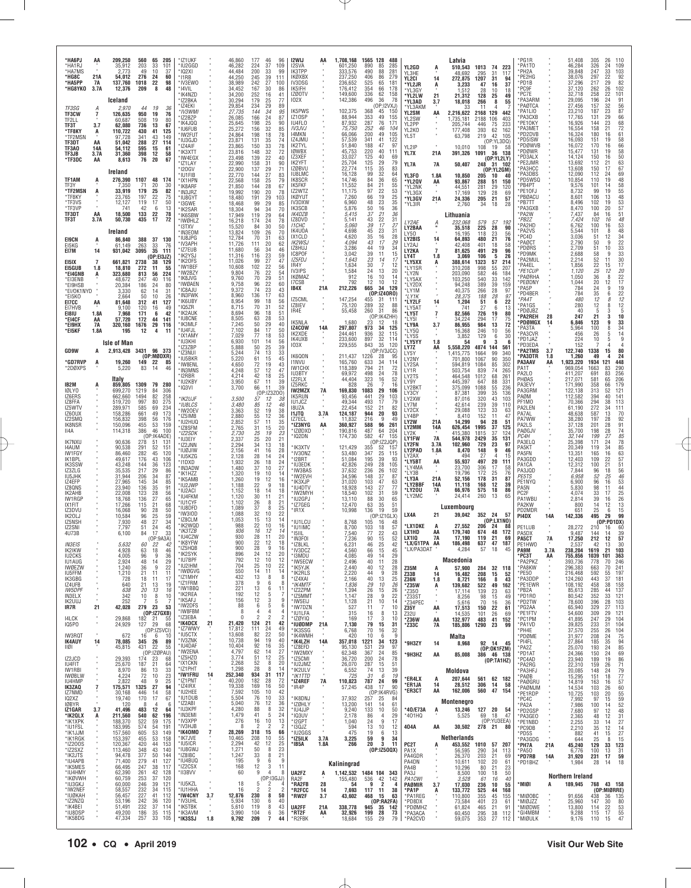| *HA6PJ<br>*HA1RJ<br>*HA7MS<br>*HG8C                          | AA<br>21A                   | 209,250<br>35,912<br>2,773<br>54,012                  | 560<br>203<br>49<br>276           | 65<br>33<br>10<br>24                       | 205<br>101<br>37<br>60                 | *IZ1UKF<br>*IU2GGD<br>*IQ2XI<br>*I1RB               |     | 46,860<br>46,282<br>44,484<br>44.250           | 177<br>224<br>200<br>245         | 46<br>96<br>37<br>109<br>33<br>99<br>111                                | I2WIJ<br>I2SVA<br>IK3TPP<br><b>IKØXBX</b>                                        | ΑA              | 1,708,168<br>601,250<br>333,576<br>237,250     | 1565 128<br>488<br>890<br>85<br>285<br>490<br>88<br>281<br>406<br>86<br>279                       | YL2GD<br>YL3HE<br>YL2CI                     | A<br>14                    | Latvia<br>510,543<br>48,692                     | 1013<br>295                      | 223<br>74<br>31<br>117<br>31<br>94                                              | *PG1R<br>PA1TO<br>*PH2A<br>PE2HG                      |                         | 51,408<br>46.284<br>39,848<br>38,076                | 305<br>326<br>247<br>297                  | 26<br>110<br>24<br>109<br>33<br>103<br>22                                              |
|--------------------------------------------------------------|-----------------------------|-------------------------------------------------------|-----------------------------------|--------------------------------------------|----------------------------------------|-----------------------------------------------------|-----|------------------------------------------------|----------------------------------|-------------------------------------------------------------------------|----------------------------------------------------------------------------------|-----------------|------------------------------------------------|---------------------------------------------------------------------------------------------------|---------------------------------------------|----------------------------|-------------------------------------------------|----------------------------------|---------------------------------------------------------------------------------|-------------------------------------------------------|-------------------------|-----------------------------------------------------|-------------------------------------------|----------------------------------------------------------------------------------------|
| *HA5PP<br>*HG8YKO                                            | 7A<br>3.7A                  | 137,760<br>12,376<br>Iceland                          | 1018<br>209                       | 22<br>-8                                   | 98<br>48                               | *IV3EW0<br>*I4VIL<br>*IK4NZD<br>*IZ2BKA             |     | 38,989<br>34,452<br>34,200<br>30.294           | 242<br>167<br>252<br>179         | $\frac{39}{27}$<br>100<br>30<br>86<br>16<br>41<br>$\frac{25}{29}$<br>77 | IV3DSG<br>IK5IFH<br>IZØOTV<br>102X                                               |                 | 236,652<br>176,412<br>149,600<br>142,386       | 525<br>65<br>181<br>354<br>66<br>178<br>336<br>$\frac{62}{36}$<br>158<br>78<br>496                | *YL2JR<br>*YL3GY<br>*YL2LW<br>*YL3AD        | A<br>21<br>3.7             | 272,875<br>3,233<br>1.512<br>21,312<br>18,018   | 1207<br>47<br>28<br>128<br>266   | 16<br>37<br>10<br>18<br>25<br>49<br>8<br>55                                     | 'PD1B<br>'PC9F<br>'PC7E<br>PA3ARM                     |                         | 37,296<br>37,120<br>32,718<br>29,095                | 217<br>262<br>258<br>196                  | $\frac{92}{82}$<br>29<br>102<br>26<br>22<br>101<br>24<br>91                            |
| TF3SG<br><b>TF3CW</b><br>TF2LL<br>TF3T                       | Α<br>7<br>3.7               | 2.970<br>126,635<br>60.687<br>62,080                  | 44<br>950<br>508<br>736           | 19<br>19<br>19<br>13                       | 36<br>76<br>80<br>67                   | * IZ4EKI<br>*IV3WMI<br>*IZ2BZP<br>*IK4.IOO          |     | 29,854<br>27,735<br>26,085<br>25,645           | 234<br>144<br>166<br>198         | 89<br>34<br>95<br>24<br>87<br>$\frac{25}{32}$<br>90                     | <b>IK5PWS</b><br>IZ10SP<br>IU4FLO                                                |                 | 102,375<br>88,944<br>87,932                    | (0P:12VXJ)<br>368<br>45<br>150<br>353<br>49<br>155<br>287<br>76<br>171                            | *YL3AKM<br>YL2SM<br>YL2SW<br>YL2PP          | AA                         | 2,216,622<br>1,735,181<br>205,744               | 11<br>2168<br>2188<br>446        | 129<br>442<br>106<br>403<br>75<br>233                                           | *PAØTCA<br>PA1LIO<br>*РАЗСХВ<br>PE10KY                |                         | 27,456<br>23,210<br>17,765<br>16,926                | 157<br>187<br>131<br>144                  | 32<br>56<br>87<br>23<br>66<br>29<br>23<br>68                                           |
| *TF8KY<br>*TF2MSN<br>TF3DT<br>TF3A0                          | A<br>AA<br>14A              | 110,722<br>97.728<br>51,042<br>54,112                 | 430<br>341<br>288<br>595          | 41<br>43<br>27<br>15                       | 125<br>149<br>114<br>61                | *IU6FUB<br>*IW2FUT<br>*IU3GJD<br>*IZ4AIF            |     | 25,272<br>24,864<br>23,871<br>23,865           | 156<br>198<br>131<br>150         | 85<br>18<br>78<br>35<br>74<br>$\frac{33}{32}$<br>78                     | <b>IV3JVJ</b><br>14MKN<br>IZ4JMU<br>IK2TYL<br><b>IØWBX</b>                       |                 | 75,750<br>66,066<br>57,539<br>51,840           | 252<br>46<br>104<br>200<br>49<br>105<br>341<br>188<br>41<br>122<br>47<br>97                       | YL2K0<br>YL5T<br>YL2IP                      |                            | 177,408<br>63,798<br>10.010                     | 393<br>219<br>108                | 62<br>162<br>42<br>105<br>(OP:YL3DQ)<br>19<br>58                                | 'PA3MET<br>*PD2DVB<br>PD5ISW<br>*PDØWVB               |                         | 16,554<br>16,324<br>16,093<br>16,072                | 158<br>180<br>151<br>170                  | 72<br>21<br>61<br>58<br>66<br>16<br>19<br>16<br>19                                     |
| TF3JB<br>*TF3DC                                              | 3.7A<br>AA                  | 31,360<br>8,613<br>Ireland                            | 398<br>76                         | 12<br>20                                   | 58<br>67                               | *IK3XTT<br>*IW4EGX<br>*IZ1LAY<br>*120GV             |     | 23,816<br>23,498<br>22,990<br>22,900           | 148<br>139<br>158<br>137         | 72<br>22<br>40<br>31<br>90<br>$\frac{29}{27}$<br>71                     | IZ3XEF<br>IK2YFT<br>IZØBVU<br><b>IU8LMC</b>                                      |                 | 45,753<br>33,027<br>25,704<br>22,774<br>16,128 | 220<br>40<br>111<br>125<br>40<br>69<br>125<br>29<br>79<br>35<br>83<br>115<br>99<br>32<br>64       | YL7X<br>YL7A                                | 21A<br><b>7A</b>           | 391,326<br>50,407                               | 1091                             | 36<br>138<br>(0P:YL2LY)<br>248 31 102<br>(OP:YL2GM)                             | *PDØWR<br>'PD3ALX<br>PE2JMR<br>*РАЗНСС<br>PA3DBS      |                         | 15,477<br>14,124<br>13,692<br>13,608<br>12,090      | 131<br>150<br>112<br>150<br>112           | 58<br>50<br>16<br>63<br>67<br>21<br>17<br>69<br>24                                     |
| TF1AM<br>TF3Y<br>*TF2MSN<br>*TF8KY                           | ņ<br>A                      | 276,390<br>7.350<br>33,919<br>23,765                  | 1107<br>71<br>179<br>197          | 48<br>20<br>25<br>22                       | 174<br>30<br>82<br>75                  | *IU1FIB<br>*IX1HPN<br>*IK8ARF<br>*IN3JRZ            |     | 22,770<br>22,568<br>21,850<br>19,992           | 144<br>158<br>144<br>190         | 83<br>25<br>79<br>28<br>67<br>$\frac{20}{29}$<br>78                     | IK8SCR<br>IK5FKF<br>IZ2WTZ<br><b>IKØYUT</b>                                      |                 | 14,746<br>11,552<br>11,175<br>7,260            | 84<br>36<br>65<br>55<br>84<br>21<br>22<br>53<br>97<br>19<br>66                                    | YL3F0<br>*YL2QV<br>*YL2NK<br>*YL3GX         | 1.8A<br>AA                 | 10.850<br>93,867<br>44,551<br>17,169            | 205<br>288<br>281<br>129         | 10<br>40<br>51<br>150<br>$\substack{29 \\ 28}$<br>120<br>69                     | *PD5WSQ<br>'PB4PT<br>*PE10FJ<br>*PBØACU               |                         | 10,854<br>9,576<br>8,732<br>8,601                   | 110<br>101<br>99<br>106                   | 19<br>48<br>58<br>55<br>14<br>19<br>48<br>13                                           |
| *TF3VS<br>*TF3VF<br>TF3DT<br>TF3T                            | AA<br>3.7A                  | 12,127<br>741<br>18,500<br>50,730                     | 119<br>42<br>133<br>435           | 17<br>6<br>22<br>17                        | 50<br>13<br>78<br>72                   | *IU8GYT<br>*I3GWF<br>*IK2SAR<br>*IK6SBW<br>*IWØHLZ  |     | 18,480<br>18,468<br>18,304<br>17,949<br>16,218 | 191<br>99<br>94<br>119<br>174    | 103<br>29<br>85<br>34<br>70<br>29<br>64<br>24<br>78                     | IV3DXW<br>IK3SCB<br><i><b>IK4DZB</b></i><br>IZ8DVD                               |                 | 6,960<br>5,876<br>5,415<br>5,141               | $\frac{25}{35}$<br>48<br>23<br>50<br>36<br>16<br>36<br>37<br>21<br>22<br>31<br>43                 | *YL3GV<br>*YL3IR                            | 21A                        | 24,336<br>2,760<br>Lithuania                    | 205<br>34                        | 21<br>57<br>18<br>28                                                            | *PB7TT<br>'PA3GXB<br>*PA2W<br>*PB2Z                   |                         | 8,496<br>8,470<br>7,437<br>7,424                    | 102<br>100<br>84<br>102                   | $\frac{53}{57}$<br>19<br>20<br>16<br>16                                                |
| <b>EI9CN</b><br>EI5KG                                        | Ą                           | Ireland<br>86,840<br>61,149                           | 388<br>263                        | 37 130<br>33                               | 76                                     | * I3TXV<br>*IN3EOM<br>*IU8JPG<br>*IV3APH            |     | 15,520<br>13,824<br>12,784<br>11,726           | 84<br>109<br>70<br>111           | 30<br>50<br>26<br>70<br>31<br>63<br>20<br>62                            | <i><b>I1CHC</b></i><br>IK4U0A<br><b>IX1CLD</b><br><b>IK2WSJ</b>                  |                 | 5,060<br>4,698<br>4,620<br>4,094               | $\frac{27}{31}$<br>39<br>17<br>45<br>23<br>35<br>16<br>28<br>43<br>17<br>29                       | LY2AE<br>LY2BAA<br>LY50<br>LY2BIS<br>LY2AJ  | $\frac{A}{n}$<br>14        | 232,068<br>35,518<br>16,195<br>64,893<br>42.408 | 579<br>225<br>118<br>480<br>401  | 57<br>192<br>28<br>90<br>23<br>56<br>21<br>76<br>18<br>58                       | 'PA2HD<br>'PA2VS<br>PC4D<br>'PAØCT                    |                         | 6,762<br>5,544<br>3.036<br>2,790                    | 100<br>101<br>51<br>50                    | $\frac{48}{53}$<br>$\frac{48}{48}$<br>16<br>8<br>12<br>34<br>22<br>33<br>33<br>33<br>9 |
| EI7M<br>EI5IX<br>EI5GUB                                      | 14<br>$\overline{7}$<br>1.8 | 931,042<br>661,821<br>18,810                          | 3095<br>2738<br>272               | 35<br>(OP:EI3JZ)<br>38<br>11               | 111<br>129<br>55                       | *IZ7EUB<br>*IK2YSJ<br>'IK20FS<br>*IW1BEF            |     | 11,680<br>11,316<br>11,026<br>10,608           | 56<br>116<br>$\frac{99}{102}$    | 34<br>46<br>23<br>59<br>$\frac{27}{22}$<br>47<br>56                     | IZ8HUJ<br>IC8POF<br><b>IZ5FDJ</b><br>IR4Y                                        |                 | 3,286<br>3,042<br>1,643<br>1,634               | $34$<br>$15$<br>44<br>19<br>39<br>11<br>23<br>14<br>17<br>30<br>7<br>12                           | LY2KA<br>LY4T<br>*LY5XX<br><b>LY1SR</b>     | $\overline{7}$<br>1.8<br>Ą | 81,625<br>3,069<br>388,614<br>310,208           | 491<br>106<br>1323<br>998        | 29<br>96<br>5<br>26<br>57<br>214<br>55<br>207                                   | <b>PDØRS</b><br>'PD9MK<br>PA2MUL<br>*PA4EL            |                         | 2.709<br>2,688<br>2,214<br>1,856                    | $\frac{51}{58}$<br>52<br>22<br>25<br>36   | 10<br>9<br>30<br>11<br>17<br>15                                                        |
| *EI4GNB<br>*EI3ENB<br>*EI9HSB<br>*EI/OK1NYD                  | Ą                           | 323,680<br>48,672<br>20,384<br>3,330                  | 813<br>247<br>186<br>62           | 56<br>40<br>24<br>14                       | 224<br>116<br>80<br>31                 | *IW2BZY<br>*IK8JVG<br>* IWØAEN<br>*IC8AJU           |     | 9,804<br>9,760<br>9,758<br>9,372               | 76<br>70<br>96<br>74             | 22<br>29<br>22<br>54<br>51<br>60<br>23<br>43                            | IV3IPS<br><b>IKØMAZ</b><br>I7CSB<br>IB4X                                         | 21A             | 1,584<br>912<br>792<br>212,226                 | $^{24}_{16}$<br>$^{13}_{10}$<br>$^{20}_{14}$<br>12<br>10<br>12<br>129<br>665<br>34<br>(0P:IZ40R0) | *LY2N<br>*LY5AX<br>*LY2DX<br>'LY1M          |                            | 203,090<br>103,250<br>94,248<br>40,375          | 582<br>540<br>389<br>266         | 46<br>184<br>33<br>142<br>$\begin{array}{c} 39 \\ 28 \end{array}$<br>159<br>97  | *PE1CUF<br>'PAØRHA<br>PEØDNY<br>*PA5P<br>PD4BER       |                         | 1,120<br>1.050<br>1,044<br>784<br>784               | 20<br>24                                  | $\substack{20\\22}$<br>$\frac{12}{8}$<br>12<br>17<br>19<br>9<br>6                      |
| *EI5KO<br>E17CC<br>EI7HVB<br>E181U                           | AA<br>1.8A                  | 2,664<br>81,648<br>9,100<br>7.968                     | 50<br>312<br>120<br>171           | 10<br>41<br>16<br>6                        | 26<br>127<br>49<br>42                  | *IN3FWK<br>*IK6UBY<br>'IQ5ZR<br>*IK2AUK             |     | 8,960<br>8,954<br>8,715<br>8,694<br>8,505      | 136<br>99<br>70<br>96            | 17<br>63<br>18<br>56<br>31<br>52<br>18<br>51<br>28                      | IZ5CML<br>IZ8IEV<br>IR4E                                                         |                 | 147,254<br>75,120<br>55,458                    | 455<br>31<br>- 111<br>289<br>32<br>88<br>86<br>260<br>31                                          | *I Y1K<br>*LY2LF<br>*LY5AT<br>*LY5T         | 14<br>7                    | 28,375<br>1,204<br>741<br>82,566                | 188<br>51<br>27<br>726           | 28<br>97<br>6<br>22<br>13<br>6<br>19<br>80                                      | *PA4T<br>PA1GS<br>*PDØJBZ<br>'PA2REH                  | 28                      | 480<br>280<br>40<br>247                             | $\frac{35}{12}$<br>12<br>$\sqrt{5}$<br>21 | $\frac{22}{12}$<br>8<br>12<br>8<br>5<br>3<br>10<br>3                                   |
| *E14CF<br>*EI9HX<br>*EI5KF                                   | AA<br>7A<br>1.8A            | 57,720<br>320,160<br>195                              | 172<br>1676<br>12                 | 44<br>29<br>4                              | 141<br>116<br>11                       | *IU8CNE<br>*IK3MLF<br>*IU4FJL<br>*IX1AMY<br>*IU3KHI |     | 7,245<br>7,102<br>7,029<br>6,930               | 63<br>50<br>84<br>77<br>101      | 53<br>29<br>40<br>17<br>50<br>18<br>53<br>14<br>56                      | IK5NLA<br>IZ4COW<br>IK2XDE<br>IK4UXB                                             | 14A             | 1,680<br>297,807<br>244.461<br>233,600         | (OP:IK4ZHH)<br>23 12 18<br>12<br>973<br>34<br>125<br>936<br>32<br>115<br>897<br>32<br>114         | 'LY5I<br>*LY9A<br>LY5Q*<br>*LY5S<br>*LY5YY  | 3.7<br>1.8                 | 34,224<br>86,955<br>16,368<br>3,852<br>54       | 294<br>984<br>246<br>129<br>9    | 17<br>75<br>13<br>72<br>10<br>56<br>30<br>6<br>3<br>-6                          | *PDØMGX<br>'PA3TA<br><b>PA3CVR</b><br>*PD1JAZ         | 14                      | 6.846<br>5,964<br>456<br>224                        | 123<br>100<br>26<br>10                    | 9<br>33<br>8<br>34<br>14<br>5<br>5<br>9                                                |
| GD9W<br>*GD7RVP                                              | А<br>A                      | <b>Isle of Man</b><br>2,913,428 3431 96 373<br>19,260 | 149                               | (OP:MØDXR)<br>22                           | 85                                     | * IZ3ZBP<br>*IZ3NUI<br>*IU5BKR<br>*IW8ENL           |     | 5,888<br>5,244<br>5,220<br>4,650               | 50<br>74<br>61<br>72             | 39<br>25<br>13<br>33<br>15<br>45<br>19<br>43                            | <b>IO3X</b><br>IK6QON<br><b>I1NVU</b>                                            |                 | 229,555<br>211,437<br>165,760                  | 843<br>35<br>120<br>(OP:IV3JCC)<br>1226<br>95<br>28<br>633<br>794<br>34<br>114                    | LY7Z<br>LY5Y<br>LY2NY<br>LY2SA              | AA                         | 5,558,220<br>1,415,775<br>701,800<br>594,819    | 4874 144<br>1664<br>1067<br>1084 | 561<br>99<br>340<br>350<br>90<br>85<br>302                                      | *PD3EDA<br>*PA2TMS<br>*PA3DTR<br>PA3AAV               | 3.7<br>1.8<br>AA        | 152<br>122,740<br>1.260<br>1,923,220                | 1338<br>49<br>1934                        | 15<br>80<br>24<br>121<br>448                                                           |
| *2DØXPS<br>IB2M                                              | A                           | 5,220<br>Italy<br>859,805                             | 83<br>1309                        | 14<br>79 280                               | 46                                     | *IN3MNS<br>'I2RBR<br>*IU2KBY<br>'IQ3VI              |     | 4,248<br>4,214<br>3,950<br>3,700               | 57<br>42<br>67<br>66             | 12<br>47<br>18<br>25<br>11<br>39<br>11<br>39                            | <b>IW1CHX</b><br><b>IU3BTY</b><br>IZ2FLX<br>IZ5RKC<br>IW2MZX                     |                 | 118,389<br>69,972<br>44,404<br>828<br>169,830  | 21<br>72<br>498<br>24<br>78<br>323<br>16<br>52<br>26<br>$\overline{7}$<br>16<br>1083<br>29        | LY1R<br>LY2TS<br>LY9Y<br>LY2BKT             |                            | 503,754<br>464.548<br>445,397<br>375,099        | 839<br>1012<br>647<br>1088       | 74<br>265<br>$\begin{array}{c} 68 \\ 88 \end{array}$<br>261<br>331<br>55<br>236 | PA1T<br>PA2LO<br>PHØAS<br>PA3EVY<br>PA3GRM            |                         | 969,054<br>411,207<br>217,071<br>171,990<br>122,138 | 1663<br>691<br>581<br>358<br>313          | 290<br>83<br>256<br>83<br>206<br>179<br>65<br>66<br>121<br>52                          |
| <b>IQLYO</b><br>IZ6ERS<br>IZ8FFA<br>IZ5WTV<br>IZ60UX         |                             | 699,270<br>662,660<br>519,720<br>289.971<br>158,286   | 1219<br>1494<br>997<br>585<br>661 | 84<br>82<br>80<br>69<br>49                 | 306<br>258<br>275<br>$\frac{234}{173}$ | *IK2UJF<br>*IU8LCS<br>*IW20EV                       |     | 3,500<br>3,480<br>3,363                        | 57<br>85<br>52                   | (0P:IZ3Z00)<br>12<br>.38<br>12<br>46<br>19<br>38                        | IK5RUN<br>IU1JCZ<br>18UZA<br><b>I1JTQ</b>                                        | 7A<br>3.7A      | 93,456<br>49,344<br>22,454<br>124,187          | 106<br>441<br>29<br>103<br>493<br>17<br>79<br>152<br>21<br>82<br>944<br>93<br>20                  | LY3CY<br>LY2XW<br>LY7M<br>LY2CX             |                            | 87,381<br>87,016<br>42,614<br>29,088            | 399<br>320<br>239<br>123         | 35<br>136<br>43<br>103<br>39<br>110<br>33<br>63                                 | PAØM<br>PF1MO<br>PA2LEN<br>PA7AL                      |                         | 112,582<br>70,366<br>61,190<br>48,638               | 394<br>294<br>272<br>587                  | 141<br>40<br>113<br>38<br>34<br>111<br>13<br>70                                        |
| IZ2SMQ<br>IK8NSR<br>II4A                                     |                             | 156,832<br>150,096<br>114,318                         | 398<br>455<br>386                 | 56<br>$\overline{53}$<br>46<br>(OP:IK4ADE) | 176<br>159<br>100                      | *IZ5IMB<br>*IU2HUQ<br>*IZ8SFM<br>*IZ2SDK            |     | 2,880<br>2,852<br>2,765<br>2,730               | 55<br>57<br>31<br>25             | 12<br>36<br>11<br>35<br>20<br>15<br>19<br>23                            | 177FCI<br>*IZ3NYG<br>*IZØDXD<br>*IQ2DN                                           | AA              | 11,832<br>360,927<br>190,816<br>174,730        | 216<br>9<br>49<br>96<br>588<br>261<br>487<br>64<br>204<br>582<br>47<br>155                        | LY4BP<br>LY2W<br>LY2MM<br>LY2K<br>LY1FW     | 21A<br>14A                 | 8,410<br>14,299<br>626,454<br>415,380           | 152<br>94<br>1995<br>1815        | 47<br>11<br>28<br>51<br>37<br>125<br>37<br>124                                  | PA7WW<br>PA2LS<br>PAØGJV<br>PC4H                      |                         | 38,280<br>37,128<br>35,700<br>32,144                | 197<br>201<br>198<br>199                  | $\frac{92}{91}$<br>28<br>28<br>74<br>28<br>85<br>27                                    |
| <b>IK7NXU</b><br>14AUM<br><b>IW1FGY</b><br>IK1BPL            |                             | 90,636<br>90,538<br>86.460<br>49,617                  | 278<br>291<br>282<br>176          | 51<br>52<br>45<br>43                       | 131<br>151<br>120<br>106               | *IU3EIY<br>'IZ2JNN<br>*IUØJIW<br>*IU5KZG<br>*I1DXD  |     | 2,337<br>2,294<br>2,156<br>2,128<br>1,932      | 25<br>34<br>41<br>28<br>26       | 20<br>21<br>13<br>18<br>16<br>28<br>14<br>24<br>18<br>24                | 'IK3XTV<br>*IV30NZ<br>*I2BRT                                                     |                 | 121,429<br>53,480<br>51,084                    | (OP:IZ2JQP)<br>355<br>52<br>157<br>347<br>25<br>115<br>195<br>39<br>93                            | <b>LY2FN</b><br>LY2PAD<br>LY2AX<br>*LY5BT   | 7A<br>3.7A<br>1.8A<br>AA   | 544,978<br>102,960<br>8,470<br>494<br>55,937    | 2429<br>729<br>148<br>27<br>497  | 35<br>131<br>23<br>97<br>9<br>46<br>4<br>15<br>20<br>111                        | PA3ELQ<br>PA5KT<br>PA5FN<br>PA3GDD                    |                         | 25,398<br>20,349<br>13.351<br>12,403                | 171<br>119<br>165<br>109                  | 78<br>24<br>85<br>34<br>63<br>57<br>51<br>56<br>16<br>22                               |
| IK3SSW<br>IZ3ZLG<br>IU5JHK<br>IZ4EFP                         |                             | 43,248<br>35,535<br>31,944<br>27,965<br>23,940        | 144<br>217<br>206<br>145<br>136   | 36<br>29<br>34<br>34<br>35                 | 123<br>86<br>87<br>85<br>91            | *IN3ADW<br>*IK1HZZ<br>*IK5AMB<br>*IU2JWP            |     | 1,480<br>1,320<br>1,260<br>1,188               | 37<br>19<br>19<br>22             | 10<br>27<br>10<br>14<br>12<br>16<br>9<br>18                             | *IU3EDK<br>*IW3BAS<br>*IW2EVH<br>*IK3XJP<br>*IU4DTV                              |                 | 42,826<br>37,632<br>34,596<br>31,020           | 249<br>28<br>105<br>26<br>236<br>102<br>37<br>148<br>87<br>63<br>103<br>47<br>143<br>27<br>77     | LY4MA'<br>*LY3B<br>*LY3A<br>*LY2BBF         | 21A<br>14A                 | 23,700<br>19,796<br>52,156<br>11,118            | 306<br>172<br>178<br>168         | $\frac{17}{25}$<br>58<br>76<br>31<br>87<br>12<br>39                             | PA1CA<br>PA3JQD<br>PE5TS<br>PE1NYQ                    |                         | 12,312<br>7,844<br>6,958<br>6,900                   | 100<br>96<br>52<br>96<br>98               | 21<br>18<br>25<br>$\begin{array}{c} 46 \\ 53 \end{array}$<br>16<br>44                  |
| IZ8QNS<br>IK2AHB<br>IW1RGP<br>IX1FIT<br>IZ3DVU               |                             | 22,008<br>18,768<br>17,266<br>16,068                  | 123<br>136<br>115<br>90           | 28<br>27<br>21<br>28                       | 56<br>65<br>68<br>50                   | *IU2ACI<br>*IU4FKM<br>*IU1CYF<br>*IU8DFD            |     | 1,152<br>1,120<br>1,102<br>1,089               | 18<br>30<br>26<br>37             | 14<br>18<br>21<br>11<br>8<br>21<br>8<br>25                              | *IW2MYH<br>*IU2GPJ<br>*IZ7GEG<br>*IR1X                                           |                 | 18,928<br>18,540<br>13,110<br>12,470<br>10,998 | 102<br>59<br>31<br>65<br>88<br>30<br>$\frac{51}{59}$<br>63<br>35<br>136<br>19                     | *LY20U<br>*LY2MC                            | 7A                         | 66,976<br>24,414<br>Luxembourg                  | 575<br>260                       | 18<br>86<br>13<br>65                                                            | PA5N<br>PC <sub>2F</sub><br>PA1WBU<br>PA2KW<br>PD2MDR |                         | 5,830<br>4,074<br>2,814<br>800<br>651               | $\frac{33}{39}$<br>14<br>25               | 11<br>$\frac{25}{26}$<br>17<br>16<br>13<br>12<br>6<br>15                               |
| IK20LJ<br>IZ5NSH<br>IZ2SNI<br>4U73B                          |                             | 10,584<br>7,930<br>7,797<br>6,100                     | 96<br>48<br>51<br>84              | 25<br>27<br>24<br>17                       | 59<br>34<br>45<br>33                   | *IW3IOD<br>*IZ8CLM<br>*IK2WQD<br>*IK3TZB            |     | 1,088<br>1,053<br>988<br>936                   | 32<br>15<br>22<br>16             | 22<br>10<br>13<br>14<br>10<br>16<br>12<br>14                            | *IU1LCU<br>*IU1IMC<br>$*$ I5IIL                                                  |                 | 8,768<br>8,700<br>7,540                        | (OP:IZ1GLX)<br>105<br>48<br>16<br>103<br>57<br>18<br>77<br>22<br>43                               | LX4A<br>*LX1DKE<br>LX1HD                    | 21<br>A<br>AA              | 39,042<br>27,552<br>179,740                     | 352 24<br>206<br>674             | -57<br>(OP:LX1NO)<br>24<br>88<br>48<br>172                                      | PI4DX<br>PE1LUB<br>PA5DX                              | 14A                     | 142,336<br>28,272<br>9,487                          | 495<br>210<br>144                         | 29<br>99<br>(OP:PD1DX)<br>60<br>16<br>14<br>39                                         |
| <i>IN3EIS</i><br>IK2IKW<br><b>IU2CKS</b>                     |                             | 4,928<br>4,005                                        | 60<br>63<br>96                    | (OP:9A3A)<br>22<br>18<br>$\mathbf{q}$      | 42<br>46<br>36                         | *IU4CZW<br>IK8YFW<br>*IZ5HQB<br>*IK2SYK<br>*IU7BPF  |     | 930<br>900<br>900<br>896                       | 28<br>22<br>28<br>24             | 11<br>20<br>12<br>9<br>16<br>12<br>20<br>10<br>12                       | *IN3FOI<br>IZ8LKL<br>*IV3DCZ<br>*I3MDU                                           |                 | 7,236<br>6.231<br>4,560<br>4,085               | 90<br>52<br>15<br>46<br>25<br>42<br>66<br>15<br>45<br>49<br>29<br>14                              | LX1IQ<br>LX/G1TPA AA<br>LX/PA3DAT*          | 7A                         | 17,190<br>186.498<br>4,284<br>Macedonia         | 119<br><b>037</b><br>57          | 21<br>69<br>47<br>187<br>18<br>45                                               | PA5CT<br>PE1HWO<br><b>PA9M</b><br>*PC3T               | <b>7A</b><br>3.7A<br>AA | 17,250<br>238,204<br>755,856                        | 212<br>42<br>1619<br>1039                 | 12<br>57<br>30<br>21<br>103<br>363<br>101                                              |
| <b>IU1AUG</b><br><b>IWØEZW</b><br>IU5FFM<br>IK3GBG<br>IZ4UFB |                             | 2,924<br>1,240<br>1,210<br>728<br>640                 | 48<br>36<br>21<br>18              | 14<br>9<br>11<br>11<br>13                  | 29<br>22<br>11<br>17<br>19             | *IU2IHM<br>*IWØGVG<br>*IZ1MHY<br>*IZ1FRM            |     | 792<br>704<br>550<br>432<br>378                | $\frac{12}{25}$<br>14<br>13<br>9 | 10<br>22<br>11<br>14<br>8<br>6                                          | *IW5ECW<br>*IK5YJK<br>*IK2RLS<br>8<br>*IZ4XAI<br>8<br>*IK4MTF                    |                 | 2,496<br>2,440<br>2,220<br>2,166<br>1,836      | 40<br>11<br>28<br>28<br>40<br>12<br>44<br>9<br>28<br>25<br>40<br>13<br>29<br>10                   | Z35M<br>Z33B<br><b>Z36N</b>                 | A<br>14<br>1.8             | 57,900<br>16,482<br>8,721                       | 284<br>208<br>166                | 32 118<br>15<br>52<br>43<br>8                                                   | *PA2PKZ<br>*PA8KW<br>*PE50<br>*PA3DDP<br>*PE1EWR      |                         | 393,736<br>296,383<br>216,468<br>124,260<br>108,192 | 778<br>663<br>592<br>443<br>458           | 246<br>70<br>241<br>70<br>197<br>55<br>181<br>37<br>158<br>38                          |
| <b>IW5DPF</b><br>IN3ELX<br>IK2UUJ<br>IR7R                    | 21                          | 638<br>342<br>252<br>42,028                           | 21<br>20<br>10<br>7<br>279 23     | 13<br>8<br>$\mathbf{5}$                    | 16<br>10<br>$\overline{7}$<br>53       | *IW1BBQ<br>*IK2REA<br>*IK5AFJ<br>*IW2DFS            |     | 221<br>192<br>156<br>88                        | 13<br>12<br>12<br>6              | 6<br>11<br>5<br>$\sqrt{3}$<br>5                                         | *IZ2ZPM<br>7<br>*IZ5MMT<br>9<br>*IW5EIJ<br>6<br>*IW7DZN                          |                 | 1,394<br>1,147<br>1,128<br>527                 | 26<br>26<br>$\frac{26}{22}$<br>15<br>28<br>9<br>10<br>21<br>14<br>11<br>7<br>10                   | *Z35W<br>*Z350<br>*Z33ST<br>*Z34PEC<br>Z35Y | Á<br>٠<br>AA               | 139,682<br>17,114<br>8,256<br>5,616<br>17,513   | 522<br>139<br>98<br>70<br>150    | 49<br>162<br>23<br>63<br>15<br>49<br>16<br>36<br>22<br>61                       | *PB2A<br>*PD1R0<br>*PD2TW<br>*PG2AA                   |                         | 85,613<br>80,542<br>78,600<br>65,940                | 285<br>352<br>396<br>329                  | 137<br>44<br>121<br>33<br>103<br>28<br>27<br>113                                       |
| <b>I4LCK</b><br>IQ5PO                                        | ٠                           | 29,868<br>24,929                                      | 182<br>127                        | (OP:IZ7GXB)<br>21<br>29<br>(OP:IZ5VCI)     | 55<br>68                               | *IW8FBM<br>* IZ3EBA<br>*IK4DCX<br>*IZ7WWY           | 21  | 8<br>0<br>21,420<br>17,812                     | 4<br>2<br>124<br>111             | $\overline{4}$<br>$\overline{2}$<br>42<br>21<br>24<br>49                | $\overline{4}$<br>*IU1LFA<br>$\overline{2}$<br>*IZØYIQ<br>*IUØDMP 21A<br>*IK3SSG |                 | 315<br>169<br>7,130<br>6,768                   | 8<br>13<br>16<br>17<br>3<br>10<br>79<br>15<br>31<br>70<br>16<br>32                                | Z32U<br>*Z36W<br>*Z33C                      | AA<br>7A                   | 14,535<br>132,977<br>185,806                    | 101<br>483<br>1290               | 26<br>69<br>41<br>152<br>23<br>99                                               | *PE1FTV<br>*PC1PM<br>*PA1VD<br>*PH4E                  |                         | 54,600<br>41,895<br>39,825<br>37,570                | 309<br>247<br>233<br>255                  | $\frac{121}{104}$<br>29<br>29<br>104<br>31<br>104<br>26                                |
| IW3RQT<br>IK4AUY<br>11Ø1                                     | 14                          | 672<br>78,085<br>45,815                               | 16<br>345<br>431                  | - 6<br>26<br>22<br>(OP:IZØPAU)             | 10<br>89<br>55                         | *IU5CTX<br>*IV3ZNK<br>*IU4DAF<br>*IW2ENA            |     | 13,608<br>10,738<br>10,404<br>4,797            | 82<br>94<br>92<br>62             | 22<br>50<br>19<br>40<br>16<br>35<br>27<br>14                            | *IK4WMH<br>*IK4LZH<br>*IZ8EFD<br>*IW2MXY                                         | 14A             | 420<br>357,018<br>95,130<br>62,348             | 10<br>9<br>6<br>1221<br>34<br>123<br>531<br>29<br>97<br>367<br>24<br>85                           | *9H3ZY<br>*9H3HZ                            | 14<br>AA                   | Malta<br>8,968<br>85,008                        | 92                               | - 14<br>45<br>(OP:OK1FZM)<br>386 46 138                                         | *PDØME<br>'PI4FL<br>*PA2Z<br>*PD1AT                   |                         | 31,977<br>27,864<br>25,070<br>24,366                | 208<br>185<br>193<br>150                  | $\frac{75}{94}$<br>24<br>35<br>$\frac{85}{69}$<br>24<br>24                             |
| IZ2JCD<br>IU4FIT<br>IW1RBI<br><b>IWØBLW</b><br>IU4HMP        |                             | 29,393<br>25,670<br>8,970<br>4,224<br>2,822           | 174<br>187<br>86<br>72<br>48      | 23<br>21<br>13<br>10<br>-9                 | 68<br>64<br>33<br>$\frac{23}{25}$      | *IZ5HZ0<br>*IX1CKN<br>*IZ1PHT<br>*IW1FRU<br>*IZ1PNT | 14  | 3,774<br>2,268<br>1,298<br>252,340<br>40,200   | 51<br>52<br>28<br>934<br>182     | 12<br>25<br>8<br>20<br>8<br>14<br>31<br>117<br>28<br>72                 | *IZ5CMI<br>*IU2JMZ<br>*IK2ULV<br>*IK1TTD<br>*IZ4REF                              | 7A              | 36,720<br>26,070<br>6,552<br>725               | 200<br>24<br>78<br>287<br>51<br>15<br>74<br>13<br>39<br>31<br>19<br>6<br>787<br>24<br>99          | *ER4LX                                      | A                          | Moldova<br>207,644                              |                                  | (OP:TA1HZ)<br>561 62 182                                                        | *PC4AD<br>*PA2RG<br>*PA3HFJ<br>*PAØB                  |                         | 23,940<br>22,310<br>20,085<br>15,295                | 189<br>159<br>148<br>151                  | $\frac{86}{71}$<br>19<br>26<br>79<br>77<br>24<br>18                                    |
| IK3ZAQ<br>IZ7NMD<br><b>IQ2XZ</b><br><b>IØBYR</b>             | $\overline{7}$              | 175,571 1325<br>30,168<br>19,740<br>120               | 446<br>170<br>8                   | 27<br>14<br>17<br>4                        | 94<br>58<br>67<br>6                    | *IZ4IRX<br>*IU2HEE<br>*IU1DUB<br>*IZ2ABI            |     | 19,338<br>7,592<br>5,504<br>5,040              | 169<br>105<br>76<br>76           | 16<br>50<br>10<br>42<br>33<br>10<br>12<br>36                            | *IR4P<br>*IK8DNJ<br>*IZØHLY                                                      |                 | 110,823<br>57,245<br>37,932<br>13,200          | 438<br>17<br>90<br>(OP:IK4RVG)<br>257<br>25<br>84<br>141<br>14<br>61                              | *ER1JA<br>*ER3CT                            | 14<br>AA                   | 28,512<br>162,006<br>Montenegro                 | 306<br>560                       | 14<br>58<br>47<br>154                                                           | *PAØGRU<br>*PAØMJM<br>*PE1RDP<br>*PC4C<br>*PA2A       |                         | 14,819<br>14,534<br>10,725<br>7,992                 | 163<br>103<br>103<br>97                   | 57<br>60<br>55<br>55<br>59<br>52<br>48<br>16<br>26<br>20<br>15                         |
| IZ1GAR<br>*IK2QLX<br>*IK1XPK<br>*IU1FSL                      | 3.7<br>A                    | 41,496<br>211,560<br>188,370<br>183,995               | 483<br>540<br>522<br>574          | 12<br>62<br>$\frac{59}{54}$                | 64<br>196<br>$\frac{175}{191}$         | *IU3KPF<br>*IN3EMI<br>*IV3XPP<br>*IV3HJB            |     | 4,280<br>1,479<br>276<br>8                     | 88<br>41<br>16<br>2              | 8<br>32<br>5<br>24<br>10<br>13<br>$\overline{c}$                        | *IU4JJP<br>*IQ3UV<br>*I2GPT<br>$\overline{2}$<br>*I3QJZ                          |                 | 9,240<br>2,178<br>1,040<br>594                 | 133<br>10<br>50<br>29<br>86<br>4<br>$^{24}_{13}$<br>9<br>$\frac{17}{12}$<br>10                    | *40/E73A<br>*401HQ<br>404A                  | A<br>AA                    | 13,246<br>5,525<br>30,502                       | 127 20<br>69 18<br>278 21        | 54<br>47<br>(OP:YU3EEA)<br>80                                                   | *PD2GSP<br>*PA3GEO<br>*PE1NBD<br>*PC9DB               |                         | 7,986<br>7,680<br>2,365<br>2,255<br>2,210           | 100<br>97<br>48<br>33                     | 14<br>12<br>$31$<br>$27$<br>$14$<br>$27$<br>$15$<br>12<br>14<br>12                     |
| *IK1JJM<br>*IK1RGK<br>*IZ200S<br>*IZ2SXZ                     |                             | 157,560<br>153,397<br>120,367<br>113,460              | 605<br>455<br>420<br>348          | 53<br>53<br>44<br>43                       | 149<br>158<br>153<br>140               | *IK40M0<br>*IK7JVE<br>*IU5ICR<br>*IU8GWJ            |     | 28,269<br>10,465<br>2,294<br>1,271             | 318<br>208<br>42<br>50           | 15<br>66<br>10<br>55<br>25<br>12<br>8<br>23                             | *IU2GGS<br>*IZ5ILK<br>* IB5A                                                     | 3.7A<br>1.8A    | 475<br>3,225<br>266                            | 19<br>6<br>13<br>9<br>34<br>59<br>20<br>3<br>11<br>(0P:IZ50QX)                                    | PC2T<br>PA1X                                | A                          | <b>Netherlands</b><br>453,552 1010<br>56,595    | 290                              | 207<br>57<br>34<br>113                                                          | *PD5S<br>*PA3GDG<br>*PH7A<br>*PA50                    | 21A                     | 882<br>644<br>45,240<br>6,776                       | $\frac{35}{41}$<br>25<br>129<br>100       | 15<br>123<br>33<br>31<br>13                                                            |
| *IK2JTS<br>*IU4APB<br>*IK5MES<br>*IU4HMY                     |                             | 94,478<br>71,400<br>66,495<br>62,390                  | 377<br>279<br>247<br>261          | 50<br>41<br>38<br>42                       | 144<br>127<br>117<br>128               | *IZ8IBC<br>*IU4BUQ<br>*IZ2CSX<br>*II3BVV            |     | 1,247<br>195<br>168<br>60                      | 33<br>9<br>12<br>9               | 8<br>21<br>6<br>3<br>11<br>$\overline{4}$                               | 9<br>UA2FZ<br>8                                                                  | $\frac{A}{i}$   | Kaliningrad                                    | 1,142,532 1484 104 343                                                                            | PA4GDR<br>PA4DN<br>PA4B<br>PA3J             |                            | 26,370<br>10,611<br>10,296<br>8,500             | 203<br>102<br>80<br>100          | 21<br>69<br>20<br>61<br>21<br>23<br>50<br>18                                    | *PD7RB<br>*PD1BHZ                                     | 14A                     | 31,920<br>1,984<br>Northern Ireland                 | 231<br>28                                 | 59<br>17<br>14<br>18                                                                   |
| *IKØVWH<br>*IU3GKJ<br>*IW2NEF<br>*IUØKAH                     |                             | 60,759<br>60,000<br>58,557<br>56,457                  | 253<br>246<br>232<br>227          | 37 120<br>39<br>34<br>41                   | 121<br>115<br>112                      | *IU5KZL<br>*IU1HHA<br>*IW4CNY                       | 3.7 | 18<br>16<br>12,876                             | 5<br>2<br>230                    | (OP:13GJJ)<br>$\frac{2}{2}$<br>8<br>50                                  | RA2F<br>*RA2FB<br>2<br>*R2FCC<br>*RW2F                                           | 28<br>14<br>3.7 | 155,480<br>54<br>7,693<br>43,602               | 536<br>42<br>142<br>9<br>$\overline{2}$<br>$\Delta$<br>117<br>11<br>38<br>468<br>15<br>63         | PA1CWI<br>PAØMIR<br>*PA1P<br>*PA1REG        | 3.7<br>Á                   | 3,528<br>17,030<br>133,772<br>110,800           | 61<br>236<br>525<br>355          | 16<br>40<br>10<br>55<br>44<br>168<br>45<br>155                                  | *MIØI<br>*MIØOBC                                      | А                       | 189,945<br>91,656                                   | 438                                       | 768 43 158<br>(OP:MIØRRE)<br>135<br>36                                                 |
| *IZ2NZQ<br>*IK4BEI<br>*IU8DSP<br>*IK5BDG                     |                             | 53,196<br>51,491<br>49,200<br>47,334                  | 242<br>232<br>186<br>257          | 36<br>$\frac{37}{35}$<br>33                | 120<br>114<br>115<br>105               | *IV3UHL<br>*IK5TBK<br>*IK3AVM<br>*IK3SSJ            | 1.8 | 5,934<br>5,610<br>3,990<br>9,792               | 130<br>119<br>104<br>209         | 6<br>40<br>8<br>43<br>6<br>36<br>$\overline{7}$<br>44                   | UA2FF<br>*RT2F<br>*R2FBK                                                         | 21A<br>AA       | 338,778<br>32,926<br>18,684                    | (OP:RA2FA)<br>945 35 142<br>199<br>$\frac{73}{79}$<br>28<br>155<br>29                             | *PD8DX<br>*PDØMHZ<br>*PA3ACA<br>*PA2CVD     |                            | 73,584<br>61,824<br>60,450<br>59,075            | 401<br>465<br>295<br>353         | 23<br>61<br>21<br>91<br>38<br>112<br>27<br>112                                  | *MIØJZZ<br>*MIØDWE<br>*GI4MBM<br>*MIØULK              |                         | 25,960<br>13,800<br>9,288<br>9,176                  | 147<br>114<br>115<br>110                  | 30<br>80<br>22<br>$\begin{array}{c} 53 \\ 55 \\ 47 \end{array}$<br>17<br>15            |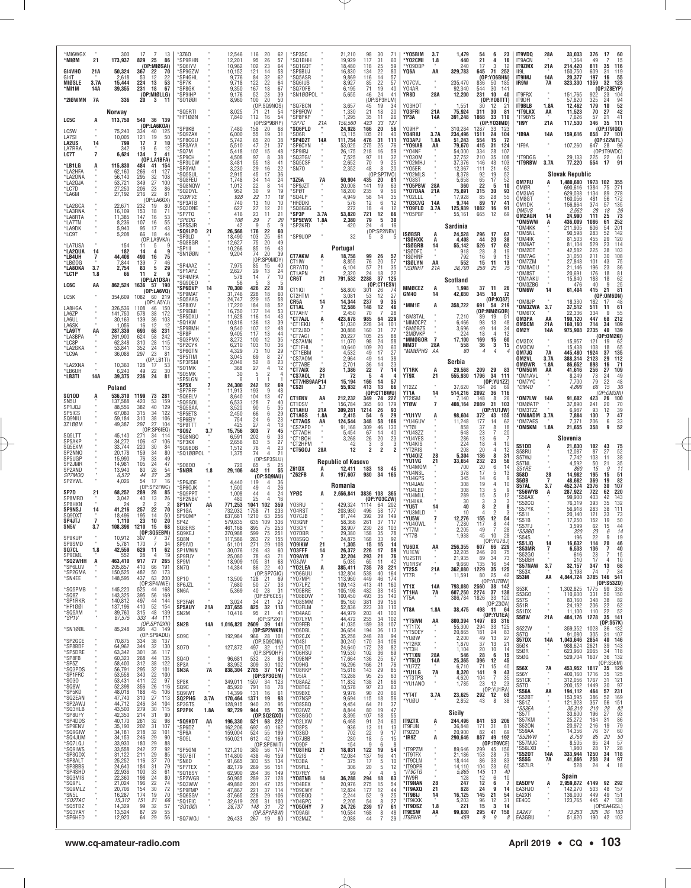| *MI6WGX<br>*MIØM                           | 21                   | 300<br>173,937                       | 17<br>7<br>13<br>829<br>25<br>86                                                              | 3Z60<br>*SP9RHN                            |                | 12,546<br>12,201                       | 116<br>20<br>62<br>26<br>57<br>95                                                  | 'SP3SC<br>'SQ1BHH                                  |               | 21,210<br>19,929                         | 98<br>30<br>117<br>31                             | 71<br>60                                      | *Y05BIM<br>*Y02CMI                        | 3.7<br>1.8                        | 1,479<br>440                       | 6<br>23<br>54<br>21<br>4<br>16                                         | IT9VDQ<br>IT9ACN                               | 28A                       | 33,033<br>1,364                                | 376<br>17<br>60<br>49<br>15                                                   |
|--------------------------------------------|----------------------|--------------------------------------|-----------------------------------------------------------------------------------------------|--------------------------------------------|----------------|----------------------------------------|------------------------------------------------------------------------------------|----------------------------------------------------|---------------|------------------------------------------|---------------------------------------------------|-----------------------------------------------|-------------------------------------------|-----------------------------------|------------------------------------|------------------------------------------------------------------------|------------------------------------------------|---------------------------|------------------------------------------------|-------------------------------------------------------------------------------|
| GI4VHO<br>GI4T<br>MIØSLE                   | 21A<br>3.7A          | 50,324<br>2,618<br>15,444            | (OP:MIØSAI)<br>367<br>22<br>70<br>22<br>53<br>12<br>224<br>13<br>53                           | 'SQ6IYV<br>SP9GZW<br>'SP4GHL<br>*SP7K      |                | 10,962<br>10,152<br>9.776<br>9,718     | 102<br>23<br>64<br>121<br>14<br>58<br>32<br>62<br>84<br>122<br>22<br>64            | 'SQ1GQT<br>'SP5BUJ<br>'SQ5ASR<br>*SQ6IUS           |               | 18,480<br>16,830<br>9,869<br>8,927       | 25<br>118<br>134<br>22<br>14<br>116<br>22<br>85   | 59<br>80<br>57<br>57                          | 'YO9DBF<br>YQ6A<br>Y07CVL                 | AA                                | 240<br>329,783<br>235,470          | 3<br>12<br>17<br>645<br>71<br>252<br>(OP:YO6BHN)<br>50<br>185<br>836   | <b>IT9ZMX</b><br>II9L<br><b>IT9IMJ</b><br>IR9W | 21A<br><b>14A</b><br>7A   | 214,420<br>150,750<br>20,377<br>323,330        | 811<br>35<br>116<br>609<br>31<br>119<br>197<br>16<br>55<br>1359<br>32<br>123  |
| *MI1M<br>*210WMN                           | 14A<br>7A            | 39,355<br>336                        | 231<br>18<br>67<br>(OP:MIØLLG)<br>20<br>$\mathbf{3}$<br>-11                                   | *SP8GK<br>*SP9IHP<br>*S01001               |                | 9,350<br>9,176<br>8,960                | 18<br>167<br>67<br>23<br>52<br>39<br>100<br>20<br>50                               | 'SQ70FB<br>*SN1ØØPOL                               |               | 6.195<br>5,655                           | 71<br>19<br>46<br>24<br>(OP:SP3HLM)               | 40<br>41                                      | Y04AR<br>YR8D                             | 28A                               | 92.340<br>12,200                   | 544<br>30<br>141<br>231<br>10<br>40<br>(0P:Y08TTT)                     | IT9FRX<br>IT9DFI                               |                           | 151,765<br>57,820                              | (OP:IZ8EYP)<br>922<br>104<br>23<br>325<br>94<br>24                            |
| LC5C                                       | А                    | <b>Norway</b><br>113,750             | 540 36 139                                                                                    | 'SQ5RTI<br>*HF1ØØN                         |                | 8.025<br>7,840                         | (OP:SQ9NOS)<br>21<br>54<br>71<br>112<br>16<br>54                                   | 'SQ7BCN<br>'SP9FOW<br>*SP8PKP                      |               | 3,657<br>1,330<br>1,295                  | 45<br>19<br>21<br>18<br>35<br>11                  | 34<br>20<br>26                                | Y03H0T<br>Y03FRI<br>ҮРЗА                  | 21A<br>14A                        | 1,551<br>75.924<br>391,248         | $2^{\circ}$<br>30<br>12<br>311<br>30<br>81<br>33<br>110<br>1868        | IT9BLB<br>*IT9LKX<br>*IT9BYS                   | 1.8A<br>AA                | 12,462<br>11,523<br>7,626                      | 52<br>179<br>10<br>42<br>70<br>27<br>57<br>21<br>41                           |
| LC5W<br>LA7SI                              |                      | 75.240<br>10,005                     | (OP:LA6KOA)<br>334<br>40<br>125<br>121<br>19<br>50                                            | 'SP9KB<br>`SQ9ZAX                          |                | 7,480<br>6,000                         | (OP:SP9BRP)<br>158<br>20<br>68<br>55<br>19<br>31                                   | *SP7C<br><b>SQ6PLD</b><br>'SO6R                    | 21A           | 150,560<br>24,928<br>13,115              | 423<br>33<br>166<br>20<br>105<br>21               | 127<br>56<br>40                               | Y09HP<br>Y04RIU                           | 3.7A                              | 310,284<br>234,496                 | (OP:YO3IMD)<br>1287<br>33<br>123<br>24<br>104<br>1511                  | *II9Y<br>*IB9A                                 | 21A<br>14A                | 117,530<br>159,616                             | 35<br>111<br>346<br>(OP:IT9IQQ)<br>858 27 101                                 |
| <b>LA2US</b><br>LA7RRA<br>LC7T             | 14<br>$\overline{7}$ | 799<br>342<br>6,624                  | 17<br>10<br>$\overline{7}$<br>19<br>6<br>12<br>134<br>7<br>41                                 | 'SP8CGU<br>*SP3AYA<br>'SQ7M                |                | 5,742<br>5,510<br>5,418                | 20<br>65<br>38<br>47<br>21<br>37<br>102<br>48<br>15                                | 'SP4DZT<br>'SP6CYN<br>'SP9IBJ                      | 14A           | 111,754<br>53,025<br>26,175              | 476<br>31<br>275<br>25<br>218<br>16               | 111<br>76<br>59                               | Y03APJ<br>'YO9IAB<br>'Y04NF               | 1.8A<br>AA                        | 51,243<br>79,670<br>54,000         | 15<br>72<br>554<br>415<br>31<br>124<br>28<br>107<br>334                | *IF9A                                          |                           | 107,260                                        | (OP:IZ2WFL<br>647<br>28<br>(OP:IT9WDC)                                        |
| *LB1LG<br>*LA2HFA                          | A                    | 115,830<br>62,160                    | (OP:LA1BFA)<br>484<br>41<br>154<br>266<br>41<br>127                                           | *SP9CH<br>`SP3UCW<br>*SP3YM                |                | 4,508<br>3,481<br>3,230                | 8<br>38<br>97<br>55<br>18<br>41<br>29<br>22<br>16                                  | 'SQ3TGV<br>*SQ5CSF<br>*SN70                        |               | 7,525<br>2,652<br>2,352                  | 97<br>11<br>$\boldsymbol{9}$<br>70<br>48<br>8     | 32<br>25<br>20                                | *Y030M<br>'Y02MHJ<br>*Y05ER               |                                   | 37,752<br>37,376<br>12,367         | 210<br>35<br>108<br>$^{43}_{21}$<br>146<br>103<br>111<br>62            | <b>IT9DGG</b><br>*IT9RBW                       | 3.7A                      | 29,133<br>77,220                               | 225<br>22<br>61<br>17<br>91<br>554                                            |
| *LA20NA<br>*LA2QJA<br>*LC7D                |                      | 56,140<br>53,721<br>27,250           | 295<br>32<br>108<br>27<br>100<br>349<br>206<br>23<br>86                                       | 'SQ5SUL<br>*SQ8FEU<br>'SQ8NQW              |                | 2,915<br>1,748<br>1,012                | 36<br>45<br>17<br>24<br>34<br>14<br>22<br>8<br>14                                  | '3Z5A<br>'SP9JZT                                   | 7A            | 50,904<br>20,008                         | (OP:SP7IVO)<br>435<br>20<br>141<br>19             | 81<br>63                                      | 'Y02MLS<br>*Y08ST<br>'Y05PBW              | 28A                               | 8,378<br>5,658<br>360              | 19<br>52<br>92<br>65<br>17<br>52<br>22<br>10<br>-5                     | <b>OM7RU</b><br>OMØR                           | A                         | <b>Slovak Republic</b><br>1,480,680<br>690,616 | 1973 102<br>355<br>271<br>1384<br>75                                          |
| *LA6M<br>*LA2GCA                           |                      | 27,192<br>22,671                     | 22<br>216<br>81<br>(OP:LA6GX)<br>232<br>80<br>19                                              | *SQ2DYL<br><i><b>SQ9FVE</b></i><br>*SP3ATB |                | 952<br>928<br>740                      | 30<br>9<br>19<br>22<br>11<br>18<br>13<br>10<br>10                                  | 'SPØT<br>'SQ4LP<br>*HFØDKI                         |               | 18,200<br>4,949<br>576                   | 235<br>9<br>58<br>14<br>12<br>6<br>$\overline{4}$ | 56<br>$\frac{35}{12}$                         | *YO7DAA<br>Y02LLL<br>'YO3CVG              | 21A<br>14A                        | 75,891<br>17,928<br>9,744          | 315<br>30<br>93<br>85<br>28<br>55<br>17<br>89<br>41                    | OM3IAG<br>OM8GT<br>OM1DK                       |                           | 629,038<br>160,056<br>156,864                  | 1134<br>89<br>278<br>481<br>172<br>56<br>374<br>57<br>135                     |
| *LA3RNA<br>*LA8RTA<br>*LA7TN               |                      | 16,109<br>11,385<br>8,236            | 153<br>18<br>71<br>147<br>$\begin{array}{c} 53 \\ 55 \end{array}$<br>16<br>107<br>16          | 'SQ30NE<br>'SP7TQ<br>*SP6DG<br>'SP5SJR     |                | 627<br>416<br>108<br>42                | 27<br>12<br>$^{21}_{21}$<br>$\overline{23}$<br>11<br>29<br>7<br>20<br>q<br>-5<br>q | 'SQ8GBG<br>'SP3P<br>'SP5EWX<br>`SP2KFD             | 3.7A<br>1.8A  | 272<br>53,820<br>2,380<br>420            | 18<br>12<br>721<br>79<br>5<br>24<br>4             | 12<br>66<br>30<br>16                          | *Y09FLD<br>*Y05PBF                        | 3.7A                              | 125,939<br>55,161<br>Sardinia      | 1082<br>91<br>$\frac{16}{12}$<br>665<br>69                             | OM5VS<br>OM2AGN<br>*OM5WW                      | 14<br>A                   | 2.552<br>24,990<br>436,009                     | $\frac{26}{73}$<br>28<br>18<br>111<br>25<br>1086<br>252<br>61                 |
| *LA9DK<br>*LC9T                            |                      | 5,940<br>5,208                       | 95<br>17<br>43<br>66<br>18<br>44<br>(OP:LA9VKA)                                               | *SQ9LPO<br>'SP3LD<br>*SQ8BGR               | 21             | 26,568<br>18,490<br>12,627             | 176<br>22<br>60<br>103<br>25<br>61<br>75<br>20<br>49                               | 'SP9UOP                                            |               | 32                                       | (OP:SP2NBV)<br>5<br>3                             |                                               | <b>ISØBSR</b><br><b>*ISØHXK</b>           | A<br>A                            | 24,528<br>4,408                    | 296<br>17<br>67<br>44<br>20<br>38                                      | *OM4KK<br>OM5NL<br>*OM4IK                      |                           | 211,905<br>90.598<br>81,503                    | 606<br>201<br>54<br>283<br>52<br>142<br>120<br>455<br>29                      |
| *LA7USA<br>*LA20UA<br>*LB4UH               | 14<br>7              | 154<br>182<br>44,408                 | 11<br>5<br>9<br>g<br>14<br>16<br>75<br>490                                                    | 'SP1II<br>*SN1ØØN                          |                | 10,266<br>9,204                        | 16<br>85<br>43<br>74<br>20<br>39<br>(OP:<br>SP9MDY)                                | <b>CT7AKW</b>                                      | A             | Portugal<br>18,758                       | 99<br>26                                          | 57                                            | *ISØGRB<br>'ISØDFC<br>'ISØHNF             | 14                                | 55,142<br>918<br>792               | 526<br>17<br>62<br>28<br>8<br>19<br>ğ.<br>16<br>13                     | OM6AT<br>OM2DT<br>OM7AG                        |                           | 81.104<br>42,582<br>31,050                     | 529<br>114<br>225<br>38<br>103<br>211<br>30<br>108<br>75<br>43                |
| *LBØOG<br>*LA80KA<br>*LC1P                 | 3.7<br>1.8           | 7,844<br>2,754<br>66                 | 139<br>46<br>29<br>83<br>5<br>9<br>11<br>$\overline{2}$                                       | *SP4AAZ<br>'SP1APZ<br>*SP4MPA              |                | 7,975<br>2,627<br>578                  | 85<br>15<br>40<br>29<br>13<br>24<br>14<br>7<br>10                                  | CT1IW<br>CR7ATQ<br>CT1APN<br>CR6T                  | 21            | 8,855<br>6,104<br>2,320<br>791,532       | 20<br>76<br>57<br>21<br>24<br>18<br>2288<br>37    | 57<br>35<br>22<br>125                         | 'ISØLYN<br>*ISØNHT                        | AA<br>21A                         | 552<br>38,700                      | 15<br>11<br>13<br>250<br>25<br>75                                      | *OM7ZM<br>*OM8ADU<br>OM8ST<br>OM1AKU           |                           | 27,848<br>21,146<br>20,691<br>15,840           | 101<br>23<br>86<br>196<br>81<br>176<br>18<br>62<br>188<br>18                  |
| <b>LC6C</b><br>LC5K                        | AA                   | 862,524<br>354,609                   | (OP:LA1DSA)<br>1636 57 190<br>(0P:LA6VQ)<br>1082<br>-60<br>219                                | 'SQ9DE0<br>*SP6DVP<br>'SP9MAT              | 14             | 56<br>70,300<br>31,746                 | 3<br>5<br>5<br>426<br>22<br>78<br>228<br>229<br>18<br>60                           | CT1IQI<br>CT2HTM                                   |               | 58,800<br>3,081                          | (OP:CT1ESV)<br>301<br>-26<br>12<br>53             | $\frac{74}{27}$                               | MMØCEZ<br><b>GM40</b>                     | А<br>14                           | <b>Scotland</b><br>1,998<br>42,030 | 37 11<br>26<br>345<br>18<br>-72                                        | OM3ZBG<br>*OM6W                                | 14                        | 476<br>61,404                                  | 25<br>9<br>40<br>415<br>21<br>81<br>(OP:OM6DN)                                |
| LA8HGA<br>LA6ZP                            |                      | 326,536<br>141,750                   | (OP:LA5YJ)<br>1108<br>46<br>150<br>578<br>38<br>172                                           | `SQ5AAG<br>'SP8IOV<br>'SP9EMI              |                | 24,747<br>17,220<br>16,750             | 15<br>58<br>184<br>18<br>52<br>177<br>14<br>53                                     | CR5A<br>CT1AL<br>CT7AHV                            | 14<br>7       | 14,344<br>12,586<br>2,450                | 237<br>9<br>148<br>12<br>70                       | 35<br>46<br>28                                | MM1E*                                     | A                                 | 358,722                            | (OP:KQ8Z)<br>691<br>54 219<br>(OP:MMØGOR)                              | *OM8JP<br>*OM3ZWA<br>*OM6TX                    | 3.7                       | 18,330<br>37,512<br>22,336                     | 182<br>61<br>511<br>11<br>334<br>9<br>55                                      |
| LA6UL<br>I A6SK<br>*LA9TY                  | AA                   | 30,163<br>1,056<br>287,339           | 139<br>36<br>103<br>16<br>12<br>12<br>693<br>68<br>231                                        | 'SP5DXU<br>'SQ1KW<br>`SP9BMH               |                | 11,628<br>10,816<br>9,540              | 116<br>14<br>43<br>136<br>13<br>39<br>107<br>12<br>48                              | <b>"CT7AJL</b><br>*CT1EKU<br>°CT2JBD               | A             | 423,678<br>51,030<br>30,888              | 985<br>64<br>228<br>34<br>160<br>31               | 229<br>101<br>77                              | <b>GM3TAL</b><br>MMØCPZ*<br><b>GMØBZS</b> |                                   | 7,210<br>6,466<br>3,696            | 89<br>19<br>-51<br>98<br>13<br>48<br>49<br>14<br>34                    | OM3PA<br>OM5CM<br>OM2Y                         | AA<br>21A<br>14A          | 190.120<br>160,160<br>975,908                  | 447<br>68<br>212<br>714<br>34<br>109<br>2735<br>40<br>139                     |
| *LA3BPA<br>*LC8P<br>*LA2GKA                |                      | 261,900<br>62,348<br>53,841          | 624<br>58<br>242<br>310<br>$\begin{array}{c} 28 \\ 24 \\ 23 \end{array}$<br>115<br>113<br>352 | *SP8P<br>'SQ3PMX<br>'SP2CYK                |                | 9,405<br>8,272<br>6,210                | 13<br>117<br>44<br>12<br>$\frac{35}{36}$<br>100<br>10<br>103                       | 'CT7AGI<br>'CS7AMN<br>*CT1FHL                      |               | 20,227<br>11,070<br>10,640               | 105<br>$\frac{25}{24}$<br>98<br>109<br>$20\,$     | $\begin{array}{c} 88 \\ 58 \end{array}$<br>60 | '2MØVKP<br>MMØGOR *<br>MM3T               | $\overline{7}$<br>28A             | 224<br>17,100<br>558               | 12<br>18<br>4<br>$\frac{15}{3}$<br>169<br>60<br>15<br>36               | OM3DX<br>OM3CW                                 | $\sim$                    | 15,957<br>15,438                               | (OP:0M2KI)<br>121<br>19<br>-62<br>65<br>108<br>18                             |
| *LC9A<br>*LA2XNA                           |                      | 36,088<br>10,360                     | 297<br>81<br>(OP:LB1TI)<br>128<br>-17<br>53                                                   | *SP6GTN<br>*SP5TIM<br>*SP3FSM              |                | 4,329<br>3,045<br>2,046                | 29<br>73<br>10<br>69<br>8<br>27<br>52<br>8<br>23                                   | °CT1EBM<br>°CS7AOM<br>*CT7ABE                      |               | 4,532<br>2,964<br>2,701                  | 49<br>17<br>49<br>-14<br>36<br>14                 | 27<br>38<br>23                                | *MMØPHG                                   | АA                                | 80<br>Serbia                       | $\overline{4}$<br>$\overline{4}$                                       | OM7JG<br>OM2VL<br>omøwr                        | <b>7A</b><br>3.7A<br>1.8A | 445,480<br>388,314<br>86,652                   | 1924<br>37<br>135<br>112<br>2123<br>29<br>898<br>16<br>71                     |
| *LB6UH<br>*LB3TI                           | <b>14A</b>           | 6,240<br>39,375                      | 49<br>22<br>30<br>236<br>24<br>81                                                             | 'SO1MK<br>*SO5MK<br>'SP5LGN                |                | 368<br>30<br>6                         | 27<br>$\overline{4}$<br>12<br>5<br>$\overline{2}$<br>4                             | *CT7AIX<br><b>'CS7AOL</b><br>*CT7/HB9AAP14         | 28<br>21      | 1,386<br>72<br>15,194                    | 22<br>7<br>5<br>166<br>14                         | 14<br>57                                      | YT1RK<br>YT9X                             | 21                                | 29,568<br>555,930                  | 209<br>29<br>- 83<br>1796<br>34<br>111<br>(OP:YU1ZZ)                   | *OM5UM<br>*OM1AVL<br>*OM7YC                    | AA                        | 41,616<br>8,249<br>7,700                       | 109<br>256<br>27<br>73<br>24<br>49<br>79<br>$\frac{22}{15}$<br>48             |
| <b>SQ10D</b><br>SN5U                       | A                    | Poland<br>536,310<br>137,588         | 1199<br>73<br>281<br>420<br>53<br>159                                                         | *SP5X<br>SP7RFF<br>*SQ6ELV<br>'SQ9GOL      |                | 24,300<br>11,913<br>8,640<br>6,533     | 242<br>12<br>69<br>9<br>193<br>48<br>104<br>13<br>47<br>128<br>40                  | *CS2I<br><b>CT1ENV</b>                             | 3.7<br>AA     | 55,932<br>212,232                        | 413<br>13<br>(OP:CT1BWU)<br>349<br>74             | 66<br>222                                     | YT2ZZ<br>YT1A<br>YT2ISM                   | 14                                | 37,620<br>514,216<br>7,140         | 184<br>26<br>-69<br>2092<br>36<br>116<br>148<br>8<br>26                | *OM40<br>*OM7LW                                | 14A                       | 4,896<br>91,602                                | 66<br>36<br>(OP:OM3NI)<br>423<br>26<br>100                                    |
| SP1JQJ<br>SP5ICS<br>SQ9NIU                 |                      | 88,556<br>67,080<br>59,184           | 382<br>40<br>129<br>34<br>122<br>315<br>38<br>106<br>310                                      | `SQ5SAA<br>*SP5ETS<br>*SP6EIY              |                | 3,520<br>2,450<br>754                  | 90<br>5<br>35<br>66<br>6<br>29<br>6<br>23<br>24                                    | CT1DSV<br><b>CT1AHU</b><br>CT1AGS                  | 21A<br>1.8A   | 156,784<br>309,281<br>2,415              | 365<br>60<br>1214<br>26<br>6<br>54                | 179<br>93<br>29                               | <b>YTØW</b><br>*YU1YV                     | $\overline{7}$<br>Ą               | 408,164<br>98,604                  | 2089<br>31<br>103<br>(OP:YU1JW)<br>372<br>43<br>155                    | *OMØATP<br>*OM3TZZ<br>OM8ADM                   | 3.7A                      | 37.890<br>6,987<br>7,884                       | 241<br>20<br>70<br>93<br>12<br>39<br>$\overline{7}$<br>47<br>130              |
| 3Z100M<br>SQ5LTT                           |                      | 49,387<br>45,140                     | 27<br>297<br>104<br>(OP:SP6IEQ)<br>271<br>34<br>114                                           | *SP9TTT<br>'SQ9Z<br>'SQ8NGO                | 3.7            | 425<br>15,756<br>6,591                 | 27<br>$\overline{4}$<br>13<br>303<br>7<br>45<br>202<br>6<br>33                     | °CT7AQS<br>'CS7APD<br>*CT7ADH<br>°CT1BOH           | AA            | 124,544<br>91,168<br>5,454<br>3,268      | 348<br>58<br>309<br>46<br>67<br>14<br>26<br>20    | 166<br>130<br>40                              | *YU4GUV<br>'YTØI<br>*YU4SZZ<br>*YU4YES    |                                   | 11,248<br>858<br>648<br>286        | 177<br>14<br>-62<br>37<br>8<br>18<br>23<br>7<br>20<br>13<br>6          | OM7AES<br>*OM5KM                               | 1.8A                      | 7,371<br>21,655<br>Slovenia                    | 206<br>$\frac{6}{9}$<br>$\frac{33}{52}$<br>358                                |
| SP5AKP<br>SQ5EXM                           |                      | 34,272<br>33.744                     | 106<br>47<br>106                                                                              | 'SP3KX                                     |                | 2,656                                  | 83<br>5<br>27                                                                      | °CT2HPM                                            |               | 42                                       | 3<br>3                                            | $\frac{23}{3}$                                | *YU4KIS                                   |                                   | 224                                | 18<br>4<br>10                                                          |                                                |                           |                                                |                                                                               |
| SP2NNO                                     |                      | 20,178                               | 220<br>30<br>84<br>159<br>34<br>80                                                            | *SQ9BDB<br>'SQ1ØØPOL                       |                | 1,512<br>1,375                         | 76<br>4<br>23<br>74<br>$\overline{4}$<br>21                                        | <b>CT5GOJ</b>                                      | 28A           | 12                                       | 2<br>2                                            |                                               | *YT2RIS                                   |                                   | 208                                | 20<br>4<br>12                                                          | S51DD<br>S58RU                                 |                           | 21,830<br>12,087                               | 102<br>43<br>75<br>87<br>27<br>52                                             |
| SP5UGP<br>SP2JMR<br>SP2AND                 |                      | 15,990<br>14,981<br>13,940           | 76<br>33<br>$\frac{49}{47}$<br>105<br>24<br>80                                                | *S0800<br>*SNØR                            | 1.8            | 720<br>29,106                          | (OP:SP3SLU)<br>5<br>25<br>65<br>442 11<br>55                                       | Z61DX                                              | A             | Republic of Kosovo<br>12,411             | 183<br>18                                         | 45                                            | YU40IZ<br>*YU1VG<br>'YU4MOM               | 28<br>21                          | 5,304<br>33,654<br>700             | 136<br>8<br>-31<br>232<br>23<br>56<br>20<br>6<br>14                    | S57WJ<br>S57NL<br><i>S51RE</i>                 |                           | 7,742<br>4.592<br>860                          | 38<br>103<br>11<br>$\frac{50}{15}$<br>$\frac{35}{11}$<br>21                   |
| <i>SP7MOQ</i><br>SP2YWL                    |                      | 6,572<br>4,026                       | $\frac{28}{27}$<br>$\frac{54}{35}$<br>44<br>17<br>16<br>54<br>(OP:SP2FWC)                     | *SP6JOE<br>*SP60JK                         |                | 4,440<br>1,500                         | (OP:SQSIAU)<br>119<br>4<br>36<br>49<br>26                                          | 'Z62FB                                             | A             | 197,607<br>Romania                       | 980<br>34                                         | 165                                           | *YU4NSL<br>*YU4GPS<br>*YU4JAN             |                                   | 378<br>345<br>308                  | 17<br>5<br>13<br>14<br>6<br>9<br>19<br>4<br>10<br>9                    | <b>S58D</b><br>S5ØB<br>S57AL                   | 28<br>7<br>3.7            | 14,982<br>48,682<br>452,374                    | 195<br>15<br>51<br>82<br>369<br>19<br>2376<br>107<br>30                       |
| SP7D<br>SP8MRD<br>SP8HXN                   | 21                   | 68,252<br>3,042<br>24                | 289<br>85<br>28<br>40<br>26<br>13<br>$\overline{2}$                                           | *SQ9PPT<br>*SP2NBV<br>SP1NY                | AA             | 1,008<br>480<br>771,253                | 44<br>$\overline{4}$<br>24<br>25<br>16<br>1041<br>102<br>359                       | YPØC<br>Y03RU                                      | A             | 2,656,841<br>429,324                     | 3836 108 365<br>(0P:Y03CZW)<br>64<br>1114         | 202                                           | 'YU4LED<br>*YU4MLL<br>*YU4IKA<br>*YU5T    |                                   | 308<br>289<br>30<br>40             | 13<br>5<br>15<br>5<br>12<br>3<br>3<br>2<br>8<br>8                      | *S56WYB<br>S56AX<br>S52CQ                      | A                         | 287,922<br>99,900<br>76,319                    | 220<br>722<br>62<br>403<br>42<br>143<br>132<br>393<br>35                      |
| <b>SP9NSJ</b><br>SQ9DXT<br>SP4JTJ          | 14<br>$\overline{7}$ | 41,216<br>18,496<br>1.110            | 70<br>257<br>22<br>195<br>14<br>50<br>23<br>10<br>20                                          | SP1GA<br>SP90MP<br>SP47                    |                | 732,032<br>637,681<br>579,835          | 1758<br>71<br>233<br>1210<br>63<br>256<br>109<br>635<br>336                        | Y04RST<br>Y07CJB<br>Y03GNF                         |               | 203,980<br>91,744<br>58,366              | 496<br>58<br>392<br>39<br>261<br>37               | 177<br>149<br>117                             | *YU3MLD<br>*YU5W<br>*YU40WL               |                                   | 10<br>12,276<br>7,280              | $\mathfrak{p}$<br>3<br>155<br>12<br>54<br>117<br>8<br>44               | 'S57YK<br>S511<br>*S51B                        |                           | 56,918<br>20.140<br>17,250                     | 283<br>111<br>38<br>121<br>33<br>73<br>152<br>19<br>50                        |
| SN5V<br>SP9KUP                             | 3.7                  | 108,398<br>10.912                    | 1210<br>15<br>68<br>(OP:SQ5EBM)<br>JU7<br>، ت<br>170<br>$\overline{7}$<br>34                  | SQ8ERS<br>SQ9KEJ<br>SU8N                   |                | 461.168<br>370,988<br>117.586          | 895<br>75<br>253<br>599<br>75<br>251<br>263<br>72<br>155                           | Y03CIY<br>Y07DBR<br>YU8SGU                         |               | 38,907<br>29.380<br>24.875               | 230<br>28<br>158<br>35<br>168<br>-33              | 103<br>78<br>-92                              | *YT7M<br>*YT7B                            |                                   | 2,205<br>1,938                     | 49<br>7<br>28<br>45<br>10<br>28<br>(OP:YU7BJ                           | S57FJ<br>*S58B0<br>S54S<br>*S51JQ              | 14                        | 3,599<br>320<br>196<br>16,632                  | 62<br>15<br>44<br>14<br>23<br>6<br>19<br>114<br>20<br>46                      |
| SP9SMD<br>SQ7CL<br>SP9EML<br><b>SQ2WHH</b> | 1.8<br>A             | 5,781<br>42,559<br>552<br>463,410    | 629<br>11<br>62<br>28<br>4<br>19<br>917<br>77<br>265                                          | SP9IVD<br>SP1MWN<br>SP9FUY                 |                | 51,101<br>30,076<br>25,080             | 271<br>29<br>108<br>126<br>43<br>60<br>78<br>43<br>71                              | <b>YO9IKW</b><br>Y03FFF<br><b>YO9AYN</b><br>Y03.IW | 21<br>14<br>7 | 1,305<br>26,372<br>32,204<br>5.035       | 15<br>15<br>226<br>17<br>293<br>21                | 14<br>59<br>76                                | YU6DX<br>YU1EW<br>YU2STR                  | ΑA<br>$\alpha$                    | 256,355<br>32,205<br>21,935        | 607<br>66<br>229<br>20<br>246<br>75<br>34<br>89<br>73                  | *S53MR<br>'S52GO<br>*S5ØBH                     | $\overline{1}$            | 6.533<br>616<br>210                            | 40<br>136<br>7<br>23<br>15<br>17<br>10                                        |
| *SP6LUV<br>*SP2GMA<br>*SN4EE               |                      | 205,857<br>150,525<br>148,595        | 410<br>66<br>191<br>482<br>50<br>173<br>437<br>63<br>200                                      | SP9M<br>SN7Q<br>SP <sub>10</sub>           |                | 18.909<br>14,384                       | 105<br>$\frac{31}{22}$<br>68<br>86<br>40<br>(OP:SP7GIQ)<br>-69                     | *YO2LEA<br>*Y06GUU                                 | A             | 385,411<br>132,804                       | $\frac{65}{735}$<br>11<br>78<br>538<br>40         | 42<br>221<br>164<br>174                       | YU1RSV<br><b>YT2SS</b><br>YT7R            | 21A                               | 9.660<br>362,080<br>11,591         | 16<br>54<br>135<br>1229<br>35<br>125<br>25<br>80<br>42                 | *S57NAW<br>S53X<br>S53M                        | 3.7<br>AA                 | 32,157<br>3,198<br>4,844,724                   | 13<br>347<br>68<br>34<br>74<br>3785 146 541                                   |
| *SQ5PMB<br>*SQ8Z                           |                      | 145,220<br>143,325                   | (OP:SP4AWE)<br>525<br>44<br>168<br>395<br>56<br>169                                           | SP6JZL<br>SN6A                             | $\alpha$       | 13,500<br>7,680<br>5,369               | 128<br>21<br>27<br>50<br>33<br>40<br>28<br>31<br>(OP:SP6CES)                       | *Y07MPI<br>*Y07LPZ<br>*Y05BRE<br>*Y08BDW           |               | 113,960<br>109,143<br>105,198<br>100,450 | 449<br>46<br>413<br>41<br>482<br>33<br>493<br>35  | 160<br>145<br>140                             | YT1X<br>YT1HA                             | 14A<br>7A                         | 793,080<br>607,250                 | (OP:YU7BW)<br>2560<br>38 142<br>2274<br>37<br>138                      | S53K<br>S53GO                                  | $\alpha$                  | 1,302,825<br>110,600                           | (0P: \$53Z0)<br>1775<br>99<br>336<br>331<br>50<br>150                         |
| *SP1RKR<br>*HF1001<br>*SQ5AM               |                      | 140,812<br>137,196<br>89,760         | 497<br>44<br>144<br>410<br>52<br>154<br>315<br>48<br>139                                      | SP3FAR<br><b>SP5AUY</b><br>SN2M            | 21A            | 3,024<br>237,655<br>10,416             | 34<br>-21<br>- 27<br>825 32 113<br>95<br>21<br>-41                                 | *Y08SMM<br>*Y03FLM<br>*Y04AAC                      |               | 95,160<br>52,836<br>44,979               | 381<br>39<br>223<br>38<br>203<br>41               | 156<br>110<br>100                             | YT5A<br>YT8A                              | 1.8A                              | 386,784<br>38,475                  | 1826<br>33<br>120<br>(OP:Z30A)<br>498<br>່ 11<br>-64                   | <b>S57S</b><br>S51R<br>S51DX                   | $\alpha$                  | 83.160<br>24,192<br>11,100                     | 348<br>82<br>-38<br>206<br>22<br>62<br>52<br>110<br>22                        |
| *SP1V<br>*SN1ØØL                           |                      | 87,575<br>85,248                     | 333<br>44<br>111<br>(OP:SP1QXK)<br>43 149<br>395                                              | SN <sub>2</sub> B                          | 14A            |                                        | (OP:SP2XF)<br>1,016,820 2609 39 141<br>(OP:SP2WKB)                                 | *Y07LYM<br>*Y09FEB<br>*Y06DBL                      |               | 44,472<br>41,035<br>36,654               | 255<br>34<br>189<br>38<br>194<br>36               | 102<br>107<br>113                             | *YT5IVN<br>*YT1TX<br>*YT5DEY              | AA                                | 800,394<br>55,300<br>20,865        | (OP:YU1EA)<br>1497<br>83<br>316<br>33<br>294<br>125<br>181<br>24<br>83 | S5ØW<br>S52ZW                                  | 21A<br>$\alpha$           | 484,176<br>359,352                             | 1278<br>35<br>141<br>(0P:SS7K)<br>1028<br>132<br>36                           |
| *SP2GCE<br>*SP8BDF                         |                      | 70,875<br>64,962                     | (OP:SP9ADU)<br>334<br>38<br>-137<br>344<br>32<br>130                                          | SO <sub>9</sub> C<br><b>SO70</b>           | <b>A</b>       | 192,984<br>127,872                     | 966 28 101<br>(OP:SQ9CNN)<br>497 32 112                                            | *Y02CJX<br>*Y04SI<br>YO7LDT                        |               | 35,258<br>30,240<br>24,640               | 248<br>28<br>170<br>34<br>172<br>28               | 94<br>106<br>82                               | *YUØW<br>*YT2RX<br>*YT3H                  | $\alpha$<br>$\bar{a}$<br>$\alpha$ | 2,200<br>1,870<br>1,104            | 13<br>49<br>27<br>37<br>13<br>21<br>20<br>10<br>-14                    | S570<br>S57DX<br>S5ØK                          | 14A<br>$\sim$             | 91,080<br>1,043,646<br>988,624                 | 305<br>107<br>31<br>2854<br>40<br>146<br>143<br>2621<br>39<br>-34             |
| *SP5DRE<br>*SP8FB<br>*SP5Z                 |                      | 63,342<br>60,323<br>58,400           | 301<br>36<br>117<br>44<br>268<br>135<br>312<br>38<br>122                                      | SQ40<br>SP3A                               | ×<br>14        | 96,681<br>83,952                       | (OP:SP9OHP)<br>532<br>23<br>- 88<br>309<br>30 102                                  | *Y06HSU<br>*Y09BNP<br>*YO9HG                       |               | 19,530<br>17,664<br>16,296               | 102<br>36<br>136<br>25<br>21<br>166               | 69<br>67<br>76                                | *YT1XN<br>*YT5LD<br>*YU7ZZ                | 28A<br>14A                        | 546<br>25,365<br>6,710             | 28<br>6<br>15<br>396<br>12<br>45<br>71<br>15<br>40                     | S5ØR<br>S5ØG<br><b>S56X</b>                    | 7A                        | 623,960 2065<br>529,704<br>453,952 1817        | 118<br>36<br>132<br>1607<br>(OP:SS6M)<br>129<br>35                            |
| *SQ3POS<br>*SP1FRC<br>*S030                |                      | 56,791<br>53,558<br>53,431           | 32<br>295<br>101<br>340<br>22<br>100<br>411<br>22<br>97                                       | SN3A<br>SP8K                               | 7A<br>$\alpha$ | 838,304<br>349,011                     | 2785<br>37<br>147<br>(OP:SP3GEM)<br>1507<br>34<br>123                              | *Y08RKP<br>*YO5IA<br>*Y08AAZ                       |               | 15,618<br>13,288<br>11,832               | 143<br>29<br>25<br>95<br>138<br>21                | 85<br>63<br>66                                | *YU1LG<br>*YT3TPS<br>*YU1ANO              | 7A<br>$\cdot$                     | 8,320<br>4,620<br>1,785            | 141<br>9<br>43<br>104<br>7<br>35<br>23<br>12<br>23                     | S56Y<br>S51CK<br>S <sub>570</sub>              | $\alpha$                  | 400,160<br>312,056<br>200.152                  | 125<br>35<br>1716<br>121<br>1767<br>31<br>1449<br>-97<br>30                   |
| *SQ8W<br>*SP5KD<br>*SQ2EAN<br>*SP2AWJ      |                      | 52,398<br>48,018<br>47,740<br>44,712 | 26<br>356<br>116<br>45<br>188<br>106<br>310<br>27<br>113<br>34<br>104<br>246                  | SQ9C<br>SQ9IWT<br>SQ2PHG<br>SP3GTS         | 3.7A           | 85,920<br>14,399<br>170,464<br>128,915 | 791<br>18<br>-78<br>131<br>16<br>61<br>1371<br>19<br>93<br>940<br>20<br>95         | *Y08TGE<br>YO9BXE<br>*Y07NSF<br>*Y08SBQ            |               | 10,578<br>9,976<br>9,694<br>9,454        | 97<br>23<br>90<br>20<br>115<br>18<br>64<br>21     | 63<br>66<br>56<br>37                          | *YT4T<br>*YUØU                            | 3.7A                              | 23,625<br>2,852                    | (OP:YU1RA)<br>292<br>12<br>63<br>8<br>43<br>-38                        | *S56A<br>*S52BT<br>*S51Z                       | AA                        | 194,112<br>153,595<br>121,923                  | 464<br>57<br>231<br>386<br>169<br>-52<br>357<br>56<br>151                     |
| *SQ3HLB<br>*SP8UFY<br>*SP4DDS              |                      | 43,500<br>42,350<br>40,170           | 279<br>30<br>115<br>214<br>31<br>90<br>261<br>32<br>98                                        | <b>SP2PIK</b><br>*SQ9KDT                   | 1.8A<br>AA     | 92,729<br>196,330                      | 944<br>15<br>76<br>(0P:SQ2GX0)<br>521<br>68<br>222                                 | *Y03IWZ<br>*Y03GG0<br>*Y02LXW                      |               | 8,844<br>8,395<br>6,468                  | 80<br>19<br>107<br>18<br>91<br>24                 | 47<br>55<br>60                                | IT9ZTX                                    | A                                 | Sicily<br>244,496                  | 841<br>53<br>206                                                       | $*$ S53EA<br>*S57T<br>*S57KM                   | $\boldsymbol{\theta}$     | 35,310<br>33,600<br>25,272                     | 82<br>210<br>28<br>196<br>93<br>27<br>86<br>164<br>31                         |
| *SP9ENV<br>*SQ9GIW<br>*SQ4JUM              |                      | 35,190<br>34,181<br>34.153           | 202<br>31<br>107<br>218<br>32<br>101<br>29<br>246<br>90                                       | *SP6DZ<br>*SP6A<br>*SO5L                   |                | 162,206<br>159,004<br>150,021          | 692<br>40<br>162<br>524<br>55 199<br>612<br>42<br>169                              | *Y08PS<br>*Y03GD<br>*Y07JBB                        |               | 936<br>702<br>280                        | 13<br>11<br>22<br>9<br>18<br>5                    | 13<br>17<br>15                                | IT9FUN<br>IT9ZZ0<br>*IR9Z                 | A                                 | 36,848<br>20,900<br>290,646        | 31<br>171<br>81<br>82<br>41<br>69<br>887<br>49<br>192                  | *S520N<br>*S59AA<br>*S52WW                     |                           | 20,972<br>14,356<br>8,750                      | 216<br>19<br>79<br>$\substack{60\\50}$<br>$^{76}_{\color{red}85}$<br>37<br>20 |
| *SQ7LQJ<br>*SQ9IWS<br>*SP3QDX              |                      | 33,930<br>33,558<br>31,122           | $\overline{29}$<br>88<br>180<br>242<br>27<br>92<br>29<br>211<br>85                            | *SP5GNI<br>*SO7BIT                         |                | 121,210<br>114,800                     | (OP:SP5WIT)<br>380<br>56<br>174<br>438<br>46<br>159                                | *Y09DF<br>*Y08THG<br>YO2IS'                        | 21            | 154<br>18,031<br>12,084                  | q<br>-6<br>122<br>19<br>137<br>16                 | -8<br>54<br>41                                | 'IT9PZM<br>*IT9TFX                        |                                   | 89,646<br>21,186                   | (OP:IT9VCE)<br>299<br>45<br>156<br>153<br>28<br>-79                    | S57MJC<br>S56LXB<br>*S520T                     | $\alpha$<br>14A           | 8,505<br>1,980<br>333,944                      | 65<br>57<br>24<br>28<br>28<br>17<br>1250<br>118<br>34                         |
| *SP8ALT<br>*SP3BBS<br>*SP4SHD              |                      | 25,252<br>24,640<br>22,936           | 37<br>116<br>70<br>31<br>79<br>184<br>100<br>33<br>61                                         | *SN6D<br>*SP7TEX<br>*SQ1BSY                |                | 91,665<br>82,179<br>62,900             | 303<br>55<br>134<br>269<br>56<br>151<br>264<br>36<br>149                           | *Y03BA<br>*Y09FLL<br>*Y07FEY                       |               | 375<br>306<br>99                         | 17<br>5<br>20<br>5<br>$\mathfrak{a}$              | 10<br>12<br>-5                                | *IT9CLN<br>*IT90PR<br>*IT9CTG             |                                   | 18,444<br>14,110<br>5,865          | 86<br>33<br>83<br>23<br>104<br>60<br>145<br>11<br>40                   | *S55G<br>*S57LR                                | 7A                        | 41,866<br>528                                  | 258<br>24<br>97<br>$\overline{4}$<br>18<br>24                                 |
| *SQ3MIS<br>*SQ9PL<br>*SQ9MLZ               |                      | 22,360<br>21,024<br>20,706           | 198<br>24<br>80<br>196<br>22<br>74<br>72<br>154<br>30                                         | *SP2WGB<br>*SQ3WW<br>*SP9FMP               |                | 50,985<br>49,880<br>47,867             | 289<br>37<br>128<br>201<br>47<br>125<br>221<br>37<br>114                           | *Y08TNB<br>*YO4BEX<br>*Y09CWY                      | 14            | 36,288<br>20,976<br>12,824               | 294<br>18<br>275<br>15<br>12<br>177               | 63<br>54<br>44                                | 'IW9FI<br>*IT9NAN<br>'IT9AXQ              | 28<br>21                          | 128<br>247<br>828                  | 12<br>10<br>6<br>12<br>6<br>7<br>9<br>24<br>14                         | EA5DFV<br>EA3HJ0                               | Ą                         | Spain<br>2,959,872<br>142.270                  | 92 292<br>4149<br>48<br>157<br>503                                            |
| *SN5L<br>*SQ2TAC<br>*SQ5TDZ<br>*SQ3YAY     |                      | 16,287<br>15,312<br>14,329<br>13,524 | 174<br>19<br>70<br>151<br>21<br>66<br>99<br>32<br>57<br>87<br>29<br>55                        | 'SQ6SGV<br>*SQ1EIC<br>*SQ1001              |                | 37,665<br>32,619<br>28,737             | 228<br>29<br>106<br>205<br>31<br>100<br>148<br>31<br>- 72<br>(OP:SP1PBW)           | *Y05BQQ<br>*Y04GPC<br>*Y050HY<br>*Y09AGI           | 7             | 2,244<br>2,205<br>24,726<br>10,584       | 9<br>52<br>54<br>8<br>239<br>17<br>168<br>8       | 25<br>27<br>61<br>48                          | *IT9BIJ<br>*IT9KXK<br>*IT9DSZ<br>IT9ESW   | 14<br>1.8<br>AA                   | 16,125<br>5,203<br>221<br>99,630   | 21<br>145<br>54<br>96<br>12<br>31<br>15<br>3<br>14<br>295<br>47<br>158 | EA2XR<br>EE4CC<br>EA2KV                        |                           | 136,000<br>123,765<br>73,253                   | 449<br>49<br>151<br>445<br>47 138<br>(OP:EA4GSL)<br>325<br>36 103             |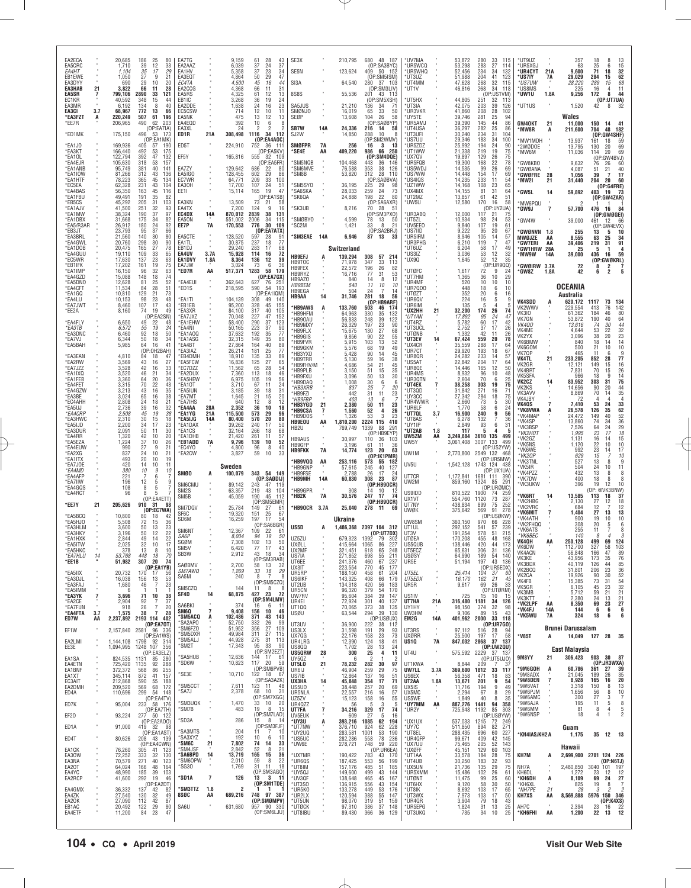| EA2ECA                         |           | 20,685                        | 186<br>25<br>80                                               | EA7TG                                          |                | 9,159                      | 61<br>28<br>43                                                  | SE3X                                        |                 | 210,795                       | 680 48 187                                                                         | *UV7MA                           |                | 53,872                        | 280<br>33<br>115                                                                 | *UT9UZ                                    |           | 357                         | 18<br>8                                                                                        |
|--------------------------------|-----------|-------------------------------|---------------------------------------------------------------|------------------------------------------------|----------------|----------------------------|-----------------------------------------------------------------|---------------------------------------------|-----------------|-------------------------------|------------------------------------------------------------------------------------|----------------------------------|----------------|-------------------------------|----------------------------------------------------------------------------------|-------------------------------------------|-----------|-----------------------------|------------------------------------------------------------------------------------------------|
| EA5CRC<br>EA4HT                |           | 1,710<br>1,104                | 39<br>12<br>33<br>35<br>17<br>29                              | EA2AAZ<br>EA1HV                                |                | 6,039<br>5,358             | 37<br>37<br>24<br>37<br>23<br>34                                | SE5N                                        |                 | 123,624                       | (OP:SA3BYC)<br>409 50 152                                                          | UR5WCQ*<br>UR5WHQ                |                | 53,298<br>52,456              | 27<br>283<br>114<br>234<br>34<br>132                                             | *UR5XGJ<br>*UR4CYT                        | 21A       | 63<br>9,600                 | $\begin{array}{c} 13 \\ 15 \end{array}$<br>$\frac{25}{71}$<br>6<br>18<br>32                    |
| EB1EWE<br>EA3DYY<br>EA3HAB     | 21        | 1,050<br>690<br>3,822         | 27<br>q<br>21<br>29<br>10<br>20<br>28<br>66<br>11             | EA3EQT<br>EC4TA<br>EA2CCG                      |                | 4,864<br>4.500<br>4,368    | $\overline{29}$<br>47<br>50<br>45<br>16<br>44<br>66<br>31<br>11 | SI3A                                        |                 | 64,540                        | (OP:SM5ISM)<br>280<br>37 103<br>(OP:SM3LIV)                                        | *UT3UZ<br>'UT4MM<br>'UT1V        |                | 51,988<br>47,628<br>46,816    | 41<br>204<br>123<br>32<br>268<br>115<br>268<br>34<br>118                         | *US7IY<br>*US7UW<br>*US8MS                | 7A        | 29,029<br>28,220<br>225     | 62<br>284<br>15<br>289<br>$68$<br>11<br>15<br>16<br>4                                          |
| EA5SR<br>FC <sub>1</sub> KR    | 7         | 799,106<br>40,592             | 121<br>2890<br>33<br>348<br>15<br>44                          | EA5RS<br>FB <sub>1IC</sub>                     |                | 4,325<br>3,268             | 61<br>12<br>13<br>24<br>36<br>19                                | 8S8S                                        |                 | 55,536                        | 201<br>43 113<br>(OP:SM5XSH)                                                       | UT5HX                            |                | 44,805                        | (OP:US1VM)<br>251<br>32<br>113                                                   | 'UW1U                                     | 1.8A      | 9,256                       | 172<br>8<br>44<br>(0P:UT7UA)                                                                   |
| EA3MR<br>EA3CI                 | 3.7       | 6,192<br>68,967               | 134<br>8<br>40<br>772<br>13<br>66                             | EA2DDE<br>EC5CSW                               |                | 1,638<br>714               | 24<br>16<br>23<br>12<br>10<br>11                                | SA5JUS<br>SMØNJO                            |                 | 21,210<br>16,019              | 136<br>34<br>71<br>65<br>33<br>50                                                  | *UT3IA<br>*UR3VKR                |                | 42,075<br>41,860              | 203<br>39<br>126<br>208<br>28<br>102                                             | *UT1US                                    | $\bar{a}$ | 1,520                       | 42<br>8                                                                                        |
| *EA3FZT<br>*EE7R               | A         | 220,249<br>206,965            | 507<br>61<br>196<br>490<br>62<br>203<br>(OP:EA7IA)            | EA5NK<br>EA4EQD<br>EA3XL                       |                | 475<br>392<br>24           | 13<br>12<br>13<br>10<br>6<br>8<br>2<br>2                        | SEØP<br><b>SB7W</b>                         | 14A             | 13,608<br>24,336              | 58<br>104<br>26<br>(OP:SAØBYP)<br>216<br>14<br>58                                  | 'UY5TE<br>UR5AMJ<br>™UT4USA      |                | 39,746<br>39,390<br>36,297    | 25<br>281<br>94<br>145<br>44<br>86<br>25<br>282<br>86                            | <b>GW40KT</b><br>'MW8R                    | 21        | Wales<br>11,000             | 150<br>14<br>41<br>704<br>48<br>182                                                            |
| *ED1MK                         |           | 175,150                       | 496<br>-53<br>-173<br>(OP:EA1MK                               | ED1R                                           | 21A            | 308,498                    | 1116<br>34 112<br>(OP:EA4AOC)                                   | SJ2W                                        |                 | 14,850                        | 288<br>10<br>8<br>(OP:SM2WMV)                                                      | <b>UT3UFI</b><br>'us7uu          |                | 30,240<br>29,346              | 31<br>234<br>104<br>100<br>183                                                   | <b>MW1MDH</b>                             | А         | 211,600<br>13,937           | (OP:GW4SHF)<br>59<br>161<br>18                                                                 |
| *EA1JO<br>*EA3KT               |           | 169,936<br>166,440            | 405<br>57<br>190<br>492<br>53<br>-175                         | ED5T                                           |                | 224,910                    | 752<br>36 111<br>(OP:EA5KV)                                     | <b>SMØFPR</b><br>*SE4E                      | <b>7A</b><br>ΑA | 256<br>409,220                | 3<br>16<br>13<br>66 250<br>986                                                     | UR5ZDZ<br>*UT1WW                 |                | 25,992<br>21,338              | $\frac{34}{24}$<br>194<br>90<br>19<br>219<br>75                                  | *2WØDOE<br>MW6M*                          |           | 13,795<br>11,036            | 69<br>130<br>20<br>20<br>69<br>114                                                             |
| *EA1OL<br>*EA4EJR<br>*EA1ANB   |           | 122,794<br>105,630<br>95,749  | 392<br>47<br>132<br>318<br>53<br>157<br>381<br>40<br>141      | EF5Y<br>EA7ZY                                  |                | 165,816<br>129,642         | 555<br>32 109<br>(OP:EA5FR)<br>686<br>22<br>80                  | 'SM5NQB<br>*SM6MVE                          |                 | 104,468<br>76,588             | (OP:SM4DQE)<br>443<br>36<br>-146<br>353<br>126<br>38                               | 'UX7QV<br>'UR5FQB<br>'US5WD.     |                | 19,897<br>19,300<br>14,535    | 129<br>26<br>75<br>22<br>168<br>78<br>99<br>26<br>69                             | 'GW8KBO                                   |           | 9,632<br>4,087              | (OP:GW4BVJ)<br>76<br>26<br>60<br>40                                                            |
| *EA1IOW<br>*EA1HTF             |           | 81,266<br>78,223              | 312<br>43<br>136<br>365<br>231<br>45<br>134                   | EA5IGO<br>EC7WR                                |                | 128,455<br>64,771          | 29<br>86<br>602<br>209<br>33<br>100                             | 'SM8B                                       |                 | 53,820                        | 312<br>28<br>110<br>(OP)<br>:SAØBVA)                                               | *US7WW<br>US4IQS                 |                | 14,448<br>14,235              | 17<br>154<br>69<br>233<br>11<br>54                                               | 'GWØANA<br><b>GWØFRE</b><br>'MW2I         | 28<br>21  | 1,056<br>31,440             | 21<br>51<br>39<br>17<br>$\overline{7}$<br>60<br>204<br>20                                      |
| *EC5EA<br>*EA4BAS              |           | 62,328<br>56,350              | 43<br>104<br>163<br>45<br>116                                 | EA30H<br>EE11                                  |                | 17,700<br>15,114           | 24<br>107<br>51<br>165<br>19<br>47                              | *SM5SY0<br>*SA6SKA                          |                 | 36,195<br>28,033              | 225<br>29<br>98<br>73<br>259<br>24                                                 | *UZ1WW<br>*UX4MX                 |                | 14,168<br>14,155              | 23<br>108<br>65<br>31<br>81<br>64                                                | GW5L'                                     | 14        | 59,892                      | (OP:G4FRE)<br>- 73<br>403<br>-19                                                               |
| *EA1FBU<br>*EB5CS<br>*EA1AJV   |           | 49,491<br>45,292<br>41,500    | 191<br>35<br>82<br>205<br>31<br>103<br>251<br>32<br>93        | EA3KN<br>EA4TX                                 |                | 13,509<br>7.200            | (OP:EA1SB)<br>73<br>21<br>58<br>124<br>9<br>16                  | *SK6QA<br>*SK3UB                            |                 | 24,888<br>8,216               | 198<br>22<br>80<br>(OP:SA6AXR)<br>70<br>28<br>$-5^{\circ}$                         | UT2MZ<br>™5U'                    |                | 13,857<br>12,580              | 61<br>42<br>51<br>58<br>170<br>16<br>(OP:UY2UA)                                  | MW6PQU<br>'GW9J                           | 7         | $\mathcal{P}$<br>57,700     | (OP:GW4ZAR)<br>-1<br>476<br>16<br>84                                                           |
| *EA1MW<br>*EA1DBX              |           | 38,324<br>31,668              | 190<br>37<br>97<br>175<br>34<br>82                            | EC4DX<br>FA50N                                 | 14A            | 870,012<br>551,002         | 2839<br>38<br>131<br>2006<br>34<br>115                          | 'SMØBYO                                     |                 | 4.599                         | (OP:SM3PXO)<br>78<br>13<br>-50                                                     | UR3ABQ<br>UT5ZL*                 |                | 12,000<br>10.934              | 117<br>21<br>75<br>98<br>24<br>53                                                | <b>GW4W</b>                               |           | 39,000                      | (OP:GWØGEI)<br>461<br>12<br>66                                                                 |
| *EA5/R3AR<br>*EB3JT<br>*EA3BRL |           | 26,912<br>23,793<br>21,560    | 24<br>180<br>92<br>95<br>37<br>66<br>140<br>80<br>30          | EE7P<br>EA5CTE                                 | 7A             | 170,553<br>128,520         | 30<br>776<br>109<br>(OP:EA7ATX)<br>597<br>28<br>-91             | *SC2M<br>*SM3EAE                            | 14A             | 1,421<br>6,946                | 21<br>33<br>8<br>(OP:SA2BRJ)<br>87<br>13<br>33                                     | *UV5EE0<br>*US7IID               |                | 9,840<br>9,222<br>8,946       | 107<br>19<br>61<br>95<br>20<br>67<br>105<br>57                                   | <b>GWØNVN</b>                             | 1.8       | 255                         | (OP:GW4EVX)<br>13<br>10<br>5                                                                   |
| *EA4GWL<br>*EA1DOB             |           | 20,760<br>20,475              | 298<br>30<br>90<br>165<br>27<br>78                            | EA1TL<br>EB1DJ                                 |                | 30,875<br>29.240           | 237<br>77<br>18<br>283<br>68<br>17                              |                                             |                 | Switzerland                   |                                                                                    | ™UR5IFM<br>UR3PHG<br>*UT6UZ      |                | 6,210<br>6.204                | 14<br>119<br>$\overline{7}$<br>47<br>17<br>49<br>58                              | MWØJZE<br>°GW7ERI<br><b>GW1HRW 28A</b>    | AA<br>ΑA  | 8,555<br>39,406<br>25       | 63<br>34<br>25<br>91<br>219<br>31<br>$\mathbf{1}$<br>4<br>5                                    |
| *EA4GUU<br>*EC5WR              |           | 19,110<br>17,630              | 33<br>109<br>65<br>23<br>63<br>137                            | EA4UV<br>EA1DVY                                | 3.7A<br>1.8A   | 15,928<br>8,364            | 72<br>114<br>16<br>12<br>136<br>39                              | <b>HB9EFJ</b><br>HB9TOC                     | A               | 139,294<br>71,978             | 308<br>57 214<br>347<br>33<br>113                                                  | US3IZ<br>'UX9Q                   |                | 3,036<br>1,645                | 53<br>12<br>32<br>52<br>12<br>35                                                 | 'MW9W                                     | 14A       | 39,000                      | 16<br>59<br>436<br>(OP:GWØKRL)                                                                 |
| *EB1IFK<br>*EA1IMP<br>*EA4GZD  |           | 17,202<br>16,150<br>15,088    | 161<br>19<br>75<br>32<br>96<br>63<br>148<br>18<br>74          | EA7JW<br>*ED7R                                 | AA             | 3,024<br>517,371           | 36<br>73<br>6<br>58<br>179<br>1283<br>(OP:EA7GX)                | HB9FEX<br>HB9RYZ                            |                 | 22,572<br>16,716              | 26<br>196<br>82<br>77<br>31<br>$\frac{53}{12}$                                     | <b>UTØFC</b><br>™UT7HM           |                | 1,617<br>1,365                | (OP:UR9QQ)<br>72<br>9<br>24<br>36<br>10<br>29                                    | GWØIRW 3.7A<br>'GW8Z                      | 1.8A      | 72<br>42                    | 8<br>2<br>$\frac{7}{5}$<br>$\overline{c}$<br>6                                                 |
| *EA5DNO<br>*EA4CFT             |           | 12,628<br>11,534              | 52<br>81<br>25<br>28<br>51<br>84                              | *EA4EUI<br>*ED1S                               |                | 362.643<br>218,595         | 627<br>76<br>- 251<br>590<br>54<br>193                          | HB9AZO<br><b>HB9BEM</b><br>HB9EGA           |                 | 840<br>540<br>504             | 8<br>14<br>11<br>10<br>10<br>$\overline{7}$<br>14<br>24                            | <b>UR4MF</b><br>UR7QDO"          |                | 520<br>448                    | 10<br>10<br>10<br>18<br>6<br>10                                                  |                                           |           | <b>OCEANIA</b>              |                                                                                                |
| *EA1GQ<br>*EA4LU<br>*EA7JWT    |           | 10,810<br>10,153<br>8,460     | 129<br>21<br>73<br>98<br>23<br>48<br>17<br>43<br>107          | *EA1TI<br>*EB1EB                               |                | 104,139<br>95,200          | (OP:EA1IQM)<br>308<br>140<br>49<br>328<br>45<br>155             | HB9AA                                       | 14              | 31,746                        | 281<br>56<br>18<br>(DP:HB9ARF)                                                     | 'UTØ7T<br>'UR6QV<br><b>UR6IM</b> |                | 352<br>224<br>135             | 20<br>16<br>6<br>16<br>5<br>-4<br>-5<br>$\overline{5}$                           | <b>VK4SDD</b>                             |           | Australia<br>620,172        | 1117<br>73<br>134                                                                              |
| *EE2A                          |           | 8,160                         | 74<br>19<br>49<br>(OP:FA2SN)                                  | *EA3XR<br>*EA7JXZ                              |                | 84,100<br>70.048           | 317<br>40<br>105<br>227<br>290<br>152<br>123                    | *HB9AWS<br>*HB9HFM<br>HB90AU                | A               | 133,760<br>64,963<br>56,833   | 503<br>46<br>174<br>330<br>35<br>132<br>248<br>39<br>122                           | 'UX2HH<br>*UT1AN                 | 21             | 32,200<br>17,892              | 174<br>26<br>74<br>$\begin{array}{c} 95 \\ 60 \end{array}$<br>$^{24}_{17}$<br>47 | VK2WWV<br><b>VK310</b><br>VK7GN           |           | 229,554<br>61,362<br>53,872 | 142<br>76<br>413<br>184<br>$^{80}_{64}$<br>46<br>40<br>190                                     |
| *EA4FLY<br>*EA3TB              |           | 6,650<br>6,572                | 49<br>22<br>48<br>55<br>19<br>34                              | *EA1EHW<br>*EA4NI                              |                | 58,400<br>50,165           | $\substack{47\\37}$<br>223<br>37<br>90                          | <b>HB9MXY</b><br>*HB9FLX                    |                 | 26,329<br>15,675              | $\frac{23}{27}$<br>90<br>197<br>68<br>130                                          | 'UT4RZ<br><b>UT3UCL</b>          |                | 5,782<br>2,752                | 42<br>37<br>17<br>26                                                             | <b>VK400</b><br>VK4ME                     |           | 13,616<br>4,644             | 74<br>30<br>44<br>$32\,$<br>22<br>53                                                           |
| *EA3DNC<br>*EA7VJ<br>*EA5BAH   |           | 6,460<br>6,344<br>5,985       | 92<br>50<br>18<br>50<br>18<br>34<br>64<br>16<br>41            | "EA1AOQ<br>'EA1ASG<br>*EA4BT                   |                | 37,632<br>32,315<br>27,864 | 192<br>35<br>77<br>149<br>35<br>80<br>164<br>40<br>89           | <b>HB9GIS</b><br>'HB9FVR                    |                 | 9.856<br>5,915                | 22<br>90<br>55<br>52<br>103<br>13                                                  | 'UTØNB<br>'UT3EV<br>'UX4CR       | 14             | 1.332<br>67,424<br>35,559     | 42<br>11<br>26<br>559<br>20<br>78<br>288<br>17<br>64                             | VK2YX<br>VK6BMW                           |           | 3,096<br>840                | 38<br>20<br>$\begin{array}{c} 23 \\ 14 \\ 10 \end{array}$<br>18<br>14                          |
| *EA3EAN                        |           | 4,810                         | (OP:OH2BAH)<br>84<br>18<br>47                                 | <b>EA3IAZ</b><br>*EB4DMH                       |                | 26,214<br>18,910           | 181<br>25<br>77<br>135<br>33<br>89                              | <b>HB9GKM</b><br>*HB3YXD<br><b>HB9TRR</b>   |                 | 5,576<br>5,428<br>5.130       | 49<br>68<br>19<br>90<br>14<br>45<br>16                                             | UR7CT<br>'UR8QR                  |                | 29,920<br>24,282              | 193<br>18<br>67<br>233<br>14<br>57                                               | VK6GOM<br>VK7QP<br><b>VK4TL</b>           | 21        | 500<br>465<br>233,205       | 21<br>10<br>11<br>9<br>6<br>77<br>852<br>28                                                    |
| *EA2RW<br>*EA7JZZ<br>*EA1IXQ   |           | 3,569<br>3,528<br>3,520       | 43<br>16<br>27<br>42<br>33<br>16<br>46<br>21<br>34            | <b>EA5FCW</b><br>*EC7DZZ<br>*EA2DUX            |                | 16,836<br>11,562<br>7,360  | 125<br>27<br>65<br>65<br>28<br>54<br>46<br>113<br>18            | *HB9FHV/M<br>*HB9PLB                        |                 | 4,686<br>3,150                | $\frac{59}{54}$<br>$\begin{array}{c} 38 \\ 45 \end{array}$<br>21<br>51<br>15<br>35 | US5AT<br>UR8QE<br>™UR4MS         |                | 22,842<br>14,446<br>8,932     | 17<br>204<br>64<br>165<br>12<br>50<br>96<br>10<br>48                             | VK2GR<br>VK4BR1                           |           | 12,121<br>7,831             | 149<br>15<br>$\frac{16}{26}$<br>$\frac{26}{14}$<br>75<br>70<br>15                              |
| *EA1FEB<br>*EA4FET             |           | 3,360<br>3,315                | 64<br>20<br>36<br>70<br>22<br>43                              | *EA5HEW<br>*EA1OT                              |                | 6,975<br>3,710             | 105<br>19<br>56<br>67<br>11<br>24                               | *HB9FXU<br>HB9DAQ<br>*HB3XRB                |                 | 3,096<br>1,008<br>837         | 30<br>50<br>13<br>30<br>$\begin{array}{c} 6 \\ 7 \end{array}$<br>6<br>25<br>20     | UR3QTN<br>'UT4EK                 | $\overline{7}$ | 2,604<br>38,258               | 70<br>6<br>25<br>303<br>19<br>75                                                 | VK5SFA<br>VK2CZ<br>VK2KS                  | 14        | 966<br>83,952<br>14.656     | 18<br>q<br>303<br>31<br>90<br>20                                                               |
| *EA4GZW<br>*EA3BE<br>*EC4AHH   |           | 3.213<br>3,024<br>2,808       | 35<br>43<br>16<br>16<br>38<br>65<br>24<br>18<br>21            | *EA5IUN<br>*EA7MT<br>*EA7IHS                   |                | 3,185<br>1,645<br>640      | 39<br>18<br>31<br>21<br>20<br>15<br>12<br>8<br>12               | HB9FZI<br>*HB9FBP                           |                 | 442<br>403                    | 31<br>23<br>11<br>$13\,$<br>6                                                      | 'UT3OD<br>*UY3CC<br>UR4WWR       |                | 31,842<br>27,342              | 271<br>16<br>71<br>284<br>18<br>75<br>73<br>30                                   | VK3AVV<br>VK4JBY                          |           | 8,869<br>72                 | $\frac{44}{35}$<br>70<br>14<br>$\overline{4}$<br>4                                             |
| *EA5UJ<br><i>*EA4CRP</i>       |           | 2,736<br>2,508                | 39<br>16<br>$\frac{32}{38}$<br>45<br>19                       | *EA4AA<br>*EA1YG                               | 28A<br>21A     | 2,352<br>115,500           | 36<br>10<br>18<br>573<br>29<br>96                               | <b>'HB3YGD</b><br><b>'HB9CSA</b><br>*HB9DOS | 21<br>7         | 2,380<br>1,560                | 50<br>11<br>23<br>52<br>26<br>4<br>23<br>53<br>3                                   | *UR6LF<br>'UT7QL                 | 3.7            | 2,660<br>1,770<br>16,900      | 5<br>58<br>6<br>24<br>240<br>9<br>56                                             | <b>VK4QS</b><br><b>*VK8VWA</b><br>*VK4MAP | A         | 7,410<br>26,578<br>24,472   | $\frac{33}{62}$<br>53<br>24<br>126<br>35<br>40<br>149                                          |
| *EA3HWC<br>*EA5IJD             |           | 2,310<br>2,200                | 30<br>18<br>15<br>17<br>23<br>34                              | *EA5IJG<br>*EA1DAX                             | 14A            | 80,400<br>39,262           | 570<br>20<br>80<br>240<br>17<br>50                              | <b>HB9EOU</b><br>HB2U                       | AA              | 1,326<br>1,810,200<br>769,749 | 2224 115<br>410<br>1339<br>88<br>291                                               | 'UT8AS<br>*UY1IP                 |                | 6,278<br>2,849                | 7<br>132<br>36<br>93<br>6<br>31                                                  | *VK4SP<br>'VK3BSP                         |           | 13,860<br>7,526             | 36<br>74<br>34<br>29<br>64<br>24                                                               |
| *EA3DUR<br>*EA4RR<br>*EA5EZA   |           | 2,091<br>1,320<br>1,224       | 30<br>50<br>11<br>42<br>10<br>20<br>37<br>10<br>26            | *EA1CS<br><b>EA1DHB</b><br>*EB1ADD             | 7A             | 32,164<br>21,420<br>9,796  | 266<br>68<br>18<br>261<br>57<br>11<br>10<br>52<br>139           | <b>HB9AUS</b>                               | $\sim$          | 30,997                        | (OP:HB9EYP)<br>110<br>36<br>103                                                    | 'UT2AB<br>UW5ZM<br>UW5Y          | 1.8<br>AA      | 117<br>3,249,884<br>3,061,408 | 5<br>Δ<br>3610 135<br>499<br>133<br>499<br>3007                                  | *VK2HOT<br>'VK2GZ<br>'VK5NS               |           | 1,995<br>1,131              | $^{18}_{15}$<br>$\substack{23 \\ 16}$<br>17<br>14                                              |
| *EA4EUW<br>*EA2XG              |           | 990<br>837                    | 27<br>9<br>21<br>21<br>24<br>10                               | *EC4YO<br>*EA2CW                               |                | 4,800<br>3,827             | 96<br>8<br>40<br>59<br>33<br>10                                 | HB9GFP<br><b>HB9FKK</b>                     | 7A              | 3,196<br>14,774               | 61<br>36<br>11<br>123<br>20<br>63<br>(OP:IK1PMR)                                   | UW1M                             |                | 2,770,800                     | (OP:US2YW)<br>2549 132 468                                                       | 'VK6WE<br>*VK2OP                          |           | 1,120<br>992<br>629         | 22<br>10<br>10<br>$\frac{23}{15}$<br>$\begin{array}{c} 17 \\ 10 \end{array}$<br>14             |
| *EA1ITX<br>*FA7.IOF<br>*EA4MD  |           | 493<br>420<br>380             | 19<br>20<br>10<br>10<br>14<br>11<br>10<br>9<br>10             |                                                |                | Sweden                     |                                                                 | *HB9VQQ<br>*HB9GNP                          | AA              | 253,116<br>57,615             | 573<br>55<br>182<br>245<br>40<br>127                                               | UV5U                             |                |                               | (OP:UR5MW<br>1,542,128 1743 124 438<br>(OP:UX1UA                                 | 'VK3TNL<br>*VK5IR                         |           | 527<br>504                  | 13<br>8<br>9<br>24<br>10<br>11                                                                 |
| *EA4AFP<br>*EA7IIW             |           | 221<br>196                    | 6<br>7<br>12<br>5<br>9                                        | <b>SMØO</b><br>SM6CMU                          | А              | 100,079<br>89,142          | 343 54 149<br>(OP:SABDIJ)<br>243<br>47<br>- 119                 | *HB9FSE<br>*НВ9МН                           | 14A             | 2,788<br>60,830               | 26<br>17<br>-24<br>308<br>87<br>23<br>(OP:HB9OCR)                                  | UT7CR<br>UW2M                    |                | 1.172.841<br>859,160          | 1681 111<br>390<br>1324<br>85<br>291                                             | *VK4PZZ<br>*VK7DW<br>'VK3UKW              |           | 432<br>400<br>396           | 13<br>8<br>8<br>8<br>18<br>8<br>19<br>10<br>12                                                 |
| *EA4GQS<br>*EA4RCT             |           | 108<br>96                     | 8<br>5<br>8<br>5<br>(OP:EA4ETT)                               | SM <sub>2</sub> S<br>SM <sub>5</sub> B         |                | 63,357<br>45,059           | 219<br>43<br>104<br>190<br>45<br>112                            | *HB9GPR<br>*HB2K                            | <b>7A</b>       | 308<br>30,576                 | 14<br>10<br>12<br>74<br>247<br>-17                                                 | US9IDD<br>UX1VT                  |                | 810,522<br>554,760            | (OP:URØMC<br>1900<br>74<br>73<br>259<br>287<br>1120                              | 'VK6RT                                    | 14        | 13,585                      | OP: @VK3BNW)<br>113<br>18<br>37                                                                |
| *EE7Y                          | 21        | 205,626                       | 910<br>31<br>98<br>(OP:EC7WA)                                 | SM7DQV<br>SF6C                                 |                | 25,784<br>19,320           | (OP:SM5EMR)<br>27<br>149<br>61<br>151<br>25<br>67               | *HB9OCR                                     | 3.7A            | 25,040                        | (OP:HB9OCR)<br>278<br>11<br>-69                                                    | UT7NY<br>UWØK                    |                | 438,834<br>375,642            | 252<br>75<br>899<br>278<br>569<br>91                                             | *VK2HBG<br>*VK2VRC<br>*VK6MIT             | 7         | 2,130<br>684<br>1,404       | 27<br>12<br>18<br>12<br>12<br>13<br>27<br>13                                                   |
| *EA5BCQ<br>*EA5HJO<br>*EA3HLM  |           | 10,800<br>5,508<br>3,600      | 80<br>18<br>72<br>15<br>36<br>23<br>50<br>13                  | SD6M                                           |                | 16,259                     | 54<br>197<br>-17<br>(OP:SA6BGR)                                 | US5D                                        | А               | Ukraine<br>1,486,368          | 2397 104 312                                                                       | UW8SM<br>UT1UL                   |                | 360,150<br>292,152            | (OP:USØKW)<br>970<br>66<br>228<br>239<br>57<br>541                               | 'VK4ATH<br>*VK2FHQQ                       |           | 900<br>308                  | 19<br>10<br>10<br>20<br>6<br>5                                                                 |
| *EA3HKY<br>*EA1HXK             |           | 3,196<br>2,844                | 12<br>22<br>50<br>22<br>49<br>14                              | SM6NT<br>SA6P                                  |                | 12,367<br>8.004            | 109<br>22<br>61<br>94<br>19<br>50                               | UZ5ZU                                       |                 | 679.323                       | (OP:UT7DX)<br>79<br>302                                                            | UT3V<br>UTØEA                    |                | 191,254<br>170,208            | 51<br>215<br>578<br>48<br>455<br>168                                             | *VK6ATS<br>*VK6BEC<br>VK4QH               |           | 255<br>140<br>250,128       | 11<br>7<br>8<br>8<br>69<br>124<br>199                                                          |
| *EA5ITW<br>*EA5HKC             |           | 2,025<br>378                  | 32<br>10<br>-17<br>13<br>8<br>10                              | SGØN<br>SM <sub>5</sub> V<br>SB <sub>3</sub> W |                | 7,308<br>6,420<br>2,912    | 102<br>13<br>50<br>77<br>17<br>43<br>18<br>43<br>34             | UXØLL<br>UX2MF                              |                 | 415,664<br>321,451            | 227<br>1065<br>86<br>248<br>618<br>65                                              | US5QUB<br>UT5ECZ                 |                | 138,446<br>65,631             | 420<br>44<br>173<br>31<br>136<br>306                                             | VK6DW<br>VK4ACN                           |           | 112,700<br>56,848           | 327<br>58<br>103<br>166<br>47<br>89                                                            |
| <i>*EA7HLU</i><br>*EE1B        | 14        | 53,768<br>51,982              | 448<br>18<br>70<br>307<br>20<br>74<br>(OP:EA1YB)              | SAØBMV                                         |                | 2,700                      | (OP:SM3RAB)<br>58<br>13<br>-32                                  | US7IA<br>UT6EE<br>UX3IT                     |                 | 271,852<br>241,376<br>223,554 | 211<br>698<br>55<br>237<br>460<br>67<br>770<br>45<br>177                           | USØSY<br>UR5E                    |                | 64,990<br>51,194              | 189<br>54<br>140<br>197<br>43<br>136<br>(OP:UR5EDX)                              | VK3KE<br>VK3BDX<br>VK2BCQ                 |           | 43,956<br>40,119            | 173<br>35<br>$\frac{76}{85}$<br>126<br>44<br>206<br>23                                         |
| *EA5IIX<br>*EA3DJL             |           | 20,732<br>16,038              | 170<br>-17<br>-56<br>156<br>13<br>53                          | SM7AWQ<br>SA5M                                 |                | 1,269<br>240               | 33<br>18<br>29<br>8<br>-7<br>-8<br>(OP:SM5CZQ)                  | UR5RP<br>US6IKF                             |                 | 188,150<br>143,325            | 458<br>61<br>204<br>408<br>66<br>179                                               | UT5EL<br><i><b>UT5EDX</b></i>    |                | 25.414<br>16,170              | 104<br>37<br>-60<br>162<br>21<br>45                                              | VK <sub>2</sub> CA<br>VK4FB               |           | 31,801<br>19,926<br>15,385  | $\frac{36}{52}$<br>90<br>30<br>$\frac{5}{32}$                                                  |
| *EA3FAJ<br>*EA5IMM<br>*EA3YK   |           | 1,680<br>3,696                | 46<br>23<br>7<br>71<br>10<br>38                               | SM5CZQ<br>SF4D                                 | 14             | 144<br>68,875              | 11<br>8<br>23<br>427<br>72                                      | UT2UB<br>UR5CN<br>UW7RV                     |                 | 134,318<br>96,320<br>95,604   | 420<br>379<br>183<br>56<br>170<br>54<br>39<br>384<br>147                           | UR5R<br>US1IV                    |                | 9,617<br>725                  | 26<br>69<br>33<br>(OP:UTØRM)<br>15<br>10<br>-15                                  | VK5GR<br>VK3MB<br>VK3KTT                  |           | 6,105<br>5,712<br>2,380     | $\substack{73 \\ 45}$<br>$\begin{array}{c} 31 \\ 23 \end{array}$<br>59<br>21<br>21<br>21<br>24 |
| *EA2CE<br>*EA7FUN              |           | 2,904<br>918                  | 92<br>37<br>7<br>26<br>$\overline{7}$<br>20<br>$\overline{7}$ | SA6BKI<br>SM6Q                                 | $\overline{7}$ | 374<br>9,408               | (OP:SM4LMV)<br>6<br>16<br>-11<br>10<br>46<br>156                | UR4EI<br>UT100                              |                 | 72,924<br>70,065              | 301<br>40<br>137<br>373<br>38<br>135                                               | UT7HA<br>UY1HY                   | 21A<br>×       | 316,480<br>98,150             | 1181<br>34<br>126<br>32<br>374<br>98                                             | *VK2LPF<br>*VK4FJ                         | AA<br>14A | 8,350<br>144                | 13<br>69<br>23<br>27<br>6<br>6<br>6                                                            |
| *EA4FTA<br>ED7W                | 3.7<br>AA | 1,575<br>2,237,892            | 38<br>28<br>2193 114 402<br>(OP:EA70T)                        | *SM5ACQ<br>'SA2APO                             | А              | 102,486<br>52,750          | 371<br>43<br>143<br>332<br>26<br>-99                            | USØU<br>UT3UV                               |                 | 63,544<br>36,900              | 294<br>39<br>130<br>(OP:USØUX)<br>222<br>38<br>112                                 | UW3HM<br>EM2G                    | 14A            | 9.106<br>401,962              | 15<br>89<br>-43<br>2000 33 118<br>(OP: URTGO)                                    | *VK5WU                                    | 7A        | 324                         | 18<br>6<br>6                                                                                   |
| EF1W                           |           | 2,157,840                     | 2581 96 336<br>(OP:EA1WS)                                     | *SM6FZO<br>*SM5DXR<br>*SM5ALJ                  |                | 51,952<br>49,984<br>44,928 | 356<br>27<br>109<br>$27\,$<br>311<br>115<br>31<br>275<br>113    | US3LX<br>UX7QG                              |                 | 31,598<br>22.176              | 191<br>29<br>93<br>158<br>23<br>73                                                 | UT3RS<br><b>UXØRR</b>            | ٠              | 97,112<br>25,500              | 516<br>28<br>94<br>17<br>197<br>58                                               | * V85T                                    | А         | Brunei Darussalam<br>14,049 | 127 28<br>35                                                                                   |
| EA2LMI<br>EE3E                 |           | 1,144,108<br>1,094,995        | 1798 92 314<br>1248 107 356<br>(OP:EA3ELZ)                    | *SM2T                                          |                | 17,343                     | 95<br>33<br>-90<br>(OP:SM2EZT)                                  | UR4LRG<br>US800<br><b>US5QRW</b>            | 28              | 12,390<br>1,702<br>300        | 124<br>18<br>41<br>$\substack{28 \\ 25}$<br>13<br>24<br>4<br>11                    | US1Q<br>UT4U                     | <b>7A</b>      | 847,032 2868<br>575,592       | 37 137<br>(0P:UW2QU)<br>2229 37 137                                              |                                           |           | East Malaysia               |                                                                                                |
| EA1SA<br>EA4ETN                |           | 824,535<br>725,420            | 1131<br>85 280<br>1135<br>92<br>288                           | *SA5HUB<br>*SD6W                               |                | 12,636<br>10,823           | 144 17<br>-61<br>117<br>20<br>59                                | UY5QZ<br>UT5LO                              | 21              | f6<br>78,232                  | $\overline{\phantom{a}}$<br>-2<br>-1<br>282<br>30<br>97                            | UT1KWA                           |                | 8,844                         | (OP:UT5UJ0)<br>209<br>7<br>-37                                                   | 9M8YY                                     | 21        | 306,423                     | 30<br>903<br>87<br>(OP:JR3WXA)                                                                 |
| EA1BNF<br>EA1XT<br>EC3AIT      |           | 372,372<br>345,114<br>212,868 | 568<br>255<br>86<br>872<br>41<br>157<br>590<br>55<br>188      | *SE3E                                          |                | 10,710                     | (OP:SM6PVB)<br>122 18 67<br>(OP:SA3AZK)                         | UR6IJ<br>US7IB<br>UX3HA                     | 14              | 46,904<br>12,864<br>45,848    | 259<br>29<br>75<br>137<br>16<br>51<br>354<br>17<br>71                              | UW7LL<br>US6EX<br>UT2AA          | 3.7A<br>1.8A   | 369,600<br>56,358<br>13,671   | 1812<br>33 117<br>471<br>18<br>83<br>201<br>9<br>54                              | '9M6GOH<br>*9M8ADX<br>*9W8DEN             | A<br>7    | 60,786<br>21,045<br>8,928   | 361<br>27<br>39<br>189<br>26<br>35<br>$20\,$<br>165<br>16                                      |
| EA2DMH<br>ED4A                 |           | 209,520<br>110,696            | 569<br>68<br>172<br>299<br>54 148                             | *SM5CCT<br>*SA7J                               |                | 7,611<br>2,378             | 123<br>11<br>48<br>68<br>10<br>-31                              | US5U0<br>UR5NLA                             |                 | 38,448<br>22,557              | 257<br>20<br>69<br>216<br>16<br>57                                                 | UX5IS<br>UX5MC                   |                | 11,716<br>2,294               | 9<br>49<br>194<br>67<br>29<br>8                                                  | *9W6VAT<br>*9W6PJM                        |           | 3,318<br>1,656              | 13<br>150<br>8<br>10<br>56<br>8                                                                |
| ED7K                           | ٠         | 95,004                        | (OP:EA4TV)<br>233 58 176                                      | <b>SM3UQK</b><br>*SM7B                         |                | 1,470<br>483               | (OP:SM7XGG)<br>$33 \t10$<br>-20<br>19<br>8<br>15                | UZ5ZV<br>UR4QZZ                             |                 | 15,123<br>56                  | 16<br>55<br>158<br>5<br>-3<br>5                                                    | US5WE<br>*UY7MM                  | ٠<br>AA        | 1,849<br>887,276              | 40<br>8<br>35<br>1441<br>94<br>358                                               | *9W6AMC<br>ALAGWG*<br>'9W6MM              |           | 300<br>195<br>81            | 27<br>3<br>7<br>11<br>8<br>5<br>8<br>5<br>4                                                    |
| EF20                           |           | 93,224                        | (OP:EA7TH)<br>277 50 122<br>(OP:EA2A00)                       | *SD3A                                          |                | 286                        | (OP:SM7LAD)<br>8 14<br>15                                       | UT7FA<br>UV5EUK<br>*UY3U                    | 7<br>Ŗ          | 34,216<br>609<br>393,216      | 329<br>74<br>17<br>27<br>-5<br>16<br>1085<br>62<br>194                             | *UR2Y<br>*UX1UX                  |                | 725,948<br>537,033            | 1192<br>85<br>303<br>(OP:USØYW)<br>1215<br>72<br>249                             | *9W6NSP                                   |           | 18                          | $\overline{c}$<br>4                                                                            |
| ED1A                           |           | 91,000                        | 419 32 98<br>(OP:EA1AST)                                      | *SA3MTS<br>*SA3XYZ                             |                | 204<br>192                 | (OP:SM3FJF)<br>11<br>7<br>10<br>10<br>- 6<br>-10                | *UT7NW<br>*UY2UQ                            |                 | 376,710<br>283,581            | 924<br>62<br>228<br>1001<br>53<br>190                                              | *UY7C<br><b>UT8EL*</b>           |                | 511,850<br>288,435            | 894<br>82<br>271<br>696<br>227<br>60                                             | *KN4IAS/KH2 A                             |           | Guam<br>1,175               | 35<br>12<br>- 13                                                                               |
| ED4T<br>EA1CK                  |           | 80,626<br>76,260              | 208<br>43 139<br>(OP:EA4CWN)<br>305<br>41 123                 | *SM6C<br><i><b>SM4JSF</b></i>                  | 21             | 7,802<br>2,842             | 74<br>14<br>33<br>52<br>-8<br>21                                | *US5UC<br>*UW6E                             |                 | 282,286<br>278,721            | 78<br>558<br>236<br>748<br>59 220<br>(OP:UR6EA)                                    | *UR4QFP<br>*UX7UU<br>*UXØFF      |                | 99,671<br>75,465<br>45,151    | 409<br>42<br>145<br>205<br>52<br>143<br>129<br>60<br>103                         |                                           |           | Hawaii                      |                                                                                                |
| EA30W<br>EA3NA                 |           | 72,252<br>70,579              | 333<br>32 130<br>271<br>40<br>123                             | 'SA6BPD<br>*SM6OPW                             | 14             | 13,719<br>2,010            | 165<br>15<br>36<br>59<br>-8<br>22                               | *UX7MR<br>*UR6QS                            |                 | 190,422<br>187,425            | 783<br>43 170<br>553<br>56<br>199                                                  | *UT1AA<br>*UT4UB                 |                | 33,578<br>30,250              | 184<br>28<br>75<br>183<br>32<br>93                                               | KH7M                                      | A         |                             | 2,699,900 2701 124 226<br>(OP:N6TJ)                                                            |
| EA20T<br>EA4YC<br>EA2RCP       |           | 64,024<br>48,990<br>41,600    | 166<br>48<br>164<br>39<br>103<br>185<br>292<br>19<br>46       | *SG30<br>*SD1A                                 | $\overline{7}$ | 1,769<br>126               | 31 11<br>18<br>(OP:SM3AGO)<br>13<br>$3^{\circ}$<br>11           | *UT8IM<br>*UY5QJ<br>*UV3QF                  |                 | 157.176<br>149,600<br>138,648 | 485<br>$\frac{51}{43}$<br>185<br>499<br>144<br>465<br>45<br>167                    | *UX5UN<br>*UR5XMM<br>*UTØNT      |                | 21.736<br>15,486<br>11,475    | $\substack{29 \\ 26}$<br>75<br>135<br>102<br>61<br>99<br>25<br>60                | NH7A<br>KH6DL<br>*КН6DН                   | n,<br>А   | 2,480,850<br>1,272<br>8,109 | 3040<br>$\begin{array}{c} 197 \\ 12 \end{array}$<br>101<br>23<br>12<br>69<br>27<br>24          |
| EA4GMX                         |           | 36,332                        | (OP:EA2DT)<br>42<br>137<br>82                                 | *SM3TTZ                                        | 1.8            |                            | (OP:SM1TDE)<br>-1                                               | *UT3SO<br>*UR5K0                            |                 | 136,915<br>133,278            | 556<br>43<br>154<br>449<br>53<br>176                                               | *UT6HX<br>*UT8IK                 |                | 9,120<br>8,692                | 30<br>58<br>50<br>17<br>103<br>65                                                | *KH6XL<br>*NH7PE                          | 21        | 825<br>28                   | $\overline{7}$<br>19<br>8                                                                      |
| EA4ZK<br>EA20K<br>EB1AC        |           | 27,540<br>27,090<br>20,492    | 130<br>32<br>49<br>112<br>42<br>87<br>122<br>29<br>80         | 8SØC<br>SA6U                                   | AA             | 689,216<br>631,680         | 748 97 387<br>(OP:SMØMPV)<br>957 90 330                         | *UR2LX<br>*UT5UN<br>*UTØCK                  |                 | 120,594<br>98,070<br>97,310   | 388<br>55<br>147<br>319<br>51<br>159<br>37<br>148<br>386                           | *UT3WX<br>*UR4QR<br>*UR5EPG      |                | 7,973<br>3,904<br>1,824       | 103<br>17<br>50<br>79<br>18<br>43<br>13<br>31<br>25                              | KH7XS<br>AH7C                             | AA        | 8,569,888<br>2,394          | 5976 150 346<br>(OP:K4XS)<br>16                                                                |
| EA4ETF                         |           | 11,200                        | 84<br>23<br>47                                                |                                                |                |                            | (OP:SM6LJU)                                                     | *UT8IBU                                     |                 | 89,430                        | 366<br>36<br>129                                                                   | *UT3UKQ                          |                | 735                           | 34<br>10<br>25                                                                   | *KH6FHI                                   | AA        | 1,200                       | $\frac{23}{22}$<br>$^{22}_{12}$<br>13                                                          |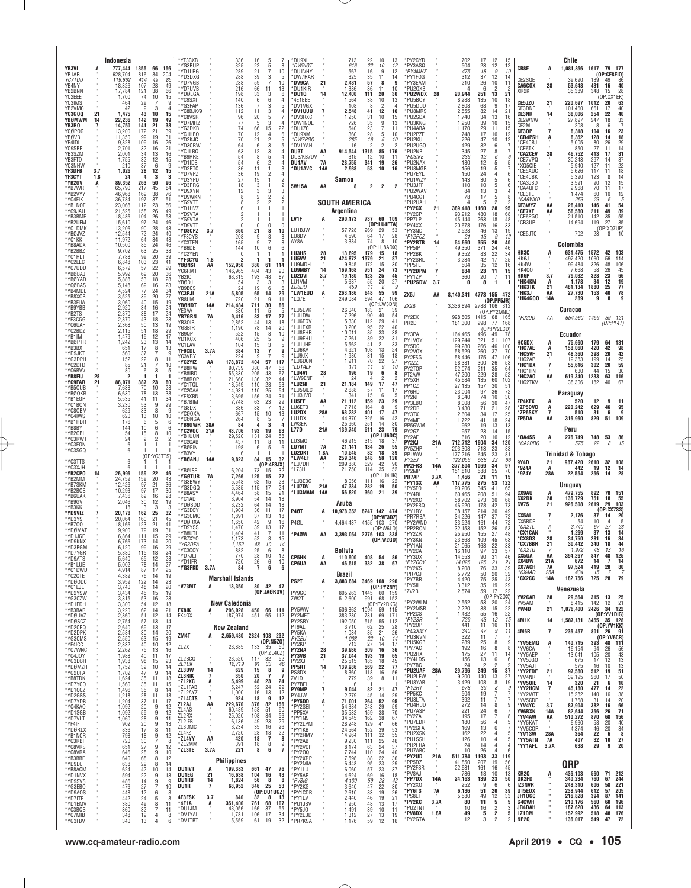| YB3VI<br>YB1AR                              |            | Indonesia<br>777.444<br>628,704      | 1355<br>66<br>816<br>84                                                         | 156<br>204                      | 'YF3CXB<br>'YG3BUP<br>*YD1LRG                       |                      | 336<br>325<br>289<br>288                         | 16<br>5<br>22<br>5<br>21<br>39<br>3                      | -8<br>10<br>5                 | DU9XL'<br>*DW9IGT<br>*DU1VHY<br>*DW7RAR              |                                        | 713<br>616<br>567                            | $\frac{22}{22}$<br>16             | 10<br>13<br>12<br>10<br>9<br>12<br>14                               | *PY2CYD<br>*PY3ASQ<br>*PY4MHZ<br>'PY1FOG               |                | 702<br>504<br>475                        | 17<br>12<br>12<br>23<br>18<br>g                                                   | 15<br>12<br>10                            | CB8E                                              | A                         | Chile<br>1,081,856 1617                        |                           | 79 177<br>(0P:CE8E10)                                           |
|---------------------------------------------|------------|--------------------------------------|---------------------------------------------------------------------------------|---------------------------------|-----------------------------------------------------|----------------------|--------------------------------------------------|----------------------------------------------------------|-------------------------------|------------------------------------------------------|----------------------------------------|----------------------------------------------|-----------------------------------|---------------------------------------------------------------------|--------------------------------------------------------|----------------|------------------------------------------|-----------------------------------------------------------------------------------|-------------------------------------------|---------------------------------------------------|---------------------------|------------------------------------------------|---------------------------|-----------------------------------------------------------------|
| <b>YC7TUU</b><br>YB4NY<br>YB2BNN<br>YC2EEE  |            | 119.662<br>18,326<br>17,784<br>1,700 | 414<br>49<br>107<br>28<br>121<br>38<br>10<br>74                                 | 85<br>49<br>66<br>15            | 'YD3DXG<br>*YD7VGB<br>*YD7UVB<br>*YDØEGA<br>'YC9SXI |                      | 238<br>216<br>198<br>140                         | 59<br>7<br>66<br>11<br>33<br>3<br>6<br>6                 | 10<br>13<br>6                 | *DV9CA<br>*DU1KIR<br>*DU1Q<br>AE1EEE*                | 21<br>14                               | 325<br>2,431<br>1,386<br>12,400<br>1,564     | 35<br>57<br>36<br>11<br>111<br>38 | 11<br>8<br>g<br>10<br>30<br>20<br>13<br>10                          | *PY3EAM<br>*PU20XB<br>'PU2WDX<br>*PU5BOY               | 28             | 312<br>210<br>20,944<br>8,288            | 12<br>37<br>26<br>10<br>$\overline{\phantom{a}}$<br>-fi<br>251<br>13<br>135<br>10 | 14<br>11<br>2<br>21<br>18                 | CE2SQE<br><b>CA6CGX</b><br>XR <sub>2</sub> K      | 28                        | 39.690<br>53,648<br>35,389                     | 139<br>431<br>348         | 49<br>-86<br>16<br>40<br>28<br>15<br>(OP:CX1EK)                 |
| YC3IMS<br>YB2VMC<br>YC3GOQ<br>YBØMWM        | 21<br>14   | 464<br>42<br>1,475<br>22,236         | 29<br>-9<br>3<br>43<br>10<br>142<br>19                                          | 9<br>$\overline{4}$<br>15<br>49 | *YG3FAP<br>YC8BJK/9<br>*YC8VSR<br>*YD7MHZ           |                      | 136<br>112<br>96<br>77                           | 3<br>3<br>11<br>20<br>5<br>3<br>$\overline{a}$           | 5                             | *DV1VGX<br><b>DV1UUU</b><br>*DV3RXC<br>*DW1NOL       | 7                                      | 108<br>2,548<br>1,250<br>726                 | 8<br>41<br>31<br>35               | $\overline{2}$<br>$\overline{4}$<br>12<br>16<br>10<br>15<br>9<br>13 | *PU5DUD<br>*PU8MRS<br>*PU2SDX<br>*PU3KNG               |                | 2,808<br>2,555<br>1,740<br>1.250         | 68<br>9<br>82<br>14<br>34<br>13<br>39<br>10                                       | 17<br>2 <sub>1</sub><br>16<br>15          | CE5JZ0<br>CE3DNP<br><b>CE3NR</b><br>CE2WNW        | 21<br>14                  | 220,697<br>101,460<br>38,006<br>27,897         | 1012<br>661<br>254<br>247 | 20<br>63<br>40<br>17<br>40<br>22<br>33<br>18                    |
| YB3RO<br><b>YCØPOG</b><br>YBØVB<br>YF4IDI   |            | 14,750<br>13,200<br>11,350<br>9,828  | 141<br>21<br>172<br>$^{21}$<br>99<br>19<br>109<br>16                            | 38<br>$\frac{39}{31}$<br>26     | *YG3DKB<br>'YC1HBO<br>*YD2KJC                       |                      | 74<br>70<br>70                                   | 66<br>15<br>12<br>$\overline{4}$<br>$\overline{2}$<br>21 | 22<br>6<br>5                  | *DU1ZC<br>*DU9XM<br>*DW7PGC                          |                                        | 540<br>360<br>285                            | 23<br>28<br>16                    | 7<br>11<br>5<br>10<br>5<br>10<br>$\mathcal{P}$                      | *PU4ABA<br>*PU2PZE<br>*PU2KUL                          |                | 1,170<br>748<br>726                      | 29<br>11<br>17<br>10<br>47<br>10                                                  | 15<br>12<br>12                            | CE2ML<br>CE30P<br>*CD4PSH<br>*CE4CBJ              |                           | 208<br>6,318<br>8.352<br>5.005                 | 8<br>104<br>128<br>80     | 7<br>6<br>23<br>16<br>14<br>18<br>26<br>29                      |
| YC9SBP<br>YB3SZM<br>YB3FTD<br>YC3NHW        |            | 2,701<br>2.001<br>1,755<br>210       | 32<br>16<br>34<br>13<br>32<br>12<br>37<br>6                                     | 21<br>16<br>15<br>9             | *YD3CRW<br>*YC1LBQ<br>*YB9RRE<br>*YD1IDB            |                      | 64<br>63<br>54<br>54                             | 3<br>6<br>12<br>3<br>8<br>5<br>$\mathfrak{p}$<br>ĥ       | 5<br>4                        | *DV1YAH<br>DU3T<br>DU3/KB7DV<br><b>DU1AV</b>         | AA<br>7A                               | 16<br>914,544<br>315<br>28,755               | 2<br>1315<br>12<br>341            | $\overline{\phantom{a}}$<br>85<br>176<br>10<br>11<br>19<br>26       | *PU2UGO<br>*PU2NBI<br>*PU3IKE<br>*PU2NAX               |                | 429<br>345<br>336<br>180                 | 32<br>6<br>27<br>8<br>12<br>6<br>12<br>5                                          | -6                                        | *CE6TK<br><b>CA2CEV</b><br>*CE7VPQ<br>*XQ5CIE     | 28                        | 850<br>46.752<br>30,243<br>5.940               | 27<br>413<br>297<br>127   | 11<br>14<br>31<br>17<br>37<br>14<br>11                          |
| <b>YF3DFB</b><br>YF3CYT<br>'YB2GV<br>*YB7WR | 3.7<br>1.8 | 1,026<br>24<br>89,352<br>65,790      | 28<br>12<br>4<br>-3<br>263<br>50<br>217<br>45                                   | 15<br>3<br>96<br>84             | *YD2PTC<br>*YD7VP7<br>*YD3YPD<br>*YD3PRG            |                      | 36<br>36<br>27<br>18                             | 11<br>1<br>$\mathfrak{p}$<br>19<br>15<br>3<br>-1         | 3<br>4<br>2<br>$\mathfrak{p}$ | *DU1AVC<br>5W1SA                                     | 14A<br>AA                              | 2,938<br>Samoa<br>8                          | 53<br>2                           | 10<br>16<br>2<br>$\overline{2}$                                     | *PU8MGB<br>*PU7EYL<br>*PU1WZY<br>*PU3JFF               |                | 156<br>150<br>143<br>110                 | 19<br>5<br>24<br>$\overline{4}$<br>30<br>$\frac{5}{5}$<br>10                      | 6<br>6<br>-6                              | *CE5AUC<br>*CE4CBK<br>°CA3JBD<br>*CA4UFC          |                           | 5,626<br>5.390<br>3.591<br>2.968               | 117<br>123<br>90<br>70    | $\frac{22}{18}$<br>11<br>$\frac{14}{15}$<br>8<br>12<br>17<br>11 |
| *YB2VYY<br>*YC4FIK<br>*YB1NOE               |            | 46,968<br>36,784<br>23,068           | 38<br>169<br>197<br>37<br>23<br>112                                             | 76<br>51<br>56                  | *YD9XYN<br>*YD9WKN<br>*YG9VTT<br>*YD1HVZ            |                      | 12<br>8<br>8<br>6                                | 3<br>3<br>2<br>$\mathfrak{p}$<br>$\overline{c}$          | 3<br>2                        |                                                      |                                        | <b>SOUTH AMERICA</b>                         |                                   |                                                                     | *PU2WA\<br>*PU4CGT<br>*PU2UAH<br>*PY2CX                | 21             | 84<br>78<br>4<br>389,418                 | 13<br>3<br>17<br>-5<br>1160<br>28                                                 | 8<br>95                                   | *CE3TL<br>*CA6WKD<br>CE3WYZ                       | AA                        | 1,474<br>253<br>26,410                         | 60<br>23<br>146           | 12<br>10<br>5<br>6<br>54<br>41                                  |
| *YC9JAU<br>*YB3BME<br>*YB2UFM<br>*YC1DMK    |            | 21,525<br>18,486<br>15,610<br>13,206 | 26<br>158<br>104<br>26<br>97<br>24<br>28<br>90                                  | 49<br>53<br>46<br>43            | *YD9VTA<br>*YG9VTA<br>*YD9VTT<br>*YD8CPZ            | 3.7                  | 2<br>360                                         | 0<br>$\Omega$<br>21<br>8                                 | n<br>10                       | LV1F<br>LU1BJW                                       | A                                      | Argentina<br>290,173<br>57,728               | 737 60 109<br>269                 | (OP:LU4FTA)<br>29<br>53                                             | *PY2CP<br>*PP7LP<br>*PY4XX<br>*PY3ND                   |                | 93,912<br>45.144<br>20,678<br>2,528      | 480<br>18<br>263<br>18<br>176<br>16<br>13<br>46                                   | 68<br>48<br>33<br>19                      | <b>CE7KF</b><br>CE6PGO<br>CB3UP                   | AA                        | 56,580<br>21.510<br>14,694                     | 211<br>142<br>119         | 89<br>49<br>55<br>35<br>35<br>27<br>(OP:XQ7UP)                  |
| *YBØJVZ<br>*YC1KK<br>*YB8ADX<br>*YB2BBZ     |            | 12,544<br>11,972<br>10,500<br>9,702  | 72<br>24<br>64<br>34<br>24<br>85<br>63<br>25                                    | 40<br>48<br>46<br>38            | *YF3CYS<br>*YC3TEN<br>*YB6DE<br>*YC2YEN             |                      | 208<br>165<br>144<br>O                           | 9<br>8<br>9<br>10<br>6                                   | 8<br>ĥ                        | LU8DY<br>AY8A<br>LU3HS                               | 28                                     | 4,590<br>3,384<br>13,695                     | 64<br>74<br>179                   | 28<br>17<br>8<br>10<br>(OP:LU8ADX)<br>15<br>18                      | *PY2PCZ<br>*PY2RTB<br>*PP5IP<br>*PP2BK                 | 14             | 21<br>54,660<br>49,350                   | 13<br>-9<br>355<br>20<br>371<br>24                                                | 12<br>40<br>46                            | CE5JTC<br>НКЗС                                    |                           | 702<br>Colombia<br>631,475                     | 23<br>1572                | 8<br>10<br>42<br>103                                            |
| *YC1HLT<br>*YC2LLC<br>*YC7UDD<br>*YBØBAJ    |            | 7,788<br>6,848<br>6,579<br>5,992     | 99<br>20<br>103<br>23<br>22<br>57<br>69<br>20                                   | 39<br>41<br>29<br>36            | *YF3CYU<br>YBØNSI<br>YC6RMT                         | 1.8<br>AA            | 2<br>152,950<br>146,965                          | 380<br>61<br>404<br>43                                   | 114<br>90                     | <b>LU5VV</b><br>I U9MDE<br><b>LU9MBY</b>             | 21<br>14                               | 424,872<br>19.845<br>169,168                 | 1379<br>172<br>751                | 21<br>87<br>30<br>15<br>73<br>24<br>25                              | *PY2SRL<br>*PP5FE<br>*PY2DPM                           | $\overline{1}$ | 9,352<br>3,234<br>504<br>884             | 22<br>83<br>17<br>42<br>35<br>12<br>23<br>11                                      | 34<br>25<br>16<br>15                      | HK6J<br>HK4W<br>HK4CO<br><b>НК6Р</b>              |                           | 497,420<br>99,484<br>7,668                     | 1060<br>326<br>58         | 56<br>114<br>48<br>106<br>26<br>45<br>23                        |
| *YBØYAD<br>*YCØBAS<br>*YB4MDL<br>*YB8XOB    |            | 5,888<br>5,148<br>4,524<br>3,525     | 53<br>18<br>69<br>16<br>77<br>24<br>39<br>20                                    | 28<br>23<br>34<br>27            | YB2IQ<br>YBØDJ<br>YB9BCS<br>YC3RJL                  | 21A                  | 63,315<br>54<br>24<br>5,805                      | 193<br>48<br>3<br>3<br>19<br>6<br>14<br>65               | 87<br>3<br>6<br>29            | LU2DVI<br>LU1VM<br>LU6DU<br>*LW1EUD                  | 3.7<br>A                               | 19,180<br>5.687<br>459<br>263,186            | 123<br>55<br>11<br>648            | 45<br>20<br>27<br>8<br>g<br>55<br>99                                | *PY1ZP<br>*PU2SDW<br>ZX5J                              | 3.7<br>AA      | 360<br>0                                 | 20<br>7<br>8<br>-1<br>8,140,341 4773 155 472                                      | 11                                        | *НК4КМ<br><b>*НКЗТК</b><br>*НK3J                  | 3.7<br>A<br>21<br>AA      | 79,032<br>1,178<br>481.134<br>27,730           | 328<br>34<br>1880<br>153  | 66<br>12<br>19<br>25<br>77<br>78<br>40                          |
| *YB3FUA<br>*YB9YBB<br>*YB2TS                |            | 3,060<br>2,920<br>2,870              | 40<br>15<br>34<br>16<br>38<br>17                                                | 19<br>24<br>24                  | YB8UM<br>YBØNDT<br>YE3AA<br>YB7GRN                  | 14A<br>7A            | 720<br>214,484<br>330<br>9,416                   | 21<br>9<br>711<br>30<br>5<br>11<br>83<br>17              | 11<br>86<br>-5<br>27          | *LQ7E<br>*LU5EVK<br>*LU1DW                           |                                        | 249,084<br>26.040<br>17,296                  | 694<br>$\frac{183}{90}$           | 47<br>106<br>(OP: LW3DN)<br>21<br>39<br>40<br>54                    | ZX2B<br>PY2EX                                          |                | 3,336,894 2788 106<br>928,505            | (0P:PP5JR)<br>(OP:PY2MNL)<br>1415<br>68                                           | - 312<br>165                              | 'HK4GOO<br>*PJ2DD                                 | 14A<br>ΑA                 | 289<br>Curacao<br>654,560                      | 9<br>1459                 | 9<br>8<br>39<br>- 121                                           |
| *YE3CGG<br>*YC6UAF<br>*YC2BDZ<br>*YB1IM     |            | 2,870<br>2.368<br>2,115<br>1.479     | 43<br>18<br>50<br>13<br>51<br>18<br>19<br>12                                    | 23<br>19<br>29<br>17            | YB3OIB<br>YG8BIR<br>YB9QP<br>YD1KCX                 |                      | 2,852<br>1,190<br>522<br>406                     | 13<br>44<br>78<br>14<br>8<br>15<br>25<br>5               | 18<br>20<br>10<br>9           | *LU6EQV<br>*LU1EXR<br>*LU8EHR<br>*LU9EHU             |                                        | 15,330<br>13,206<br>10,011<br>7,261          | 112<br>95<br>85<br>89             | 29<br>41<br>22<br>-40<br>33<br>38<br>22<br>31                       | PR2D<br>PY3PA<br>PY1V0Y                                |                | 181,300<br>164,465<br>129,244            | 77<br>298<br>(OP:PY2LCD)<br>496<br>49<br>321<br>51                                | 168<br>78<br>107                          |                                                   |                           | Ecuador                                        |                           | (OP:PF4T)                                                       |
| *YBØPTR<br>*YB3BX<br>*YD9JKT<br>*YG3DPH     |            | 1,242<br>651<br>560<br>152           | 23<br>13<br>17<br>8<br>37<br>22<br>8                                            | 14<br>13<br>g<br>11             | YC1EAV<br>YF9CDL<br>YC3VRY<br>*YC2YIZ               | 3.7A<br>AA           | 104<br>384<br>224<br>178,872                     | 15<br>3<br>13<br>7<br>q<br>404<br>57                     | 5<br>9<br>q<br>117            | *LU1JHF<br>*LU6KA<br>*LU9JX<br>*LU6DCN               |                                        | 5,562<br>4,921<br>1.980<br>1,911             | 41<br>108<br>31<br>70             | 21<br>33<br>24<br>13<br>15<br>18<br>22<br>27                        | PY5DC<br>PY2VOX<br>PY2FSG                              |                | 99,280<br>58,529<br>58,446               | 266<br>46<br>37<br>260<br>47<br>175                                               | 100<br>70<br>106                          | <b>HC5DX</b><br>*HC7AE<br>*HC5VF<br>*HC2AP        | A<br>A<br>21              | 75,660<br>158.060<br>48,360<br>19.383          | 179<br>420<br>298<br>199  | 64<br>131<br>42<br>98<br>20<br>42<br>25<br>14                   |
| *YC2DFD<br>*YC6BVV<br>*YB8FIJ<br>*YC9FAR    | 28<br>21   | 85<br>80<br>2<br>86,071              | 21<br>6<br>3<br>387<br>23                                                       | 10<br>5<br>-1<br>60             | *YB8RW<br>*YB8IBD<br>*YB8R0P                        |                      | 90,739<br>55,330<br>21,660                       | 380<br>47<br>205<br>43<br>136<br>32                      | 66<br>67<br>44                | *LU1ALF<br>*LU4VI<br>*LW9ENF<br>*LU2NI               | 28<br>21                               | 171<br>196<br>24<br>21.184                   | 11<br>19<br>4<br>149              | 9<br>10<br>6<br>-8<br>2<br>17<br>47                                 | PY2ZZ<br>PY2T0P<br>PT2AW<br>PY5XH                      |                | 58,381<br>52,074<br>47,200<br>45,684     | 300<br>26<br>35<br>211<br>28<br>229<br>135<br>60                                  | 53<br>64<br>52<br>102                     | *HC1DX<br>*HC1HN<br>*HC2AO<br>*HC2TKV             | 7<br>AA                   | 55,616<br>630<br>619,340<br>38,306             | 302<br>44<br>1233<br>182  | 59<br>20<br>30<br>15<br>63<br>116<br>40<br>67                   |
| *YB5OUB<br>*YBØ0KR<br>*YB1EGP<br>*YC1BON    |            | 7,638<br>6,630<br>5,535<br>3,230     | 70<br>10<br>78<br>13<br>41<br>11<br>53<br>9                                     | 28<br>38<br>$\frac{34}{29}$     | *YC1TQL<br>*YC2CAA<br>*YE8XBN<br>*YB7BIM            |                      | 18,549<br>14.931<br>13,695<br>7,748              | 110<br>28<br>$\frac{25}{24}$<br>110<br>156<br>63<br>23   | 53<br>54<br>31<br>29          | *LU5MEC<br>*LU3JVO<br><b>LU5FF</b>                   | AA                                     | 2,688<br>341<br>21,112                       | 57<br>15<br>159<br>164            | 11<br>17<br>6<br>-5<br>23<br>29<br>8<br>ċ                           | PP <sub>1</sub> CZ<br>PY6HD<br><b>PY2NFT</b><br>PY3LB0 |                | 27.135<br>23,004<br>8.040<br>8,008       | 157<br>30<br>97<br>36<br>74<br>10<br>56<br>30                                     | 51<br>72<br>30<br>47                      | ZP4KFX                                            | A                         | Paraguay<br>520                                | 12                        | 9<br>11                                                         |
| *YC80BM<br>*YC4IWS<br>*YB1HDR<br>*YB8BY     |            | 629<br>620<br>176<br>144             | 33<br>8<br>13<br>10<br>5<br>-6<br>10<br>6                                       | 9<br>10<br>6<br>6               | *YG8DX<br>*YCØ0XA<br>*YCØNGA<br>*YB9GWR             | 28A                  | 836<br>667<br>264<br>84                          | 33<br>7<br>15<br>10<br>8<br>5<br>3                       | 12<br>13                      | LU6ETB<br>LU2DX<br>LU1DX<br>LW3EK                    | 28A                                    | 7.718<br>63,232<br>44,370<br>25,960          | 401<br>325<br>251                 | 17<br>47<br>16<br>42<br>14<br>30                                    | PY2DR<br>PY3TX<br>PY4ME<br>PP5GWM                      |                | 3.430<br>2,604<br>1,722<br>962           | 71<br>21<br>34<br>17<br>41<br>18<br>19<br>13                                      | 28<br>25<br>24<br>13                      | *ZP5DVD<br>*ZP6SKY<br>ZP5DA                       | A<br>$\overline{7}$<br>AA | 220,242<br>510<br>316,960                      | 629<br>31<br>829          | 46<br>95<br>6<br>9<br>51<br>109                                 |
| *YB20BI<br>*YC3RWT<br>*YC3EON<br>*YC3SGQ    |            | 54<br>24<br>6<br>6                   | 15<br>8<br>$\overline{2}$                                                       | 10<br>$\overline{2}$            | *YC2VOC<br>*YB1UUN<br>*YC2CAB<br>*YBØEIN            | 21A                  | 43,706<br>29,520<br>437<br>198                   | 193<br>19<br>131<br>24<br>8<br>11<br>6<br>5              | 63<br>58<br>11<br>6           | L77D<br>LU3MO<br><b>LU7MT</b>                        | 21A<br>7A                              | 139,740<br>46,915<br>21,141                  | 511<br>315<br>134                 | 23<br>79<br>(OP:LU6DC)<br>18<br>-37<br>26<br>55                     | PY2GZ<br>PY2AE<br>PY2KJ<br>PY5ZHP                      | 21A            | 957<br>616<br>712,712<br>203,308         | 23<br>14<br>20<br>10<br>1604<br>34<br>23<br>713                                   | 15<br>12<br>120<br>83                     | <b>OA4SS</b><br>*OA2DRG                           | A                         | Peru<br>276,749<br>575                         | 748<br>22                 | 53<br>86<br>8<br>15                                             |
| *YC3TTS<br>*YC3XJH                          |            | 6<br>6                               |                                                                                 | (OP:YC3TTS)                     | *YB3VY<br>*YBØANJ<br>*YBØISE                        | 14A                  | 6<br>9,823<br>6,204                              | 84<br>15<br>(OP:4F3JX)<br>73<br>15                       | 32                            | LU2DKT<br>*LW4EF<br>*LU7DH<br>*L73H                  | 1.8A<br>AA                             | 10,545<br>259,346<br>209,880<br>21,750       | 82<br>648<br>629<br>114           | 18<br>39<br>58<br>120<br>42<br>90<br>35<br>52                       | PP1WW<br>PY <sub>2</sub> F.I<br><b>PP2FRS</b><br>PY2MP | ٠<br>14A       | 177,216<br>122.056<br>377,804<br>151,810 | 23<br>645<br>22<br>538<br>34<br>1069<br>588<br>25                                 | 81<br>66<br>97<br>70                      | 9Y4D<br><b>'9Z4A</b>                              | 21<br>A                   | <b>Trinidad &amp; Tobago</b><br>987,420<br>442 | 2610<br>19                | 32<br>108<br>12<br>14                                           |
| *YB2CPO<br>*YB2MM<br>*YB7SKM<br>*YB2B0B     | 14         | 26,996<br>24,759<br>12,426<br>10,293 | 159<br>22<br>159<br>20<br>97<br>21<br>97<br>17                                  | 46<br>43<br>36<br>30            | <b>'YGØTUR</b><br>*YG3BWY<br>*YG3DGQ<br>*YB8ASY     | 7A                   | 7,266<br>5,548<br>5,535<br>4,464                 | 15<br>125<br>62<br>15<br>115<br>17<br>58<br>15           | 27<br>23<br>24<br>21          | *LU3EBG<br>*LU7DV<br>*LU3MAM                         | 21A<br>14A                             | 8.056<br>47,334<br>56,820                    | 111<br>282<br>360                 | (OP:LU4HK)<br>16<br>22<br>19<br>50<br>39<br>21                      | PR7AP<br>*PY1SX<br>*PY5F0<br>*PY4RL                    | 3.7A<br>AA     | 1,456<br>117,775<br>90.206<br>60.465     | 21<br>11<br>275<br>53<br>345<br>41<br>208<br>51                                   | 15<br>122<br>65<br>94                     | *9Z4Y<br><b>CX9AU</b>                             | 28A<br>A                  | 22,554<br>Uruguay<br>479,755                   | 256<br>892                | 14<br>28<br>78 151                                              |
| *YB6UAK<br>*YB9GV<br>*YB3KK<br>*YD9VIZ      |            | 7,436<br>2,046<br>18<br>20,178       | 82<br>16<br>30<br>12<br>3<br>3<br>162<br>25                                     | 28<br>19<br>3<br>32             | *YC1AD<br>'YDØSDD<br>'YG3EOY<br>*YG3CMQ             |                      | 3,904<br>3,232<br>1,904<br>1,891                 | 54<br>14<br>14<br>64<br>36<br>11<br>13<br>37             | 18<br>18<br>17<br>18          | <b>P40T</b>                                          | A                                      | Aruba<br>10,978,352 6247 142 474             |                                   |                                                                     | *PY2XC<br>*PY2FRQ<br>*PY1RY                            |                | 58,702<br>46.920<br>38.157               | 30<br>273<br>$\substack{42\\30}$<br>178<br>214                                    | 68<br>73<br>49                            | <b>CX2DK</b><br>CV7S<br>CX5AL                     | 28<br>21                  | 136,729<br>926,508<br>2,176                    | 751<br>2619<br>37         | 18<br>55<br>29<br>103<br>(0P:CX7SS)<br>20<br>14                 |
| *YD3YSF<br>*YB700<br>*YDØMAT<br>*YD1JGE     |            | 20.064<br>18,166<br>9.900<br>6.864   | 21<br>160<br>123<br>21<br>79<br>19<br>111<br>15                                 | 45<br>41<br>31<br>29            | *YDØRXA<br>*YD9YSS<br>*YB8UTI                       |                      | 1,650<br>1,470<br>1,404                          | 9<br>42<br>39<br>13<br>41<br>7                           | 16<br>17<br>11                | P4ØL<br>*P4ØW                                        | AA                                     | 4,464,437 4155 103<br>3,393,054 2776 103 338 |                                   | (OP:VE3DZ)<br>-270<br>(OP:W6LD)                                     | *PR7RBA<br>*PY2WND<br>*PP2RON<br>*PY2ZR                |                | 34,226<br>33,524<br>32,153<br>25.950     | 147<br>37<br>44<br>161<br>26<br>152<br>27<br>155                                  | 72<br>72<br>53<br>48                      | CX5BDE<br>*CX2TL<br>*CX1CAN<br>*CX8DS             | Á.<br>28                  | 54<br>3.740<br>1,269<br>34,750                 | 10<br>67<br>37<br>281     | 4<br>27<br>28<br>13<br>14<br>34<br>16                           |
| YUYKNA<br>*YD3BGM<br>*YD7YGR<br>*YD9ATS     |            | b.7b<br>6,120<br>5,880<br>5,640      | - 175<br>-14<br>99<br>16<br>115<br>18<br>12<br>65                               | ZU<br>29<br>24<br>28            | *YB7XYO<br>*YG3DEA<br>*YC3CQY<br>*YD7JLI            |                      | 1,173<br>1,152<br>882<br>770                     | 52<br>8<br>48<br>10<br>25<br>6<br>28<br>10               | 15<br>14<br>8<br>12           | <b>CP5HK</b>                                         | A                                      | Bolivia<br>110,600                           | 408 54                            | (OP: W2GD)<br>86                                                    | *PY3KN<br>*PY1AN<br>*PY2CAT<br>*PY3DX                  |                | 23.868<br>21,065<br>16,110<br>14,553     | 109<br>45<br>22<br>163<br>33<br>97<br>31<br>90                                    | 63<br>33<br>57<br>46                      | °CX7BBR<br>*CX2TQ<br><b>CX5UA</b>                 | 21<br>7<br>AA             | 30,442<br>1,972<br>394,267                     | 240<br>48<br>847          | 18<br>44<br>13<br>16<br>48<br>125                               |
| *YB1LUE<br>*YC1DWD<br>*YC2CTE<br>*YDØODC    |            | 5,002<br>4,914<br>4,389<br>3,959     | 78<br>14<br>87<br>17<br>76<br>14<br>122<br>14                                   | 27<br>25<br>19<br>23            | *YD1IFR<br>*YG3FKD                                  | 3.7A                 | 720<br>84<br><b>Marshall Islands</b>             | 26<br>6<br>7<br>6                                        | 10<br>6                       | <b>CP6UA</b><br>PS2T                                 | AA<br>A                                | 46,515<br>Brazil<br>3,883,684 3469 108 290   | 332 38                            | 67                                                                  | *PY2COY<br>*PY2KS<br>*PR7CJ<br>*PY7BR                  |                | 14,028<br>8,208<br>5,772<br>4,420        | 128<br>21<br>76<br>33<br>50<br>20<br>75<br>25                                     | 21<br>39<br>32<br>43                      | <b>CX4BW</b><br><b>CX7ACH</b><br>*CX4AD<br>*CX2CC | 21A<br>7A<br>28A<br>14A   | 672<br>97,524<br>434<br>182,756                | 14<br>419<br>15<br>725    | 7<br>14<br>28<br>80<br>-7<br>79<br>28                           |
| *YC1EJL<br>*YD2YSW<br>*YG3CZW<br>*YD1EDH    |            | 3,740<br>3,434<br>3,315<br>3,300     | 48<br>14<br>45<br>15<br>53<br>16<br>54<br>12                                    | 20<br>19<br>23<br>18            | *V73MT                                              | А                    | 13,350<br><b>New Caledonia</b>                   | 80 42 47<br>(OP:JAØRQV)                                  |                               | PY9GC<br>ZW2T                                        |                                        | 805,263<br>512,600                           | 1445 60 159<br>991                | (OP:PY2NY)<br>68 152<br>(OP:PY2RKG)                                 | *PY5II<br>*ZV2B<br>*PY2WLM                             |                | 3,312<br>2,574<br>2,552                  | 35<br>19<br>59<br>17<br>(OP:PY2OX)<br>53<br>20                                    | 29<br>22<br>24                            | YV2CAR<br>YV5AM                                   | 28                        | Venezuela<br>29,564<br>8,415                   | 315<br>142                | 13<br>25<br>21<br>12                                            |
| *YB3BAR<br>*YDØUVZ<br>*YDØSCZ<br>*YD2CPQ    |            | 3,220<br>2,860<br>2,754<br>2,640     | 62<br>14<br>51<br>12<br>57<br>13<br>69<br>13                                    | 21<br>14<br>14<br>17            | <b>FK8IK</b><br>FK4QX                               | A                    | 206,028<br>187,974<br><b>New Zealand</b>         | 450 66 111<br>451 65 112                                 |                               | PY5WW<br>PY2MET<br>PY2SBY<br>PT9AL                   |                                        | 506,862<br>383,280<br>192,050<br>3,710       | 1094<br>731<br>515<br>62          | 59 115<br>69<br>171<br>55<br>112<br>25<br>28                        | *PY2MSR<br>*PP2CS<br>*PY2SR<br>*PY20P                  |                | 2,220<br>1,482<br>729<br>441             | 38<br>15<br>55<br>16<br>43<br>12<br>10<br>11                                      | 22<br>22<br>15<br>11                      | YW4D<br>4M1K                                      | 21<br>14                  | 1,076,400<br>1,587,131                         | 2426                      | 34 122<br>(OP:YY1DIG)<br>3455 35 128<br>(OP:YV1KK)              |
| *YD2DPK<br>*YG3CMS<br>*YF4ICC<br>*YC7WNC    |            | 2,584<br>2,550<br>2,332<br>2,262     | 30<br>14<br>63<br>15<br>40<br>10<br>75<br>13                                    | 20<br>19<br>12<br>16            | ZM4T<br>ZL2X                                        | A                    | 2,659,480 2824 108 232<br>23,885                 | (0P: N5Z0)<br>133<br>-35                                 | -50                           | PY5KA<br>PY2EU<br>PY2KP<br><b>PY2NA</b>              | 28                                     | 1,034<br>1,008<br>713<br>39,936              | 35<br>22<br>27<br>309             | 21<br>26<br>10<br>14<br>14<br>17<br>16<br>36                        | *PU2XMY<br>*PU3NVN<br>*PU5KGB<br>*PY7AC                |                | 340<br>322<br>289<br>192                 | 47<br>9<br>11<br>25<br>8<br>16<br>8                                               | 11<br>9<br>8                              | 4M6R<br>*YV5EMG<br>*YV6CA                         | 7<br>A                    | 236,457<br>140,715<br>16,154                   | 393<br>94                 | 801 26 91<br>(0P:YV6CR)<br>48 111<br>26<br>56                   |
| *YC4JOY<br>*YG3DBH<br>*YDØMZH               |            | 1,988<br>1,938<br>1,752              | 40<br>11<br>98<br>15<br>32<br>10                                                | 17<br>23<br>14                  | ZL2BCO<br>ZL1DK<br>ZL3DW                            | 14                   | 23.520<br>12,719<br>629                          | (OP:ZLACZ)<br>117<br>32<br>91<br>33<br>15<br>8           | 52<br>46<br>9                 | PY3VB<br>PY2XJ<br>PP5RT                              | 21<br>14                               | 37,044<br>25,515<br>139,986                  | 193<br>185<br>569                 | 19<br>65<br>18<br>45<br>22<br>77                                    | PQ2HX<br>*PY4LDS<br>*PY7BC<br>*PU2UAF                  | 28A            | 175<br>156<br>24<br>29,796               | 27<br>11<br>13<br>6<br>$\overline{\phantom{a}}$<br>249<br>15                      | 14<br>6<br>$\overline{\phantom{a}}$<br>37 | *YY5AEP<br>*YV5JG0<br>*YV5AJI<br>*YY2EDF          | 21                        | 13,041<br>675<br>575<br>97,580                 | 105<br>17<br>16<br>512    | 20<br>43<br>$\frac{13}{13}$<br>12<br>10<br>19<br>51             |
| *YG2UFA<br>*YB8TDK<br>*YD7YCO<br>*YD1CCZ    |            | 1,702<br>1,624<br>1,560<br>1,496     | 47<br>9<br>35<br>11<br>35<br>11<br>35<br>8                                      | 14<br>18<br>15<br>14            | ZL3RIK<br>*ZL2XC<br>*ZL1FAB<br>*ZL2AYZ              | 7<br>A               | 350<br>5,499<br>5,247<br>1,000                   | 20<br>$\overline{7}$<br>23<br>48<br>52<br>24<br>16<br>13 | 24<br>29<br>12                | PS8DX<br>ZV <sub>1</sub> D<br>PY7BEL<br><b>PY9MP</b> | $\alpha$<br>$\alpha$<br>$\overline{7}$ | 18,360<br>779<br>9,044                       | 118<br>39<br>-1<br>82             | 16<br>56<br>8<br>11<br>-1<br>47<br>21                               | *PU2LEW<br>*PU8YAB<br>*PY2HT<br>*PP5KC                 |                | 9.200<br>3,429<br>578<br>504             | 13<br>140<br>108<br>8<br>8<br>39<br>19<br>7                                       | 27<br>19<br>9<br>7                        | *YV4NR<br>*YV50IE<br>*YY2HCM<br>*YY2WTF           | 14<br>7                   | 39,195<br>320<br>45,180<br>15,282              | 260<br>21<br>477<br>140   | 50<br>17<br>10<br>6<br>22<br>14<br>38<br>16                     |
| *YD2GBS<br>*YD7YDB<br>*YC4KAO<br>*YD1SGB    |            | 1,218<br>1,204<br>1,092<br>1.092     | 28<br>11<br>37<br>11<br>20<br>9<br>$\begin{array}{c} 59 \\ 28 \end{array}$<br>9 | 18<br>17<br>12<br>12            | *ZL4CTS<br>ZL2AJ<br>ZL4AS<br>ZL2RX                  | $\overline{7}$<br>AA | 924<br>229,670<br>60,489<br>25,020               | q<br>18<br>82<br>376<br>158<br>51<br>108<br>34           | 12<br>156<br>90<br>56         | PY4JW<br>*PY5DD<br>*PY2SEI<br>*PP5XA                 | A                                      | 2,279<br>71,001<br>54,384<br>35,532          | 45<br>14<br>264<br>243<br>159     | 29<br>52<br>95<br>59<br>29<br>38<br>70                              | *PU3LTA<br>*PU4HUD<br>*PU7ASP                          |                | 392<br>272<br>221                        | 11<br>7<br>14<br>8<br>24<br>6<br>7                                                | 9<br>8                                    | *YV5CDE<br>*YV4YC<br><b>YV6BXN</b>                | 3.7<br><b>14A</b>         | 1,768<br>87,904<br>82,644                      | 31<br>382<br>356          | $20\,$<br>14<br>66<br>16<br>71<br>26                            |
| *YD7VLT<br>*YF4IFT<br>*YDØRLX<br>*YB1NCR    |            | 1,060<br>902<br>836<br>798           | ğ<br>20<br>9<br>8<br>17<br>18<br>9                                              | 11<br>13<br>11<br>12            | ZL2IFB<br>ZL3DMC<br>ZL4FZ                           |                      | 6,136<br>3,234<br>2,720                          | 23<br>49<br>35<br>16<br>28<br>18                         | 29<br>26<br>22                | *PY1NS<br>*PY2LPM<br>*PY1KB<br>*PY2RMY               |                                        | 34,545<br>28,248<br>24,564<br>14,964         | 162<br>129<br>152<br>111          | 38<br>67<br>41<br>66<br>53<br>39<br>32<br>55                        | *PY2ZA<br>*PU7EDR<br>*PY2GFA<br>*PU2XSK                |                | 195<br>180<br>169<br>162                 | 17<br>56<br>4<br>13<br>6<br>22<br>4                                               | 5<br>5                                    | *YV4AW<br>*YY5KAT<br>*YV5COR<br>*YV1SW            | AA<br>28A                 | 510,272<br>6,960<br>4,374<br>364               | 870<br>58<br>46<br>22     | 68<br>156<br>40<br>20<br>34<br>20<br>8<br>- 6                   |
| *YC3RBI<br>*YC8VRS<br>*YC8VRA<br>*YB3BBF    |            | 720<br>651<br>646<br>640             | 30<br>7<br>27<br>28<br>68<br>8                                                  | 8<br>9<br>12<br>9<br>10<br>12   | *ZL4YY<br>*ZL2MM<br>*ZL3TE                          | AA<br>3.7A           | 420<br>391<br>221                                | 18<br>7<br>18<br>8<br>8<br>6                             | 8<br>9<br>7                   | *PY2AB<br>*PY2VCP<br>*PY200<br>*PY2XRP               |                                        | 9,230<br>8,174<br>7,744<br>7,598             | 111<br>63<br>110<br>88            | 25<br>46<br>24<br>37<br>24<br>40<br>22<br>36                        | *PU1SSH<br>*PU2LHA<br>*PU7ABC<br>*PY2UD                | 21A            | 126<br>24<br>10<br>511,784               | 10<br>$\overline{4}$<br>14<br>4<br>26<br>4<br>1193<br>33                          | 5<br>4<br>-6<br>119                       | *YY5ATN<br>*YY1AFL                                | 7A<br>3.7A                | 407<br>638                                     | 32<br>29                  | 10<br>27<br>9<br>20                                             |
| *YD9DE<br>*YB8ACM<br>*YD1NVX<br>*YD9SVS     |            | 638<br>624<br>594<br>486             | 29<br>8<br>42<br>10<br>9<br>22<br>14<br>9                                       | 14<br>14<br>13<br>9             | DU1IVT<br>DU1EG<br>DU1RB                            | A<br>21<br>14        | <b>Philippines</b><br>199.383<br>16,638<br>1.824 | 661 47<br>104<br>16<br>56<br>- 8                         | -76<br>43<br>-8               | *PY2MIA<br>*PY1LU<br>*PY5AP<br>*PV8IG                |                                        | 6,448<br>6,060<br>4,624<br>4,130             | 95<br>57<br>69<br>59              | 23<br>29<br>23<br>37<br>16<br>18<br>28<br>42                        | *PP5DZ<br>*PY2FSR<br>*PV8AJ<br>*PP7DX                  | 14A            | 41,850<br>22,631<br>736<br>24,163        | 207<br>19<br>161<br>16<br>18<br>10<br>139<br>23                                   | 56<br>45<br>13<br>50                      | KR2Q<br>OK2FD                                     | A                         | QRP<br>436,103<br>340,234                      | 560<br>760                | 71 212<br>244<br>67                                             |
| *YG3EB0<br>*YD9A0S<br>*YD7ITF<br>*YD1EMV    |            | 476<br>448<br>442<br>380             | 27<br>12<br>6<br>24<br>-5<br>49<br>8                                            | 10<br>8<br>8<br>11              | DU1R<br>4F3FSK<br>*4E1A                             | 7<br>3.7<br>A        | 68,952<br>840<br>351,400                         | 346<br>25<br>(0P:DU1UGZ)<br>32<br>8<br>761<br>68         | 53<br>13<br>107               | *PY2KG<br>*PY1CDR<br>*PY1LV<br>*PU1JSV               |                                        | 3,640<br>2,610<br>2,440<br>1,950             | 47<br>83<br>46<br>48              | 22<br>30<br>26<br>19<br>19<br>21<br>13<br>17                        | *PY2X0<br>*PY6TS<br>*PS8ET<br>*PY2KC                   | 7A<br>3.7A     | 252<br>6,136<br>5,580<br>80              | 6<br>-9<br>51<br>20<br>49<br>12<br>11<br>5                                        | 6<br>39<br>33<br>5                        | IZ3NVR<br>UT5E0X<br>JH10GC<br>G4CWH               | u,<br>H                   | 248,310<br>238,944<br>216,828<br>210,176       | 606<br>612<br>394<br>560  | 221<br>58<br>57<br>205<br>87<br>141<br>196<br>60                |
| *YC3BQS<br>*YC7MIB<br>*YG3FBV               |            | 360<br>348<br>340                    | 32<br>7<br>19<br>$\overline{4}$<br>13<br>$\overline{4}$                         | 11<br>8<br>6                    | *DU1JM<br>*DV1YAI<br>*DV1TBT                        |                      | 43,056<br>11,781<br>5,559                        | 166<br>37<br>17<br>106<br>19<br>61                       | 55<br>34<br>32                | *PY5J0<br>*PY2EBD<br>*PR7KSA                         |                                        | 1,491<br>1,312<br>1,176                      | 39<br>27<br>59                    | 10<br>11<br>13<br>19<br>12<br>16                                    | *PU2TNT<br>*PV8DX<br>*PY2GTA                           | 1.8A           | 10<br>49<br>12                           | $\overline{2}$<br>16<br>2<br>5<br>$\overline{c}$<br>3                             | 3<br>5<br>$\overline{2}$                  | JR4DAH<br>LZ1DM<br>NP2Q                           | п<br>u,                   | 187,620<br>152.992<br>136,017                  | 436<br>518<br>549         | 64<br>113<br>48 176<br>47<br>72                                 |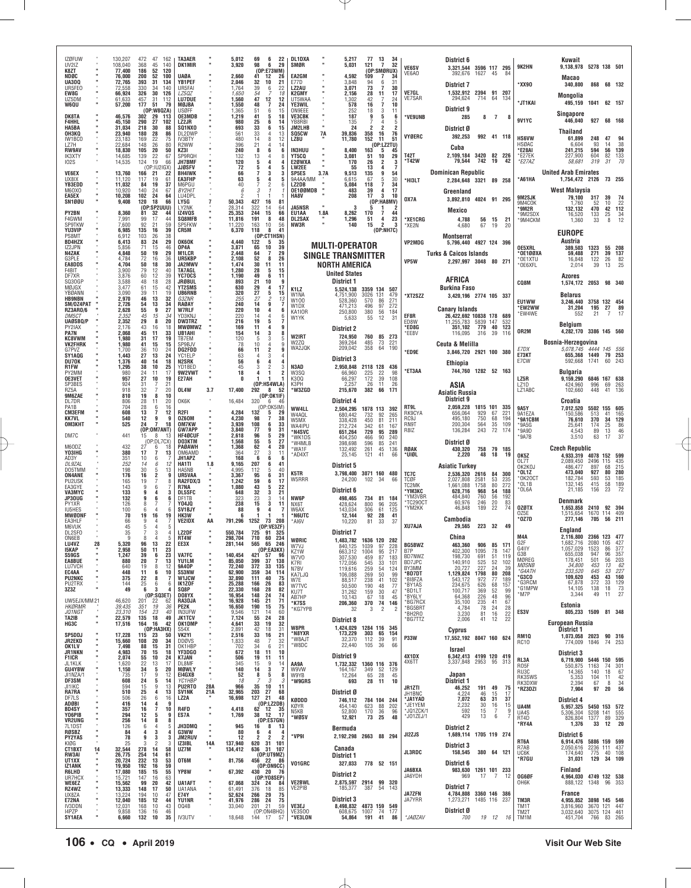| IZØFUW<br>UV2IZ                                          | 130,207<br>108,040                   | 472<br>47<br>162<br>368<br>45<br>140                                                       | <b>TA3AER</b><br><b>DK1MIR</b>               |            | 5,012<br>3,920                | 69<br>6<br>22<br>98<br>6<br>29                                                       | <b>DL1DXA</b><br>SMØR                  |      | 5,217<br>5,031                                         | 77<br>121                          | 13<br>34<br>32<br>$\overline{7}$                                  |                                     | District 6                                                               |                        |                       |                                        |                                       | Kuwait                                                       |                                     |                             |                                                |
|----------------------------------------------------------|--------------------------------------|--------------------------------------------------------------------------------------------|----------------------------------------------|------------|-------------------------------|--------------------------------------------------------------------------------------|----------------------------------------|------|--------------------------------------------------------|------------------------------------|-------------------------------------------------------------------|-------------------------------------|--------------------------------------------------------------------------|------------------------|-----------------------|----------------------------------------|---------------------------------------|--------------------------------------------------------------|-------------------------------------|-----------------------------|------------------------------------------------|
| K8ZT<br>NDØC<br><b>UA30Q</b>                             | 77.400<br>76,000<br>72,765           | 186<br>52<br>120<br>200<br>52<br>100<br>393<br>31<br>134                                   | <b>UAØA</b><br>YB1PEF                        |            | 2,660<br>2,046                | (OP:E73WM)<br>41<br>12<br>26<br>32<br>10<br>21                                       | EA2GM<br>E77D                          |      | 4,592<br>3.848                                         | 109<br>94                          | (OP:SMØRUX)<br>7<br>34<br>6<br>31                                 | <b>VE6SV</b><br>VE6AO               | 3,321,544 3596 117 295<br>392,676                                        | 1627 45                |                       | 84                                     | 9K2HN                                 | 9,138,978 5278 138 501<br>Macao                              |                                     |                             |                                                |
| UR5FE0<br>EW8G<br>UZ5DM                                  | 72,558<br>66,924<br>61,633           | 330<br>34<br>140<br>326<br>30<br>126<br>457<br>31<br>112                                   | UR5FAI<br><b>LZ50Z</b><br><b>LU7DUE</b>      |            | 1,764<br>1.650<br>1,560       | 39<br>6<br>22<br>54<br>18<br>47<br>12                                                | LZ2AU<br>K2GMY<br>UT5WAA               |      | 3,071<br>2,156<br>1,302                                | 73<br>28<br>42                     | 7<br>30<br>11<br>17<br>24                                         | VE7GL<br>VE7SAR                     | District 7<br>1,532,912 2394 91 207<br>294,624                           | 714 64                 |                       | 134                                    | *XX90                                 | 340,800<br>Mongolia                                          |                                     | 868 68 132                  |                                                |
| W6QU<br><b>DK8TA</b>                                     | 57,200<br>46,576                     | 177<br>51<br>79<br>(0P:W8QZA)<br>302<br>29<br>113                                          | MØJBA<br>USØFF<br>OE3MDB                     |            | 1,550<br>1,365<br>1,219       | $\begin{array}{c} 12 \\ 7 \end{array}$<br>48<br>24<br>51<br>6<br>15<br>5<br>41<br>18 | YE3WIL<br><b>ON9EEE</b><br>VE3CBK      |      | 578<br>252<br>187                                      | 16<br>18<br>9                      | $\overline{7}$<br>10<br>3<br>11<br>5<br>6                         | 'VE9UNB                             | District 9<br>285                                                        |                        | 8 7                   | 8                                      | *JT1KAI                               | 495,159 1041 62 157<br>Singapore                             |                                     |                             |                                                |
| <b>F4HHL</b><br>HA5BA<br>ОНЗКО                           | 45,150<br>31,034<br>23,940           | 290<br>27<br>102<br>88<br>218<br>30<br>28<br>180<br>86                                     | LZ2JR<br>SQ1NX0<br>DL2DWP                    |            | 980<br>693<br>561             | 25<br>6<br>14<br>33<br>6<br>15<br>33<br>4<br>13                                      | YB8RBI<br>JM2LHB<br><b>SQ5CW</b>       | 7A   | 135<br>24<br>39,836                                    | 2<br>358                           | 4<br>-5<br>2<br>$\overline{2}$<br>16<br>76                        |                                     | District Ø                                                               |                        |                       |                                        | 9V1YC                                 | 446,040<br>Thailand                                          | 927                                 | 68 168                      |                                                |
| IW1BCO<br>177H<br><b>RW9AV</b>                           | 23,183<br>22,684<br>18,830           | 169<br>22<br>75<br>148<br>26<br>80<br>20<br>50<br>105                                      | IV3BTY<br>R <sub>2</sub> WW<br>KZ3I          |            | 480<br>396<br>240             | 8<br>12<br>14<br>4<br>21<br>14<br>8<br>6<br>6                                        | LZ8U<br><b>IN3HUU</b>                  |      | 11,780<br>8,400                                        | 152<br>163                         | 11<br>51<br>(0P: LZ2TU)<br>5<br>45                                | VYØERC                              | 392,253<br>Cuba                                                          | 992 41 118             |                       |                                        | <b>HS6VW</b><br>HSØAC<br>*E28AI       | 61,899<br>6,604<br>241,215                                   | 248<br>93<br>594                    | 47<br>14<br>56              | 38<br>139                                      |
| IK3XTY<br><b>102S</b>                                    | 14,685<br>14,535                     | 139<br>22<br>67<br>19<br>124<br>66<br>(OP:IU2IGX)                                          | SP9RQH<br><b>JH7BMF</b><br><b>JJØSFV</b>     |            | 132<br>120<br>72              | 13<br>4<br>8<br>5<br>4<br>5<br>4<br>5                                                | <b>YT5CQ</b><br>E2ØWXA<br><b>LW2EE</b> |      | 3.081<br>170<br>55                                     | 51<br>26<br>13                     | 10<br>29<br>2<br>3<br>4<br>-7                                     | T42T<br>'T42W                       | 2,109,184 3420<br>79,544                                                 | 742                    | 82 226<br>19          | 42                                     | *E27EK<br>*E27AZ                      | 227,900<br>58,681                                            | 604<br>319                          | 82<br>-31                   | 133<br>70                                      |
| <b>VE6EX</b><br>UX8IX<br><b>YB3EDD</b>                   | 13,760<br>11,120<br>11,032           | 166<br>21<br>22<br>117<br>19<br>61<br>84<br>19<br>37                                       | <b>BH4IWK</b><br>EA3FHP<br>M6PGU             |            | 66<br>63<br>40                | 3<br>3<br>5<br>4<br>5<br>2                                                           | SP5ES<br>9A4AA/MM<br>LZ2DB             | 3.7A | 9,513<br>6.615<br>5,084                                | 135<br>67<br>118                   | 9<br>54<br>$\overline{5}$<br>30<br>34<br>7                        | *HI3LT                              | <b>Dominican Republic</b><br>2,284,648 3321 89 258                       |                        |                       |                                        | *A61HA                                | <b>United Arab Emirates</b><br>1,754,472 2126                |                                     | 73 255                      |                                                |
| <b>M6OXO</b><br><b>EA5EX</b><br>SN1ØØU                   | 10,920<br>10,208<br>9,408            | 140<br>24<br>67<br>24<br>102<br>64<br>18<br>66<br>120                                      | BY2HIT<br>LU4DPL<br>LY5G                     |            | -6<br>50,343                  | 3<br>427<br>16<br>81                                                                 | OE100MDB<br>HA8V                       |      | 483<br>208                                             | 39<br>17                           | 17<br>4<br>3<br>10<br>(OP:HA8MV)                                  | OX7A                                | Greenland<br>3,892,810 4024 91 295                                       |                        |                       |                                        | 9M2SJK                                | West Malaysia<br>79,100                                      | 317                                 | 39                          | 74                                             |
| <b>PY2BN</b><br>F4GWM                                    | 8,360<br>7,991                       | (0P:SP2UUU)<br>81<br>32<br>44<br>99<br>17<br>44                                            | LY2NK<br>IZ4VQS<br>SQ8MFB                    |            | 28,314<br>25,353<br>11,816    | 322<br>64<br>14<br>244<br>15<br>66<br>191<br>8<br>48                                 | JA5NSR<br>EU1AA<br>DL2SAX              | 1.8A | 3<br>8,262<br>1,296                                    | 5<br>170<br>51                     | 1<br>-2<br>$\overline{7}$<br>44<br>$\overline{\mathbf{4}}$<br>23  | *XE1CRG                             | Mexico<br>4,788                                                          |                        | 56 15                 | 21                                     | 9M4COK<br>*9M2R<br>*9M2SDX            | 1,760<br>132,132<br>16,520                                   | 52<br>470<br>133                    | 10<br>42<br>25              | 22<br>112<br>34                                |
| SP9TKW<br>YU3VIP<br>PS8MT                                | 7,600<br>6,985<br>6,912              | 92<br>21<br>59<br>39<br>135<br>16<br>38<br>103<br>26                                       | SP5FKW<br>CR5M                               |            | 11,220<br>6,370               | 163<br>10<br>56<br>41<br>118<br>8<br>(OP:CT1HSN)                                     | NW3R                                   |      | 140                                                    | 15                                 | $\overline{2}$<br>-3<br>(OP:NH7C)                                 | *XE2N                               | 4,680<br>Montserrat                                                      | 67                     | 19                    | 20                                     | *9M4CKM                               | 1,360<br>EUROPE                                              | 33                                  | 8                           | 12                                             |
| <b>BD4HZX</b><br>IZ2JPN<br>N4ZAK                         | 6.413<br>5,856<br>4.848              | 24<br>29<br>83<br>71<br>15<br>46<br>50<br>19<br>29                                         | <b>OK6OK</b><br>OP4A<br><b>M1LCR</b>         |            | 4.440<br>3,871<br>2.448       | 122<br>35<br>-5<br>39<br>65<br>10<br>64<br>29<br>$\overline{7}$                      |                                        |      | <b>MULTI-OPERATOR</b>                                  |                                    |                                                                   | VP2MDG                              | 5,796,440 4927 124 396<br><b>Turks &amp; Caicos Islands</b>              |                        |                       |                                        | OE5XRL<br>°0E1ØØXA                    | Austria<br>389,503<br>59,488                                 | 1323<br>271                         | 55<br>39                    | 208<br>137                                     |
| G3PLE<br><b>EA8DDS</b><br>F4BIT                          | 4,784<br>4,704<br>3,900              | 72<br>16<br>36<br>50<br>18<br>30<br>79<br>12<br>40                                         | UR5KBP<br><b>JA2MWV</b><br><b>TA7AGL</b>     |            | 2,108<br>1,474<br>1,280       | 52<br>26<br>8<br>30<br>11<br>11<br>28<br>5<br>15                                     |                                        |      | <b>SINGLE TRANSMITTER</b><br><b>NORTH AMERICA</b>      |                                    |                                                                   | VP5W                                | 2,297,997 3048 80 271                                                    |                        |                       |                                        | *OE1XTU<br>*OE6XFL                    | 16,848<br>2,014                                              | 122<br>39                           | 26<br>13                    | 82<br>25                                       |
| DF7XR<br>SQ30GP<br>MØJGX                                 | 3,876<br>3,588<br>3,477              | 12<br>39<br>60<br>28<br>48<br>18<br>15<br>42<br>61                                         | YC70CS<br><b>JRØBUL</b><br><b>YT2SMS</b>     |            | 1,190<br>893<br>630           | 49<br>6<br>11<br>21<br>10<br>g<br>29<br>17<br>4                                      |                                        |      | <b>United States</b><br>District 1                     |                                    |                                                                   |                                     | AFRICA<br><b>Burkina Faso</b>                                            |                        |                       |                                        | CQ8M                                  | Azores<br>1,574,172 2053 98 340                              |                                     |                             |                                                |
| YBØANN<br><b>HB9NBN</b><br>SM/0Z4PAT                     | 3,090<br>2,970<br>2,726              | 19<br>39<br>11<br>13<br>32<br>46<br>34<br>13<br>54                                         | <b>UB6RNB</b><br><i>G3ZNR</i><br>RAØAY       |            | 320<br>255<br>240             | 27<br>5<br>15<br>27<br>2<br>13<br>9<br>14<br>7                                       | K <sub>1</sub> LZ<br>W1NA<br>W100      |      | 5.524.138<br>4,751,900<br>528,360                      | 3359 134 507<br>3026<br>131<br>570 | 479<br>86<br>271                                                  | *XT2SZZ                             | 3,420,196 2774 105 337                                                   |                        |                       |                                        | <b>EU1WW</b>                          | <b>Belarus</b><br>3,246,440                                  | 3758 132 454                        |                             |                                                |
| <b>RZ3AR0/6</b><br><i>DM5CT</i><br>UAØSBQ/P              | 2,628<br>2,352<br>2,352              | 9<br>27<br>55<br>45<br>34<br>15<br>29<br>8<br>20                                           | <b>W7RLF</b><br>YD3KNJ<br><b>DW3TRZ</b>      |            | 220<br>220<br>216             | 10<br>4<br>6<br>4<br>-14<br>6<br>19<br>5                                             | W1DX<br>KA1IOR<br>W1YK                 |      | 471,213<br>250,800<br>5,633                            | 496<br>380<br>55                   | 97<br>272<br>56<br>184<br>12<br>31                                | EF8R<br>FD8W                        | <b>Canary Islands</b><br>26,422,692 10838 178 689<br>11,255,783 5839 147 |                        |                       | 532                                    | *EW2WW<br>*EW4WE                      | 31,204<br>552                                                | 195<br>21                           | 27<br>7                     | 89<br>17                                       |
| PY2IAX<br><b>PA7N</b><br><b>KC8VWM</b>                   | 2.176<br>2,068<br>1.980              | 43<br>16<br>18<br>45<br>11<br>33<br>31<br>19<br>17                                         | MWØMWZ<br><b>UB1AHI</b><br>TR7FM             |            | 169<br>154<br>120             | -11<br>4<br>q<br>3<br>14<br>8<br>3<br>-5<br>5                                        | W2IRT                                  |      | District 2<br>724,950                                  | 760                                | 85 273                                                            | *ED8G<br>*EE8V                      | 351,102<br>116,095                                                       | 779 40<br>316 39       |                       | 123<br>116                             | OR2M                                  | Belgium<br>4,282,170 3386 145 560                            |                                     |                             |                                                |
| <b>VK2FHRK</b><br>G7PVZ<br>SY1AQG                        | 1,980<br>1.700<br>1,443              | 41<br>15<br>15<br>10<br>24<br>36<br>27<br>13<br>24                                         | SP9BJV<br>DG2FDD<br>YC1ELP                   |            | 78<br>66<br>63                | 10<br>4<br>$\overline{2}$<br>11<br>3<br>4                                            | W2ZQ<br>WA2JQK                         |      | 369,264<br>209,042                                     | 485<br>358                         | 221<br>73<br>64<br>190                                            | *ED9E                               | <b>Ceuta &amp; Melilla</b><br>3,846,720 2921 100 380                     |                        |                       |                                        | E7DX<br>E73KT                         | Bosnia-Herzegovina<br>5,078,745 4444 145 556<br>655,368 1449 |                                     | 79 253                      |                                                |
| DU70K<br>R1FW<br>PY2MM                                   | 1,376<br>1,295<br>980                | 40<br>18<br>14<br>38<br>10<br>25<br>17<br>24<br>11                                         | N2SRK<br>YD1BED<br>9W2VWT                    |            | 56<br>45<br>18                | 6<br>4<br>$\overline{2}$<br>3                                                        | N3AD<br>W3SQ                           |      | <b>District 3</b><br>2,950,848<br>66,960               | 2118 128                           | 436<br>98                                                         | <b>ET3AA</b>                        | Ethiopia<br>744,760 1282 52 163                                          |                        |                       |                                        | E7CW                                  | 592,668<br><b>Bulgaria</b>                                   | 1741                                |                             | 60 243                                         |
| OE3VET<br>SP3BES<br>RZ5A                                 | 957<br>924<br>918                    | 10<br>27<br>19<br>21<br>31<br>20<br>32<br>7                                                | E27AH<br>OL4W                                | 3.7        | n<br>17,400                   | (OP:HS4WLA)<br>292<br>8<br>-52                                                       | K300<br>K3PH<br>*W3ZGD                 |      | 66,297<br>2,257<br>215,670                             | 225<br>172<br>26<br>382            | $\frac{22}{39}$<br>108<br>11<br>26<br>66<br>171                   |                                     | ASIA                                                                     |                        |                       |                                        | LZ5R<br>LZ <sub>1</sub> D<br>LZ1ABC   | 9,159,290<br>424.960<br>102,660                              | 6846 167 638<br>996<br>448          | 69<br>41                    | 263<br>136                                     |
| 9M6ZAE<br>DL7DR<br>PA1B                                  | 810<br>806<br>704                    | 19<br>8<br>10<br>28<br>11<br>20<br>28<br>6<br>16                                           | OK6K                                         |            | 16,484                        | (0P:OK1IF)<br>320<br>- 6<br>-46<br>(OP:OK5IM)                                        | WW4LL                                  |      | District 4                                             |                                    |                                                                   | RT9L                                | Asiatic Russia<br>District 9<br>2,059,228                                | 1815 101               |                       | 335                                    | <b>9A5Y</b>                           | Croatia<br>7,012,520                                         | 5502 155 605                        |                             |                                                |
| <b>CM3EFM</b><br><b>KK7VL</b><br>OM3KHT                  | 608<br>540<br>525                    | 13<br>12<br>7<br>12<br>9<br>9<br>24<br>$\overline{7}$<br>18                                | R2FI<br>0Z60M<br>OM7KW                       |            | 4,284<br>4,230<br>3,939       | 132<br>5<br>29<br>98<br>7<br>38<br>108<br>33<br>6                                    | W4AQL<br>W5MX<br>WA4IPU                |      | 2,504,295<br>680,442<br>338,428<br>212,724             | 1878 113 392<br>732<br>450<br>342  | 92<br>265<br>81<br>211<br>61<br>167                               | RK9CYA<br>RC <sub>9</sub> J<br>RN9T | 656,064<br>495,180<br>200,304                                            | 929<br>750<br>564      | 67<br>68<br>35        | 221<br>194<br>109                      | 9A1EZA<br>*9A1CBM<br>*9A5G            | 150,586<br>76,610<br>25,641                                  | 513<br>370<br>174                   | 41<br>34<br>25              | 165<br>129<br>86                               |
| DM7C                                                     | 441                                  | (OP:OM7ANT)<br>8<br>15<br>-13<br>(OP:DL7CX)                                                | <b>GW7APP</b><br>HF4ØCUF<br>DO3KTM           |            | 3,840<br>2,618<br>1,568       | 77<br>9<br>31<br>96<br>5<br>29<br>55<br>5<br>27                                      | *N4SVC<br>'WK1DS<br>*W4MLB             |      | 651,264<br>404,250<br>398,698                          | 729<br>466<br>596                  | 95<br>289<br>90<br>240<br>85<br>241                               | R8IZ                                | 136,284<br>District Ø                                                    | 243                    | 72                    | 174                                    | *9A9D<br>*9A7B                        | 4,543<br>3,510                                               | 89<br>63                            | 13<br>17                    | 46<br>37                                       |
| M60DZ<br>Y03IHG<br>AD3Y                                  | 432<br>380                           | 27<br>6<br>18<br>17<br>$\overline{7}$<br>13<br>10<br>6                                     | <b>PAGAWH</b><br>OM6AMD<br>JH1APZ            |            | 1,368<br>364<br>168           | 62<br>4<br>20<br>27<br>3<br>11<br>6<br>- 6<br>- 6                                    | *WA1F<br>*AD4XT                        |      | 132,492<br>25,145                                      | 261<br>121                         | 45<br>136<br>41<br>66                                             | <b>RØAK</b><br>*UIØL                | 430,320<br>2,220                                                         | 758<br>48              | 79 185<br>18          | 19                                     | OK5Z                                  | <b>Czech Republic</b><br>4,933,319 4078 152 599              |                                     |                             |                                                |
| DL9ZAL<br>DO5TMM<br><b>ON4ANE</b>                        | $\frac{351}{252}$<br>198<br>176      | 6<br>12<br>14<br>30<br>13<br>5<br>16<br>2<br>9                                             | HA1TI<br>HA5NB<br>UR5VAA                     | 1.8        | 9,165<br>4,995<br>3,367       | 207<br>41<br>6<br>5<br>40<br>112<br>6<br>95<br>31                                    | K5TR                                   |      | District 5<br>3,798,400 3071 160 480                   |                                    |                                                                   | TC7C                                | Asiatic Turkey<br>2,536,320 2616                                         |                        | 84                    | 300                                    | OL7T<br>OK2KOJ<br>*OL1Z               | 2,089,450<br>486,477<br>473,040                              | 2496<br>897<br>927                  | 115<br>68<br>80             | 435<br>215<br>280                              |
| PU2USK<br>EA3GYE<br>VA3MYC                               | 165<br>143<br>133                    | 19<br>8<br>9<br>6<br>9<br>4<br>3                                                           | RA2FDX/3<br><b>R7NA</b><br><b>DL5SFC</b>     |            | 1,242<br>1,080<br>648         | 59<br>6<br>17<br>22<br>43<br>5<br>32<br>3<br>21                                      | W5RRR                                  |      | 24,200<br>District 6                                   | 102 34                             | 66                                                                | TCØF<br>TC2MK<br>*ҮМЗКС             | 2,027,808<br>1.661.088<br>628,716                                        | 2581<br>1758<br>968    | 53<br>80<br>54        | 235<br>272<br>188                      | *0K20CT<br>*OL1B<br>*OL6A             | 182.784<br>132,145<br>21,185                                 | 593<br>415<br>156                   | 53<br>58<br>23              | 185<br>189<br>72                               |
| JP30UG<br>PY1XR<br>IU5HES                                | 132<br>126<br>100                    | 9<br>6<br>6<br>6<br>6                                                                      | DF1TB<br><b>Y04JQ</b><br>SV <sub>1</sub> BJY |            | 323<br>238<br>88              | 23<br>3<br>-14<br>3<br>15<br>11<br>9<br>4                                            | NW6P<br>NX6T<br>W6AX                   |      | 498,465<br>428,624<br>143,034                          | 734<br>800<br>306                  | 81 184<br>96<br>205<br>61<br>125                                  | *YM3VBR<br>TC290CT<br>*YM2KK        | 484.840<br>60,976<br>46,848                                              | 760<br>246<br>189      | 56<br>20<br>22        | 192<br>83<br>74                        | <b>OZØTX</b>                          | Denmark<br>1,653,858                                         | 2410                                | 92 394                      |                                                |
| MWØDNF<br><b>FA3HIF</b><br>M6VUK                         | 70<br>66<br>45                       | 19<br>16<br>19<br>9<br>5                                                                   | HK3W<br>VE2IDX                               | AA         | 791,296                       | 1252<br>73 208<br>(OP:VE3ZF)                                                         | *N6UTC<br>*AI6V                        |      | 12,144<br>10,220                                       | 92<br>81                           | 28<br>41<br>33<br>37                                              | <b>XU7AJA</b>                       | Cambodia<br>29,565                                                       | 223 32                 |                       | 49                                     | OZ5E<br>*OZ7D                         | ,515,654<br>277,146                                          | 1670 114 409<br>705                 | 56 211                      |                                                |
| DL2SF0<br>ON6EB<br>LU4VZ<br>28                           | 35<br>9<br>5,320                     | 3<br>7<br>8<br>5<br>96<br>13<br>22                                                         | LZ2DF<br>RT4W<br>EE3X                        |            | 550.784<br>298,704<br>281,144 | 725 91 325<br>710<br>60<br>234<br>565<br>65 246                                      | WØRIC<br>W7VJ                          |      | <b>District 7</b><br>1.483.782 1636 120 282<br>840,125 | 1039                               | 97<br>228                                                         | <b>BG5BWZ</b>                       | China<br>463,360                                                         | 906                    | 85                    | 171                                    | M4A<br>G2F                            | England<br>2,116,800 2366 123 477<br>.682,716                | 2080 105                            |                             | 427                                            |
| 15KAP<br>S59GS<br>EA8BUE                                 | 2,958<br>1,247<br>880                | 50<br>11<br>$\substack{23 \\ 23}$<br>39<br>6<br>20<br>$\overline{7}$<br>13                 | <b>VA7FC</b><br>YU1LM                        |            | 140,454<br>85,050             | (OP:EA3KX)<br>57<br>96<br>421<br>37<br>138<br>399                                    | KZ1W<br>W7V0<br>K7RI                   |      | 663,312<br>307,530<br>172,056                          | 1004<br>459<br>545                 | 95<br>217<br>87<br>183<br>33<br>101                               | B7P<br>BD7NWZ<br>BD7JPC             | 402,300<br>198,730<br>140,910                                            | 1095<br>691<br>525     | 78<br>$\frac{51}{52}$ | 147<br>119<br>102                      | G4IIY<br>G3B<br>MØREG                 | 1,057,029<br>655,038<br>178,451                              | 1523<br>947<br>501                  | 86<br>96<br>$\frac{56}{13}$ | $\frac{377}{357}$                              |
| LU7VCH<br>EC4AA<br><b>PU2NKC</b>                         | 640<br>448<br>375                    | 12<br>19<br>8<br>6<br>10<br>11<br>22<br>8                                                  | 9A40P<br>S53NW<br><b>W1JCW</b>               |            | 72,240<br>62,900<br>32,890    | 372<br>33<br>135<br>34<br>359<br>114<br>111<br>40<br>75                              | N7BV<br>KA7LJQ<br>W7E                  |      | 119,616<br>106,088<br>88,517                           | 259<br>269<br>238                  | $\begin{array}{c} 54 \\ 50 \end{array}$<br>124<br>99<br>41<br>102 | BY3MM<br>*BD7DT<br>*BI8FZA          | 20,727<br>1,129,824<br>543,172                                           | 227<br>1798<br>972     | 80<br>77              | 39<br>208<br>189                       | <b>MØSNB</b><br>*G4ATH<br><b>G3CO</b> | 34,800<br>233,520<br>109,620                                 | 453<br>645<br>453                   | 53<br>43                    | $\frac{203}{62}$<br>$227$<br>160               |
| PU2TRX<br>3Z3Z                                           | 144<br>49                            | 25<br>6<br>6<br>6<br>3<br>(0P:SQ3ET)                                                       | IK1ZOF<br>SQ8P<br>DO8YX                      |            | 25,288<br>22,330<br>16,954    | 83<br>166<br>26<br>168<br>82<br>28<br>148<br>$\frac{24}{21}$<br>74<br>71             | W7TVC<br>KU7T<br>AB7HP                 |      | 50,500<br>31,262<br>10,143                             | 190<br>159<br>67                   | 48<br>77<br>30<br>47<br>18<br>45                                  | *BY1AS<br>*BD1LT<br>*BY6LY          | 234,675<br>100,717<br>64,368                                             | 626<br>369             | 68<br>52<br>48        | 157<br>99                              | *G3RCM<br><b>"G1MPW</b><br>*M7P       | 67,878<br>14,105<br>3,344                                    | 372<br>138<br>49                    | 33<br>18<br>11              | $\begin{array}{r} 129 \\ 73 \\ 27 \end{array}$ |
| UW5EJX/MM21<br><b>HKØRMR</b><br>JQ1NGT                   | 46,620<br>39,435<br>23,310           | 201<br>22<br>62<br>19<br>351<br>36<br>23<br>154<br>40                                      | RA3DJA<br>PE2K<br><b>IN3UFW</b>              |            | 16,928<br>16,650<br>9,546     | 145<br>190<br>75<br>15<br>121<br>14<br>60                                            | *K7SS<br>*KG7YPB                       |      | 206,360<br>32                                          | 370<br>3                           | 74<br>146<br>$\overline{2}$<br>2                                  | *BG7RCX<br>*BG5BRT<br>BH2RO*        | 35,100<br>4,784<br>3,230                                                 | 226<br>235<br>78<br>81 | 41<br>24<br>16        | $\frac{96}{67}$<br>28<br>22            | ES3V                                  | Estonia<br>805,233 1509 81 348                               |                                     |                             |                                                |
| TA2IB<br>HG3C                                            | 22,579<br>17,516                     | 135<br>18<br>49<br>164<br>16<br>42<br>(OP:HA3HX)                                           | <b>JK1TCV</b><br>OK1DMP<br>S54X              |            | 7,124<br>4,641<br>2,891       | 55<br>24<br>28<br>33<br>19<br>32<br>42<br>18<br>31                                   | W8PR<br>*N8YXR                         |      | <b>District 8</b><br>1,424,029<br>173,229              | 1284 116 345<br>303                | 65<br>154                                                         | *BG7TTZ                             | 2,006<br>Cyprus                                                          | 41                     | 12                    | 22                                     |                                       | <b>European Russia</b><br>District 1                         |                                     |                             |                                                |
| SP5DDJ<br>JR2EKD<br>OK1LV                                | 17,228<br>15,660<br>7,498            | 115<br>23<br>50<br>$\frac{20}{15}$<br>$\begin{array}{c} 34 \\ 31 \end{array}$<br>108<br>88 | VK2YI<br><b>DDØVS</b><br><b>OK1HBP</b>       |            | 2,516<br>1,833<br>702         | 16<br>21<br>33<br>$\frac{32}{21}$<br>48<br>$\ddot{6}$<br>34                          | *W8AJT<br>*W8DC                        |      | 32,370<br>22,440                                       | 112<br>105                         | 39<br>91<br>66<br>36                                              | <b>P33W</b>                         | 17,552,192 8047 160 624<br>Israel                                        |                        |                       |                                        | <b>RM10</b><br>RC10                   | 1,073,058 2023<br>774,009                                    | 1846                                | 90 316                      | 74 253                                         |
| <b>JR1NKN</b><br><b>F1ICR</b><br>JL1KLK                  | 4,983<br>2,074<br>1,620              | 70<br>15<br>18<br>10<br>55<br>24<br>22<br>13<br>17                                         | YF3DG0<br><b>K7JAN</b><br>DL8MF              |            | 672<br>506<br>345             | 18<br>11<br>10<br>19<br>11<br>11<br>9<br>15<br>14                                    | AA9A                                   |      | District 9<br>1,732,332                                | 1360 116 376                       |                                                                   | 4X1DX<br>4X6TT                      | 6,342,413 4199 120 419<br>3.337.848 2953 95                              |                        |                       | 313                                    | RL3A<br>R05F                          | District 3<br>6,719,900<br>550,875                           | 5446 150<br>1163                    | 74                          | 595<br>301                                     |
| <b>GU4YBW</b><br>JI1NZA/1<br>DF3SM                       | 1,150<br>735<br>608                  | 34<br>5<br>20<br>17<br>9<br>12<br>24<br>5<br>14                                            | <b>MØWLY</b><br>E14GXB<br>YC1HBP             |            | 140<br>52<br>18               | $\mathbf{3}$<br>14<br>7<br>8<br>5<br>8<br>3                                          | W9VW<br>W9YB<br>3<br>*W9GRS            |      | 164,167<br>12,264<br>693                               | 349<br>65<br>28                    | 52<br>129<br>28<br>45<br>10<br>11                                 |                                     | Japan<br>District 1                                                      |                        |                       |                                        | RU3C<br>RK3SWS<br>RK3DXW              | 14,365<br>5,353<br>2,394                                     | 140<br>104<br>67                    | 18<br>11<br>8               | 67<br>$\frac{42}{34}$                          |
| JI1IKC<br>RA7RA<br>DF7LS                                 | 594<br>510<br>506                    | 15<br>9<br>13<br>25<br>4<br>13<br>26<br>6<br>16                                            | PU2RT0<br><b>SV1NK</b><br>LZ2A               | 28A<br>21A | 966<br>32,965<br>16,698       | 35<br>10<br>11<br>203<br>27<br>68<br>127<br>21<br>48                                 | KØDDD                                  |      | District Ø<br>746.112                                  |                                    | 784 104 244                                                       | JR1ZTI<br>JH1BNC<br>*JA1YAD         | 46,252<br>4,224<br>7,072                                                 | 191<br>46<br>63        | 49<br>15<br>31        | 75<br>17<br>37                         | *RZ3DZI                               | 7,904<br>District 4                                          | 97                                  | 20                          | 56                                             |
| ADØBI<br><b>BD4SY</b><br>Y06PIB                          | 416<br>357<br>294                    | 14<br>4<br>9<br>7<br>16<br>10<br>12<br>5<br>9                                              | R4FD<br>ES7A                                 |            | 4,418<br>1,769                | (0P:LZ2DB)<br>62 12<br>35<br>12<br>38<br>17                                          | KØYR<br>N5KB<br>*wøsv                  |      | 454,140<br>52,800<br>12,921                            | 623<br>170<br>73                   | 88<br>202<br>36<br>$\frac{96}{48}$<br>25                          | *JE1YEM<br>*JQ1ZCK/1<br>*J01ZEJ/1   | 2,232<br>592<br>429                                                      | 30<br>15<br>13         | 16<br>-7<br>6         | $\begin{array}{c} 15 \\ 9 \end{array}$ | UA4M<br>UA4S<br>RT4D                  | 5,957,325<br>5,306,304<br>826,804                            | 5450 153 572<br>5208<br>1377        | 141<br>89 329               | 555                                            |
| <b>VR2UNG</b><br>7L1DST<br><b>RØSBZ</b><br><b>PY2YAS</b> | 256<br>126<br>84<br>78               | 14<br>8<br>8<br>6<br>$\frac{4}{3}$<br>5<br>4<br>4<br>9<br>3<br>3                           | JH3DMQ<br>G3WW<br>JM2RUV                     | <b>H</b>   | 945<br>80<br>12               | (OP:ES7GN)<br>16<br>8<br>13<br>6<br>4<br>4<br>$\overline{2}$<br>2<br>2               | *VP9I                                  |      | Bermuda<br>2,192,298 2663 88 294                       |                                    |                                                                   | JI2ZJS                              | <b>District 2</b><br>1,689,114 1705 119 274                              |                        |                       |                                        | *RY4A                                 | 1,376<br>District 6                                          | 33                                  | 12                          | 20                                             |
| KIØG<br>CT1BXT<br>14                                     | 25<br>32,544                         | $\overline{2}$<br>З<br>3<br>278<br>14<br>58                                                | IZ3IBL<br>UZ7M                               | 14A        | 137,940<br>134,412            | 620 31 101<br>636<br>31 107                                                          |                                        |      | Canada                                                 |                                    |                                                                   | JL3RDC                              | <b>District 3</b><br>158,545                                             | 380 64 121             |                       |                                        | RT6A<br>R7AB<br>UC6K                  | 6,914,476<br>2,050,616<br>174,640                            | 5886 159 599<br>2236 111 437<br>775 |                             | 40 108                                         |
| <b>RW3AI</b><br>UT1XX<br><b>IZ1ANK</b><br>R6LHD          | 26,775<br>20,724<br>19,950<br>17,080 | 254<br>14<br>61<br>232<br>13<br>53<br>16<br>192<br>59<br>185<br>15<br>55                   | OT6M<br>YP8W                                 |            | 81,756<br>67,392              | (OP:UT9MZ)<br>456 22<br>86<br>(OP:ON9CC)<br>430 20<br>- 76                           | V01GRC                                 |      | District 1<br>327,033                                  | 778 52 151                         |                                                                   | <b>JA6BXA</b>                       | District 6<br>983,630                                                    | 1261 101 233           |                       |                                        | *R7GU                                 | 31,031<br>Finland                                            | 129                                 |                             | 34 109                                         |
| UR7HCX<br><b>WE6EZ</b><br>RZ4WZ                          | 15,721<br>15,562<br>13,333           | 147<br>16<br>63<br>42<br>99<br>20<br>148<br>17<br>50                                       | UA1AFT<br>UA1ANA                             |            | 67,068<br>61,491              | (0P:Y08SEP)<br>324 24<br>84<br>376<br>85<br>18                                       | <b>VE2BWL</b><br>VE2PIB                |      | District 2<br>2,875,597 2914 99 320<br>185,377         |                                    | 387 54 143                                                        | JA6YDH                              | 969<br><b>District 7</b>                                                 | 17                     | -7                    | 12                                     | OG6ØF<br>OH <sub>6</sub> K            | 4,964,030<br>888,122 1348                                    | 4749 132 538                        | 96 353                      |                                                |
| UX8ZA<br><b>E72NA</b>                                    | 13,224<br>12,040                     | 194<br>10<br>47<br>185<br>12<br>44                                                         | E74Y<br><b>YU1NR</b>                         |            | 52,624<br>41,976              | 266<br>29<br>75<br>75<br>286<br>24                                                   | VE3EJ                                  |      | District 3<br>8,498,832 4873 159 549                   |                                    |                                                                   | <b>JA7ZFN</b><br>JA7YRR             | 4,784,808 3360 146 386<br>1,273,271                                      | 1485 116               |                       | 237                                    | TM3R<br>TM1T                          | France<br>4,955,852 3898 145 546                             |                                     |                             | -447                                           |
| IV3DDN<br>I4PZP<br>SY1AEA                                | 12,031<br>9,858<br>6,660             | 168<br>10<br>43<br>136<br>16<br>46<br>132<br>10<br>35                                      | OQ4B<br><b>IV3UTV</b>                        |            | 33,040<br>18,648              | 201<br>21<br>59<br>(OP:ON4BHQ)<br>144 17 57                                          | <b>VE3SOO</b><br>*VE3LON               |      | 608,675 1007 74<br>54,864                              | 191 41                             | 177<br>86                                                         | *JAØZAV                             | District Ø<br>700                                                        |                        |                       | 19    12    16                         | TM <sub>2</sub> T<br>TM1M             | 3,816,960<br>3,032,640 3075 124 461<br>451,704               | 3670 121<br>766                     |                             | 83 265                                         |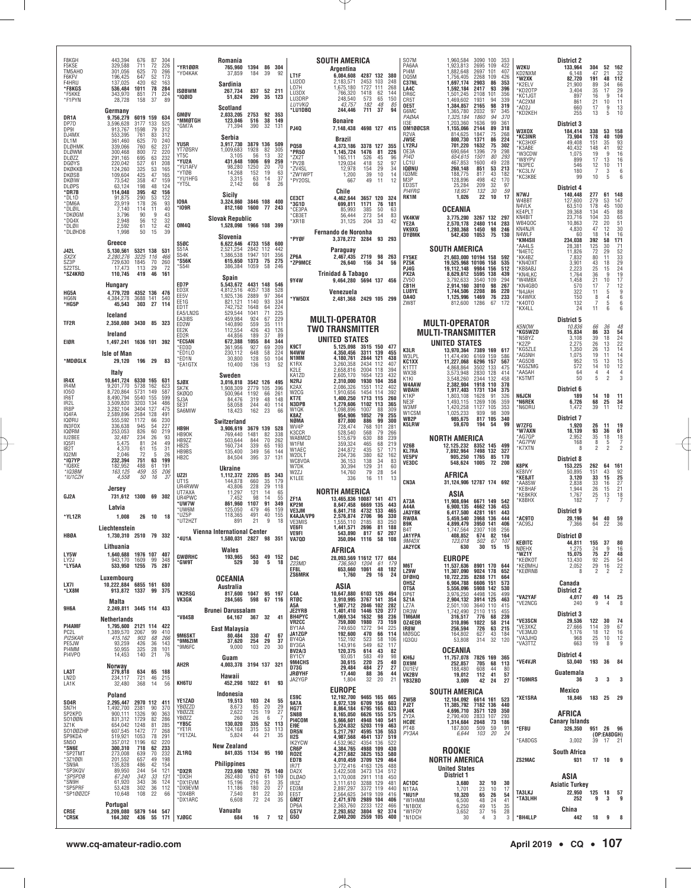| F8KGH<br>F5KSE<br>TM5AH0<br>F6KFV<br>F4HRU                                                                | 443,394<br>329,588<br>301,056<br>196,425<br>137.025                                | 676<br>711<br>625<br>647<br>420                      | 87 304<br>72<br>70<br>52<br>62               | 226<br>266<br>173<br>163                             | *YR1ØØR<br>'Y04KAK                                                       | Romania<br>765,960<br>37,859<br>Sardinia                                         | 1394 86 304<br>184                            | 39                                                    | 92                                       | LT1F<br>LU2DD<br>L07H                                           | SOUTH AMERICA<br>Argentina<br>6,084,608<br>2,183,571<br>1,675,180      | 4287 132 380<br>103<br>2453<br>1727<br>111               | 248<br>268                                                                    | S07M<br>PA6AA<br>PI4M<br>DQ5M<br>C37NL                                 |                                      | 1,960,584<br>1,923,813<br>1.882.648<br>1,756,405<br>1,697,174                       | 3090 100<br>2695<br>109<br>2697<br>101<br>2268<br>109<br>2903<br>86                                      | 353<br>422<br>407<br>426<br>353                     | W2KU<br>KD2NXM<br>*W2XK<br>*K2ELV                                   | <b>District 2</b><br>133,964<br>6.148<br>82,720<br>21.900                 | 304<br>47<br>191<br>89                  | 52 162<br>21<br>48<br>34              | 32<br>112<br>66                                    |
|-----------------------------------------------------------------------------------------------------------|------------------------------------------------------------------------------------|------------------------------------------------------|----------------------------------------------|------------------------------------------------------|--------------------------------------------------------------------------|----------------------------------------------------------------------------------|-----------------------------------------------|-------------------------------------------------------|------------------------------------------|-----------------------------------------------------------------|------------------------------------------------------------------------|----------------------------------------------------------|-------------------------------------------------------------------------------|------------------------------------------------------------------------|--------------------------------------|-------------------------------------------------------------------------------------|----------------------------------------------------------------------------------------------------------|-----------------------------------------------------|---------------------------------------------------------------------|---------------------------------------------------------------------------|-----------------------------------------|---------------------------------------|----------------------------------------------------|
| *F8KGS<br>*F5KKE<br>*F1PYN                                                                                | 536,484<br>343,970<br>28,728<br>Germany                                            | 1011<br>851<br>158                                   | 78<br>71<br>37                               | 284<br>224<br>89                                     | <b>ISØBWM</b><br>*IQØID<br>GMØV                                          | 267.734<br>51,824<br><b>Scotland</b><br>2,033,205                                | 837<br>299<br>2753                            | 52 211<br>35<br>92                                    | 123<br>353                               | LU3DX<br>LU3DRP<br>LU1VKQ<br>*LU1DBQ                            | 766,320<br>248,540<br>43,757<br>244,446                                | 1418<br>573<br>182<br>711                                | 144<br>62<br>65<br>150<br>48<br>85<br>37<br>94                                | LA4C<br>DR6C<br>CR5T<br>OE5T<br>G6MC                                   |                                      | 1,592,184<br>1,501,245<br>1,469,602<br>1,384,857<br>1,365,780                       | 2417<br>93<br>101<br>2108<br>94<br>1931<br>98<br>2165<br>97<br>2032                                      | 396<br>356<br>339<br>319<br>345                     | *KD2OTP<br>*KC1JGT<br>*AC2XM<br>*AD2J<br>*KD2KEH                    | 3,404<br>897<br>861<br>660<br>255                                         | 35<br>16<br>$^{21}_{17}$<br>13          | 17<br>9<br>10<br>9<br>5               | 29<br>14<br>11<br>13<br>10                         |
| DR1A<br>DP7D<br>DP9I<br>DJ4MX<br>DL1M                                                                     | 9,756,279<br>3,596,628<br>913,767<br>553,395<br>361,460                            | 6019 159<br>3177<br>1598<br>761<br>625               | 133<br>79<br>83<br>70                        | 634<br>525<br>312<br>312<br>240                      | 'MMØTGH<br><b>GM7A</b>                                                   | 123,046<br>71,394<br>Serbia                                                      | 516<br>390                                    | 38<br>32                                              | 149<br>-131                              | PJ40                                                            | <b>Bonaire</b><br>7,148,438<br><b>Brazil</b>                           | 4698 127 415                                             |                                                                               | PAØAA<br>113F<br>R2VA<br>JW5E                                          | OM100CSR                             | 1,325,184<br>1,203,360<br>1.155.066<br>814,625<br>800,730                           | 94<br>1860<br>99<br>1636<br>89<br>2144<br>1847<br>75<br>1371<br>86                                       | 370<br>361<br>318<br>268<br>224                     | W3XOX<br>*KC3INR                                                    | District 3<br>184,414<br>73,904                                           | 338<br>178                              | 53<br>40                              | 158<br>109                                         |
| <b>DLØHMK</b><br><b>DLØWM</b><br>DLØZZ<br><b>DGØYS</b><br>DKØKKB<br>DKØSB<br><b>DKØIW</b><br><b>DLØPS</b> | 339,066<br>300,468<br>291,165<br>220,042<br>124,260<br>109,604<br>73,542<br>63.124 | 760<br>800<br>695<br>527<br>325<br>425<br>358<br>198 | 62<br>72<br>63<br>61<br>53<br>47<br>47<br>48 | 237<br>220<br>232<br>208<br>165<br>165<br>159<br>124 | YU5R<br>YT7ØSRV<br>YT5C<br>*YU2A<br>'YU1AFV<br>'YTØB<br>*YU1HFG<br>'YT5L | 3,917,730<br>1,009,683<br>3.105<br>431,648<br>98,280<br>14,268<br>3,315<br>2,142 | 1928<br>56<br>1006<br>1250<br>152<br>63<br>66 | 3879 136 509<br>82<br>13<br>69<br>20<br>19<br>14<br>8 | 305<br>32<br>259<br>70<br>63<br>37<br>26 | PQ5B<br>*PR50<br>*ZX2T<br>*PV2B<br>*ZV4SL<br>*ZW1WPT<br>*PY20SL | 4,373,186<br>1,145,724<br>165,111<br>129,034<br>12,978<br>1,200<br>667 | 3378 127<br>1476<br>526<br>418<br>154<br>39<br>49        | 355<br>226<br>-81<br>45<br>96<br>52<br>97<br>29<br>34<br>10<br>14<br>12<br>11 | LY2RJ<br>OE3A<br>PI4D<br>LC1U<br><b>IQØNU</b><br>IQ3ME<br>M3P<br>ED3ST |                                      | 701.220<br>690,664<br>654,615<br>467,853<br>260.148<br>188,775<br>128,896<br>25,284 | 1632<br>75<br>1396<br>79<br>1501<br>80<br>49<br>1600<br>851<br>53<br>817<br>43<br>498<br>42<br>32<br>209 | 302<br>298<br>293<br>228<br>213<br>182<br>170<br>97 | *KC3HXF<br>*K3ABE<br>W3CDW<br>*W8YPV<br>*N3PEC<br>*KC3LIV<br>KC3KBE | 49,408<br>40,432<br>1.075<br>899<br>546<br>180<br>99<br><b>District 4</b> | 151<br>148<br>19<br>17<br>12<br>7<br>10 | 35<br>41<br>-9<br>13<br>10<br>3<br>5  | 93<br>92<br>16<br>16<br>11<br>6<br>6               |
| *DR7B<br>*DL1D<br>*DM6A<br>*DLØIL<br>*DKØGM                                                               | 114,048<br>91,875<br>23,919<br>7,140<br>3.796                                      | 395<br>290<br>178<br>114<br>90                       | 42<br>53<br>26<br>11<br>q                    | 156<br>122<br>93<br>40<br>43                         | 109A<br>*109R                                                            | Sicily<br>3,324,860<br>812,160                                                   | 1600                                          | 3846 108 400<br>77 243                                |                                          | CE3CT<br>'3G1D<br>*CE3PA<br>*CB3ET                              | Chile<br>4,462,644<br>699,811<br>85.993<br>56,444                      | 3657 120<br>1171<br>385<br>273                           | 324<br>76<br>181<br>50<br>63<br>54<br>83                                      | PI4FRG<br>RK1M                                                         |                                      | 18,957<br>1,026<br><b>OCEANIA</b>                                                   | 132<br>30<br>22<br>10                                                                                    | 59<br>17                                            | N7WJ<br>W4BBT<br>N4VLK<br>KE4PLT                                    | 140,448<br>127,600<br>63,510<br>39,368                                    | 277<br>279<br>178<br>134                | 61<br>53<br>$^{45}_{45}$              | 148<br>147<br>100<br>88                            |
| *DQ4X<br>*DLØII<br>*DLØHDB                                                                                | 2.948<br>2,592<br>1,998                                                            | 56<br>61<br>50                                       | 12<br>12<br>15                               | 32<br>42<br>39                                       | <b>OM4Q</b>                                                              | <b>Slovak Republic</b><br>1,528,098 1966 108 399                                 |                                               |                                                       |                                          | *XR1B                                                           | 31,125<br>Fernando de Noronha                                          | 204                                                      | 33<br>42                                                                      | <b>VK4KW</b><br>YE2A<br>VK9XG                                          |                                      | 2,570,178<br>1.280.368                                                              | 3,775,200 3267 132 297<br>2480 114 283<br>1450<br>98                                                     | 246                                                 | KN4BIT<br><b>WB400C</b><br>KN4NJR<br>N4WLF                          | 23,716<br>10,863<br>4,830<br>60                                           | 104<br>72<br>47<br>18                   | 33<br>20<br>12<br>14                  | 65<br>51<br>30<br>16                               |
| <b>J42L</b>                                                                                               | Greece<br>5,130,561                                                                | 5321 138 531                                         |                                              |                                                      | <b>S50C</b><br>S51A                                                      | Slovenia<br>6,622,646<br>2,521,254                                               | 2842 112                                      | 4733 158 600                                          | 442                                      | *PYØF                                                           | 3,378,272 3284 93 293<br>Paraguay                                      |                                                          |                                                                               | DYØMK                                                                  |                                      | 542,430<br>SOUTH AMERICA                                                            | 1053<br>75                                                                                               | 130                                                 | *KM4SII<br>*AA4LS<br>*N4ETC                                         | 234,038<br>28,381<br>11,826                                               | 392<br>125<br>72                        | 58<br>30<br>29                        | 171<br>$^{71}_{52}$                                |
| SX2X<br>SZ3P<br>SZ2TSL<br>*SZ4KRD                                                                         | 2,280,276<br>729,630<br>17,473<br>110,745                                          | 3225 116<br>1845<br>113<br>419                       | 70<br>29<br>46                               | 466<br>260<br>72<br>161                              | S54K<br>*S56K<br>*S541                                                   | 1,386,538<br>615,650<br>386,384<br>Spain                                         | 1947<br>1373<br>1059                          | 101<br>75<br>58                                       | 356<br>275<br>246                        | ZP6A<br>*ZP9MCE                                                 | 2.467.435 2719 98 263<br>26,640<br><b>Trinidad &amp; Tabago</b>        | 156                                                      | 34<br>56                                                                      | <b>FY5KE</b><br>PZ5K<br>PJ4G<br>PX2A                                   |                                      | 21.603.000 10194 158 592<br>19,525,968 10106<br>19,112,148<br>8,629,612             | 158<br>9984<br>156<br>5595<br>138                                                                        | 535<br>512<br>439                                   | *KK4BZ<br>*KN4DXT<br>KB8ABJ<br>*KN4LKC                              | 7.832<br>3,901<br>2.223<br>1,764                                          | 80<br>43<br>25<br>36                    | 11<br>18<br>15<br>9                   | $\frac{33}{29}$<br>24<br>19                        |
| HG5A                                                                                                      | Hungary<br>4,779,720                                                               | 4352 136 476                                         |                                              |                                                      | ED7P<br>FD <sub>3</sub> x<br>EE5V                                        | 5,543,672<br>4.812.516<br>1.925.136                                              | 4431 148<br>4057<br>2889                      | 138<br>97                                             | 546<br>528<br>364                        | 9Y4W                                                            | 9,464,280 5694 137 456<br>Venezuela                                    |                                                          |                                                                               | ZV50<br>CB1H<br><b>LU8YE</b>                                           |                                      | 3.792.633<br>2,914,160<br>1,744,506                                                 | 3540<br>109<br>3010<br>98<br>86<br>2208                                                                  | 294<br>267<br>220                                   | *W4MBX<br>*KN4GBO<br>*N4JAH                                         | 1,458<br>570<br>322                                                       | 21<br>17<br>11                          | 10<br>7<br>$\frac{5}{4}$              | 17<br>12<br>$\frac{9}{6}$                          |
| HG6N<br>*HG5P                                                                                             | 4,384,278<br>45,543                                                                | 3688 141<br>303                                      | 27                                           | 540<br>114                                           | EE1G<br>ED1T<br><b>FA5/LN2G</b>                                          | 821,121<br>742,752<br>529.544                                                    | 1140<br>1648<br>1041                          | 93<br>64<br>71                                        | 334<br>224<br>225                        | *YW5DX                                                          | 2.481.368 2429 105 299                                                 |                                                          |                                                                               | 0A40<br>ZW8T                                                           |                                      | 1,125,996<br>812,600                                                                | 1469<br>76<br>1286<br>67                                                                                 | 233<br>172                                          | *K4WRX<br>*K40T0<br>*KX4LL                                          | 150<br>132<br>24                                                          | 8<br>$\overline{7}$<br>11               | 5<br>6                                | $\begin{matrix} 6 \\ 6 \end{matrix}$               |
| TF2R                                                                                                      | Iceland<br>2,350,080 3430 85 323<br>Ireland                                        |                                                      |                                              |                                                      | EA3IBS<br>ED2W<br>EE2K<br>ED2R                                           | 459,984<br>140,890<br>112,554<br>44,856                                          | 924<br>559<br>426<br>189                      | 67<br>35<br>43<br>37                                  | 229<br>111<br>126<br>89                  |                                                                 | <b>MULTI-OPERATOR</b><br><b>TWO TRANSMITTER</b><br>UNITED STATES       |                                                          |                                                                               |                                                                        |                                      | <b>MULTI-OPERATOR</b><br><b>MULTI-TRANSMITTER</b>                                   |                                                                                                          |                                                     | K5NOW<br>*KG5WZD<br>*N5BYZ                                          | District 5<br>10,836<br>15,834<br>3,108                                   | 66<br>86<br>39                          | 36<br>33<br>18                        | 48                                                 |
| EIØR                                                                                                      | 1,497,241 1636 101 392<br><b>Isle of Man</b>                                       |                                                      |                                              |                                                      | *EC5AN<br>'ED3D<br>*ED1LO                                                | 672,388<br>361,956<br>230,112                                                    | 1055<br>927<br>648                            | 84<br>69<br>58                                        | 344<br>209<br>224                        | K9CT<br>N4WW                                                    | 5,125,098 3515 150<br>4.350.456                                        | 3311 139                                                 | 477<br>455                                                                    | K3LR<br>W3LPL                                                          |                                      | <b>UNITED STATES</b><br>13,970,364<br>11,474,490                                    | 7389<br>169<br>6169<br>159                                                                               | 617<br>586                                          | *K2ZP<br>*KG5ZLE<br>*AG5NH                                          | 2,275<br>1,350<br>1,075                                                   | $^{26}_{26}$<br>19                      | 13<br>13<br>11                        | 54<br>24<br>22<br>22<br>14<br>14                   |
| *MDØGLK                                                                                                   | 29,120 196 29 83<br>Italy                                                          |                                                      |                                              |                                                      | *ED1N<br><b>EA1GTX</b>                                                   | 30,800<br>10,400                                                                 | 128<br>136                                    | 50<br>13                                              | 104<br>52                                | N1MM<br>K1RX<br>K2LE                                            | 4,180,761<br>3.260.358<br>2,658,816                                    | 2844 121<br>2434 112<br>2004<br>118                      | 438<br>407<br>394                                                             | KC1XX<br>K1TTT<br>WX3B                                                 |                                      | 11,227,068<br>4,868,864<br>3,573,948                                                | 6296<br>157<br>3502<br>133<br>2830<br>128                                                                | 567<br>475<br>414                                   | *AG5DB<br>KG5ZMG<br>*AA5AH                                          | 952<br>572<br>64                                                          | 15<br>14<br>$\overline{4}$              | 13<br>10<br>$\overline{4}$            | 15<br>12<br>$\frac{4}{3}$                          |
| IR4X<br>IR4M<br>1050                                                                                      | 10,641,724 6330 165<br>9,201,770<br>8.720.864                                      | 5738<br>5731 149                                     | 162                                          | 631<br>623<br>587                                    | SJØX<br>SK7K                                                             | Sweden<br>3,016,818<br>1,908,309                                                 | 2779 105                                      | 3542 126 495                                          | 396                                      | KA1ZD<br>N2RJ<br>K <sub>2</sub> AX<br>W2CG                      | 2.605.170<br>2,310,000<br>2,086,326<br>1,910,656                       | 123<br>1654<br>1930<br>104<br>1551<br>112<br>114<br>1454 | 432<br>358<br>402<br>392                                                      | K1KI<br>W4AAW<br><b>WØAIH</b>                                          |                                      | 3.548.260<br>2,382,904<br>1.917.403                                                 | 2344<br>132<br>1918 110<br>1731<br>134                                                                   | 458<br>378<br>375                                   | *K5TMT                                                              | 50<br>District 6                                                          | 5                                       | $\mathfrak{p}$                        |                                                    |
| IR6T<br>IR2L<br>IR8P                                                                                      | 8.490.794<br>3,509,820<br>3,282,104                                                | 5540 155<br>3203<br>3404                             | 134<br>127                                   | 599<br>486<br>475                                    | SKØQ0<br>SJ3A<br>SE3T                                                    | 500.964<br>84,476<br>58.058                                                      | 1192<br>319<br>244                            | 66<br>48<br>40                                        | 261<br>148<br>114                        | KT7E<br>N3DPB<br>W1QK                                           | 1,400,250<br>1,279,606<br>1,098,896                                    | 1713 115<br>1102 113<br>1007                             | 260<br>365<br>88<br>309                                                       | K1KP<br>NE3F<br>W3MF                                                   |                                      | 1,803,108<br>1.493.115<br>1.420.258                                                 | 1628<br>91<br>1269<br>106<br>1127<br>105                                                                 | 326<br>359<br>353                                   | <b>N6JCN</b><br>*N6REK<br>N6DRU                                     | 189<br>6,726<br>1,472                                                     | 14<br>68<br>39                          | 10<br>25<br>11                        | 11<br>$34$<br>12                                   |
| IQ4FA<br><b>IQØRU</b><br>IN3FOX                                                                           | 2,589,896<br>555,592<br>336,638                                                    | 2584<br>1172<br>945                                  | 128<br>66<br>54                              | 491<br>230<br>227                                    | SA6MIW                                                                   | 18,423<br>Switzerland                                                            | 162                                           | 23                                                    | 66                                       | K8AZ<br>NØMA<br>WV4P                                            | 954,906<br>877,800<br>728,474                                          | 1052<br>886<br>768                                       | 79<br>255<br>300<br>99<br>101<br>281                                          | W1CSM<br>WB2P<br><b>K5LRW</b>                                          |                                      | 1,025,233<br>985,675<br>59,670                                                      | 98<br>939<br>817<br>105<br>54<br>194                                                                     | 309<br>340<br>99                                    | W7ZFG                                                               | <b>District 7</b><br>1,920                                                | 26                                      | 11                                    | 19                                                 |
| <b>IQØRM</b><br>IU2BEE<br><b>IO5FI</b>                                                                    | 253,053<br>32,487<br>5.475                                                         | 826<br>234<br>81                                     | 60<br>26<br>24                               | 219<br>93<br>49                                      | HB9H<br>HB90K<br>HB9ZZ                                                   | 3,906,619<br>769.440<br>503,644                                                  | 1481<br>844                                   | 3679 139 528<br>82<br>70                              | 338<br>262                               | K3CCR<br>WA8MCD<br>W1FM                                         | 528,540<br>515,679<br>359,324                                          | 568<br>630<br>465                                        | 266<br>79<br>239<br>88<br>68<br>219                                           | <b>V26B</b>                                                            |                                      | NORTH AMERICA<br>12,125,232                                                         |                                                                                                          |                                                     | *W7AXN<br>*AG7GP<br>*AG7PW                                          | 18,139<br>2,952<br>168                                                    | 93<br>35<br>8                           | 36<br>18<br>$\frac{5}{2}$             | 61<br>18<br>$\frac{7}{2}$                          |
| IB2T<br><b>IQ2MI</b><br>*107YP                                                                            | 4,370<br>2.046<br>232,394                                                          | 61<br>72<br>751                                      | 15<br>-5<br>63                               | 31<br>26<br>199                                      | HB <sub>2</sub> S<br>HB9BS<br>HB <sub>2</sub> C                          | 160,734<br>135,400<br>84,504                                                     | 339<br>349<br>395                             | 65<br>56<br>37                                        | 193<br>144<br>131                        | W1AEC<br>W2DLT<br>WC8VOA                                        | 244,872<br>204,736<br>36.153                                           | 435<br>380<br>138                                        | 57<br>171<br>62<br>162<br>34<br>83                                            | <b>KL7RA</b><br><b>VE5PV</b><br>VE3DC                                  |                                      | 7,892,964<br>905,250<br>548,624                                                     | 8352 145<br>7498 132<br>1765<br>85<br>1005                                                               | 499<br>327<br>170<br>72 200                         | *K7XTN                                                              | 8<br>District 8                                                           | $\overline{2}$                          |                                       |                                                    |
| *108XE<br>*103BM<br>*IU1CZH                                                                               | 182.952<br>163,125<br>4,558                                                        | 488<br>459<br>50                                     | 61<br>55<br>16                               | 191<br>206<br>-37                                    | UZ2I<br>UT <sub>1</sub> S                                                | Ukraine<br>1,112,372                                                             | 2205                                          | 85                                                    | 343<br>179                               | W7DK<br>W2ZJ<br>K1LEE                                           | 30,394<br>14,760<br>336                                                | 129<br>79<br>16                                          | 31<br>60<br>28<br>54<br>13<br>11                                              |                                                                        |                                      | AFRICA                                                                              |                                                                                                          |                                                     | K8PK<br>KE8IVY<br>*KE8JIT                                           | 153.225<br>50,895<br>3.120                                                | 262<br>151<br>33                        | 64<br>43<br>15                        | 161<br>92<br>25                                    |
| GJ2A                                                                                                      | Jersey<br>731.612 1300 69 302                                                      |                                                      |                                              |                                                      | UR4RWW<br><b>UT7AXA</b><br>UR4PWC                                        | 144,878<br>43,806<br>11.297<br>7,452                                             | 660<br>228<br>121<br>98                       | 35<br>29<br>14<br>14                                  | 118<br>65<br>55                          |                                                                 | NORTH AMERICA                                                          |                                                          |                                                                               | CN3A                                                                   |                                      | 31,124,906 12787 174 692<br>ASIA                                                    |                                                                                                          |                                                     | *AA8SW<br>*KE8HAF<br>*KE8KRX                                        | 2,838<br>1.944<br>1,767                                                   | 33<br>26<br>25                          | 16<br>15<br>$\frac{13}{7}$            | 27<br>21<br>$\begin{array}{c} 18 \\ 7 \end{array}$ |
| *YL1ZR                                                                                                    | Latvia<br>1,008                                                                    |                                                      | 26 10 18                                     |                                                      | *UW7W<br>*UW6M<br>*UZ5P                                                  | 861.960<br>125,050<br>118.365                                                    | 1107<br>479<br>491                            | 91<br>46<br>40                                        | 349<br>159<br>155                        | ZF1A<br>KP2M<br>VE3JM<br>K4AJA/VP9                              | 13,465,836 10087<br>8,647,458<br>6,841,718<br>2,576,874                | 141<br>135<br>6669<br>4732<br>133<br>2706                | 471<br>443<br>465<br>96<br>330                                                | A73A<br>A44A<br>JA3YBK                                                 |                                      | 11.908.694<br>6,900,135<br>6,417,500<br>5,459,540                                   | 6671 149<br>4662 136<br>4281<br>161                                                                      | 542<br>453<br>443<br>444                            | *K8BHX<br><b>AC9TO</b>                                              | 182<br>District 9<br>20,196                                               | $\overline{7}$                          | 40                                    |                                                    |
| HBØA                                                                                                      | Liechtenstein<br>1,730,310 2510 79 332                                             |                                                      |                                              |                                                      | *UT2HZT                                                                  | 891<br><b>Vienna International Center</b>                                        | 21                                            | 9                                                     | 18                                       | VE3MIS<br><b>VE6FI</b><br><b>VE9FI</b>                          | 1.555.110<br>1,441,571<br>543.890                                      | 2185<br>2696<br>817                                      | 83<br>250<br>81<br>188<br>67<br>207                                           | RWØA<br>B9K<br>B <sub>4</sub> T<br><b>JA1YPA</b>                       |                                      | 4,899,479<br>1,747,564<br>408,852                                                   | 3968<br>136<br>3950<br>141<br>2307<br>108<br>82<br>674                                                   | 406<br>256<br>164                                   | *AC9SJ                                                              | 7,366<br>District Ø                                                       | 94<br>64                                | 22                                    | 59<br>36                                           |
|                                                                                                           | Lithuania                                                                          |                                                      |                                              |                                                      | 4U1A                                                                     | 1.580.031 2827 98 351<br>Wales                                                   |                                               |                                                       |                                          | VA7QD                                                           | 350,094<br>AFRICA                                                      | 1116                                                     | 58<br>108                                                                     | 9M4DX<br><b>JA2YCK</b>                                                 |                                      | 123,018<br>630                                                                      | 502<br>67<br>30<br>- 15                                                                                  | 107<br>15                                           | <b>KEØITC</b><br>NØEHX                                              | 44.811 155 37 80<br>1,275                                                 |                                         | 9                                     | 16                                                 |
| LY5W<br>LY2J<br>*LY5AA                                                                                    | 1.640.688 1976 107 407<br>943,170 1609 99<br>533,950 1255 75 287                   |                                                      |                                              | 348                                                  | <b>GWØRHC</b><br>*GW9T                                                   | 193,965<br>529                                                                   | 30                                            | 563 49 152<br>5                                       | 18                                       | D4C<br>Z23MD<br>EF8L                                            | 28,093,569 11612 177 684<br>736,560<br>653,660                         | 1204<br>1061                                             | 61<br>179<br>48<br>182                                                        | M6T                                                                    |                                      | <b>EUROPE</b><br>11,537,636                                                         | 8901 170 644                                                                                             |                                                     | *WZ1Y<br>*KEØKOT<br>*KEØMHJ                                         | 15,075<br>13,430<br>2,052<br>8                                            | $\frac{24}{75}$<br>$\frac{92}{29}$      | $\frac{27}{25}$<br>$\frac{16}{2}$     | 48<br>$\frac{54}{22}$                              |
| LX7I                                                                                                      | Luxembourg<br>10,222,884 6855 161 630                                              |                                                      |                                              |                                                      |                                                                          | <b>OCEANIA</b><br>Australia                                                      |                                               |                                                       |                                          | ZS6MRK                                                          | 1,760<br>ASIA                                                          | 29                                                       | 16<br>24                                                                      | LZ9W<br><b>DFØHQ</b><br>OH5Z<br>OT5A                                   |                                      | 11,307,090<br>10,722,235<br>6,904,788<br>5,556,096                                  | 9024 178<br>8288 171<br>6606 151<br>5908 142 530                                                         | 652<br>664<br>573                                   | KEØRNB                                                              | Canada                                                                    |                                         |                                       |                                                    |
| *LX8M                                                                                                     | 913.872 1337 99 375<br>Malta                                                       |                                                      |                                              |                                                      | <b>VK2RSG</b><br>VK3GK                                                   | 817,600<br>284,565                                                               | 598                                           | 1047 95 197<br>67 116                                 |                                          | C4A<br>RTØC<br>A5A                                              | 10,647,880<br>3,910,995<br>1,907,712                                   | 6103 126<br>3767 141<br>2046 102                         | 494<br>354<br>282                                                             | DP6T<br>SZ1A<br>LZ7A                                                   |                                      | 3,976,250<br>2,904,132                                                              | 4498 126<br>3914 125<br>3640 110                                                                         | 499<br>463<br>415                                   | *VA2YAF<br>VE2NCG                                                   | District 2<br>4,017<br>240                                                | 49<br>9                                 | 14<br>$\overline{4}$                  | 25<br>8                                            |
| <b>9H6A</b>                                                                                               | 2,249,811 3445 114 433<br>Netherlands                                              |                                                      |                                              |                                                      | *V84SB                                                                   | <b>Brunei Darussalam</b><br>64,167 367 32                                        |                                               |                                                       | 41                                       | <b>JE2YRB</b><br>BH4PYC<br><b>VR2CC</b>                         | 1,401,410<br>1,069,134<br>759,800                                      | 1446 120<br>1632<br>1980                                 | 277<br>98<br>236<br>73<br>159                                                 | DR3W<br>TM6AM<br>0Z4EDR                                                |                                      | 2,501,100<br>1,742,490<br>316,517<br>310,896                                        | 2110 115<br>68<br>58<br>776<br>1022                                                                      | 455<br>239<br>214                                   | *VE3SCN                                                             | District 3<br>29,536                                                      | 122                                     | 30                                    | 74                                                 |
| PI4AMF<br>PC <sub>2</sub> L<br>PI25KAR                                                                    | 1,795,600 2121 114 422<br>1,389,570 2067<br>415,162                                | 903                                                  | 99<br>68                                     | 410<br>266                                           | 9M6SKT                                                                   | <b>East Malaysia</b><br>80,484                                                   |                                               | 330 47                                                | 67                                       | BY1AA<br>JA1ZGP<br>BY4QA                                        | 749,650<br>192,600<br>152,192                                          | 1272<br>470<br>523                                       | 94<br>225<br>66<br>114<br>58<br>106                                           | IR8W<br>MØSQC<br><b>IQ3QU</b>                                          |                                      | 256,594<br>164,802<br>53,808                                                        | 726<br>63<br>43<br>627<br>314 32                                                                         | 215<br>184<br>120                                   | *VE3XKZ<br>*VE3MJD<br>*VA3JHQ                                       | 27,666<br>1,176<br>968                                                    | 114<br>18<br>25                         | 39<br>12<br>10                        | 67<br>16<br>$\begin{array}{c} 12 \\ 9 \end{array}$ |
| PE5JW<br>PI4MM<br>PI4VPO                                                                                  | 93,259<br>50,955<br>14,453                                                         | 426<br>325<br>140                                    | 36<br>28<br>21                               | 143<br>101<br>76                                     | *9M6ZIM<br>*9M6FC                                                        | 37,620<br>9,000<br>Guam                                                          | 254                                           | 29<br>103 20                                          | 37<br>30                                 | BY3GA<br><b>BV2A/3</b><br>BY1CY                                 | 143,916<br>120,375<br>93,051                                           | 549<br>614<br>583                                        | 62<br>117<br>43<br>82<br>49<br>98                                             | KH6J                                                                   |                                      | <b>OCEANIA</b><br>11,757,078                                                        | 7826 169                                                                                                 | 365                                                 | *VA3TTZ                                                             | 663<br>District 4                                                         | 19                                      | 8                                     |                                                    |
| LA3T                                                                                                      | Norway<br>279,818                                                                  | 634                                                  | 65 188                                       |                                                      | AH2R                                                                     | 4,003,378 3194 137 321<br>Hawaii                                                 |                                               |                                                       |                                          | 9M4CHS<br>D73G<br><b>JRØYHF</b>                                 | 30,615<br>29.484<br>17,440                                             | 220<br>$\frac{484}{88}$                                  | 25<br>40<br>$\frac{27}{36}$<br>27<br>44                                       | DX9M<br>DU1EV<br>VK2BV                                                 |                                      | 252,857<br>188,480<br>19,012                                                        | 705<br>68<br>608<br>44<br>41<br>112                                                                      | 113<br>80<br>57                                     | <b>VE4VJR</b>                                                       | 53,040<br>Guatemala                                                       | 193                                     | 36                                    | - 84                                               |
| LN2D<br>LA1K                                                                                              | 234,117<br>32,480                                                                  | 721<br>368                                           | $\frac{46}{14}$                              | 215<br>56                                            | KH6TU                                                                    | 452,298 1022 61                                                                  |                                               |                                                       | 93                                       | JA2YGP                                                          | 1,804<br><b>EUROPE</b>                                                 | 32                                                       | 20<br>21                                                                      | YB3ZBD                                                                 |                                      | 3,009<br><b>SOUTH AMERICA</b>                                                       | 24<br>42                                                                                                 | 27                                                  | *TG9NRS                                                             | 36<br>Mexico                                                              | $\mathbf{3}$                            | 3                                     | 3                                                  |
| SO4R<br>SN7H                                                                                              | Poland<br>2,295,447<br>1,492,700                                                   | 2970 112 411<br>2381                                 | 90                                           | 370                                                  | YE1ZAD<br>YBØZZD                                                         | Indonesia<br>19,513<br>8,673                                                     | 85                                            | 103 24<br>20                                          | 55<br>29                                 | ES9C<br>9A7A<br>HG7T                                            | 12,192,700<br>8,972,139<br>8,864,184                                   | 9465 165 665<br>6709 156<br>6795 165                     | 603<br>633                                                                    | ZW5B<br>PJ2T<br>PJ4K                                                   |                                      | 12,184,092 6614 161 523<br>11,385,792<br>4,696,710                                  | 7182 136<br>3571<br>120                                                                                  | 440<br>350                                          | *XE1SRA                                                             | 18,846                                                                    | 183 25                                  |                                       | - 29                                               |
| SP2KPD<br>S0100N<br>3Z1K                                                                                  | 900,111<br>831,312<br>654,042                                                      | 1326<br>1729<br>1248                                 | 90<br>82<br>81                               | 363<br>286<br>285                                    | YBØZZE<br>YBØZZ<br>*YB5C                                                 | 2,622<br>260<br>130,020                                                          | $^{125}_{26}$<br>335                          | 19<br>6<br>52                                         | 27<br>113                                | SN8B<br>PI4COM<br>EI9E                                          | 8,165,050<br>5,666,601<br>5,224,032                                    | 6626 155<br>4948 140<br>5203 119                         | 575<br>541<br>463                                                             | ZY2A<br>HCØE<br>PT4B                                                   |                                      | 2,790,400<br>1,314,684 2048                                                         | 2833<br>107<br>73                                                                                        | 293<br>186                                          |                                                                     | AFRICA<br><b>Canary Islands</b>                                           |                                         |                                       |                                                    |
| S0100ZHP<br>SP9KDA<br>SN50                                                                                | 607,545<br>519,921<br>357,012                                                      | 1472<br>1053<br>1196                                 | 77<br>78<br>$62$<br>62                       | 268<br>291<br>220<br><b>233</b>                      | *YE1R<br>YE1ZAL                                                          | 124,168<br>5,824                                                                 | 315                                           | 53<br>44 21                                           | 113<br>35                                | DR5N<br>II2S<br>IK2YCW                                          | 5,217,797<br>4,987,568<br>4,532,962                                    | 4595<br>136<br>4641 137<br>4354<br>136                   | 553<br>519<br>522                                                             | PY3AA                                                                  |                                      | 187,800<br>6,644                                                                    | $\frac{59}{20}$<br>509<br>103                                                                            | 91<br>24                                            | *EF8U<br>*EA8DGS                                                    | 326,350<br>3,002                                                          | 39                                      | 951 26 96<br>(OP:EA8DGH)<br>$17 - 21$ |                                                    |
| *SN6E<br>*SP2TMT<br>*3Z1ØØI                                                                               | 300,310<br>273,008<br>201,552                                                      | 718<br>639<br>657                                    | 70<br>49                                     | 232<br>198                                           | ZL1RQ                                                                    | New Zealand<br>841,035 1134 95 190                                               |                                               |                                                       |                                          | CR6P<br><b>RO2E</b><br>ED7B                                     | 4,384,765<br>4,217,682<br>4,010,459                                    | 4988 109<br>3825<br>153<br>3709 129                      | 430<br>580<br>464                                                             |                                                                        |                                      | <b>ROOKIE</b><br><b>NORTH AMERICA</b>                                               |                                                                                                          |                                                     | ZS2MAC                                                              | South Africa<br>931                                                       | 17 10                                   |                                       | 9                                                  |
| *SN9A<br>*SP3KQV<br>*SP5PDB                                                                               | 135,828<br>89,950<br>67,240                                                        | 486<br>244<br>343                                    | 42<br>54<br>33                               | 154<br>121<br>131                                    | *DX2R<br>*DX3H                                                           | <b>Philippines</b><br>723,690<br>262,480                                         | 1262<br>610                                   | 75<br>61                                              | 140<br>109                               | IR7T<br>DA2X<br>DLØA0                                           | 3,772,416<br>3,422,508<br>3,170,008                                    | 4163<br>126<br>3473 134<br>2911<br>118                   | 488<br>512<br>450                                                             |                                                                        |                                      | <b>United States</b><br>District 1                                                  |                                                                                                          |                                                     |                                                                     | ASIA                                                                      |                                         |                                       |                                                    |
| *SN9H<br>*SP5PRF<br>*SP1ØØZCF                                                                             | 61,920<br>53,428<br>10,648                                                         | 343<br>302<br>108                                    | $\frac{36}{36}$<br>22                        | 124<br>112<br>66                                     | *DX1EVM<br>*DX9EVM<br>*DX4BR<br>*DX1ARC                                  | 15,196<br>11,186<br>7,540                                                        | 216<br>180<br>81                              | 23<br>$\frac{20}{22}$<br>24                           | 35<br>27<br>30<br>35                     | IR3Z<br>ED3M<br>EE5T                                            | 3,111,610<br>2,897,297<br>2,564,625                                    | 3288<br>129<br>3372 119<br>3419 109                      | 481<br>440<br>416                                                             | AC1DC<br>N1TAA<br>*NU1P                                                |                                      | 3,680<br>1,701<br>10,320                                                            | 32<br>10<br>23<br>10<br>65<br>26                                                                         | 30<br>17<br>54                                      | TA3LKJ<br>*TA3LHH                                                   | <b>Asiatic Turkey</b><br>22,950<br>252                                    | 125<br>9                                | 18<br>3                               | 57<br>9                                            |
| CR5E<br>$*$ CR5K                                                                                          | Portugal<br>8,209,080 5879 144 547<br>164,302                                      | 436 55 171                                           |                                              |                                                      | YJØGC                                                                    | 6,608<br>Vanuatu<br>684                                                          | 72                                            | 16 7 12                                               |                                          | GM2T<br>DP6A<br><b>GS7V</b><br>G50                              | 2,471,970<br>2,363,760<br>2,293,652<br>2,040,200                       | 2989 104<br>2233 122<br>3804 92 374<br>2559 105 400      | 406<br>466                                                                    |                                                                        | *W1HMM<br>*N1BOX<br>*W1FOY<br>*N1DCH | 6,500<br>6,250<br>3,652<br>30                                                       | 24<br>48<br>15<br>49<br>37<br>16<br>$\overline{4}$<br>3                                                  | 41<br>35<br>28<br>3                                 | *BH4LLP                                                             | China<br>442                                                              |                                         | 18 9 8                                |                                                    |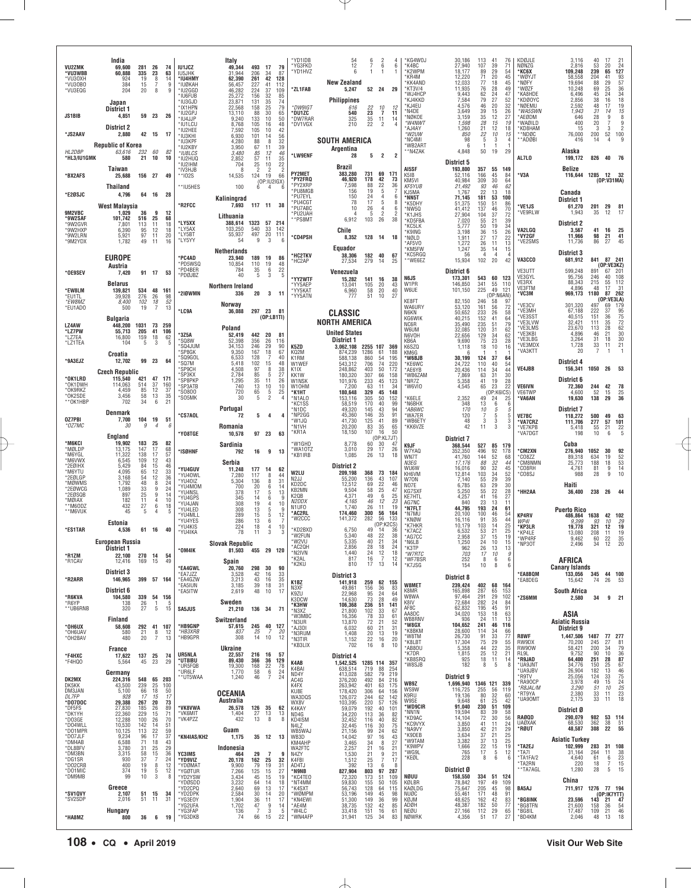| VU2ZMK<br>*VU3WBB                       | India<br>69,600<br>60,888           | 281<br>335              | 26<br>23              | 74<br>63                                            | <b>IU1JCZ</b><br>IU5JHK                    | Italy<br>49,344<br>493<br>31.944<br>206                          | -17                                                | 79<br>34<br>87                                                              | *YD1IDB<br>*YG3FKD<br>*YD1HVZ              | 54<br>12<br>6                                   | 6<br>7<br>1                       | 2<br>6<br>$\mathbf{1}$                          | 6                                   | *KG4WOJ<br>*K4BC<br>*K2WPM<br>*KR4M                     | 30,186<br>27,940<br>18.177<br>12,220    | 113<br>107<br>89<br>71                               | 41<br>39<br>29<br>20              | 76<br>71<br>54<br>45                                | KDØJLE<br>NØNZG<br><b>*KC6X</b><br>*WØYJT           | 3,116<br>2,816<br>109.248<br>58,558        | 40<br>53<br>239<br>204                              | -17<br>20<br>65<br>41                                                 | 21<br>24<br>127<br>93                                 |
|-----------------------------------------|-------------------------------------|-------------------------|-----------------------|-----------------------------------------------------|--------------------------------------------|------------------------------------------------------------------|----------------------------------------------------|-----------------------------------------------------------------------------|--------------------------------------------|-------------------------------------------------|-----------------------------------|-------------------------------------------------|-------------------------------------|---------------------------------------------------------|-----------------------------------------|------------------------------------------------------|-----------------------------------|-----------------------------------------------------|-----------------------------------------------------|--------------------------------------------|-----------------------------------------------------|-----------------------------------------------------------------------|-------------------------------------------------------|
| *VU30XH<br>*VU30B0<br>*VU3EQG           | 924<br>384<br>204                   | 19<br>15<br>20          | 8<br>8                | 14<br>9<br>9                                        | *IU4HMY<br>*IUØKAH<br>*IU2GGD<br>*IU6FUB   | 62,390<br>261<br>56,457<br>227<br>224<br>46,282<br>25,272<br>156 |                                                    | 42<br>128<br>41<br>112<br>37<br>109<br>32<br>85                             | *ZL1FAB                                    | <b>New Zealand</b><br>5,247                     |                                   | 52 24                                           | 29                                  | *KK4AND<br>*KT3V/4<br>*WJ4HCP                           | 12,033<br>11,935<br>9.443               | 77<br>76                                             | 18<br>28                          | 45<br>49<br>47                                      | *NØFY<br>*WØZF<br>KA8HDE                            | 19.694<br>10,248<br>6.496                  | 88<br>69                                            | $\frac{29}{25}$                                                       | $\frac{57}{36}$                                       |
|                                         | Japan<br>District 1                 |                         |                       |                                                     | *IU3GJD<br>*IX1HPN<br>*IU2GPJ              | 23,871<br>131<br>22,568<br>158<br>13,110<br>88                   |                                                    | $\frac{35}{25}$<br>74<br>79<br>30<br>65                                     | *DW9IGT<br>*DU1ZC                          | <b>Philippines</b><br>616<br>540                | 22<br>$\overline{23}$             | 10<br>Ĩ.                                        | 12<br>11                            | *KJ4KKD<br>'KJ4EU<br>N4DE*                              | 7,584<br>4,576<br>3,649                 | 62<br>79<br>46<br>39                                 | $\frac{24}{27}$<br>20<br>15       | 52<br>32<br>26                                      | 'KDØOYC<br>*NØEMU<br>*WA5SWN                        | 2.856<br>2,592<br>1,943                    | $\begin{array}{c} 45 \\ 38 \end{array}$<br>48<br>31 | $^{24}_{16}$<br>17<br>14                                              | $34$<br>$18$<br>$19$<br>$15$<br>8                     |
| JS1BIB                                  | 4,851<br><b>District 2</b>          |                         | 59 23                 | 26                                                  | *IU4JJP<br>*IU1LCU<br>*IU2HEE              | 9,240<br>133<br>8,768<br>105<br>7,592<br>105                     |                                                    | 10<br>50<br>48<br>16<br>10<br>42                                            | *DW7RAR<br>*DV1VGX                         | 325<br>210                                      | 35<br>22                          | 11<br>$\overline{2}$                            | 14<br>$\boldsymbol{\vartriangle}$   | 'NØKOE<br>*W4NWT<br>AJ4AY                               | 3,159<br>1,598<br>1,260                 | 35<br>28<br>21                                       | 12<br>15<br>12                    | 27<br>19<br>18                                      | AEØDM<br>'WAØILD<br>*KD8HAM                         | 646<br>400<br>15                           | 28<br>20<br>3                                       | 9<br>7<br>3                                                           | 9<br>$\overline{2}$                                   |
| *JS2AAV                                 | 2,880<br><b>Republic of Korea</b>   |                         | 42 15                 | 17                                                  | *IU3KHI<br>*IU3KPF<br>*IU2KBY              | 6,930<br>101<br>4,280<br>3,950                                   | 88<br>67                                           | 56<br>14<br>8<br>32<br>39<br>$^{11}_{12}$                                   |                                            | <b>SOUTH AMERICA</b><br>Argentina               |                                   |                                                 |                                     | *W2UW<br>*NC4MI<br>*WB2ART<br>*N4ZAK                    | 850<br>98<br>-6<br>4,848                | 22<br>5<br>50                                        | 10<br>3<br>19                     | 15<br>4<br>29                                       | **NDØC<br>**ADØBI                                   | 76,000<br>416<br>Alaska                    | 200<br>14                                           | 52                                                                    | 100                                                   |
| HL2DBP<br>*HL3/IU1GMK                   | 63,616<br>580<br>Taiwan             | 232<br>21               | 60<br>10              | 82<br>10                                            | *IU8LCS<br>*IU2HUQ<br>*IU2IHM<br>* IV3H.JB | 3,480<br>2,852<br>704<br>8                                       | 85<br>57<br>25<br>$\overline{2}$                   | 46<br>11<br>35<br>$\overline{22}$<br>10<br>$\overline{c}$<br>$\overline{2}$ | *LW9ENF                                    | 28<br>Brazil                                    | 5                                 | $\overline{2}$                                  | $\overline{2}$                      | AI5SF                                                   | District 5<br>193,800                   | 357                                                  | 55                                | 149                                                 | AL7LO                                               | 199,172<br>Belize                          | 826                                                 | 40                                                                    | 76                                                    |
| *BX2AFS                                 | 25,688<br>Thailand                  | 156 27                  |                       | 49                                                  | ** 102S<br>**IU5HES                        | 14,535<br>124<br>100                                             | 6                                                  | 19<br>66<br>(OP: IU2IGX)<br>4<br>6                                          | PY2MET<br>*PY2FRQ<br>*PY2XRP               | 383,280<br>46,920<br>7,598                      | 731<br>178<br>88                  | 69<br>42<br>22                                  | 171<br>73<br>36                     | K <sub>5</sub> I <sub>B</sub><br>KM5VI<br><b>KF5YUB</b> | 52,116<br>40,984<br>21,492              | 166<br>309                                           | 45<br>30                          | 84<br>64                                            | 'V3A                                                | 116,644 1285                               |                                                     | 12 32<br>(OP:V31MA)                                                   |                                                       |
| *E2ØSJC                                 | 4,796<br>West Malaysia              |                         | 64 16                 | 28                                                  | *R2FCC                                     | Kaliningrad<br>7,693                                             | 117 11                                             | 38                                                                          | *PU8MGB<br>*PU7EYL<br>*PU4CGT<br>*PU7ABC   | 156<br>150<br>78                                | 19<br>24<br>17                    | 5<br>4<br>5                                     | 6<br>8                              | KJ5MA<br>*NN5T<br>*K5DHY                                | 1.767<br>71,145<br>51,375               | $\substack{93 \\ 22}$<br>181<br>150                  | $\frac{46}{13}$<br>53<br>51       | $62$<br>$18$<br>100<br>86                           | <b>VE1JS</b>                                        | Canada<br>District 1<br>61,270             | 201                                                 | 29                                                                    | 81                                                    |
| 9M2VBC<br>*9W2SAF<br>*9W2GVR            | 1.029<br>101,742<br>7,801           | 36<br>516<br>113        | 9<br>25<br>11         | 12<br>68<br>18                                      | *LY5XX                                     | Lithuania<br>388,614<br>1323                                     |                                                    | 57<br>214                                                                   | *PU2UAH<br>**PS8MT                         | 10<br>4<br>6,912                                | 26<br>5<br>103                    | $\overline{4}$<br>$\overline{2}$<br>26          | 6<br>$\overline{\phantom{a}}$<br>38 | *NW5Q<br>*K1JHS<br>*KD5FBA                              | 41,412<br>27,904<br>7,020               | 137<br>104<br>55<br>50                               | 46<br>37<br>21<br>$\overline{19}$ | 70<br>72<br>39<br>34                                | 'VE9RLW                                             | 1,943<br><b>District 2</b>                 | 35                                                  | 12                                                                    | 17                                                    |
| *9W2HXP<br>*9W2LRN<br>*9M2YDX           | 6,390<br>5,921<br>1,782             | 95<br>97<br>49          | 12<br>11<br>11        | 18<br>20<br>16                                      | *LY5AX<br>*LY5BT<br>*LY5YY                 | 103,250<br>540<br>497<br>55,937<br>54                            | 9                                                  | 33<br>142<br>$20\,$<br>111<br>3<br>6                                        | *CD4PSH                                    | Chile<br>8,352                                  |                                   | 128 14                                          | - 18                                | *KC5LK<br>*K9ING<br>*NØLD<br>AF5VO                      | 5,777<br>3,198<br>1.911<br>1,272        | 36<br>27<br>26                                       | $\frac{15}{17}$<br>11             | $\frac{26}{22}$<br>13                               | VA2LGQ<br>'VY2GF<br>'VE2SMS                         | 3,567<br>11,966<br>11,736                  | 41<br>98<br>86                                      | 16<br>21<br>27                                                        | 25<br>41<br>45                                        |
|                                         | <b>EUROPE</b>                       |                         |                       |                                                     | *PC4AD<br>*PD5WSQ                          | <b>Netherlands</b><br>23.940<br>189<br>10,854<br>110             |                                                    | 19<br>86<br>19<br>48                                                        | *HC2TKV<br>*HC2AP                          | Equador<br>38.306<br>27,534                     | 279                               | 182 40<br>14                                    | 67<br>25                            | <b>KM5FW</b><br>*KC5RGQ<br>**WE6EZ                      | 1,247<br>56<br>15,934                   | 35<br>4<br>102                                       | 14<br>$\overline{4}$<br>20        | 15<br>4<br>42                                       | VA3CCO                                              | <b>District 3</b><br>681,912               |                                                     | 841 87 241                                                            |                                                       |
| *OE9SEV                                 | Austria<br>7,420                    |                         | 91 17                 | 53                                                  | *PD4BER<br>*PDØJBZ                         | 784<br>40                                                        | 35<br>5                                            | 6<br>22<br>3<br>$\overline{5}$                                              | *YY2WTF                                    | Venezuela<br>15,282                             | 141                               | 16                                              | 38                                  | N6JS                                                    | District 6<br>173,301                   | 543                                                  | 60                                | 123                                                 | VE3UTT<br>VE3GYL<br>VE3RX                           | 599,248<br>95,756<br>88,343                | 891<br>246<br>215                                   | (OP:VE3KZ)<br>67<br>40<br>55                                          | 201<br>108<br>112                                     |
| *EW8LM<br>*EU1TL                        | <b>Belarus</b><br>139,821<br>39,928 | 534<br>276              | 48<br>26              | 161<br>98                                           | *210WMN                                    | Northern Ireland<br>336                                          | 20                                                 | 3<br>-11                                                                    | *YY5AEP<br>*YY5KAT<br>*YY5ATN              | 13,041<br>6,960<br>777                          | 105<br>58<br>51                   | 20<br>20<br>10                                  | 43<br>40<br>27                      | W1PR<br>W6UE<br>KE8FT                                   | 146,850<br>101,150<br>82,150            | 341<br>225<br>246                                    | 55<br>49<br>(OP:NGAN)<br>58       | 110<br>121<br>97                                    | VE3FTM<br><b>'VC3M</b>                              | 4,896<br>969,173                           | 48<br>1180                                          | 17<br>87<br>(OP:VE3LA)                                                | 31<br>262                                             |
| *EW8MZ<br>*EU1ADO                       | 8,400<br>500<br><b>Bulgaria</b>     | 102<br>19               | 18<br>7               | 52<br>13                                            | *LC9A                                      | Norway<br>36,088                                                 | 297 23                                             | -81<br>(DP:LB1TI)                                                           |                                            | <b>CLASSIC</b>                                  |                                   |                                                 |                                     | WA6URY<br>N6KN<br>KG6WIK                                | 53,120<br>50,652<br>40,215              | 161<br>233<br>152                                    | 56<br>26<br>41                    | 72<br>58<br>64                                      | VE3CV<br>'VE3MH<br>'VE3SST                          | 301,320<br>67,188<br>40,515                | 497<br>222<br>151                                   | 69<br>37<br>36                                                        | 179                                                   |
| LZ4AW<br>*LZ7PW<br>*LZ7EA               | 448,200<br>55,713<br>16,800         | 1031<br>205<br>159      | 73<br>41<br>18        | 259<br>106<br>62                                    | *3Z5A                                      | Poland<br>52,419                                                 | 442 20                                             | 81                                                                          |                                            | <b>NORTH AMERICA</b><br><b>United States</b>    |                                   |                                                 |                                     | NC6R<br>W6UM<br>N6VOH                                   | 35,490<br>32,085<br>22,656              | 235<br>120<br>129                                    | 51<br>$\frac{31}{34}$             | 79<br>62<br>62                                      | 'VE3LVW<br>VE3LMS<br>'VE3KBI<br>VE3LBG              | 32,421<br>23.670<br>4,896<br>3,264         | 111<br>113<br>46<br>31                              | 35<br>28<br>21<br>18                                                  | 95<br>75<br>72<br>62<br>80<br>30                      |
| *LZ1TEA                                 | 104<br>Croatia                      | 5                       | 3                     | 5                                                   | *SQ8W<br>'SQ4JUM<br>*SP8GK<br>*SQ9GOL      | 356<br>52,398<br>246<br>34,153<br>167<br>9,350<br>6,533          |                                                    | 26<br>116<br>29<br>90<br>18<br>67<br>40<br>7                                | K5ZD<br>KQ2M                               | District 1<br>3,062,108 2255 107 369<br>874.239 | 1286                              | 61                                              | 188                                 | KB6A<br>K6SZQ<br>KM6G<br>*W6BJB                         | 9.690<br>1,118<br>-fi                   | 75<br>18                                             | 23<br>10<br>-1                    | 28<br>16<br>-1                                      | *VE3MDX<br>'VA3KTT                                  | 1,728<br>20                                | 33                                                  | 11                                                                    | 21                                                    |
| *9A3EJZ                                 | 12,702<br><b>Czech Republic</b>     | 99                      | 23                    | 64                                                  | *SQ7M<br>*SP9CH<br>*SP3KX                  | 128<br>5,418<br>102<br>97<br>4,508<br>2,784                      | 85                                                 | 48<br>15<br>8<br>38<br>5<br>27                                              | K1RM<br>W1WEF<br>K <sub>1</sub> IX<br>KK1W | 588,138<br>543.312<br>248,862<br>180,320        | 860<br>$\frac{706}{403}$<br>307   | 54<br>$^{74}_{50}$<br>66                        | 195<br>220<br>172<br>158            | *KE6WC<br>*AE6YB<br>WB6ZAM                              | 30,199<br>24,722<br>20,436<br>7,869     | 124<br>110<br>114<br>63                              | 37<br>40<br>34<br>31              | 64<br>54<br>44                                      | <b>VE4JBB</b>                                       | District 4<br>156,341                      | 1050                                                | - 26                                                                  | 53                                                    |
| *OK1LRD<br>*OK1DWH<br>*OK9RKZ           | 115,540<br>114,063<br>4.459         | 421<br>514<br>85        | 47 171<br>37<br>12    | 160<br>37                                           | *SP8PKP<br>*SP3ATB<br>*S0800               | 1,295<br>740<br>720                                              | 35<br>13<br>$\begin{array}{c} 65 \\ 5 \end{array}$ | 11<br>26<br>10<br>10<br>$\frac{5}{2}$<br>25                                 | W1NSK<br>W10HM<br>*K1HT                    | 101,976<br>7,200<br>180,648                     | 233<br>63<br>329                  | 45<br>11<br>45                                  | 123<br>34<br>148                    | *NR7Z<br>'W6VIO                                         | 5,358<br>4,545                          | 41<br>65                                             | 19<br>23<br>(OP:K6ICS)            | $\substack{30\\28}$<br>22                           | VE6IVN<br>VE6TWP                                    | District 6<br>72,360<br>4,600              | 244<br>52                                           | 42<br>15                                                              | 78<br>25                                              |
| *OK2SDE<br>**OK1HBF                     | 3,456<br>702<br>Denmark             | 58<br>34                | 13<br>6               | 35<br>21                                            | *SO5MK                                     | 30<br>Portugal                                                   |                                                    | 4                                                                           | *N1ALO<br>*KC1SS<br>*N1DC<br>*NP2GG        | 153,116<br>58,519<br>49,320                     | 305<br>170<br>145<br>146          | 50<br>40<br>43<br>35                            | 152<br>99<br>94<br>91               | K6ELE<br>*N6BHX<br>*AB6WC                               | 2,352<br>348<br>170                     | 49<br>13<br>10                                       | 24<br>6<br>5                      | 25<br>6<br>5                                        | 'VA6AN                                              | 19,630<br>District 7                       | 138                                                 | 29                                                                    | 36                                                    |
| OZ7PBI<br>*OZ7MC                        | 7,700<br>30                         | 104<br>9                | 19<br>$\overline{4}$  | 51<br>6                                             | <b>*CS7AOL</b><br>'Y08TGE                  | 72<br>Romania<br>10,578                                          | 5<br>97<br>23                                      | 4<br>4<br>63                                                                | *W1JQ<br>*N1VH<br>*KR1A                    | 45,360<br>41,730<br>20,200<br>18,150            | 125<br>83<br>107                  | 41<br>35<br>16                                  | 89<br>65<br>50                      | 'WA7ER<br>*WB6ETY<br>*KK6VZE                            | 120<br>48<br>42                         | 7<br>3<br>11                                         | 5<br>3<br>3                       | 5<br>3<br>3                                         | <b>VE7BC</b><br><b>VA7CRZ</b><br>*VE7KPB<br>'VA7DGT | 118,272<br>111,706<br>5,418<br>198         | 500<br>277<br>55<br>10                              | 49<br>57<br>21<br>6                                                   | 63<br>101<br>$\frac{22}{5}$                           |
| *M6KCI<br>*MØLDP                        | England<br>19,902<br>13,175         | 183<br>147              | 25<br>17              | 82<br>68                                            | *ISØHNF                                    | Sardinia<br>792                                                  | 16                                                 | 9<br>13                                                                     | *W1GHD<br>*WA10TZ                          | 8,778<br>3.010                                  | 60<br>29                          | (OP:KL7JT)<br>30<br>17                          | 47<br>26                            | K9JF<br>W7YAQ                                           | <b>District 7</b><br>368,544<br>352,350 | 527<br>496                                           | 85 179<br>92                      | 178                                                 | <b>CM2XN</b>                                        | Cuba<br>276.940                            | 1052                                                | 30                                                                    |                                                       |
| *M6YGL<br>*M6VWX<br>*2EØIHX<br>*M6YTU   | 11,322<br>6,545<br>5.429<br>4,095   | 138<br>109<br>84<br>65  | 17<br>12<br>15<br>12  | 57<br>43<br>$\begin{array}{c} 46 \\ 33 \end{array}$ | *YU4GUV                                    | Serbia<br>11,248<br>177                                          |                                                    | 14<br>62                                                                    | *KB1IRB                                    | 1,085<br><b>District 2</b>                      | 26                                | 13                                              | 18                                  | WN7T<br>N3FG<br><b>WU6W</b>                             | 41,760<br>17.176<br>16,016              | 144<br>88<br>90                                      | 52<br>32<br>32                    | 68<br>44<br>45                                      | °CO8ZZ<br><b>CM8NMN</b><br>'CO8RH                   | 89,318<br>25,773<br>4,761                  | 634<br>188<br>81                                    | 19<br>18<br>9                                                         | 92<br>52<br>53<br>53<br>14                            |
| *2EØLGP<br>*MØWMS<br>*2EØWCG            | 3,168<br>1,792<br>1,089             | 54<br>48<br>33          | 12<br>8<br>9          | 36<br>24<br>24                                      | *YU40WL<br>*YU40IZ<br>*YU4MOM              | 7,280<br>117<br>136<br>5,304<br>700                              | 20                                                 | 8<br>44<br>31<br>8<br>6<br>14                                               | W2LU<br>N2JJ<br>KD2DC<br>KB2MN             | 209,198<br>55,200<br>12,512<br>9,504            | 368<br>136<br>69<br>58            | 73<br>43<br>22<br>25                            | 184<br>107<br>46<br>47              | KH6VM<br>W70N<br>NO7E                                   | 12,814<br>7,140<br>6,785                | 103<br>$\begin{array}{c} 55 \\ 63 \end{array}$<br>55 | 34<br>29<br>29<br>22              | 52<br>$\begin{array}{c} 39 \\ 30 \end{array}$<br>28 | CO8SJ                                               | 988<br>Haiti                               | 28                                                  | 9                                                                     | 10                                                    |
| *2EØSQB<br>*MØIAX<br>**M6ODZ            | 897<br>182<br>432                   | 25<br>11<br>27          | 9<br>4<br>6           | 14<br>$\begin{array}{c} 10 \\ 18 \end{array}$       | *YU4NSL<br>*YU4GPS<br>*YU4JAN<br>*YU4LED   | 378<br>345<br>308<br>308                                         | 17<br>14<br>19<br>13                               | 5<br>13<br>6<br>9<br>$\overline{4}$<br>10<br>5<br>9                         | K2QB<br>N2DDX<br>N <sub>1</sub> UFO        | 4,371<br>4,165<br>1.740                         | 49<br>46<br>26                    | 6<br>12<br>11                                   | 25<br>23<br>19                      | KG7SXF<br><b>KE7HTL</b><br>AG7NC<br>*N7FLT              | 5,250<br>4,257<br>840<br>44,795         | 41<br>23<br>193                                      | 16<br>13<br>24                    | 27<br>11<br>61                                      | 'HH2AA                                              | 36,400<br><b>Puerto Rico</b>               | 238                                                 | 26                                                                    | -44                                                   |
| **M6VUK                                 | 45<br>Estonia                       | 5                       | 4                     | 5                                                   | *YU4MLL<br>*YU4YES<br>*YU4KIS              | 289<br>286<br>224                                                | 15<br>13<br>18                                     | $5\,$<br>12<br>6<br>10<br>$\overline{4}$                                    | *AC2RL<br>*W2CCC                           | 174,460<br>141,372                              | 300<br>282                        | 56<br>56<br>(OP:K2CS)                           | 164<br>133                          | *N7MU<br>*KNØW<br>'K7HKR                                | 20,100<br>16,116<br>10,179              | 100<br>91<br>103                                     | 46<br>35<br>$^{14}_{21}$          | 54<br>44<br>$\frac{25}{25}$                         | KP4RV<br>WP41<br>KP3LR*                             | 486,864<br>9,399<br>19,778                 | 1638<br>93<br>321                                   | 42 102<br>10<br>12                                                    | 29<br>19                                              |
| *ES1TAR                                 | 4,536<br>European Russia            |                         | 61 16                 | 40                                                  | *YU4IKA                                    | 78<br>11<br><b>Slovak Republic</b>                               |                                                    | 3<br>3                                                                      | *KD2BXD<br>*W2FUN<br>*W2VU<br>AC2QH        | 6.750<br>5,340<br>5,335<br>2,856                | 49<br>48<br>40<br>28              | 14<br>22<br>21                                  | 36<br>38<br>34                      | *K7ACZ<br>*AG7CC<br>*N6LB<br>*K3TP                      | 6,532<br>2,958<br>1,250                 | 53<br>37<br>24                                       | 15<br>10                          | 19<br>15                                            | *KP4LE<br>*WP4RF<br>NP3OT '                         | 13,080<br>9.462<br>2.496                   | 208<br>60<br>34                                     | 11<br>22                                                              | 19<br>$\frac{35}{20}$                                 |
| *R1ZM<br>*R1CAV                         | District 1<br>22,100<br>12,416      | 270<br>169              | 14<br>15              | -54<br>49                                           | ° OM4IK                                    | 81,503<br>Spain                                                  | 455 29                                             | 120                                                                         | *N2IVN<br>*K2AL<br>*K2KU                   | 1,440<br>817<br>810                             | 24<br>16<br>17                    | $^{18}_{12}$<br>7<br>13                         | $^{24}_{18}$<br>12<br>14            | *W7RTC<br>*WF7BSR<br>*K7JSG                             | 962<br>703<br>252<br>154                | 26<br>17<br>8<br>10                                  | 13<br>10<br>6<br>8                | 13<br>9<br>6<br>-6                                  |                                                     | AFRICA                                     |                                                     |                                                                       |                                                       |
| *R2ARR                                  | <b>District 3</b><br>146,965        |                         | 399 57 164            |                                                     | *EA4GWL<br>*EA7JZZ<br>*EA4GZW<br>*EA5IUN   | 20,760<br>298<br>3,528<br>3,213<br>3,185                         | 30<br>42<br>43<br>39                               | 90<br>33<br>16<br>16<br>35<br>31<br>18                                      | K1BZ                                       | <b>District 3</b><br>141,918                    | 259                               | 62 155                                          |                                     | W8MET                                                   | District 8<br>239,424                   | 402 68                                               |                                   | 164                                                 | <b>EA8BQM</b><br>'EA8DEG                            | <b>Canary Islands</b><br>133,056<br>15,642 | 345<br>74                                           | 44 100<br>26                                                          | - 53                                                  |
| *R6KVA<br>*R6YP                         | District 6<br>104,580<br>138        | 339<br>26               | 54 156<br>-1          | 5                                                   | *EA5ITW                                    | 2,619<br>Sweden                                                  | 48                                                 | 10<br>17                                                                    | N3XF<br>K9ZU<br>K3DCW<br>*K3HW             | 49,861<br>22,968<br>14,630<br>106,368           | 156<br>95<br>73<br>236            | 36<br>24<br>28<br>51                            | 83<br>64<br>49<br>141               | K8MR<br>W8WA<br>K8IV                                    | 165,898<br>97,464<br>72,684             | 287<br>291<br>282                                    | 65<br>29<br>24                    | 153<br>102<br>84                                    | *ZS6MM                                              | <b>South Africa</b><br>2,580               | 34                                                  | 9                                                                     | 21                                                    |
| **UB6RNB                                | 320<br>Finland                      | 27                      | 5                     | 15                                                  | SA5JUS                                     | 21,210<br>Switzerland                                            | 136 34                                             | 71                                                                          | *N3XZ<br>*W3MBC<br>*N3UR                   | 21,800<br>16,356<br>13,870                      | 102<br>78<br>72                   | 33<br>33<br>21                                  | 67<br>61<br>52                      | AF8C<br>AA8DC<br>WB8RNV                                 | 62,832<br>34,020<br>936                 | 195<br>$\frac{153}{24}$                              | 45<br>18<br>-11                   | 91<br>$\frac{63}{13}$                               |                                                     | ASIA<br><b>Asiatic Russia</b>              |                                                     |                                                                       |                                                       |
| *ОН6ИХ<br>*OH6UAV<br>*OH2BAV            | 58,608<br>580<br>480                | 292<br>21<br>20         | 41<br>8<br>7          | 107<br>12<br>13                                     | *HB9GNP<br>*HB3XRB<br>*HB9GPR              | 57,615<br>245<br>837<br>25<br>308                                | 14                                                 | 40<br>127<br>7<br>20<br>10<br>12                                            | *AJ3DI<br>*N3RUM<br>*N3TIR                 | 6,032<br>1,408<br>1,152                         | 60<br>20<br>22                    | 21<br>13<br>16                                  | 31<br>19<br>20                      | *W8GX<br>*K8BKM<br>*W8TM<br>*K8LBT                      | 104,652<br>28,600<br>26,730<br>17,304   | 241<br>114<br>91<br>75                               | 46<br>34<br>33<br>29              | 116<br>66<br>77<br>55                               | R8WF<br>RW9DX                                       | District 9<br>1,447,506<br>70,200          | 1487<br>245                                         | 77 277<br>27                                                          | 81                                                    |
| *F4HXC<br>*F4HQO                        | France<br>17,622<br>5,564           | 137 25<br>45            | 23                    | 74<br>29                                            | UR5NLA<br>*UT8IBU                          | <b>Ukraine</b><br>22,557<br>89,430<br>366                        | 216 16                                             | 57<br>36<br>129                                                             | *KB3LIX                                    | 702<br>District 4                               | 16                                | 8                                               | 10                                  | *AB80U<br>'K7DR<br>KB8SRQ                               | 5,358<br>1,815<br>925                   | 44<br>25<br>18                                       | $\frac{22}{12}$<br>11             | 35<br>21<br>14                                      | RW90W<br>RL9L<br>*R9JAD                             | 58,421<br>9,752<br>64,400                  | 200<br>90<br>251                                    | 34<br>10                                                              | 79<br>$\frac{36}{87}$                                 |
| DK2MX                                   | Germany<br>224,316                  | 548                     | 65 203                |                                                     | *UR5FQB<br>*UR6LF<br>**UT5WAA              | 19,300<br>168<br>1,770<br>58<br>1,240                            | 46                                                 | 22<br>78<br>$\,6\,$<br>24<br>7<br>24                                        | K4AB<br>K4BAI<br>ND4Y<br>AC4G              | 1,542,525<br>638,514<br>413,028<br>376,200      | 1285 114 357<br>719<br>582<br>492 | 88<br>79<br>84                                  | 254<br>219<br>216                   | 'W8SJB                                                  | 182<br>District 9                       | 8                                                    | 5                                 | 8                                                   | *UA9JNT<br>*UA9JBV<br>'R9TV                         | 34,776<br>26,904<br>25,056                 | 150<br>182<br>124                                   | $\begin{array}{c} \textbf{28} \\ \textbf{25} \end{array}$<br>13<br>33 | 67<br>46<br>75<br>24<br>25<br>25<br>23                |
| DK5KK<br>DM3JAN<br>DL7FP                | 43,500<br>5,100<br>928              | 239<br>66<br>17         | 25<br>18<br>15        | 100<br>50<br>17                                     |                                            | <b>OCEANIA</b>                                                   |                                                    |                                                                             | K4FX<br>KU8E<br>WA3DQS                     | 263,942<br>178,420<br>126,072                   | 401<br>306<br>244                 | 63<br>64<br>62                                  | 175<br>156<br>142                   | WB9Z<br>WS9W<br>K9RU                                    | 1,696,940<br>116,725<br>19,136          | 1346 121<br>255<br>80                                | $\frac{56}{32}$                   | 339<br>119<br>60                                    | *RA90CP<br>*R8JAL/M<br>*RT9YA<br><b>UA90MT</b>      | 3,978<br>3,290<br>2,380<br>2,175           | 49<br>51<br>33<br>33                                | 15<br>10<br>11<br>11                                                  | 18                                                    |
| *D07D0C<br>*DF5FS<br>*DK1YH             | 29,388<br>27,830<br>22,360          | 267<br>185<br>229       | $\frac{20}{26}$<br>15 | $\begin{array}{c} 73 \\ 89 \end{array}$<br>71       | *VK8VWA<br>*VK6MIT                         | Australia<br>26,578<br>126<br>1,404<br>27                        | 35                                                 | 62<br>13<br>13                                                              | WX8V<br>K4KAY<br>ND4G                      | 103,395<br>59,079<br>34,220                     | 220<br>192<br>113                 | 57<br>40<br>36                                  | 126<br>101<br>82                    | W9SE<br>*WD9CIR<br>*NN1N                                | 9.648<br>91,040<br>19,594               | 61<br>230<br>83                                      | 25<br>51<br>39                    | 42<br>109<br>58                                     | RAØQD                                               | District Ø<br>290,079                      | 982                                                 | 53                                                                    | 114                                                   |
| *DO3GE<br>*D04WLL<br>*D01MPR<br>*D07JLF | 12,288<br>10,530<br>10,125<br>9,234 | 100<br>142<br>113<br>96 | 26<br>14<br>22<br>17  | 70<br>51<br>59<br>37                                | *VK4PZZ<br>*KN4IAS/KH2                     | 432<br>Guam<br>1,175                                             | 13<br>35 12                                        | 8<br>8<br>13                                                                | KD4ISM<br>N417<br>WB5WAJ<br>WB3D           | 32,452<br>32,445<br>21,156<br>14,042            | 116<br>116<br>99<br>97            | 40<br>30<br>24<br>16                            | 82<br>75<br>62<br>43                | *KD9AC<br>*KC9VYX<br>*NA9VY<br>K9DEB                    | 14,104<br>3,850<br>3,850<br>3,634       | 72<br>41<br>42                                       | 30<br>11<br>21<br>21              | 56<br>24<br>29                                      | UAØXAK<br>*RØUT                                     | 68,530<br>48,587                           | 362<br>308                                          | 38<br>22                                                              | 51<br>55                                              |
| *DM4AB<br>*DL8BFV<br>*DM3BN             | 6,588<br>3,780<br>3,315             | 71<br>31<br>58          | 18<br>25<br>15        | $\frac{43}{29}$<br>$36\,$                           | YC3IMS                                     | Indonesia<br>29<br>464                                           |                                                    | $\overline{7}$<br>9                                                         | KM4AHP<br>WA2FTC<br>N4ZY                   | 3,465<br>2,257<br>1,530                         | $\frac{34}{21}$<br>21             | $\begin{array}{c} 8 \\ 16 \end{array}$<br>$\,9$ | $\frac{27}{21}$                     | *W9TAM<br>*K9WPV<br>*WG9L                               | 3,382<br>1,666<br>765                   | $\frac{37}{37}$<br>22<br>17                          | 13<br>15<br>5                     | $\frac{25}{25}$<br>19<br>12                         | *TA2EJ<br>*TA7I                                     | Asiatic Turkey<br>102,999<br>31,164        | 283<br>264                                          | 31 108<br>11                                                          |                                                       |
| *DG1SR<br>*D02CRB<br>*DO1MIC            | 930<br>400<br>374                   | 37<br>19<br>19          | 7<br>8<br>5           | 24<br>$\frac{12}{12}$                               | *YD9VIZ<br>*YDØMAT<br>*YGØTUR              | 20,178<br>162<br>79<br>9,900<br>7,266<br>125                     |                                                    | 25<br>32<br>19<br>31<br>15<br>27                                            | K4FBI<br>AD4TJ<br>*N9NB                    | 1,512<br>392<br>827,904                         | 25<br>13<br>803                   | 7<br>6<br>97                                    | 17<br>-8<br>287                     | *KEØL                                                   | 228<br>District Ø                       | 8                                                    | 6                                 | 6                                                   | *TA1FA/2<br>'TA2RN<br>**TA7AGL                      | 4,640<br>220<br>1,280                      | 61<br>18<br>28                                      | 6<br>7<br>5                                                           | $\frac{38}{23}$<br>$\frac{23}{15}$<br>$\frac{15}{15}$ |
| *DM9MB<br>*SV1QVY                       | 99<br>Greece                        | 10                      | 3<br>15               | 8<br>34                                             | *YD2YSW<br>*YDØSDD<br>*YD2CPQ              | 3,434<br>3,232<br>2,640                                          | 45<br>64<br>69                                     | 15<br>19<br>14<br>18<br>13<br>17                                            | *KC4TEO<br>*NT4MM<br>*K4SXT                | 72,320<br>59,830<br>56,743                      | 173<br>155<br>128                 | 51<br>50<br>64                                  | 109<br>105<br>115                   | NØUU<br>KØLBR<br>KAØLDG                                 | 158,550<br>78,842<br>75,647             | 334<br>197<br>205                                    | 51 124<br>49<br>45                | 109<br>98                                           | <b>BA5AJ</b>                                        | China<br>711,917 1276 77 194               |                                                     |                                                                       |                                                       |
| *SV2SDP                                 | 2,107<br>2,016<br>Hungary           | 51<br>51                | 11                    | 31                                                  | *YD2DPK<br>*YG3E0Y<br>*YG2UFA<br>*YG3FAP   | 2,584<br>1,904<br>1,702<br>136                                   | 30<br>36<br>47<br>7                                | 14<br>20<br>11<br>17<br>9<br>14<br>3<br>5                                   | *WØMPM<br>*KN4EWI<br>*AE4M<br>*W4LC        | 53,196<br>51,300<br>38,735<br>33,418            | 149<br>149<br>132<br>151          | 45<br>36<br>42<br>16                            | 98<br>99<br>85<br>61                | NUØC<br>KØJM<br>ADØH<br>NEØU                            | 55,461<br>48,625<br>48,387<br>27,166    | 171<br>162<br>182<br>112                             | 48<br>42<br>50<br>29              | 91<br>83<br>77                                      | *BG8INK<br>*BG8TFN<br>*BG8IL                        | 23,596<br>21,600<br>17,487                 | 143<br>158<br>109                                   | (OP:IK7YTT)<br>21<br>36<br>21                                         | 47<br>54                                              |
| *HA8MZ                                  | 800                                 | 36                      |                       | 6 19                                                | *YG3DKB                                    | 74                                                               | 66                                                 | 22<br>15                                                                    | *WN4AFP                                    | 31,941                                          | 125                               | 34                                              | 83                                  | NØWRK                                                   | 4,356                                   | 51                                                   | 17                                | $\frac{65}{27}$                                     | *BD4KM                                              | 2,046                                      | 48                                                  | 13                                                                    | $\frac{46}{18}$                                       |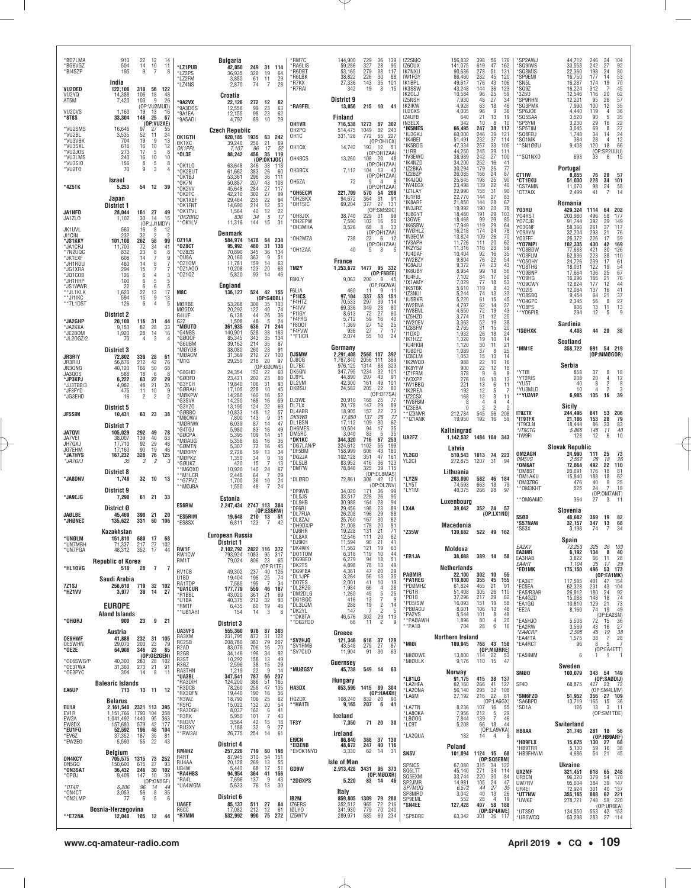| *BD7LMA<br>*BG6VGZ<br>*BI4SZP            | 910<br>504<br>195                            | 22<br>14<br>9                    | 12<br>10<br>7             | -14<br>11<br>8           | *LZ1PUB<br>*LZ2PS                              | <b>Bulgaria</b><br>42,050<br>36,935     | 249<br>31 114<br>326<br>64<br>19                                    | 'RM7C<br><b>RA6LIS</b><br>'R6DBT<br>*R6LBK | 144,900<br>59,286<br>53,165<br>38,822 | 729<br>327<br>279<br>226    | 36<br>139<br>28<br>95<br>38<br>117<br>30<br>88     | IZ2SMQ<br>IZ60UX<br><b>IK7NXU</b><br><b>IW1FGY</b> | 156,832<br>141,075<br>90,636<br>86,460 | 398<br>56<br>619<br>47<br>278<br>51<br>282<br>45 | 176<br>162<br>131<br>120                                        | *SP2AWJ<br>*SQ9IWS<br>*SQ3MIS<br>*SP9EMI | 44,712<br>33,558<br>22,360<br>16,750 | 246<br>242<br>198<br>177 | 34<br>104<br>27<br>92<br>80<br>24<br>14                               |
|------------------------------------------|----------------------------------------------|----------------------------------|---------------------------|--------------------------|------------------------------------------------|-----------------------------------------|---------------------------------------------------------------------|--------------------------------------------|---------------------------------------|-----------------------------|----------------------------------------------------|----------------------------------------------------|----------------------------------------|--------------------------------------------------|-----------------------------------------------------------------|------------------------------------------|--------------------------------------|--------------------------|-----------------------------------------------------------------------|
| VU2DED<br>VU2YQ<br>AT5M                  | India<br>122.108<br>14,388<br>7,420          | 310<br>106<br>103                | 18<br>9                   | 56 122<br>48<br>26       | *LZ2FM<br>*LZ4NS<br>*9A2VX                     | 3,880<br>2,870<br>Croatia<br>22.126     | 61<br>11<br>29<br>74<br>$\overline{7}$<br>28<br>272<br>12<br>62     | *R7KX<br>*R7RAI                            | 27,336<br>342<br>District 9           | 143<br>19                   | 35<br>101<br>3<br>15                               | IK1BPL<br>IK3SSW<br>IK20LJ<br>IZ5NSH               | 49,617<br>43,248<br>10,584<br>7,930    | 43<br>176<br>144<br>$\frac{25}{27}$<br>96<br>48  | 106<br>36<br>123<br>59<br>34                                    | *SN5L<br>'SQ9Z<br>*3Z60<br>'SP9RHN       | 16,287<br>16,224<br>12,546<br>12,201 | 174<br>312<br>116<br>95  | $\frac{53}{70}$<br>19<br>45<br>62<br>57<br>35<br>36<br>36<br>20<br>26 |
| VU <sub>2</sub> CV <sub>S</sub><br>*8T8S | 1.160<br>33,304                              | 19<br>148                        | (OP:VU2MUD)<br>13<br>25   | 16<br>67                 | '9A3DOS<br>'9A1EA                              | 12,556<br>12,155                        | 99<br>23<br>63<br>98<br>23<br>62                                    | 'RA9FEL                                    | 13,056<br>Finland                     | 215                         | 10 41                                              | IK2IKW<br><b>IU2CKS</b><br>IZ4UFB                  | 4.928<br>4,005<br>640                  | 63<br>18<br>96<br>21<br>13                       | 46<br>9<br>36<br>19                                             | 'SQ3PMX<br>*SP6JOE<br>*SQ5SAA            | 7.990<br>4,440<br>3.520              | 100<br>119<br>90         | 12<br>$\overline{4}$<br>5                                             |
| *VU2SMS<br>*VU2BL                        | 16,646<br>3,535                              | 97<br>52                         | (OP:VU2AE)<br>27<br>11    | 55<br>24                 | *9A5ADI                                        | 4,797<br><b>Czech Republic</b>          | 89<br>10<br>29                                                      | OH1VR<br>OH2PQ                             | 716,538<br>514.475                    | 1273<br>1049                | 87<br>302<br>82<br>243                             | IN3ELX<br>'IK5MES<br>*IU3GKJ                       | 342<br>66,495<br>60,000                | 10<br>247<br>38<br>246<br>39                     | 8<br>10<br>117<br>121                                           | *SP3YM<br>'SP5TIM<br>*SQ8FEU             | 3,230<br>3.045<br>1,748              | 29<br>69<br>34           | 35<br>22<br>27<br>24<br>16<br>8<br>14                                 |
| *VU3VBK<br>*VU3SXL                       | 704<br>616                                   | 19<br>16                         | q<br>10                   | 13<br>12                 | OK1GTH<br>OK1XC<br>OK1PPL                      | 920,185<br>39,240<br>7,107              | 1935<br>63 242<br>256<br>21<br>69<br>52<br>96<br>17                 | OH1C<br>OH1QX                              | 331,128<br>14,742                     | 772<br>193                  | 227<br>65<br>(OP:OH1CX)<br>- 12<br>- 51            | 'IK4BEI<br>'IK5BDG<br>'I1RB                        | 51,491<br>47,334<br>44,250             | 232<br>$\frac{37}{33}$<br>257<br>245<br>39       | 114<br>105<br>111                                               | 'SO1MK<br>*SN1ØØU                        | 384<br>9,408                         | 28<br>120                | 12<br>$\overline{4}$<br>66<br>18<br>(OP:SP2UUU)                       |
| *VU2JOS<br>*VU3LMS<br>*VU3SIO            | 273<br>240<br>156                            | 17<br>16<br>$\frac{8}{9}$        | 5<br>10<br>5              | 8<br>10<br>8             | *OL3E<br>*OK1LO                                | 88,242<br>63,648                        | 456<br>35<br>119<br>(0P:0K1J0C)<br>346<br>38<br>-118                | OH4BCS                                     | 13,260                                | 108                         | (OP:OH1ZAA)<br>-48<br>-20<br>(OP:OH1ZAA)           | 'IV3EWO<br>'IK4NZD                                 | 38,989<br>34,200                       | 242<br>27<br>252                                 | 100<br>16<br>41                                                 | **SQ1NXO                                 | 693                                  | 33                       | 6<br>- 15                                                             |
| *VU2T0                                   | 70<br>Israel                                 |                                  | 3                         |                          | *OK2BUT<br>*OK1BJ<br>*OK7N                     | 61,662<br>53,361<br>50.887              | 383<br>26<br>-60<br>296<br>36<br>111<br>207<br>43<br>108            | OH3BCX<br>OH5ZA                            | 7,112<br>72                           | 104<br>q                    | 13<br>- 43<br>(OP:OH1ZAA)<br>4                     | IZ2BKA<br>IZ2BZP<br>IK4JQQ                         | 30,294<br>26,085<br>25,645             | 179<br>25<br>166<br>24<br>25<br>198              | 77<br>87<br>90                                                  | CT1IW<br>*CT1EKU                         | Portugal<br>8,855<br>51,030          | 76<br>228                | 20<br>57<br>34<br>101                                                 |
| *4Z5TK                                   | 5,253<br>Japan                               | 54                               | 12                        | 39                       | *OK2VV<br>*OK2TC                               | 45,648<br>42.210                        | 284<br>27<br>117<br>$\frac{27}{22}$<br>12<br>302<br>99              | <b>OH6ECM</b><br>*OH2BKX                   | 221,709<br>94,672                     | 570                         | (OP:OH1ZAA)<br>54 209<br>91                        | <b>IW4EGX</b><br>'IZ1LAY<br>'IU1FIB                | 23,498<br>22,990<br>22,770             | 22<br>139<br>31<br>158<br>27<br>144              | 40<br>90<br>83                                                  | *CS7AMN<br>*CT7AIX                       | 11,070<br>2,499                      | 98<br>41                 | $^{24}$<br>$\frac{58}{14}$                                            |
| JA1NFD                                   | District 1<br>28,044                         |                                  | 161 27                    | 49                       | *OK1XBF<br>*OK1FNT<br>*OK1TVL                  | 29,464<br>14,690<br>1,564               | 94<br>235<br>214<br>53<br>$12\,$<br>22<br>40                        | 'OH1SIC<br><b>OH8JIX</b>                   | 69,204<br>38,740                      | 364<br>377<br>229           | $\frac{31}{27}$<br>131<br>(OP:SM5SIC)<br>31<br>-99 | 'IK8ARF<br>'IN3JRZ<br>'IU8GYT                      | 21.850<br>19,992<br>18,480             | 144<br>28<br>190<br>20<br>29<br>191              | 67<br>78<br>103                                                 | Y03RU<br>Y04RST                          | Romania<br>429,324<br>203,980        | 1114<br>496              | 64<br>202<br>58<br>177                                                |
| JA1ZLO<br>JK1UVL                         | 1,102<br>560                                 | 30<br>16                         | 14<br>(OP:JJ1MDY)<br>8    | 15<br>12                 | *OK2BRQ<br>**OK1LV                             | 836<br>11,316                           | 34<br>5<br>17<br>31<br>144<br>15                                    | *OH2EPW<br>OH3MHA                          | 7,590<br>3,526                        | 103<br>68                   | 50<br>16<br>8<br>33                                | 'I3GWE<br><b>IK6SBW</b><br><b>IWØHLZ</b>           | 18,468<br>17.949<br>16,218             | 99<br>29<br>119<br>$^{29}_{24}$<br>174           | 85<br>64<br>78                                                  | Y07CJB<br>Y03GNF                         | 91,744<br>58.366                     | 392<br>261               | 39<br>149<br>37<br>117                                                |
| JI1CIN<br>*JS1KKY<br>*JA1CRJ             | 232<br>101,108<br>11,700                     | 32<br>262<br>72                  | $\mathcal{P}$<br>58<br>34 | 2<br>99<br>41            | 0Z11A<br>*OZ8CT                                | Denmark<br>584.974<br>95,992            | 1478<br>64<br>234<br>480<br>31<br>138                               | OH2MZA                                     | 738                                   | 23                          | (OP:OH1ZAA)<br>-6<br>- 12<br>(OP:OH1ZAA)           | IN3EOM<br>'IV3APH<br>'IK2YSJ                       | 13,824<br>11,726                       | 109<br>26<br>20<br>111<br>23                     | 70<br>62                                                        | Y09AYN<br>Y03FFF<br>'Y07MPI              | 32,204<br>26.372<br>102,335          | 293<br>226<br>430        | 21<br>76<br>17<br>59<br>169<br>42                                     |
| *7N2UQC<br>*JK1EXF<br>*JH1RDU            | 832<br>608<br>480                            | 23<br>14<br>14                   | 8<br>8                    | 8<br>9<br>7              | *07875<br>*OU8A<br>*0Z10M                      | 70.890<br>20,160<br>11.781              | 345<br>36<br>134<br>363<br>9<br>51<br>159<br>14<br>63               | OH1ZAA                                     | 40<br><b>France</b>                   | 5                           | 3                                                  | 'IU4DAF<br>'IW2BZY                                 | 11,316<br>10,404<br>9,804              | 116<br>16<br>92<br>$\frac{76}{74}$<br>22         | 59<br>35<br>54                                                  | Y08BDW<br>YO3FLM<br>*Y050HY              | 77,688<br>52,836<br>24,726           | 421<br>223<br>239        | 126<br>30<br>38<br>110<br>17                                          |
| *JG1XRA<br>*JQ1COB                       | 294<br>126                                   | 15<br>6                          | 7<br>4                    | 3                        | *0Z1A00<br>*0Z10Z                              | 10,208<br>5,820                         | 123<br>20<br>68<br>93<br>46<br>14                                   | TM2Y<br>F8KLY                              | 1,253,672<br>9,063                    | 200                         | 1477 95 332<br>(OP:FBBEE)<br>8<br>45               | IC8AJU<br><b>IK6UBY</b><br>ILI4FJI                 | 9,372<br>8,954<br>7,102                | 23<br>99<br>84<br>77<br>18<br>17                 | 43<br>56<br>50                                                  | 'Y08THG<br>*Y09BNP<br>'Y09HG             | 18,031<br>17,664<br>16,296           | 122<br>136<br>166        | $\frac{61}{54}$<br>19<br>67<br>76<br>25<br>21                         |
| *JH1HHP<br>*JS1WWR<br>**JL1KLK           | 100<br>22<br>1,620                           | 6<br>6<br>22                     | 5<br>6<br>13              | 5<br>-5<br>17            | M8C                                            | England<br>136,127                      | 524 42 155                                                          | F6LIA<br>*F1ICS                            | 460<br>97.104                         | 11<br>337                   | (OP:F6CWA)<br>9<br>-11<br>53<br>151                | 'IX1AMY<br>'IK5TBK<br>'IZ3NUI                      | 7,029<br>5,610<br>5,244                | 119<br>74<br>13                                  | 18<br>53<br>8<br>43<br>33                                       | *Y09CWY<br>YO2IS<br>*Y08SBQ              | 12,824<br>12.084<br>9,454            | 177<br>137<br>64         | 12<br>44<br>41<br>16<br>37<br>21                                      |
| **JI1IKC<br>**7L1DST                     | 594<br>126                                   | 15<br>6                          | 9<br>4                    | 13<br>5                  | MØRBE<br>MØGDX                                 | 53,268<br>20,292                        | (OP:G4DBL)<br>306<br>35<br>103<br>122<br>40<br>74                   | *F4HTZ<br>F4IVV                            | 70,533<br>69.336                      | 297<br>349                  | 39<br>114<br>28<br>80                              | 'IU5BKR<br>'IW2ENA<br>IW8ENL                       | 5,220<br>4,797<br>4,650                | 61<br>15<br>62<br>72<br>19                       | 45<br>14<br>27<br>43                                            | *Y04GPC<br>'Y08PS<br>*Y06PIB             | 2.345<br>936<br>294                  | 56<br>13<br>12           | 8<br>27<br>13<br>11<br>5<br>9                                         |
| *JA2GHP<br>*JA2KKA                       | <b>District 2</b><br>20,100<br>9.150         | 116<br>82                        | 31<br>28                  | 44<br>33                 | G4IUF<br>G <sub>2</sub> Z<br>*MØUTD            | 6,138<br>1,508<br>361,935               | 44<br>26<br>36<br>$\overline{5}$<br>48<br>24<br>636<br>71<br>244    | *F1IGY<br>F4FRG<br>*F800I                  | 8,613<br>5.712<br>1,369               | 72<br>59<br>$\overline{27}$ | 27<br>60<br>16<br>40<br>12<br>25                   | IZ5HZ0<br>'IW20EV<br>'IZ8SFM                       | 3,774<br>3,363<br>2,765                | $\frac{51}{52}$<br>31<br>15                      | 12<br>19<br>$\begin{array}{c} 25 \\ 38 \end{array}$<br>20       |                                          | Sardinia                             |                          |                                                                       |
| *JE2BOM<br>*JL20GZ/2                     | 1,920<br>70                                  | 28<br>$\overline{4}$             | 14<br>3                   | 16                       | *G4NBS<br>*GØOOF<br>*G6UBM                     | 140.901<br>85,345<br>39,162             | 528<br>38<br>163<br>343<br>35<br>134<br>214<br>35<br>87             | 'F4FVW<br>™F1ICR                           | 936<br>2,074                          | $\substack{27 \\ 55}$       | $\overline{7}$<br>17<br>10<br>24                   | 'I1DXD<br>'IK1HZZ                                  | 1,932<br>1,320                         | 26<br>18<br>19<br>10                             | 24<br>14                                                        | <b>ISØHXK</b>                            | 4,408<br>Scotland                    | 44                       | 20<br>38                                                              |
| JR3RIY                                   | District 3<br>72,802                         | 339                              | 28                        | 61                       | *MØYDB<br>*MØACM                               | 38,080<br>31,369                        | 260<br>28<br>91<br>$\frac{27}{20}$<br>212<br>100                    | DJ5MW<br>DJ80G                             | Germany<br>2,291,408<br>1,767,840     | 2568 107<br>2056            | 392<br>111<br>369                                  | 'IU4FKM<br>IU8DFD<br>IZ8CLM                        | 1,120<br>1,089<br>1,053                | 30<br>11<br>37<br>15<br>13                       | 21<br>8<br>25<br>14                                             | 'MM1E                                    | 358,722                              | 691                      | 54 219<br>(OP:MMØGOR)                                                 |
| JR3RIU<br>JN3QNG<br>JA3QOS               | 56,876<br>40,120<br>588                      | 212<br>166<br>18                 | 42<br>50<br>6             | 76<br>68<br>8            | M1G<br>G8GHD                                   | 29,250<br>24,354                        | 218<br>97<br>(OP:GØUWS)<br>152<br>22<br>60                          | DL7BC<br>DK5QN                             | 976,125<br>347,795<br>44,890          | 1314<br>1234<br>207         | 88<br>323<br>32<br>101<br>43<br>91                 | IK2WQD<br>'IK8YFW<br>'IZ1FRM                       | 988<br>900<br>378                      | $\frac{22}{22}$<br>9                             | 10<br>16<br>12<br>18<br>6<br>8                                  | 'YTØI                                    | Serbia<br>858                        | 37                       | 8<br>18                                                               |
| *JP3KPJ<br>*JJ3TBB/3<br>*JF3FYD          | 6,222<br>4,982<br>475                        | 63<br>48<br>11                   | 22<br>21<br>10            | 29<br>26<br>9            | *GØOFD<br>*G3YCH<br>*GØRAH                     | 23,421<br>19,840<br>17,105              | 202<br>23<br>88<br>106<br>31<br>93<br>228<br>10<br>45               | DJ9YL<br>DL2VM<br>DKØSU                    | 42,300<br>24,582                      | 161<br>205                  | 49<br>101<br>22<br>80                              | 'IV3XPP<br>'IW1BBQ<br>'IK2REA                      | 276<br>221<br>192                      | 16<br>10<br>13<br>12                             | 13<br>6<br>11<br>5                                              | *YT2RIS<br>*YU5T<br>*YU3MLD              | 208<br>40<br>10                      | 20<br>8                  | $\frac{4}{2}$<br>12<br>8<br>$\overline{2}$<br>3                       |
| *JG3EHD                                  | -16<br><b>District 5</b>                     | $\overline{2}$                   | $\mathfrak{p}$            | $\mathfrak{p}$           | *MØKPW<br><b>G3SVK</b><br>*G3YZO               | 14,280<br>14,250<br>13,195              | 160<br>52<br>16<br>168<br>16<br>59<br>124<br>22<br>69               | DJ3WE<br>DL7LX                             | 20.910<br>20,178                      | 168<br>147                  | (OP:DF7SA)<br>$\frac{25}{29}$<br>77<br>89          | IZ2CSX<br><b>IW8FBM</b><br>IZ3EBA                  | 168<br>8<br>$\theta$                   | 12<br>4                                          | 3<br>11<br>$\overline{4}$<br>4<br>2<br>$\overline{\phantom{a}}$ | *YU3VIP                                  | 6,985<br>Sicily                      | 135                      | 16<br>39                                                              |
| JF5SIM                                   | 10,431<br><b>District 7</b>                  |                                  | 63 23                     | 38                       | *GØBBO<br>*M60WV<br>*MØRNW                     | 10,833<br>7,800<br>6,039                | 148<br>12<br>$\frac{57}{31}$<br>9<br>143<br>87<br>14<br>47          | DL4ABR<br>DK5WB<br>DL1BSN                  | 18.905<br>17,850<br>17.112            | 157<br>137<br>109           | $\frac{22}{25}$<br>$\frac{73}{77}$<br>30<br>62     | *IZ3NVR<br>**IZ1ANK                                | 212,784<br>19,950                      | 56<br>545<br>192<br>16                           | 208<br>59                                                       | <b>IT9ZTX</b><br>*IT9TFX<br>'IT9CLN      | 244.496<br>21,186<br>18,444          | 841<br>153<br>86         | 53<br>206<br>28<br>79<br>83                                           |
| <b>JA70VI</b><br>JA7VEI                  | 105,029<br>38,007                            | 292<br>139                       | 49<br>40                  | 78<br>63                 | *G4TGJ<br>*GØCPA<br>*MØAUG                     | 5.980<br>5,395<br>5,356                 | 83<br>16<br>49<br>109<br>14<br>51<br>65<br>16<br>36                 | DH6MES<br>DM5RC<br>'DK1KC                  | 10,504<br>3.040<br>344,320            | 94<br>83<br>716             | 17<br>35<br>35<br>-5<br>67<br>253                  | UA2FZ                                              | Kaliningrad<br>1,142,532 1484 104 343  |                                                  |                                                                 | *IT9CTG<br>'IW9FI                        | 5,865<br>128                         | 145<br>12                | $\frac{33}{11}$<br>40<br>10<br>6                                      |
| JH7QXJ<br>JG7EHM<br>*JA7HYS              | 17,710<br>17.160<br>167,232                  | 92<br>90<br>328                  | $^{29}_{19}$<br>76        | 48<br>46<br>125          | *GØMTN<br>*MØORY<br>*MØPKZ                     | 5,307<br>2,726                          | 72<br>45<br>16<br>13<br>59<br>34                                    | *DG7LAN/P<br>*DF5BM<br>*DG2JA              | 324,612<br>158,999<br>102,128         | 1102<br>606<br>351          | 199<br>55<br>43<br>180<br>47<br>161                | YL2GD                                              | Latvia<br>510,543                      | 1013 74 223                                      |                                                                 | OM2AGN                                   | <b>Slovak Republic</b><br>24,990     | 111                      | $^{25}_{\it 18}$<br>$\frac{73}{26}$                                   |
| *JA7GFJ                                  | -35<br><b>District 8</b>                     | 3                                | $\overline{\phantom{a}}$  |                          | GØUKZ<br>**M60X0                               | 1,350<br>420<br>10,920                  | 34<br>$\frac{9}{7}$<br>18<br>15<br>13<br>140<br>24<br>67            | *DL5LB<br>*DM7W                            | 83,952<br>78,848                      | 416<br>325                  | 36<br>123<br>39<br>115                             | YL2CI                                              | 272,875<br>Lithuania                   | 1207<br>-31                                      | 94                                                              | <i>OM5VS</i><br><b>OM6AT</b><br>®OM8ST   | 2,552<br>72,864<br>20.691            | 28<br>492<br>176         | 22<br>110<br>81<br>18                                                 |
| *JA8DNV                                  | 1,748<br>District 9                          |                                  | 32 10                     | 13                       | **M1LCR<br>**G7PVZ<br>**MØJBA                  | 2,448<br>1,700<br>1,550                 | 29<br>64<br>-7<br>36<br>24<br>10<br>48<br>24<br>7                   | *DLØRD<br>*DF9WB                           | 72,861                                | 306                         | (OP:DL8MAS)<br>121<br>42<br>(OP:DL7NV)             | <b>LY2N</b><br>*LY5T<br>'LY1M                      | 203.090<br>74,593<br>40,375            | 582<br>663<br>18<br>28<br>266                    | 46 184<br>79<br>97                                              | 'OM1AKU<br>*OM3ZBG<br>*OM3KHT            | 15,840<br>476<br>525                 | 188<br>40<br>24          | 18<br>$\frac{62}{25}$<br>$\boldsymbol{9}$<br>$\overline{7}$<br>18     |
| *JA9EJG                                  | 7,290                                        |                                  | 61 21 33                  |                          | <b>ES6RW</b>                                   | Estonia<br>2,247,434                    | 2747 113 384                                                        | *DL5JS<br>*DL9HB                           | 34,020<br>33.517<br>30,988            | 171<br>228<br>164           | 36<br>99<br>26<br>95<br>28<br>94                   |                                                    | Luxenbourg                             |                                                  |                                                                 | *OM6AMD                                  | 364                                  | 27                       | (OP:OM7ANT)<br>3                                                      |
| <b>JAØLBE</b><br>*JHØNEC                 | District Ø<br>45.469<br>135,622              | 390<br>331                       | 21<br>60                  | -20<br>106               | 'ES5RIM<br>*ES8SX                              | 19.648<br>6,811                         | (OP:ES5RW)<br>210 13<br>51<br>123<br>7<br>42                        | *DF6RI<br>*DL7FUA<br>*DL8ZAJ               | 29.456<br>26,208<br>25,760            | 198<br>196<br>167           | 23<br>89<br>29<br>88<br>30<br>82                   | LX4A                                               | 39,042                                 | 352 24 57                                        | (0P: LX1N0)                                                     | S5ØB<br>'S57NAW                          | Slovenia<br>48,682<br>32,157         | 369<br>347               | 19<br>82<br>13<br>68                                                  |
| *UNØLM                                   | Kazakhstan<br>151,810                        | 680                              | 17                        | 68                       |                                                | European Russia                         |                                                                     | *DH9DX/P<br>*DJ6HR<br>*DL8AX               | 21,008<br>19,228<br>12,546            | 178<br>131<br>111           | 20<br>81<br>21<br>71<br>20<br>62                   | *Z35W                                              | Macedonia<br>139,682                   | 522 49 162                                       |                                                                 | `S53X                                    | 3,198                                | 74                       | 7<br>34                                                               |
| *I IN7MRF<br>*UN7PGA                     | 337<br>48,312                                | 217<br>352 17                    | 27                        | 44                       | <b>RW1F</b><br>RW1CW                           | District 1<br>2,102,792<br>793,924      | 2822 116 372<br>1083 95 317<br>95                                   | *DJ9KH<br>*DK4WK<br>*DO1TOM                | 11,594<br>11,562<br>6,318             | 90<br>121<br>119            | 21<br>41<br>19<br>63<br>10<br>44                   |                                                    | Moldova                                |                                                  |                                                                 | EA2KV<br>EA3MR                           | Spain<br>73.253<br>6,192             | 325<br>134               | 36<br>103<br>8<br>40                                                  |
| *HL10VG                                  | <b>Republic of Korea</b><br>518              | 28                               | $\overline{7}$            | 7                        | RM1T<br>RV1CB                                  | 79,024<br>49,302                        | 806<br>23<br>65<br>(OP:R1TE)<br>237<br>40 126                       | *DG9BEO<br>*DK2TS<br>*DG9FBA               | 6,279<br>4,898<br>4,361               | 94<br>78                    | 18<br>51<br>13<br>49<br>20<br>29                   | *ER1JA                                             | 38,088<br><b>Netherlands</b>           | 389 14                                           | 58                                                              | EA3HAB<br>EA4HT<br>*ED1MK                | 3,822<br>1,104<br>175,150            | 66<br>35                 | $\frac{11}{17}$<br>$\substack{28 \\ 29}$<br>496 53 173                |
| 7Z1SJ                                    | Saudi Arabia<br>256,610 719 32 102           |                                  |                           |                          | U1BD<br>RA1TDP                                 | 19,404<br>7,585                         | 74<br>196<br>25<br>195<br>7<br>34                                   | *DL1JPF<br>*DO7ES<br>*DL2RZG               | 3,264<br>2,001<br>1,984               | $\frac{47}{56}$<br>41<br>66 | 13<br>35<br>19<br>10<br>28<br>$\overline{4}$       | PAØMIR<br>'PA1REG<br>*PDØMHZ                       | 22,100<br>110,800<br>61,824            | 302<br>10<br>355<br>45<br>21<br>465              | 55<br>155<br>91                                                 | *EA3KT<br>*EC5EA                         | 117,585<br>62,328                    | 401<br>231               | (OP:EA1MK)<br>154<br>47<br>43<br>104                                  |
| *HZ1VV                                   | 3,977                                        | 39                               | 14                        | 27                       | *UA1CUR<br>*R1BBL<br>*U1BA                     | 177,779<br>43,020<br>40,375             | 187<br>559<br>46<br>361<br>$\frac{21}{32}$<br>69<br>212<br>93       | *DM2DLG<br>*DG1BQC                         | 1,260<br>416<br>288                   | 49<br>13                    | 5<br>25<br>7<br>-9<br>$\overline{2}$               | 'PG1R<br>*PD1B<br>*PD5ISW                          | 51,408<br>37,296<br>16,093             | 305<br>26<br>29<br>217<br>151<br>19              | 110<br>82<br>58                                                 | *EA5/R3AR<br>*EA4GZD<br>*EA1GQ           | 26,912<br>15,088<br>10,810           | 180<br>148<br>129        | $\frac{92}{74}$<br>$\frac{73}{49}$<br>24<br>18<br>21                  |
| *OHØRJ                                   | <b>EUROPE</b><br><b>Aland Islands</b><br>900 | 23                               |                           | 9 21                     | *RM1F<br>**UB1AHI                              | 6,435<br>154                            | 46<br>80<br>19<br>3<br>8<br>14                                      | *DL3LQM<br>*DK2YL<br>**DK8TA               | 147<br>46,576                         | 19<br>302                   | 14<br>-5<br>29<br>113                              | *PBØACU<br>PA2VS<br>** PAØAWH                      | 8,601<br>5,544<br>1,896                | 13<br>106<br>101<br>80                           | 48<br>8<br>48<br>20<br>4                                        | *EE2A<br>*EA5HJO                         | 8,160<br>5,508                       | 74                       | 19<br>$(OP: EAZSN)$<br>72 15 36                                       |
|                                          | Austria                                      |                                  |                           |                          | <b>UA3VFS</b><br>RA3XM                         | <b>District 3</b><br>555,360<br>231,795 | 978<br>87 303<br>873<br>31<br>122                                   | **DG2FDD                                   | 66<br>Greece                          | 11                          | $\overline{2}$<br>9                                | **PA1B                                             | 704                                    | 28                                               | 6<br>16                                                         | *EA2RW<br>*EA4CRP                        | 3,569<br>2,508                       | 43<br>45                 | $\frac{27}{38}$<br>16<br>19                                           |
| <b>OE6HWF</b><br>OE5WHN<br>* 0E2E        | 41,888<br>29,070<br>64,908                   | 203<br>346                       | 23<br>23                  | 232 31 105<br>79<br>85   | RC2SB<br>R <sub>2</sub> AD                     | 208,780<br>83,076                       | 383<br>79<br>207<br>706<br>16<br>70                                 | *SV2HJQ<br>'SV1RMB<br>'SV7CUD              | 121,346<br>43,548<br>11,904           | 616<br>279<br>91            | 37 129<br>27<br>87<br>30<br>63                     | 'MIØI                                              | Northern Ireland<br>189,945            | 768                                              | 43 158<br>(OP:MIØRRE)                                           | <b>EA4FTA</b><br>*EA4RCT                 | 1,575<br>96                          | 38<br>8                  | $\overline{7}$<br>28<br>7<br>5<br>(OP:EA4ETT)                         |
| *OE6SWG/P<br>*OE3TWA                     | 40,300<br>31,360                             | 283<br>273                       | 28<br>21                  | (OP:OE2GEN)<br>102<br>91 | R <sub>2</sub> GB<br>R <sub>3</sub> ST<br>R3GZ | 34,146<br>10,292<br>2,596               | 196<br>$\frac{92}{49}$<br>34<br>158<br>13<br>29<br>38<br>15         | *MUØGSY                                    | Guernsey                              |                             |                                                    | *MIØDWE<br>*MIØULK                                 | 13,800<br>9,176                        | 114<br>22<br>110 15                              | 53<br>47                                                        | *EA5IMM                                  | 6<br>Sweden                          |                          | -1                                                                    |
| *OE3PYC                                  | 304<br><b>Balearic Islands</b>               | 14                               | 8                         | 11                       | RA3THN<br>*UA3BL<br>*RA3DIH                    | 1,219<br>347,541<br>124,200             | 22<br>9<br>14<br>787<br>66<br>237<br>386<br>51<br>165               |                                            | 45,738<br><b>Hungary</b>              |                             | 549 14 63                                          | 'LB1LG<br>'LA2HFA                                  | Norway<br>91,175<br>62,160             | 415<br>38<br>266<br>41                           | 137<br>127                                                      | <b>SMØO</b><br>SF4D                      | 100,079<br>68,875                    | 427 23                   | 343 54 149<br>(OP:SABDIJ)<br>- 72                                     |
| EA6UP                                    | 713<br><b>Belarus</b>                        |                                  | 13 11                     | 12                       | *R3DCB<br>*RX3QFN<br>*R3WZ                     | 78,260<br>19,440<br>18,792              | 258<br>47<br>135<br>190<br>56<br>16<br>106<br>$\frac{25}{20}$<br>62 | HA3DX<br>HG2DX                             | 853,596<br>108.240                    | 832                         | 1415 89 304<br>(DP:HA4XH)<br>-20<br>- 90           | LA20NA<br>'LA6M                                    | 56,140<br>27,192                       | 295<br>32<br>22<br>216                           | 108<br>81                                                       | *SM6FZO<br>*SA6BPD                       | 51,952<br>13,719                     | 356<br>165               | (OP:SM4LMV)<br>27 109                                                 |
| EU1A<br>EV1R<br>EW2A                     | 2,161,540<br>1,151,766<br>1,041,492          | 2321 113 395<br>1793 104<br>1440 | 95                        | 358<br>363               | R5FC*<br>*RA3DGH<br>*R3RK                      | 15,022<br>8,037<br>5,950                | 132<br>54<br>162<br>41<br>6<br>101<br>7<br>43                       | **HA1TI                                    | 9,165<br>Iceland                      | 207                         | 6<br>41                                            | <b>LA7TN</b><br>'LA80KA<br>LBØ0G                   | 8,236<br>7,956<br>7,844                | $(0P:LAGX)$<br>107 16 55<br>16<br>212<br>139     | 55<br>5<br>29<br>$\overline{7}$<br>46                           | *SD1A                                    | 126                                  | 13                       | $\frac{36}{11}$<br>$\frac{15}{3}$<br>(OP:SM1TDE)                      |
| EW8DX<br>*EU1FQ                          | 157,680<br>52,592                            | 579<br>196                       | 42<br>48                  | 177<br>104               | *RU3VV<br>*RU3XY<br>**RW3AI                    | 3,564<br>1,188<br>26,775                | 15<br>42<br>18<br>9<br>27<br>32<br>254<br>14<br>61                  | TF3Y                                       | 7,350<br>Ireland                      |                             | 71 20 30                                           | *LC9T                                              | 5,208                                  | 66<br>- 18                                       | 44<br>(OP:LA9VKA)                                               | HB9AA                                    | Switerland<br>31,746                 |                          | 281 18 56                                                             |
| *EV6Z<br>*EW2EO                          | 37,352<br>5,590                              | 187<br>55                        | 35<br>22                  | 81<br>43                 | RM4HZ                                          | District 4<br>257,226                   | 719<br>60<br>198                                                    | E19CN<br>*EI3ENB<br>*EI/OK1NYD             | 86,840<br>48,672                      | 388<br>247                  | 37 130<br>40 116<br>14<br>- 31                     | LA2QUA                                             | 182<br>Poland                          | 14                                               | 4<br>g                                                          | *HB9FLX<br>*HB9TRR                       | 15,675<br>5,130                      | 130 27<br>59             | (OP:HB9ARF)<br>68<br>16<br>38                                         |
| <b>ON4KCY</b><br>ON5GQ                   | Belgium<br>705,575<br>150,600                | 1315<br>615                      | 27                        | 73 252<br>93             | R4RT<br>RU4AA                                  | 87,945<br>20,128                        | 310<br>54<br>151<br>269<br>13<br>55                                 |                                            | 3,330<br>Isle of Man                  | 62                          |                                                    | SN5V<br>SP5ICS                                     | 101,094<br>67,080                      | 1124 15<br>315<br>-34                            | - 68<br>(OP:SQ5EBM)<br>122                                      | *HB9FHV/M                                | 4,686<br>Ukraine                     | 54                       | 21<br>45                                                              |
| *ON3SAT<br>*OPØJ                         | 36,432<br>9,408                              | 246<br>147                       | 30<br>10<br>(OP:ON5GF)    | 102<br>39                | UB4W<br>*RA4HBS<br>*RA4I                       | 5,440<br>94,954<br>7,696                | 17<br>68<br>51<br>364<br>41<br>156<br>137<br>9<br>43                | GD9W<br>*2DØXPS                            | 2,913,428 3431 96 373<br>5,220        | 83                          | (OP:MØDXR)<br>14<br>46                             | SQ5LTT<br>SQ5EXM<br>SP2JMR                         | 45,140<br>33,744<br>14,981             | 34<br>271<br>30<br>220<br>24<br>105              | 114<br>84<br>47                                                 | UX2MF<br>UR5CN<br>UW7RV                  | 321,451<br>96,320<br>95,604          | 618<br>379<br>384        | 65 248<br>170<br>54<br>39<br>147                                      |
| $*$ OT4R<br>*ON4CT<br>*ON2LMP            | 6,206<br>3,053<br>77                         | 96<br>56<br>6                    | 14<br>8<br>5              | 44<br>35<br>6            | *UA4WGM                                        | 5,633<br>District 6                     | 76<br>13<br>30                                                      | IB2M                                       | Italy<br>859,805                      | 1309                        | 79 280                                             | <i>SP7MOQ</i><br>SP8MRD<br><b>SP9EML</b>           | 6,572<br>3,042<br>552                  | 27<br>44<br>40<br>$^{13}_{4}$<br>28              | 35<br>26<br>19                                                  | UR4EI<br>*UT7NW<br>*UW6E                 | 72,924<br>355,165                    | 301<br>888<br>748        | 40<br>137<br>62 221<br>59<br>220                                      |
| **E72NA                                  | Bosnia-Herzegovina<br>12,040 185 12 44       |                                  |                           |                          | <b>UA6EE</b><br>R6CC<br>*R7MM                  | 85,137<br>17,082<br>532,992             | 511 27<br>84<br>212<br>12<br>61<br>990 75 272                       | IZ6ERS<br>IØLYO<br>IZ5WTV                  | 352,512<br>341,930<br>289,971         | 965<br>779<br>585           | 72<br>216<br>70<br>240<br>69 234                   | *SN4EE<br>*SP5DRE                                  | 127,428<br>63,342                      | 407<br>301 36 117                                | 58 188<br>(OP:SP4AWE)                                           | *UT3S0<br>*UR5WCQ                        | 278,721<br>134,550<br>53,298         |                          | (OP:UR6EA)<br>553 42 153<br>283 27 114                                |